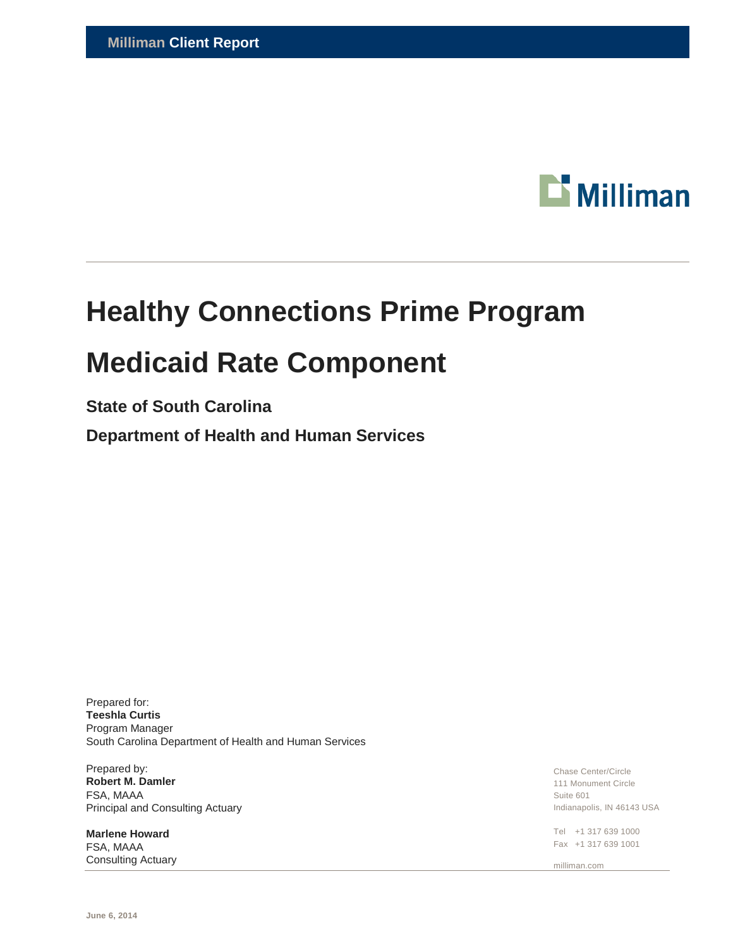

# **Healthy Connections Prime Program Medicaid Rate Component**

## **State of South Carolina**

**Department of Health and Human Services**

Prepared for: **Teeshla Curtis** Program Manager South Carolina Department of Health and Human Services

Prepared by: **Robert M. Damler** FSA, MAAA Principal and Consulting Actuary

**Marlene Howard** FSA, MAAA Consulting Actuary Chase Center/Circle 111 Monument Circle Suite 601 Indianapolis, IN 46143 USA

Tel +1 317 639 1000 Fax +1 317 639 1001

milliman.com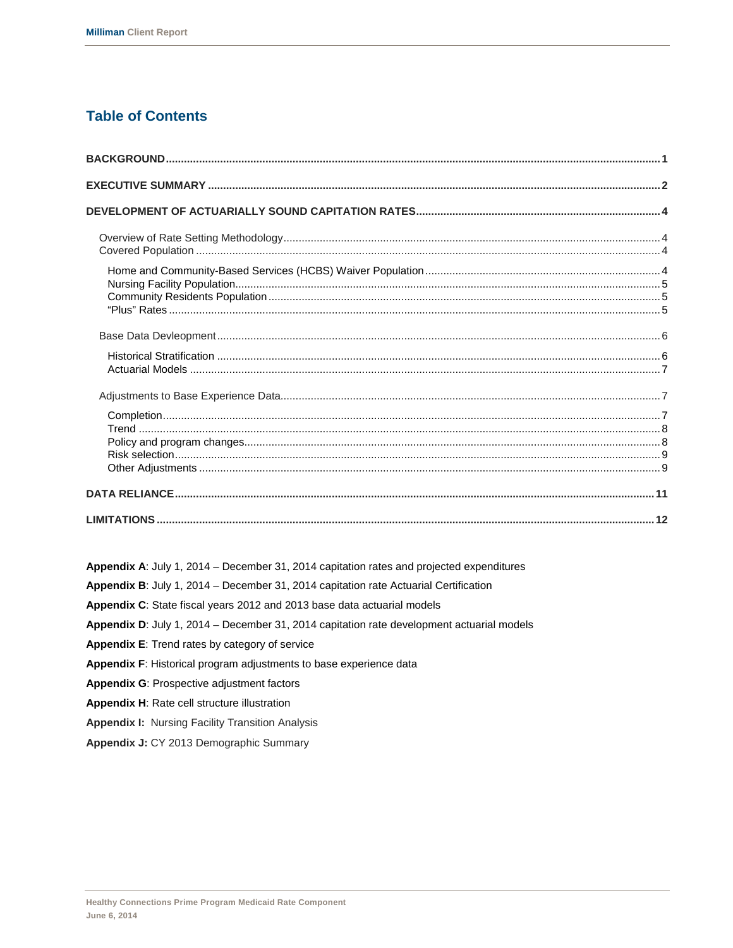### **Table of Contents**

Appendix A: July 1, 2014 - December 31, 2014 capitation rates and projected expenditures

Appendix B: July 1, 2014 - December 31, 2014 capitation rate Actuarial Certification

Appendix C: State fiscal years 2012 and 2013 base data actuarial models

Appendix D: July 1, 2014 - December 31, 2014 capitation rate development actuarial models

- Appendix E: Trend rates by category of service
- Appendix F: Historical program adjustments to base experience data
- Appendix G: Prospective adjustment factors
- Appendix H: Rate cell structure illustration
- **Appendix I: Nursing Facility Transition Analysis**
- Appendix J: CY 2013 Demographic Summary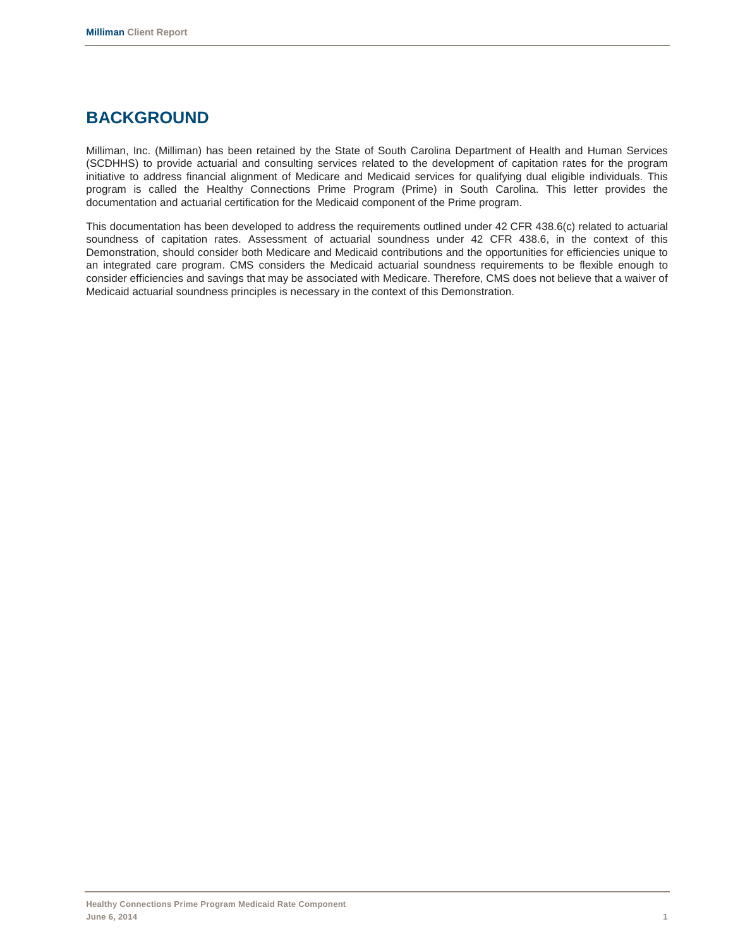# **BACKGROUND**

Milliman, Inc. (Milliman) has been retained by the State of South Carolina Department of Health and Human Services (SCDHHS) to provide actuarial and consulting services related to the development of capitation rates for the program initiative to address financial alignment of Medicare and Medicaid services for qualifying dual eligible individuals. This program is called the Healthy Connections Prime Program (Prime) in South Carolina. This letter provides the documentation and actuarial certification for the Medicaid component of the Prime program.

This documentation has been developed to address the requirements outlined under 42 CFR 438.6(c) related to actuarial soundness of capitation rates. Assessment of actuarial soundness under 42 CFR 438.6, in the context of this Demonstration, should consider both Medicare and Medicaid contributions and the opportunities for efficiencies unique to an integrated care program. CMS considers the Medicaid actuarial soundness requirements to be flexible enough to consider efficiencies and savings that may be associated with Medicare. Therefore, CMS does not believe that a waiver of Medicaid actuarial soundness principles is necessary in the context of this Demonstration.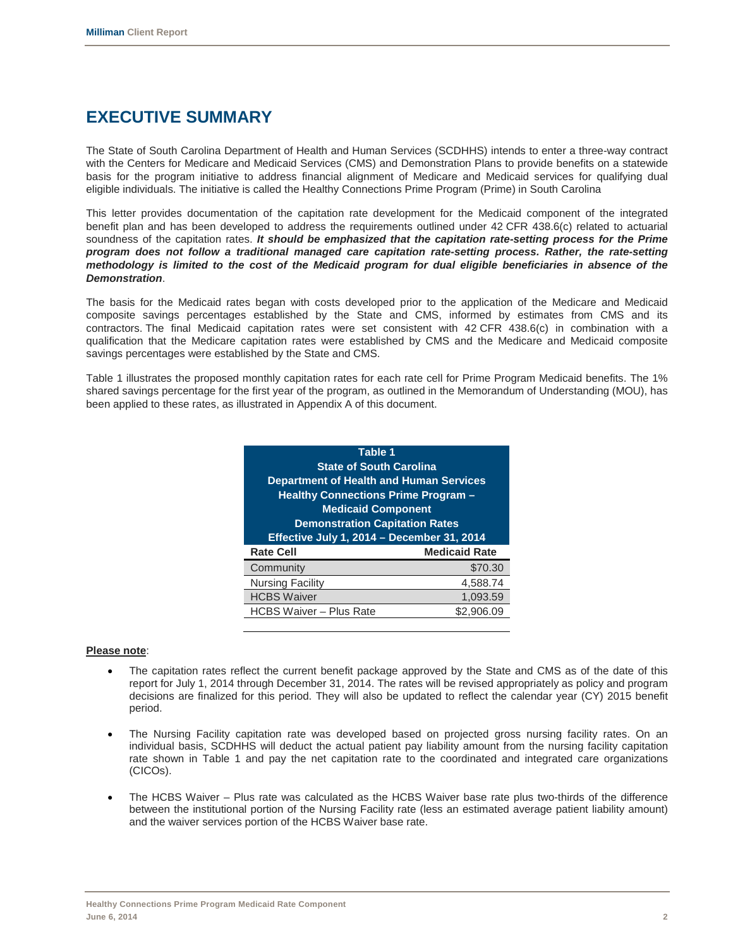# **EXECUTIVE SUMMARY**

The State of South Carolina Department of Health and Human Services (SCDHHS) intends to enter a three-way contract with the Centers for Medicare and Medicaid Services (CMS) and Demonstration Plans to provide benefits on a statewide basis for the program initiative to address financial alignment of Medicare and Medicaid services for qualifying dual eligible individuals. The initiative is called the Healthy Connections Prime Program (Prime) in South Carolina

This letter provides documentation of the capitation rate development for the Medicaid component of the integrated benefit plan and has been developed to address the requirements outlined under 42 CFR 438.6(c) related to actuarial soundness of the capitation rates. *It should be emphasized that the capitation rate-setting process for the Prime program does not follow a traditional managed care capitation rate-setting process. Rather, the rate-setting methodology is limited to the cost of the Medicaid program for dual eligible beneficiaries in absence of the Demonstration*.

The basis for the Medicaid rates began with costs developed prior to the application of the Medicare and Medicaid composite savings percentages established by the State and CMS, informed by estimates from CMS and its contractors. The final Medicaid capitation rates were set consistent with 42 CFR 438.6(c) in combination with a qualification that the Medicare capitation rates were established by CMS and the Medicare and Medicaid composite savings percentages were established by the State and CMS.

Table 1 illustrates the proposed monthly capitation rates for each rate cell for Prime Program Medicaid benefits. The 1% shared savings percentage for the first year of the program, as outlined in the Memorandum of Understanding (MOU), has been applied to these rates, as illustrated in Appendix A of this document.

| Table 1                                        |                                       |  |  |  |  |  |  |  |
|------------------------------------------------|---------------------------------------|--|--|--|--|--|--|--|
| <b>State of South Carolina</b>                 |                                       |  |  |  |  |  |  |  |
| <b>Department of Health and Human Services</b> |                                       |  |  |  |  |  |  |  |
| <b>Healthy Connections Prime Program -</b>     |                                       |  |  |  |  |  |  |  |
|                                                | <b>Medicaid Component</b>             |  |  |  |  |  |  |  |
|                                                | <b>Demonstration Capitation Rates</b> |  |  |  |  |  |  |  |
| Effective July 1, 2014 - December 31, 2014     |                                       |  |  |  |  |  |  |  |
| <b>Rate Cell</b>                               | <b>Medicaid Rate</b>                  |  |  |  |  |  |  |  |
| Community                                      | \$70.30                               |  |  |  |  |  |  |  |
| <b>Nursing Facility</b>                        | 4,588.74                              |  |  |  |  |  |  |  |
| <b>HCBS Waiver</b>                             | 1,093.59                              |  |  |  |  |  |  |  |
| <b>HCBS Waiver - Plus Rate</b>                 | \$2,906.09                            |  |  |  |  |  |  |  |

### **Please note**:

- The capitation rates reflect the current benefit package approved by the State and CMS as of the date of this report for July 1, 2014 through December 31, 2014. The rates will be revised appropriately as policy and program decisions are finalized for this period. They will also be updated to reflect the calendar year (CY) 2015 benefit period.
- The Nursing Facility capitation rate was developed based on projected gross nursing facility rates. On an individual basis, SCDHHS will deduct the actual patient pay liability amount from the nursing facility capitation rate shown in Table 1 and pay the net capitation rate to the coordinated and integrated care organizations (CICOs).
- The HCBS Waiver Plus rate was calculated as the HCBS Waiver base rate plus two-thirds of the difference between the institutional portion of the Nursing Facility rate (less an estimated average patient liability amount) and the waiver services portion of the HCBS Waiver base rate.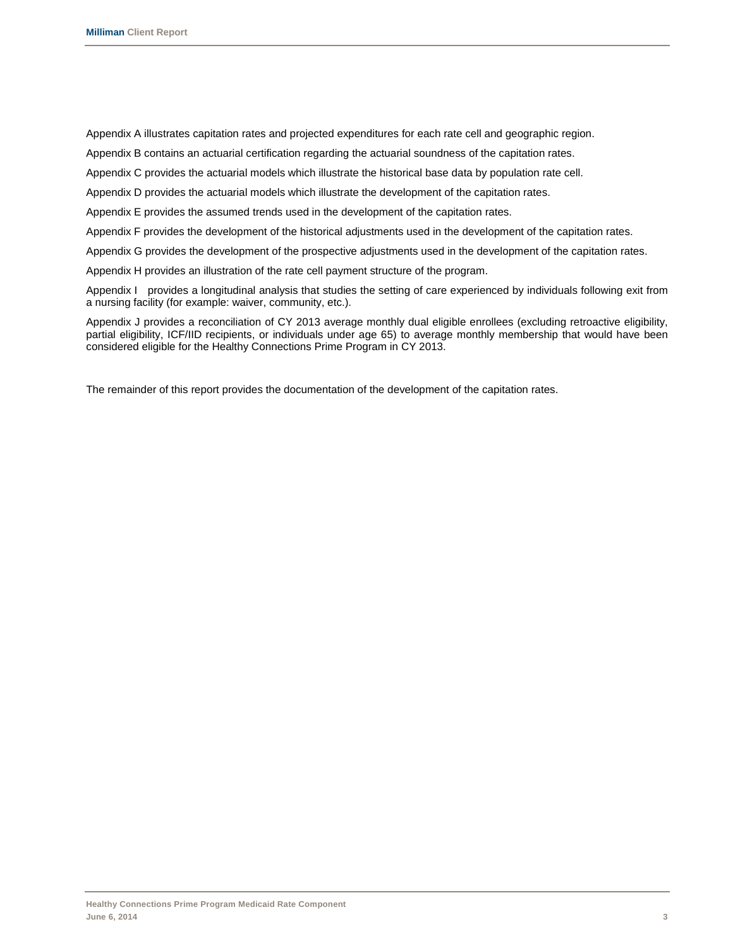Appendix A illustrates capitation rates and projected expenditures for each rate cell and geographic region.

Appendix B contains an actuarial certification regarding the actuarial soundness of the capitation rates.

Appendix C provides the actuarial models which illustrate the historical base data by population rate cell.

Appendix D provides the actuarial models which illustrate the development of the capitation rates.

Appendix E provides the assumed trends used in the development of the capitation rates.

Appendix F provides the development of the historical adjustments used in the development of the capitation rates.

Appendix G provides the development of the prospective adjustments used in the development of the capitation rates.

Appendix H provides an illustration of the rate cell payment structure of the program.

Appendix I provides a longitudinal analysis that studies the setting of care experienced by individuals following exit from a nursing facility (for example: waiver, community, etc.).

Appendix J provides a reconciliation of CY 2013 average monthly dual eligible enrollees (excluding retroactive eligibility, partial eligibility, ICF/IID recipients, or individuals under age 65) to average monthly membership that would have been considered eligible for the Healthy Connections Prime Program in CY 2013.

The remainder of this report provides the documentation of the development of the capitation rates.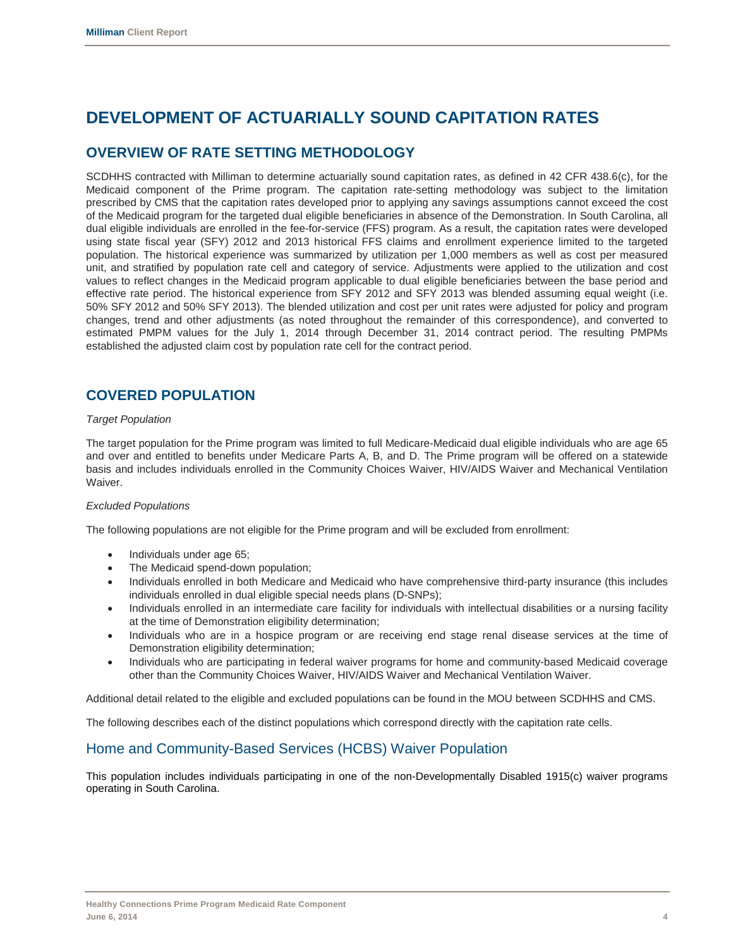# **DEVELOPMENT OF ACTUARIALLY SOUND CAPITATION RATES**

### **OVERVIEW OF RATE SETTING METHODOLOGY**

SCDHHS contracted with Milliman to determine actuarially sound capitation rates, as defined in 42 CFR 438.6(c), for the Medicaid component of the Prime program. The capitation rate-setting methodology was subject to the limitation prescribed by CMS that the capitation rates developed prior to applying any savings assumptions cannot exceed the cost of the Medicaid program for the targeted dual eligible beneficiaries in absence of the Demonstration. In South Carolina, all dual eligible individuals are enrolled in the fee-for-service (FFS) program. As a result, the capitation rates were developed using state fiscal year (SFY) 2012 and 2013 historical FFS claims and enrollment experience limited to the targeted population. The historical experience was summarized by utilization per 1,000 members as well as cost per measured unit, and stratified by population rate cell and category of service. Adjustments were applied to the utilization and cost values to reflect changes in the Medicaid program applicable to dual eligible beneficiaries between the base period and effective rate period. The historical experience from SFY 2012 and SFY 2013 was blended assuming equal weight (i.e. 50% SFY 2012 and 50% SFY 2013). The blended utilization and cost per unit rates were adjusted for policy and program changes, trend and other adjustments (as noted throughout the remainder of this correspondence), and converted to estimated PMPM values for the July 1, 2014 through December 31, 2014 contract period. The resulting PMPMs established the adjusted claim cost by population rate cell for the contract period.

### **COVERED POPULATION**

### *Target Population*

The target population for the Prime program was limited to full Medicare-Medicaid dual eligible individuals who are age 65 and over and entitled to benefits under Medicare Parts A, B, and D. The Prime program will be offered on a statewide basis and includes individuals enrolled in the Community Choices Waiver, HIV/AIDS Waiver and Mechanical Ventilation Waiver.

### *Excluded Populations*

The following populations are not eligible for the Prime program and will be excluded from enrollment:

- Individuals under age 65;
- The Medicaid spend-down population;
- Individuals enrolled in both Medicare and Medicaid who have comprehensive third-party insurance (this includes individuals enrolled in dual eligible special needs plans (D-SNPs);
- Individuals enrolled in an intermediate care facility for individuals with intellectual disabilities or a nursing facility at the time of Demonstration eligibility determination;
- Individuals who are in a hospice program or are receiving end stage renal disease services at the time of Demonstration eligibility determination;
- Individuals who are participating in federal waiver programs for home and community-based Medicaid coverage other than the Community Choices Waiver, HIV/AIDS Waiver and Mechanical Ventilation Waiver.

Additional detail related to the eligible and excluded populations can be found in the MOU between SCDHHS and CMS.

The following describes each of the distinct populations which correspond directly with the capitation rate cells.

### Home and Community-Based Services (HCBS) Waiver Population

This population includes individuals participating in one of the non-Developmentally Disabled 1915(c) waiver programs operating in South Carolina.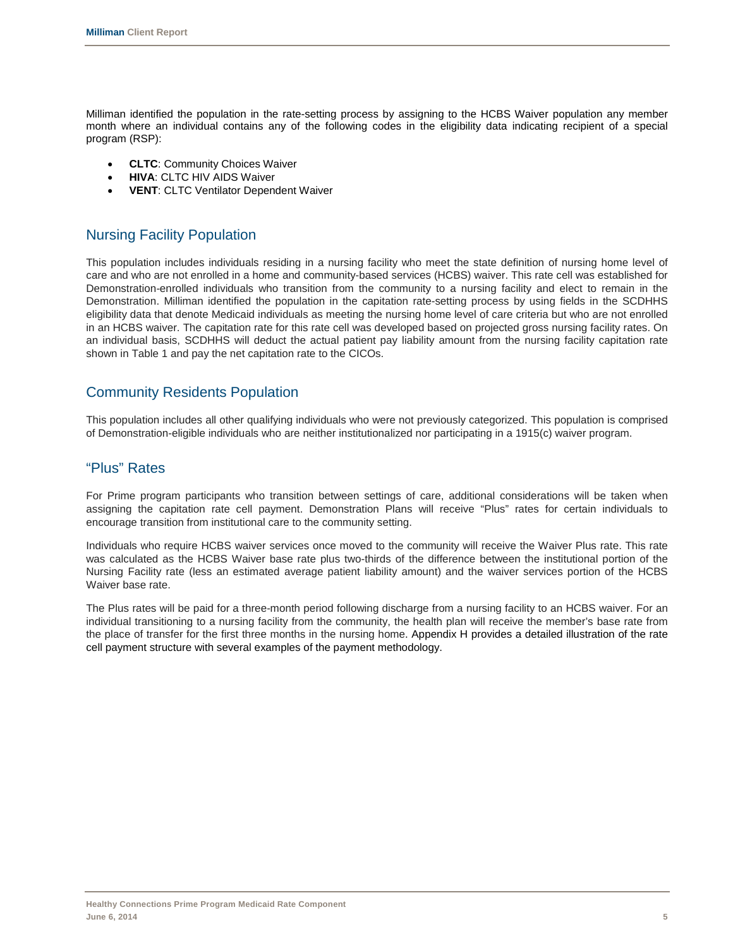Milliman identified the population in the rate-setting process by assigning to the HCBS Waiver population any member month where an individual contains any of the following codes in the eligibility data indicating recipient of a special program (RSP):

- **CLTC**: Community Choices Waiver
- **HIVA: CLTC HIV AIDS Waiver**
- **VENT**: CLTC Ventilator Dependent Waiver

### Nursing Facility Population

This population includes individuals residing in a nursing facility who meet the state definition of nursing home level of care and who are not enrolled in a home and community-based services (HCBS) waiver. This rate cell was established for Demonstration-enrolled individuals who transition from the community to a nursing facility and elect to remain in the Demonstration. Milliman identified the population in the capitation rate-setting process by using fields in the SCDHHS eligibility data that denote Medicaid individuals as meeting the nursing home level of care criteria but who are not enrolled in an HCBS waiver. The capitation rate for this rate cell was developed based on projected gross nursing facility rates. On an individual basis, SCDHHS will deduct the actual patient pay liability amount from the nursing facility capitation rate shown in Table 1 and pay the net capitation rate to the CICOs.

### Community Residents Population

This population includes all other qualifying individuals who were not previously categorized. This population is comprised of Demonstration-eligible individuals who are neither institutionalized nor participating in a 1915(c) waiver program.

### "Plus" Rates

For Prime program participants who transition between settings of care, additional considerations will be taken when assigning the capitation rate cell payment. Demonstration Plans will receive "Plus" rates for certain individuals to encourage transition from institutional care to the community setting.

Individuals who require HCBS waiver services once moved to the community will receive the Waiver Plus rate. This rate was calculated as the HCBS Waiver base rate plus two-thirds of the difference between the institutional portion of the Nursing Facility rate (less an estimated average patient liability amount) and the waiver services portion of the HCBS Waiver base rate.

The Plus rates will be paid for a three-month period following discharge from a nursing facility to an HCBS waiver. For an individual transitioning to a nursing facility from the community, the health plan will receive the member's base rate from the place of transfer for the first three months in the nursing home. Appendix H provides a detailed illustration of the rate cell payment structure with several examples of the payment methodology.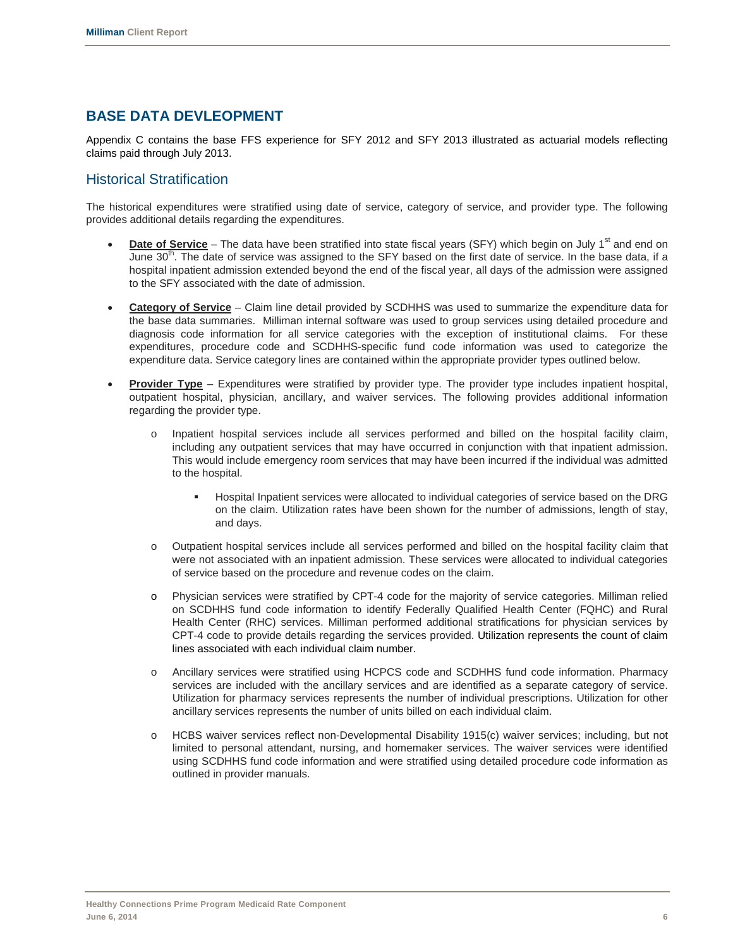### **BASE DATA DEVLEOPMENT**

Appendix C contains the base FFS experience for SFY 2012 and SFY 2013 illustrated as actuarial models reflecting claims paid through July 2013.

### Historical Stratification

The historical expenditures were stratified using date of service, category of service, and provider type. The following provides additional details regarding the expenditures.

- **Date of Service** The data have been stratified into state fiscal years (SFY) which begin on July 1<sup>st</sup> and end on June 30<sup>th</sup>. The date of service was assigned to the SFY based on the first date of service. In the base data, if a hospital inpatient admission extended beyond the end of the fiscal year, all days of the admission were assigned to the SFY associated with the date of admission.
- **Category of Service** Claim line detail provided by SCDHHS was used to summarize the expenditure data for the base data summaries. Milliman internal software was used to group services using detailed procedure and diagnosis code information for all service categories with the exception of institutional claims. For these expenditures, procedure code and SCDHHS-specific fund code information was used to categorize the expenditure data. Service category lines are contained within the appropriate provider types outlined below.
- **Provider Type** Expenditures were stratified by provider type. The provider type includes inpatient hospital, outpatient hospital, physician, ancillary, and waiver services. The following provides additional information regarding the provider type.
	- o Inpatient hospital services include all services performed and billed on the hospital facility claim, including any outpatient services that may have occurred in conjunction with that inpatient admission. This would include emergency room services that may have been incurred if the individual was admitted to the hospital.
		- Hospital Inpatient services were allocated to individual categories of service based on the DRG on the claim. Utilization rates have been shown for the number of admissions, length of stay, and days.
	- o Outpatient hospital services include all services performed and billed on the hospital facility claim that were not associated with an inpatient admission. These services were allocated to individual categories of service based on the procedure and revenue codes on the claim.
	- o Physician services were stratified by CPT-4 code for the majority of service categories. Milliman relied on SCDHHS fund code information to identify Federally Qualified Health Center (FQHC) and Rural Health Center (RHC) services. Milliman performed additional stratifications for physician services by CPT-4 code to provide details regarding the services provided. Utilization represents the count of claim lines associated with each individual claim number.
	- o Ancillary services were stratified using HCPCS code and SCDHHS fund code information. Pharmacy services are included with the ancillary services and are identified as a separate category of service. Utilization for pharmacy services represents the number of individual prescriptions. Utilization for other ancillary services represents the number of units billed on each individual claim.
	- o HCBS waiver services reflect non-Developmental Disability 1915(c) waiver services; including, but not limited to personal attendant, nursing, and homemaker services. The waiver services were identified using SCDHHS fund code information and were stratified using detailed procedure code information as outlined in provider manuals.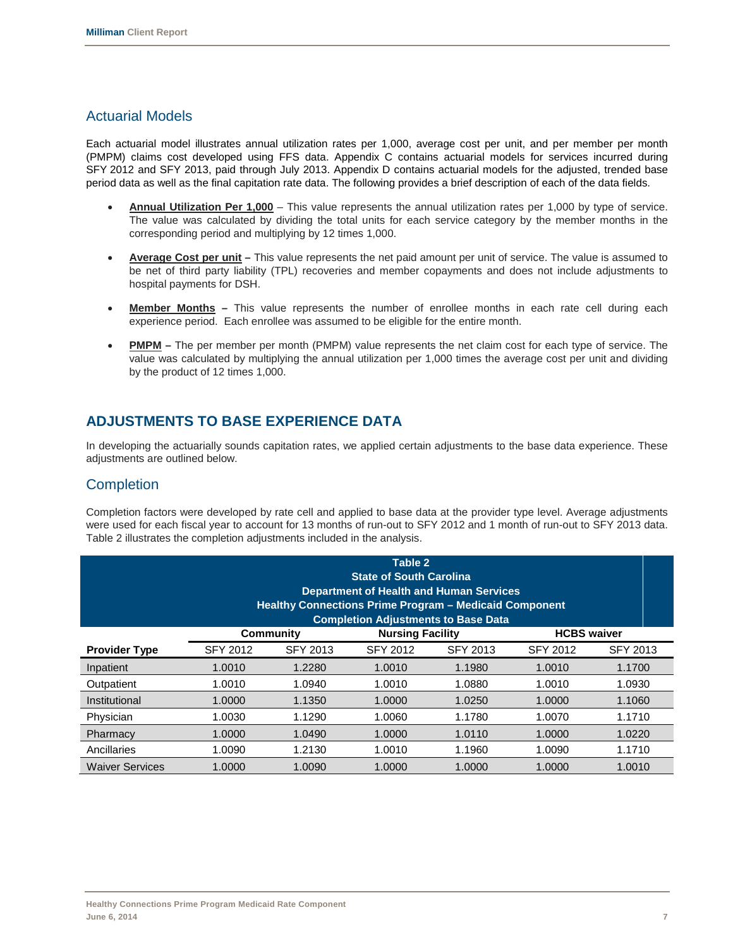### Actuarial Models

Each actuarial model illustrates annual utilization rates per 1,000, average cost per unit, and per member per month (PMPM) claims cost developed using FFS data. Appendix C contains actuarial models for services incurred during SFY 2012 and SFY 2013, paid through July 2013. Appendix D contains actuarial models for the adjusted, trended base period data as well as the final capitation rate data. The following provides a brief description of each of the data fields.

- **Annual Utilization Per 1,000** This value represents the annual utilization rates per 1,000 by type of service. The value was calculated by dividing the total units for each service category by the member months in the corresponding period and multiplying by 12 times 1,000.
- **Average Cost per unit –** This value represents the net paid amount per unit of service. The value is assumed to be net of third party liability (TPL) recoveries and member copayments and does not include adjustments to hospital payments for DSH.
- **Member Months –** This value represents the number of enrollee months in each rate cell during each experience period. Each enrollee was assumed to be eligible for the entire month.
- **PMPM –** The per member per month (PMPM) value represents the net claim cost for each type of service. The value was calculated by multiplying the annual utilization per 1,000 times the average cost per unit and dividing by the product of 12 times 1,000.

### **ADJUSTMENTS TO BASE EXPERIENCE DATA**

In developing the actuarially sounds capitation rates, we applied certain adjustments to the base data experience. These adjustments are outlined below.

### **Completion**

Completion factors were developed by rate cell and applied to base data at the provider type level. Average adjustments were used for each fiscal year to account for 13 months of run-out to SFY 2012 and 1 month of run-out to SFY 2013 data. Table 2 illustrates the completion adjustments included in the analysis.

| Table 2<br><b>State of South Carolina</b><br><b>Department of Health and Human Services</b><br><b>Healthy Connections Prime Program - Medicaid Component</b><br><b>Completion Adjustments to Base Data</b> |                 |                 |                    |                 |                 |          |  |  |  |  |
|------------------------------------------------------------------------------------------------------------------------------------------------------------------------------------------------------------|-----------------|-----------------|--------------------|-----------------|-----------------|----------|--|--|--|--|
|                                                                                                                                                                                                            |                 | Community       | <b>HCBS</b> waiver |                 |                 |          |  |  |  |  |
| <b>Provider Type</b>                                                                                                                                                                                       | <b>SFY 2012</b> | <b>SFY 2013</b> | <b>SFY 2012</b>    | <b>SFY 2013</b> | <b>SFY 2012</b> | SFY 2013 |  |  |  |  |
| Inpatient                                                                                                                                                                                                  | 1.0010          | 1.2280          | 1.0010             | 1.1980          | 1.0010          | 1.1700   |  |  |  |  |
| Outpatient                                                                                                                                                                                                 | 1.0010          | 1.0940          | 1.0010             | 1.0880          | 1.0010          | 1.0930   |  |  |  |  |
| Institutional                                                                                                                                                                                              | 1.0000          | 1.1350          | 1.0000             | 1.0250          | 1.0000          | 1.1060   |  |  |  |  |
| Physician                                                                                                                                                                                                  | 1.0030          | 1.1290          | 1.0060             | 1.1780          | 1.0070          | 1.1710   |  |  |  |  |
| Pharmacy                                                                                                                                                                                                   | 1.0000          | 1.0490          | 1.0000             | 1.0110          | 1.0000          | 1.0220   |  |  |  |  |
| Ancillaries                                                                                                                                                                                                | 1.0090          | 1.2130          | 1.0010             | 1.1960          | 1.0090          | 1.1710   |  |  |  |  |
| <b>Waiver Services</b>                                                                                                                                                                                     | 1.0000          | 1.0090          | 1.0000             | 1.0000          | 1.0000          | 1.0010   |  |  |  |  |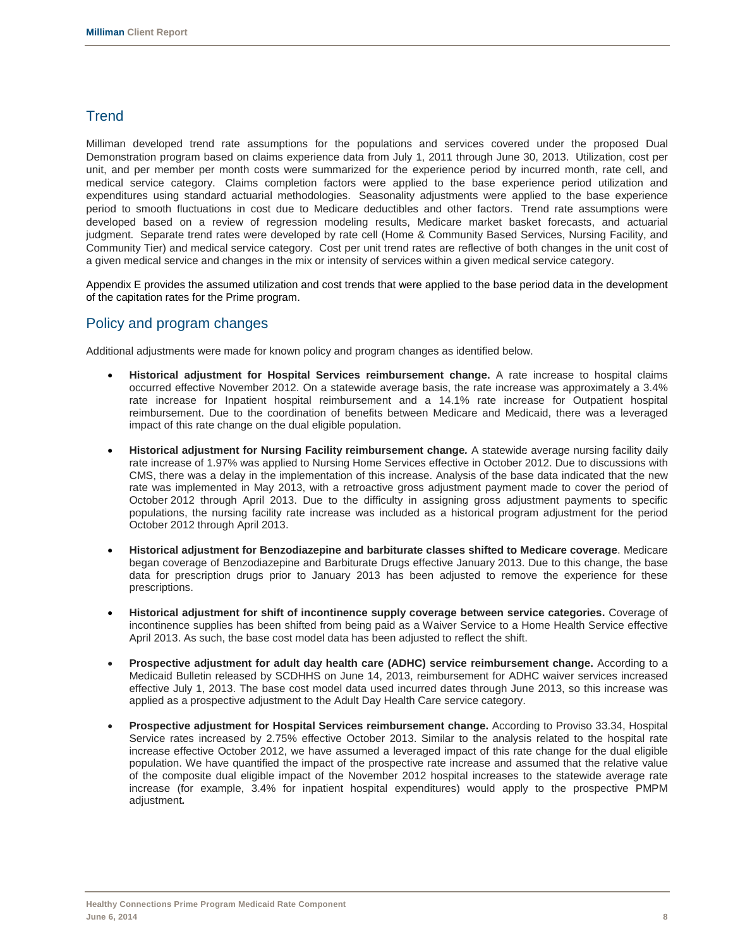### **Trend**

Milliman developed trend rate assumptions for the populations and services covered under the proposed Dual Demonstration program based on claims experience data from July 1, 2011 through June 30, 2013. Utilization, cost per unit, and per member per month costs were summarized for the experience period by incurred month, rate cell, and medical service category. Claims completion factors were applied to the base experience period utilization and expenditures using standard actuarial methodologies. Seasonality adjustments were applied to the base experience period to smooth fluctuations in cost due to Medicare deductibles and other factors. Trend rate assumptions were developed based on a review of regression modeling results, Medicare market basket forecasts, and actuarial judgment. Separate trend rates were developed by rate cell (Home & Community Based Services, Nursing Facility, and Community Tier) and medical service category. Cost per unit trend rates are reflective of both changes in the unit cost of a given medical service and changes in the mix or intensity of services within a given medical service category.

Appendix E provides the assumed utilization and cost trends that were applied to the base period data in the development of the capitation rates for the Prime program.

### Policy and program changes

Additional adjustments were made for known policy and program changes as identified below.

- **Historical adjustment for Hospital Services reimbursement change.** A rate increase to hospital claims occurred effective November 2012. On a statewide average basis, the rate increase was approximately a 3.4% rate increase for Inpatient hospital reimbursement and a 14.1% rate increase for Outpatient hospital reimbursement. Due to the coordination of benefits between Medicare and Medicaid, there was a leveraged impact of this rate change on the dual eligible population.
- **Historical adjustment for Nursing Facility reimbursement change***.* A statewide average nursing facility daily rate increase of 1.97% was applied to Nursing Home Services effective in October 2012. Due to discussions with CMS, there was a delay in the implementation of this increase. Analysis of the base data indicated that the new rate was implemented in May 2013, with a retroactive gross adjustment payment made to cover the period of October 2012 through April 2013. Due to the difficulty in assigning gross adjustment payments to specific populations, the nursing facility rate increase was included as a historical program adjustment for the period October 2012 through April 2013.
- **Historical adjustment for Benzodiazepine and barbiturate classes shifted to Medicare coverage**. Medicare began coverage of Benzodiazepine and Barbiturate Drugs effective January 2013. Due to this change, the base data for prescription drugs prior to January 2013 has been adjusted to remove the experience for these prescriptions.
- **Historical adjustment for shift of incontinence supply coverage between service categories.** Coverage of incontinence supplies has been shifted from being paid as a Waiver Service to a Home Health Service effective April 2013. As such, the base cost model data has been adjusted to reflect the shift.
- **Prospective adjustment for adult day health care (ADHC) service reimbursement change.** According to a Medicaid Bulletin released by SCDHHS on June 14, 2013, reimbursement for ADHC waiver services increased effective July 1, 2013. The base cost model data used incurred dates through June 2013, so this increase was applied as a prospective adjustment to the Adult Day Health Care service category.
- **Prospective adjustment for Hospital Services reimbursement change.** According to Proviso 33.34, Hospital Service rates increased by 2.75% effective October 2013. Similar to the analysis related to the hospital rate increase effective October 2012, we have assumed a leveraged impact of this rate change for the dual eligible population. We have quantified the impact of the prospective rate increase and assumed that the relative value of the composite dual eligible impact of the November 2012 hospital increases to the statewide average rate increase (for example, 3.4% for inpatient hospital expenditures) would apply to the prospective PMPM adjustment*.*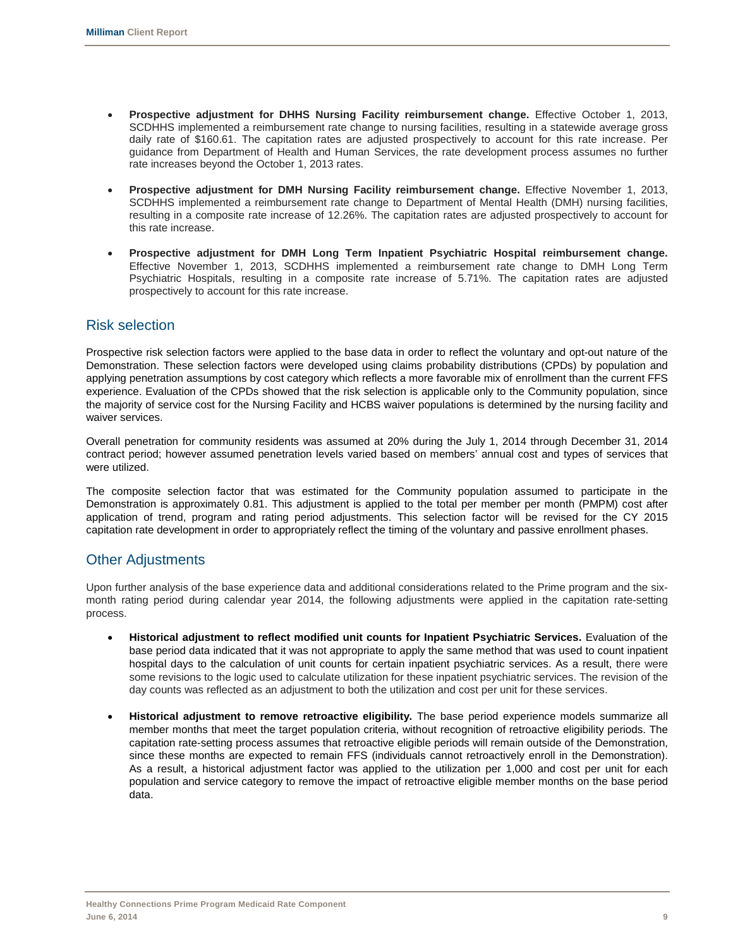- **Prospective adjustment for DHHS Nursing Facility reimbursement change.** Effective October 1, 2013, SCDHHS implemented a reimbursement rate change to nursing facilities, resulting in a statewide average gross daily rate of \$160.61. The capitation rates are adjusted prospectively to account for this rate increase. Per guidance from Department of Health and Human Services, the rate development process assumes no further rate increases beyond the October 1, 2013 rates.
- **Prospective adjustment for DMH Nursing Facility reimbursement change.** Effective November 1, 2013, SCDHHS implemented a reimbursement rate change to Department of Mental Health (DMH) nursing facilities, resulting in a composite rate increase of 12.26%. The capitation rates are adjusted prospectively to account for this rate increase.
- **Prospective adjustment for DMH Long Term Inpatient Psychiatric Hospital reimbursement change.** Effective November 1, 2013, SCDHHS implemented a reimbursement rate change to DMH Long Term Psychiatric Hospitals, resulting in a composite rate increase of 5.71%. The capitation rates are adjusted prospectively to account for this rate increase.

### Risk selection

Prospective risk selection factors were applied to the base data in order to reflect the voluntary and opt-out nature of the Demonstration. These selection factors were developed using claims probability distributions (CPDs) by population and applying penetration assumptions by cost category which reflects a more favorable mix of enrollment than the current FFS experience. Evaluation of the CPDs showed that the risk selection is applicable only to the Community population, since the majority of service cost for the Nursing Facility and HCBS waiver populations is determined by the nursing facility and waiver services.

Overall penetration for community residents was assumed at 20% during the July 1, 2014 through December 31, 2014 contract period; however assumed penetration levels varied based on members' annual cost and types of services that were utilized.

The composite selection factor that was estimated for the Community population assumed to participate in the Demonstration is approximately 0.81. This adjustment is applied to the total per member per month (PMPM) cost after application of trend, program and rating period adjustments. This selection factor will be revised for the CY 2015 capitation rate development in order to appropriately reflect the timing of the voluntary and passive enrollment phases.

### Other Adjustments

Upon further analysis of the base experience data and additional considerations related to the Prime program and the sixmonth rating period during calendar year 2014, the following adjustments were applied in the capitation rate-setting process.

- **Historical adjustment to reflect modified unit counts for Inpatient Psychiatric Services.** Evaluation of the base period data indicated that it was not appropriate to apply the same method that was used to count inpatient hospital days to the calculation of unit counts for certain inpatient psychiatric services. As a result, there were some revisions to the logic used to calculate utilization for these inpatient psychiatric services. The revision of the day counts was reflected as an adjustment to both the utilization and cost per unit for these services.
- **Historical adjustment to remove retroactive eligibility.** The base period experience models summarize all member months that meet the target population criteria, without recognition of retroactive eligibility periods. The capitation rate-setting process assumes that retroactive eligible periods will remain outside of the Demonstration, since these months are expected to remain FFS (individuals cannot retroactively enroll in the Demonstration). As a result, a historical adjustment factor was applied to the utilization per 1,000 and cost per unit for each population and service category to remove the impact of retroactive eligible member months on the base period data.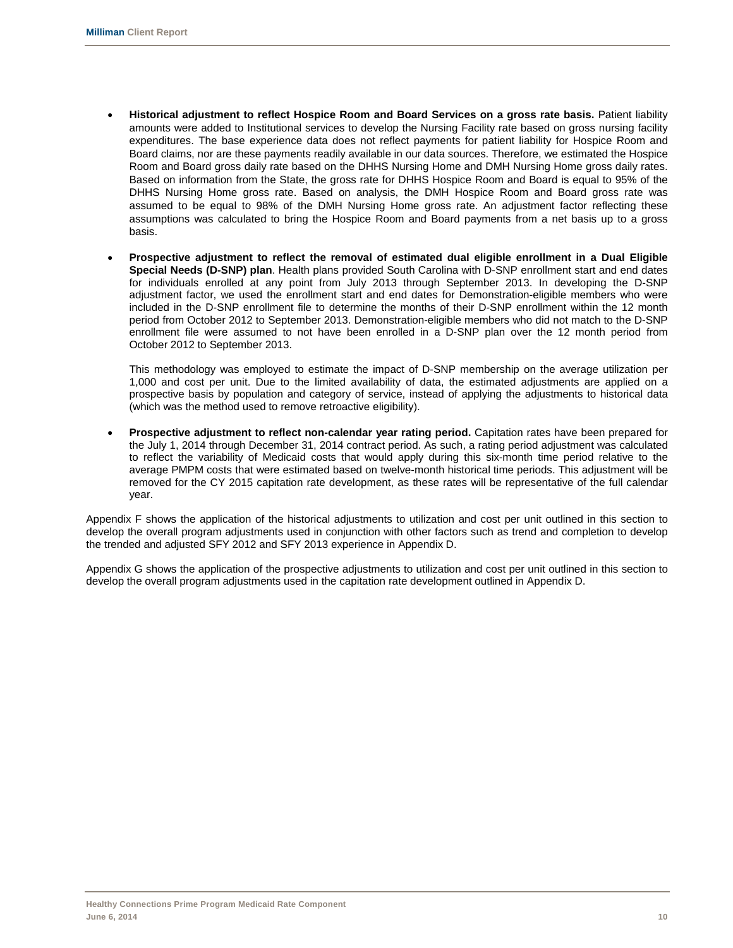- **Historical adjustment to reflect Hospice Room and Board Services on a gross rate basis.** Patient liability amounts were added to Institutional services to develop the Nursing Facility rate based on gross nursing facility expenditures. The base experience data does not reflect payments for patient liability for Hospice Room and Board claims, nor are these payments readily available in our data sources. Therefore, we estimated the Hospice Room and Board gross daily rate based on the DHHS Nursing Home and DMH Nursing Home gross daily rates. Based on information from the State, the gross rate for DHHS Hospice Room and Board is equal to 95% of the DHHS Nursing Home gross rate. Based on analysis, the DMH Hospice Room and Board gross rate was assumed to be equal to 98% of the DMH Nursing Home gross rate. An adjustment factor reflecting these assumptions was calculated to bring the Hospice Room and Board payments from a net basis up to a gross basis.
- **Prospective adjustment to reflect the removal of estimated dual eligible enrollment in a Dual Eligible Special Needs (D-SNP) plan**. Health plans provided South Carolina with D-SNP enrollment start and end dates for individuals enrolled at any point from July 2013 through September 2013. In developing the D-SNP adjustment factor, we used the enrollment start and end dates for Demonstration-eligible members who were included in the D-SNP enrollment file to determine the months of their D-SNP enrollment within the 12 month period from October 2012 to September 2013. Demonstration-eligible members who did not match to the D-SNP enrollment file were assumed to not have been enrolled in a D-SNP plan over the 12 month period from October 2012 to September 2013.

This methodology was employed to estimate the impact of D-SNP membership on the average utilization per 1,000 and cost per unit. Due to the limited availability of data, the estimated adjustments are applied on a prospective basis by population and category of service, instead of applying the adjustments to historical data (which was the method used to remove retroactive eligibility).

• **Prospective adjustment to reflect non-calendar year rating period.** Capitation rates have been prepared for the July 1, 2014 through December 31, 2014 contract period. As such, a rating period adjustment was calculated to reflect the variability of Medicaid costs that would apply during this six-month time period relative to the average PMPM costs that were estimated based on twelve-month historical time periods. This adjustment will be removed for the CY 2015 capitation rate development, as these rates will be representative of the full calendar year.

Appendix F shows the application of the historical adjustments to utilization and cost per unit outlined in this section to develop the overall program adjustments used in conjunction with other factors such as trend and completion to develop the trended and adjusted SFY 2012 and SFY 2013 experience in Appendix D.

Appendix G shows the application of the prospective adjustments to utilization and cost per unit outlined in this section to develop the overall program adjustments used in the capitation rate development outlined in Appendix D.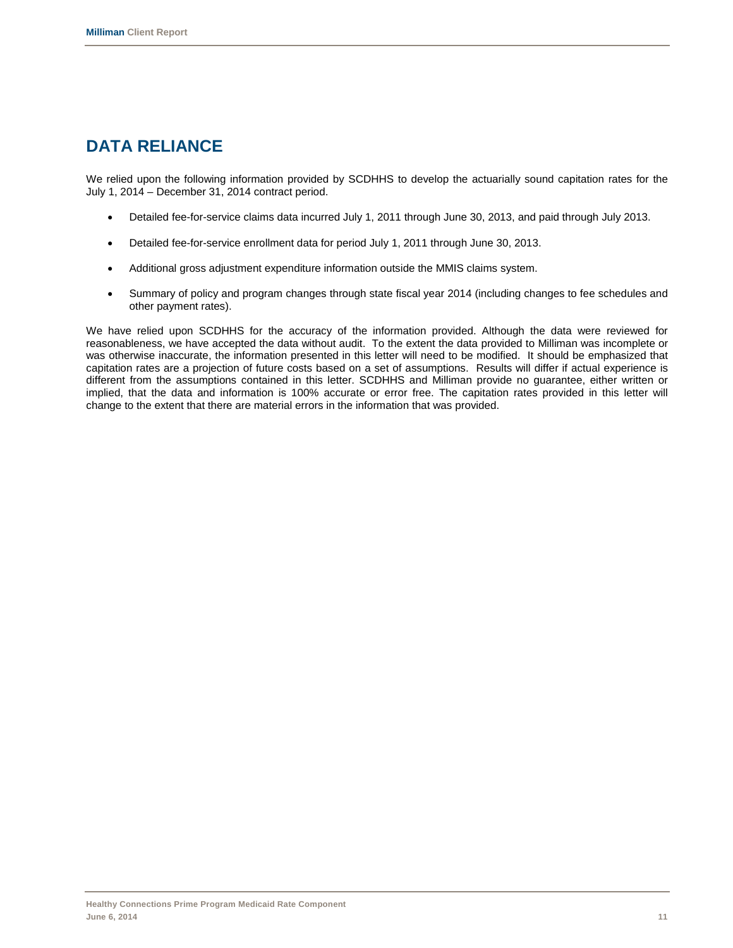# **DATA RELIANCE**

We relied upon the following information provided by SCDHHS to develop the actuarially sound capitation rates for the July 1, 2014 – December 31, 2014 contract period.

- Detailed fee-for-service claims data incurred July 1, 2011 through June 30, 2013, and paid through July 2013.
- Detailed fee-for-service enrollment data for period July 1, 2011 through June 30, 2013.
- Additional gross adjustment expenditure information outside the MMIS claims system.
- Summary of policy and program changes through state fiscal year 2014 (including changes to fee schedules and other payment rates).

We have relied upon SCDHHS for the accuracy of the information provided. Although the data were reviewed for reasonableness, we have accepted the data without audit. To the extent the data provided to Milliman was incomplete or was otherwise inaccurate, the information presented in this letter will need to be modified. It should be emphasized that capitation rates are a projection of future costs based on a set of assumptions. Results will differ if actual experience is different from the assumptions contained in this letter. SCDHHS and Milliman provide no guarantee, either written or implied, that the data and information is 100% accurate or error free. The capitation rates provided in this letter will change to the extent that there are material errors in the information that was provided.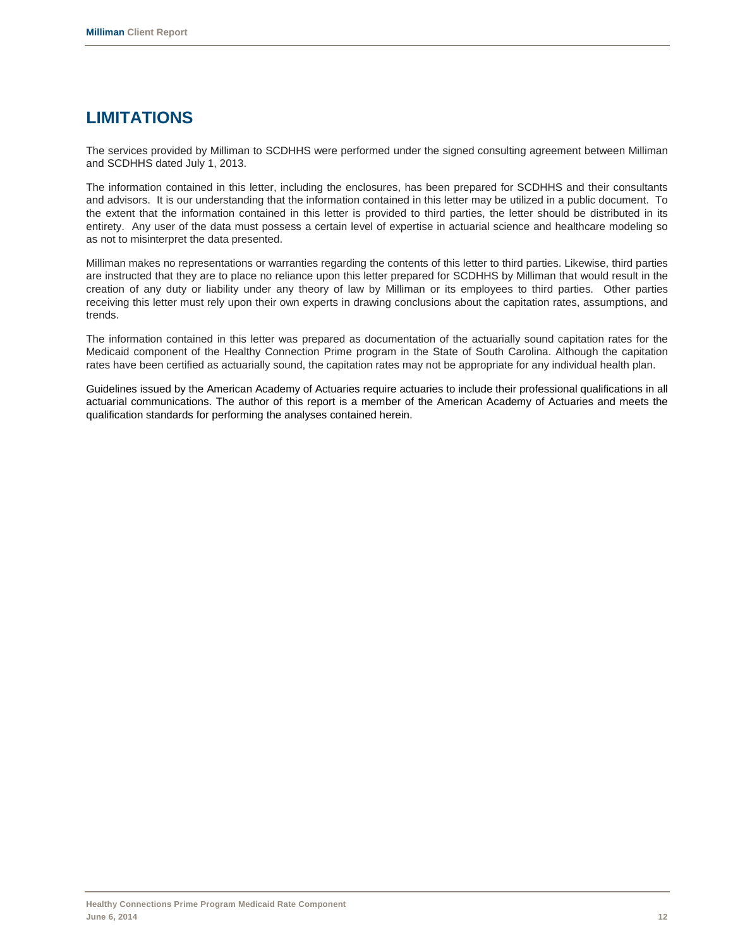# **LIMITATIONS**

The services provided by Milliman to SCDHHS were performed under the signed consulting agreement between Milliman and SCDHHS dated July 1, 2013.

The information contained in this letter, including the enclosures, has been prepared for SCDHHS and their consultants and advisors. It is our understanding that the information contained in this letter may be utilized in a public document. To the extent that the information contained in this letter is provided to third parties, the letter should be distributed in its entirety. Any user of the data must possess a certain level of expertise in actuarial science and healthcare modeling so as not to misinterpret the data presented.

Milliman makes no representations or warranties regarding the contents of this letter to third parties. Likewise, third parties are instructed that they are to place no reliance upon this letter prepared for SCDHHS by Milliman that would result in the creation of any duty or liability under any theory of law by Milliman or its employees to third parties. Other parties receiving this letter must rely upon their own experts in drawing conclusions about the capitation rates, assumptions, and trends.

The information contained in this letter was prepared as documentation of the actuarially sound capitation rates for the Medicaid component of the Healthy Connection Prime program in the State of South Carolina. Although the capitation rates have been certified as actuarially sound, the capitation rates may not be appropriate for any individual health plan.

Guidelines issued by the American Academy of Actuaries require actuaries to include their professional qualifications in all actuarial communications. The author of this report is a member of the American Academy of Actuaries and meets the qualification standards for performing the analyses contained herein.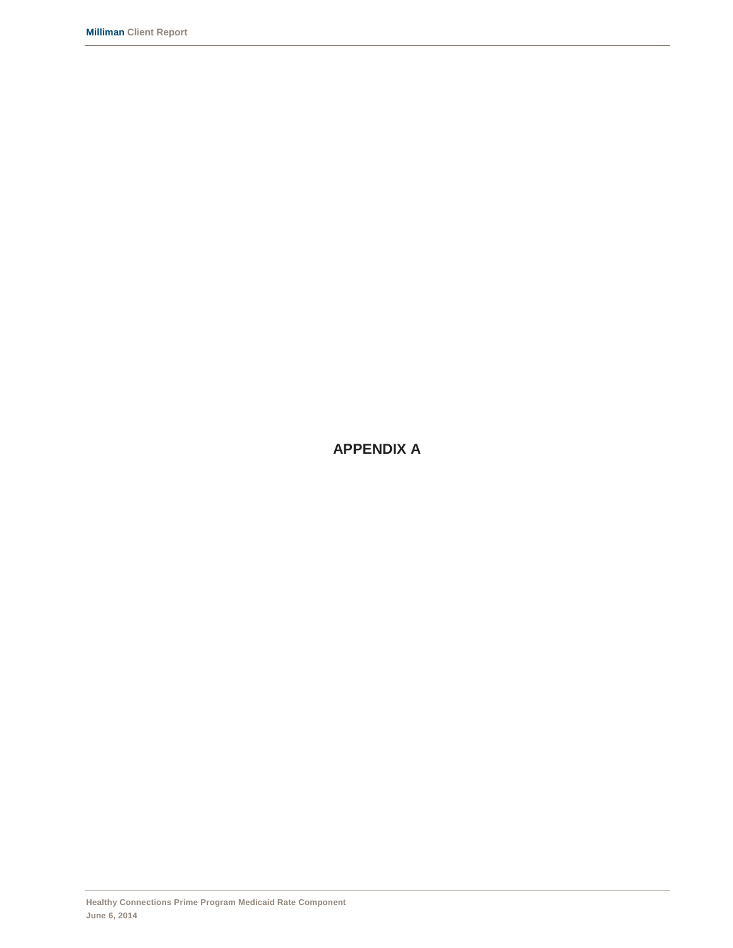**APPENDIX A**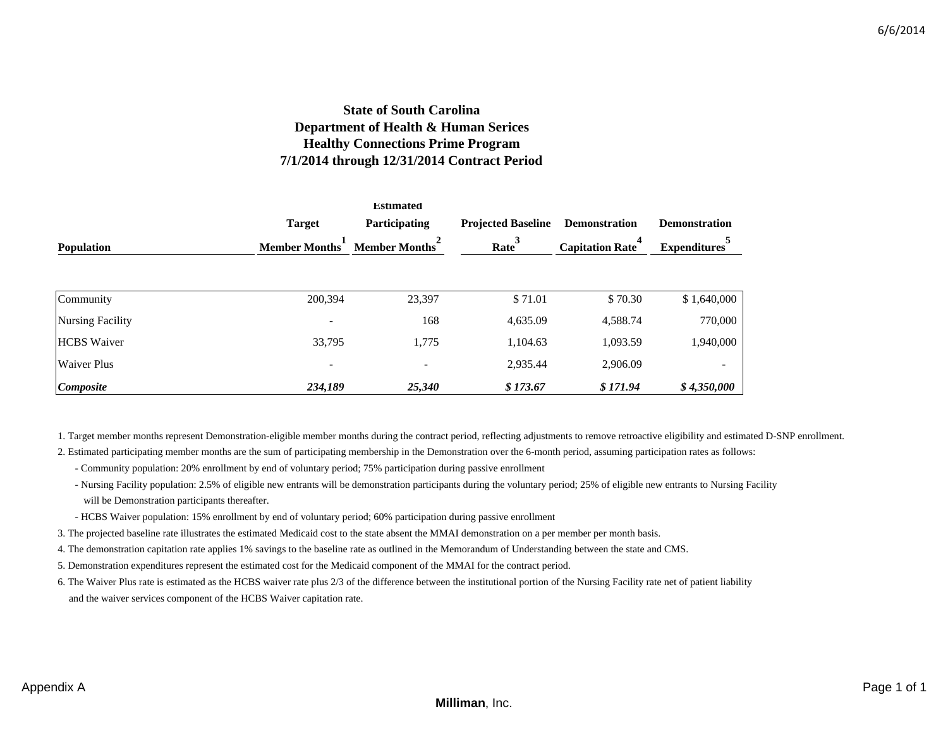### **State of South Carolina Department of Health & Human Serices Healthy Connections Prime Program 7/1/2014 through 12/31/2014 Contract Period**

|                         |                          | <b>Estimated</b>         |          |                             |                          |
|-------------------------|--------------------------|--------------------------|----------|-----------------------------|--------------------------|
|                         | <b>Target</b>            | <b>Participating</b>     |          | <b>Demonstration</b>        | <b>Demonstration</b>     |
| <b>Population</b>       | <b>Member Months</b>     | <b>Member Months</b>     | Rate     | 4<br><b>Capitation Rate</b> | <b>Expenditures</b>      |
|                         |                          |                          |          |                             |                          |
| Community               | 200,394                  | 23,397                   | \$71.01  | \$70.30                     | \$1,640,000              |
| <b>Nursing Facility</b> |                          | 168                      | 4,635.09 | 4,588.74                    | 770,000                  |
| <b>HCBS</b> Waiver      | 33,795                   | 1,775                    | 1,104.63 | 1,093.59                    | 1,940,000                |
| <b>Waiver Plus</b>      | $\overline{\phantom{a}}$ | $\overline{\phantom{a}}$ | 2,935.44 | 2,906.09                    | $\overline{\phantom{a}}$ |
| Composite               | 234,189                  | 25,340                   | \$173.67 | \$171.94                    | \$4,350,000              |

1. Target member months represent Demonstration-eligible member months during the contract period, reflecting adjustments to remove retroactive eligibility and estimated D-SNP enrollment.

- 2. Estimated participating member months are the sum of participating membership in the Demonstration over the 6-month period, assuming participation rates as follows:
	- Community population: 20% enrollment by end of voluntary period; 75% participation during passive enrollment
	- Nursing Facility population: 2.5% of eligible new entrants will be demonstration participants during the voluntary period; 25% of eligible new entrants to Nursing Facility will be Demonstration participants thereafter.
	- HCBS Waiver population: 15% enrollment by end of voluntary period; 60% participation during passive enrollment
- 3. The projected baseline rate illustrates the estimated Medicaid cost to the state absent the MMAI demonstration on a per member per month basis.
- 4. The demonstration capitation rate applies 1% savings to the baseline rate as outlined in the Memorandum of Understanding between the state and CMS.
- 5. Demonstration expenditures represent the estimated cost for the Medicaid component of the MMAI for the contract period.
- 6. The Waiver Plus rate is estimated as the HCBS waiver rate plus 2/3 of the difference between the institutional portion of the Nursing Facility rate net of patient liability and the waiver services component of the HCBS Waiver capitation rate.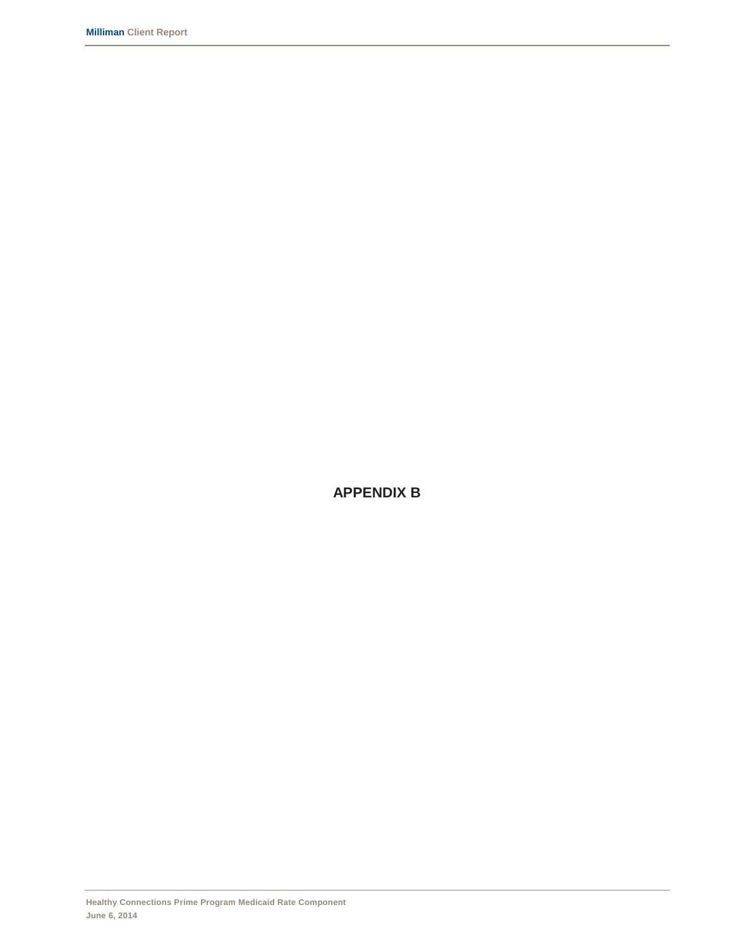**APPENDIX B**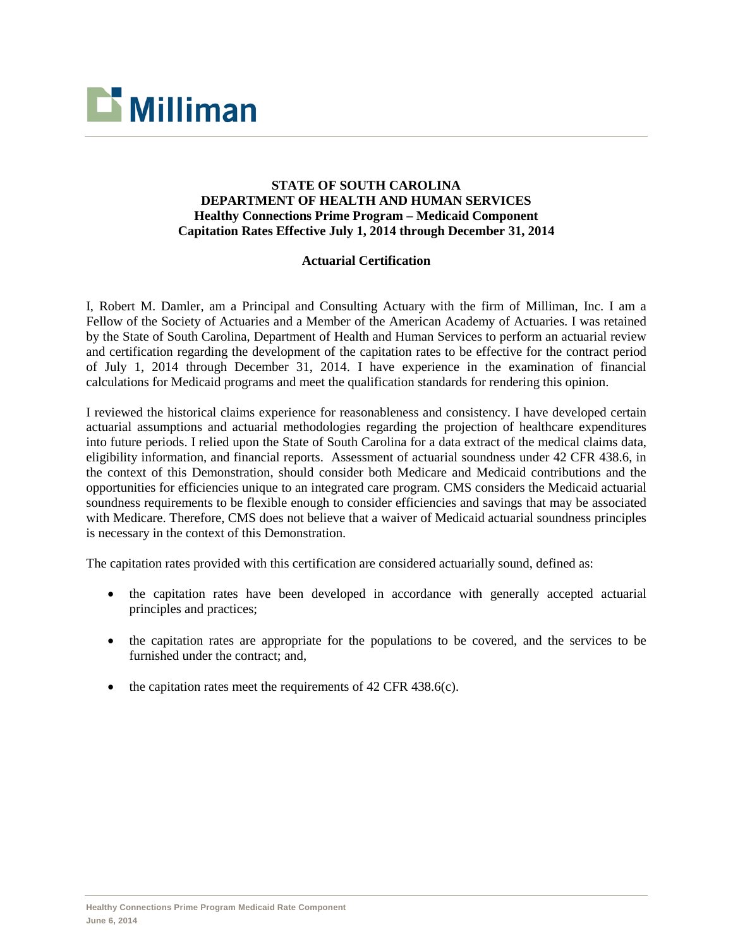

### **STATE OF SOUTH CAROLINA DEPARTMENT OF HEALTH AND HUMAN SERVICES Healthy Connections Prime Program – Medicaid Component Capitation Rates Effective July 1, 2014 through December 31, 2014**

### **Actuarial Certification**

I, Robert M. Damler, am a Principal and Consulting Actuary with the firm of Milliman, Inc. I am a Fellow of the Society of Actuaries and a Member of the American Academy of Actuaries. I was retained by the State of South Carolina, Department of Health and Human Services to perform an actuarial review and certification regarding the development of the capitation rates to be effective for the contract period of July 1, 2014 through December 31, 2014. I have experience in the examination of financial calculations for Medicaid programs and meet the qualification standards for rendering this opinion.

I reviewed the historical claims experience for reasonableness and consistency. I have developed certain actuarial assumptions and actuarial methodologies regarding the projection of healthcare expenditures into future periods. I relied upon the State of South Carolina for a data extract of the medical claims data, eligibility information, and financial reports. Assessment of actuarial soundness under 42 CFR 438.6, in the context of this Demonstration, should consider both Medicare and Medicaid contributions and the opportunities for efficiencies unique to an integrated care program. CMS considers the Medicaid actuarial soundness requirements to be flexible enough to consider efficiencies and savings that may be associated with Medicare. Therefore, CMS does not believe that a waiver of Medicaid actuarial soundness principles is necessary in the context of this Demonstration.

The capitation rates provided with this certification are considered actuarially sound, defined as:

- the capitation rates have been developed in accordance with generally accepted actuarial principles and practices;
- the capitation rates are appropriate for the populations to be covered, and the services to be furnished under the contract; and,
- the capitation rates meet the requirements of  $42$  CFR  $438.6(c)$ .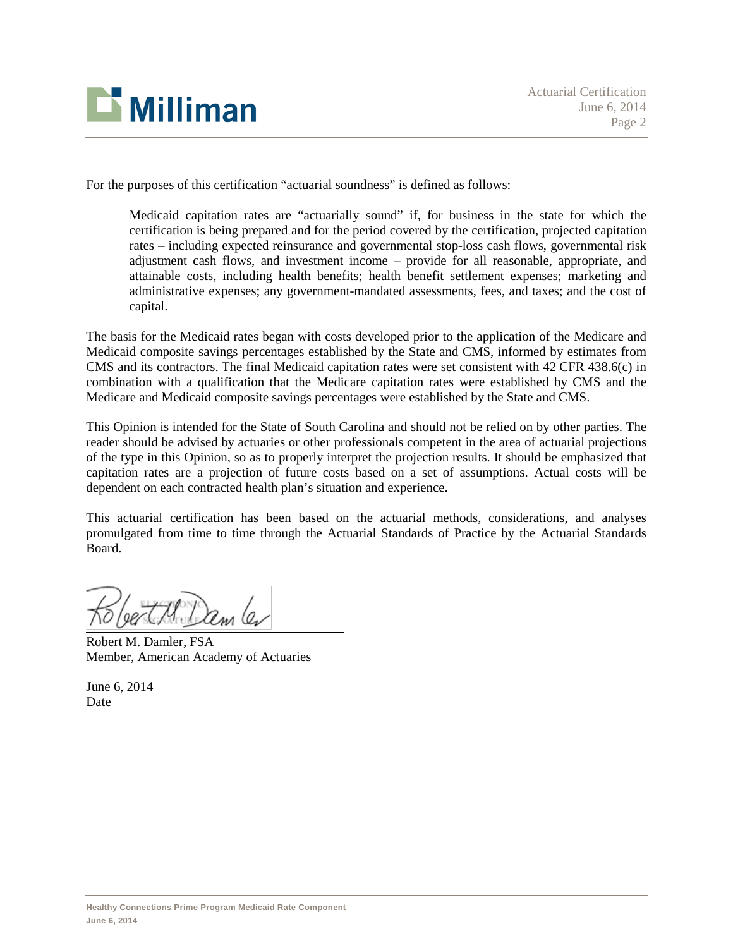

For the purposes of this certification "actuarial soundness" is defined as follows:

Medicaid capitation rates are "actuarially sound" if, for business in the state for which the certification is being prepared and for the period covered by the certification, projected capitation rates – including expected reinsurance and governmental stop-loss cash flows, governmental risk adjustment cash flows, and investment income – provide for all reasonable, appropriate, and attainable costs, including health benefits; health benefit settlement expenses; marketing and administrative expenses; any government-mandated assessments, fees, and taxes; and the cost of capital.

The basis for the Medicaid rates began with costs developed prior to the application of the Medicare and Medicaid composite savings percentages established by the State and CMS, informed by estimates from CMS and its contractors. The final Medicaid capitation rates were set consistent with 42 CFR 438.6(c) in combination with a qualification that the Medicare capitation rates were established by CMS and the Medicare and Medicaid composite savings percentages were established by the State and CMS.

This Opinion is intended for the State of South Carolina and should not be relied on by other parties. The reader should be advised by actuaries or other professionals competent in the area of actuarial projections of the type in this Opinion, so as to properly interpret the projection results. It should be emphasized that capitation rates are a projection of future costs based on a set of assumptions. Actual costs will be dependent on each contracted health plan's situation and experience.

This actuarial certification has been based on the actuarial methods, considerations, and analyses promulgated from time to time through the Actuarial Standards of Practice by the Actuarial Standards Board.

Robert M. Damler, FSA Member, American Academy of Actuaries

June 6, 2014 **Date**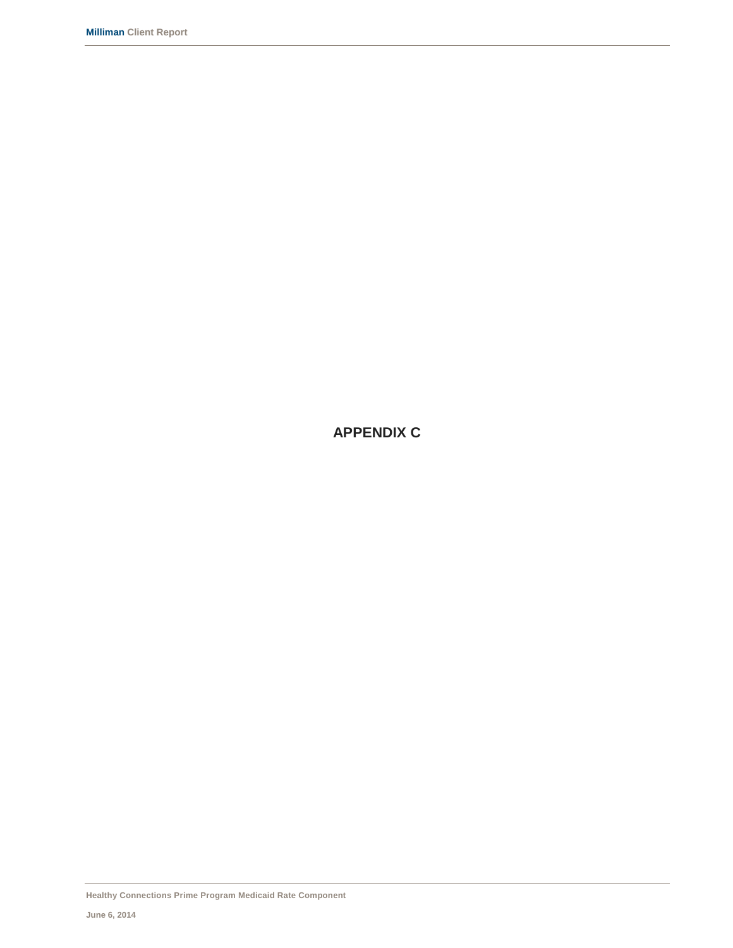**APPENDIX C**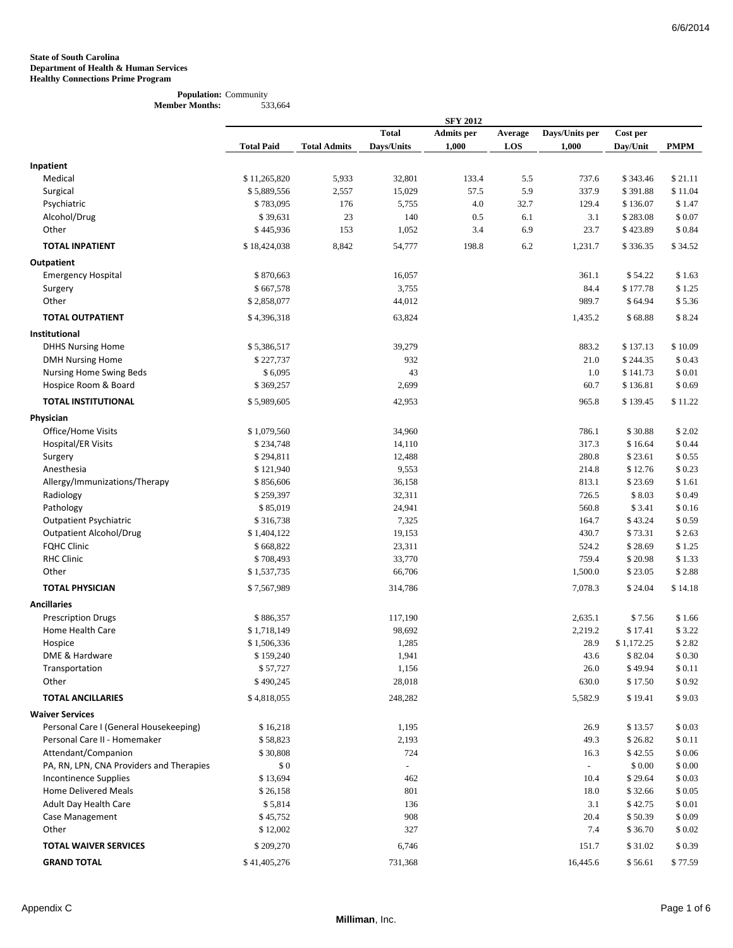#### **Population:** Community **Member Months:** 533,664

|                                          | <b>SFY 2012</b>   |                     |              |                   |         |                |            |                |  |  |
|------------------------------------------|-------------------|---------------------|--------------|-------------------|---------|----------------|------------|----------------|--|--|
|                                          |                   |                     | <b>Total</b> | <b>Admits</b> per | Average | Days/Units per | Cost per   |                |  |  |
|                                          | <b>Total Paid</b> | <b>Total Admits</b> | Days/Units   | 1,000             | LOS     | 1,000          | Day/Unit   | <b>PMPM</b>    |  |  |
| Inpatient                                |                   |                     |              |                   |         |                |            |                |  |  |
| Medical                                  | \$11,265,820      | 5,933               | 32,801       | 133.4             | 5.5     | 737.6          | \$343.46   | \$21.11        |  |  |
| Surgical                                 | \$5,889,556       | 2,557               | 15,029       | 57.5              | 5.9     | 337.9          | \$391.88   | \$11.04        |  |  |
| Psychiatric                              | \$783,095         | 176                 | 5,755        | 4.0               | 32.7    | 129.4          | \$136.07   | \$1.47         |  |  |
| Alcohol/Drug                             | \$39,631          | 23                  | 140          | 0.5               | 6.1     | 3.1            | \$283.08   | \$0.07         |  |  |
| Other                                    | \$445,936         | 153                 | 1,052        | 3.4               | 6.9     | 23.7           | \$423.89   | \$0.84         |  |  |
| <b>TOTAL INPATIENT</b>                   | \$18,424,038      | 8,842               | 54,777       | 198.8             | 6.2     | 1,231.7        | \$336.35   | \$34.52        |  |  |
| Outpatient                               |                   |                     |              |                   |         |                |            |                |  |  |
| <b>Emergency Hospital</b>                | \$870,663         |                     | 16,057       |                   |         | 361.1          | \$54.22    | \$1.63         |  |  |
| Surgery                                  | \$667,578         |                     | 3,755        |                   |         | 84.4           | \$177.78   | \$1.25         |  |  |
| Other                                    | \$2,858,077       |                     | 44,012       |                   |         | 989.7          | \$64.94    | \$5.36         |  |  |
| <b>TOTAL OUTPATIENT</b>                  | \$4,396,318       |                     | 63,824       |                   |         | 1,435.2        | \$68.88    | \$8.24         |  |  |
| Institutional                            |                   |                     |              |                   |         |                |            |                |  |  |
| <b>DHHS Nursing Home</b>                 | \$5,386,517       |                     | 39,279       |                   |         | 883.2          | \$137.13   | \$10.09        |  |  |
| <b>DMH Nursing Home</b>                  | \$227,737         |                     | 932          |                   |         | 21.0           | \$244.35   | \$0.43         |  |  |
| Nursing Home Swing Beds                  | \$6,095           |                     | 43           |                   |         | 1.0            | \$141.73   | \$0.01         |  |  |
| Hospice Room & Board                     | \$369,257         |                     | 2,699        |                   |         | 60.7           | \$136.81   | \$0.69         |  |  |
| <b>TOTAL INSTITUTIONAL</b>               | \$5,989,605       |                     | 42,953       |                   |         | 965.8          | \$139.45   | \$11.22        |  |  |
| Physician                                |                   |                     |              |                   |         |                |            |                |  |  |
| Office/Home Visits                       | \$1,079,560       |                     | 34,960       |                   |         | 786.1          | \$30.88    | \$2.02         |  |  |
| Hospital/ER Visits                       | \$234,748         |                     | 14,110       |                   |         | 317.3          | \$16.64    | \$0.44         |  |  |
| Surgery                                  | \$294,811         |                     | 12,488       |                   |         | 280.8          | \$23.61    | \$0.55         |  |  |
| Anesthesia                               | \$121,940         |                     | 9,553        |                   |         | 214.8          | \$12.76    | \$0.23         |  |  |
| Allergy/Immunizations/Therapy            | \$856,606         |                     | 36,158       |                   |         | 813.1          | \$23.69    | \$1.61         |  |  |
| Radiology                                | \$259,397         |                     | 32,311       |                   |         | 726.5          | \$8.03     | \$0.49         |  |  |
| Pathology                                | \$85,019          |                     | 24,941       |                   |         | 560.8          | \$3.41     | \$0.16         |  |  |
| <b>Outpatient Psychiatric</b>            | \$316,738         |                     | 7,325        |                   |         | 164.7          | \$43.24    | \$0.59         |  |  |
| <b>Outpatient Alcohol/Drug</b>           | \$1,404,122       |                     | 19,153       |                   |         | 430.7          | \$73.31    | \$2.63         |  |  |
| <b>FQHC Clinic</b>                       | \$668,822         |                     | 23,311       |                   |         | 524.2          | \$28.69    | \$1.25         |  |  |
| <b>RHC Clinic</b>                        | \$708,493         |                     | 33,770       |                   |         | 759.4          | \$20.98    | \$1.33         |  |  |
| Other                                    | \$1,537,735       |                     | 66,706       |                   |         | 1,500.0        | \$23.05    | \$2.88         |  |  |
| <b>TOTAL PHYSICIAN</b>                   | \$7,567,989       |                     | 314,786      |                   |         | 7,078.3        | \$24.04    | \$14.18        |  |  |
| <b>Ancillaries</b>                       |                   |                     |              |                   |         |                |            |                |  |  |
| <b>Prescription Drugs</b>                | \$886,357         |                     | 117,190      |                   |         | 2,635.1        | \$7.56     | \$1.66         |  |  |
| Home Health Care                         | \$1,718,149       |                     | 98,692       |                   |         | 2,219.2        | \$17.41    | \$3.22         |  |  |
| Hospice                                  | \$1,506,336       |                     | 1,285        |                   |         | 28.9           | \$1,172.25 | \$2.82         |  |  |
| DME & Hardware                           | \$159,240         |                     | 1,941        |                   |         | 43.6           | \$82.04    | $\$$ 0.30 $\,$ |  |  |
| Transportation                           | \$57,727          |                     | 1,156        |                   |         | 26.0           | \$49.94    | \$0.11         |  |  |
| Other                                    | \$490,245         |                     | 28,018       |                   |         | 630.0          | \$17.50    | \$0.92         |  |  |
| <b>TOTAL ANCILLARIES</b>                 | \$4,818,055       |                     | 248,282      |                   |         | 5,582.9        | \$19.41    | \$9.03         |  |  |
| <b>Waiver Services</b>                   |                   |                     |              |                   |         |                |            |                |  |  |
| Personal Care I (General Housekeeping)   | \$16,218          |                     | 1,195        |                   |         | 26.9           | \$13.57    | \$0.03         |  |  |
| Personal Care II - Homemaker             | \$58,823          |                     | 2,193        |                   |         | 49.3           | \$26.82    | \$0.11         |  |  |
| Attendant/Companion                      | \$30,808          |                     | 724          |                   |         | 16.3           | \$42.55    | \$0.06         |  |  |
| PA, RN, LPN, CNA Providers and Therapies | \$0               |                     |              |                   |         | $\sim$         | \$0.00     | \$ 0.00        |  |  |
| <b>Incontinence Supplies</b>             | \$13,694          |                     | 462          |                   |         | 10.4           | \$29.64    | \$0.03         |  |  |
| <b>Home Delivered Meals</b>              | \$26,158          |                     | 801          |                   |         | 18.0           | \$32.66    | \$0.05         |  |  |
| Adult Day Health Care                    | \$5,814           |                     | 136          |                   |         | 3.1            | \$42.75    | \$0.01         |  |  |
| Case Management                          | \$45,752          |                     | 908          |                   |         | 20.4           | \$50.39    | \$0.09         |  |  |
| Other                                    | \$12,002          |                     | 327          |                   |         | 7.4            | \$36.70    | \$0.02         |  |  |
| <b>TOTAL WAIVER SERVICES</b>             | \$209,270         |                     | 6,746        |                   |         | 151.7          | \$31.02    | \$0.39         |  |  |
| <b>GRAND TOTAL</b>                       | \$41,405,276      |                     | 731,368      |                   |         | 16,445.6       | \$56.61    | \$77.59        |  |  |
|                                          |                   |                     |              |                   |         |                |            |                |  |  |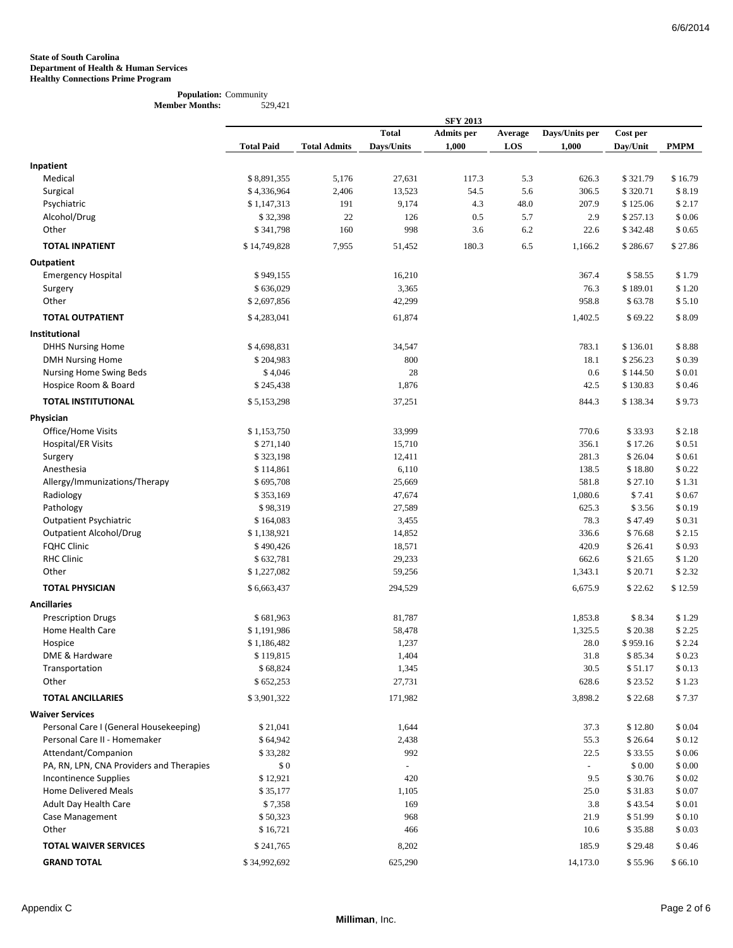#### **Population:** Community **Member Months:** 529,421

|                                          |                   |                     |              | <b>SFY 2013</b>   |         |                |          |                |
|------------------------------------------|-------------------|---------------------|--------------|-------------------|---------|----------------|----------|----------------|
|                                          |                   |                     | <b>Total</b> | <b>Admits</b> per | Average | Days/Units per | Cost per |                |
|                                          | <b>Total Paid</b> | <b>Total Admits</b> | Days/Units   | 1,000             | LOS     | 1,000          | Day/Unit | <b>PMPM</b>    |
| Inpatient                                |                   |                     |              |                   |         |                |          |                |
| Medical                                  | \$8,891,355       | 5,176               | 27,631       | 117.3             | 5.3     | 626.3          | \$321.79 | \$16.79        |
| Surgical                                 | \$4,336,964       | 2,406               | 13,523       | 54.5              | 5.6     | 306.5          | \$320.71 | \$8.19         |
| Psychiatric                              | \$1,147,313       | 191                 | 9,174        | 4.3               | 48.0    | 207.9          | \$125.06 | \$2.17         |
| Alcohol/Drug                             | \$32,398          | 22                  | 126          | 0.5               | 5.7     | 2.9            | \$257.13 | \$0.06         |
| Other                                    | \$341,798         | 160                 | 998          | 3.6               | 6.2     | 22.6           | \$342.48 | \$0.65         |
|                                          |                   |                     |              |                   |         |                |          |                |
| <b>TOTAL INPATIENT</b>                   | \$14,749,828      | 7,955               | 51,452       | 180.3             | 6.5     | 1,166.2        | \$286.67 | \$27.86        |
| Outpatient                               |                   |                     |              |                   |         |                |          |                |
| <b>Emergency Hospital</b>                | \$949,155         |                     | 16,210       |                   |         | 367.4          | \$58.55  | \$1.79         |
| Surgery                                  | \$636,029         |                     | 3,365        |                   |         | 76.3           | \$189.01 | \$1.20         |
| Other                                    | \$2,697,856       |                     | 42,299       |                   |         | 958.8          | \$63.78  | \$5.10         |
| <b>TOTAL OUTPATIENT</b>                  | \$4,283,041       |                     | 61,874       |                   |         | 1,402.5        | \$69.22  | \$8.09         |
| Institutional                            |                   |                     |              |                   |         |                |          |                |
| <b>DHHS Nursing Home</b>                 | \$4,698,831       |                     | 34,547       |                   |         | 783.1          | \$136.01 | \$8.88         |
| <b>DMH Nursing Home</b>                  | \$204,983         |                     | 800          |                   |         | 18.1           | \$256.23 | \$0.39         |
| Nursing Home Swing Beds                  | \$4,046           |                     | 28           |                   |         | 0.6            | \$144.50 | \$0.01         |
| Hospice Room & Board                     | \$245,438         |                     | 1,876        |                   |         | 42.5           | \$130.83 | \$0.46         |
| <b>TOTAL INSTITUTIONAL</b>               | \$5,153,298       |                     | 37,251       |                   |         | 844.3          | \$138.34 | \$9.73         |
| Physician                                |                   |                     |              |                   |         |                |          |                |
| Office/Home Visits                       | \$1,153,750       |                     | 33,999       |                   |         | 770.6          | \$33.93  | \$2.18         |
| Hospital/ER Visits                       | \$271,140         |                     | 15,710       |                   |         | 356.1          | \$17.26  | \$0.51         |
| Surgery                                  | \$323,198         |                     | 12,411       |                   |         | 281.3          | \$26.04  | \$0.61         |
| Anesthesia                               | \$114,861         |                     | 6,110        |                   |         | 138.5          | \$18.80  | \$0.22         |
| Allergy/Immunizations/Therapy            | \$695,708         |                     | 25,669       |                   |         | 581.8          | \$27.10  | \$1.31         |
| Radiology                                | \$353,169         |                     | 47,674       |                   |         | 1,080.6        | \$7.41   | $\$$ 0.67 $\,$ |
| Pathology                                | \$98,319          |                     | 27,589       |                   |         | 625.3          | \$3.56   | \$0.19         |
| <b>Outpatient Psychiatric</b>            | \$164,083         |                     | 3,455        |                   |         | 78.3           | \$47.49  | \$0.31         |
| <b>Outpatient Alcohol/Drug</b>           | \$1,138,921       |                     | 14,852       |                   |         | 336.6          | \$76.68  | \$2.15         |
| <b>FQHC Clinic</b>                       | \$490,426         |                     | 18,571       |                   |         | 420.9          | \$26.41  | \$0.93         |
| <b>RHC Clinic</b>                        | \$632,781         |                     | 29,233       |                   |         | 662.6          | \$21.65  | \$1.20         |
| Other                                    | \$1,227,082       |                     | 59,256       |                   |         | 1,343.1        | \$20.71  | \$2.32         |
| <b>TOTAL PHYSICIAN</b>                   | \$6,663,437       |                     | 294,529      |                   |         | 6,675.9        | \$22.62  | \$12.59        |
| <b>Ancillaries</b>                       |                   |                     |              |                   |         |                |          |                |
| <b>Prescription Drugs</b>                | \$681,963         |                     | 81,787       |                   |         | 1,853.8        | \$8.34   | \$1.29         |
| Home Health Care                         | \$1,191,986       |                     | 58,478       |                   |         | 1,325.5        | \$20.38  | \$2.25         |
| Hospice                                  | \$1,186,482       |                     | 1,237        |                   |         | 28.0           | \$959.16 | \$2.24         |
| DME & Hardware                           | \$119,815         |                     | 1,404        |                   |         | 31.8           | \$85.34  | $\$$ 0.23 $\,$ |
| Transportation                           | \$68,824          |                     | 1,345        |                   |         | 30.5           | \$51.17  | \$0.13         |
| Other                                    | \$652,253         |                     | 27,731       |                   |         | 628.6          | \$23.52  | \$1.23         |
| <b>TOTAL ANCILLARIES</b>                 | \$3,901,322       |                     | 171,982      |                   |         | 3,898.2        | \$22.68  | \$7.37         |
| <b>Waiver Services</b>                   |                   |                     |              |                   |         |                |          |                |
| Personal Care I (General Housekeeping)   | \$21,041          |                     | 1,644        |                   |         | 37.3           | \$12.80  | \$0.04         |
| Personal Care II - Homemaker             | \$64,942          |                     | 2,438        |                   |         | 55.3           | \$26.64  | \$0.12         |
| Attendant/Companion                      | \$33,282          |                     | 992          |                   |         | 22.5           | \$33.55  | \$0.06         |
| PA, RN, LPN, CNA Providers and Therapies | \$0               |                     |              |                   |         | $\sim$         | \$0.00   | \$0.00         |
| <b>Incontinence Supplies</b>             | \$12,921          |                     | 420          |                   |         | 9.5            | \$30.76  | \$0.02         |
| <b>Home Delivered Meals</b>              | \$35,177          |                     | 1,105        |                   |         | 25.0           | \$31.83  | \$0.07         |
| Adult Day Health Care                    | \$7,358           |                     | 169          |                   |         | 3.8            | \$43.54  | \$0.01         |
| Case Management                          | \$50,323          |                     | 968          |                   |         | 21.9           | \$51.99  | \$0.10         |
| Other                                    | \$16,721          |                     | 466          |                   |         | 10.6           | \$35.88  | $\$$ 0.03 $\,$ |
| <b>TOTAL WAIVER SERVICES</b>             | \$241,765         |                     | 8,202        |                   |         | 185.9          | \$29.48  | \$0.46         |
| <b>GRAND TOTAL</b>                       | \$34,992,692      |                     | 625,290      |                   |         | 14,173.0       | \$55.96  | $\$$ 66.10     |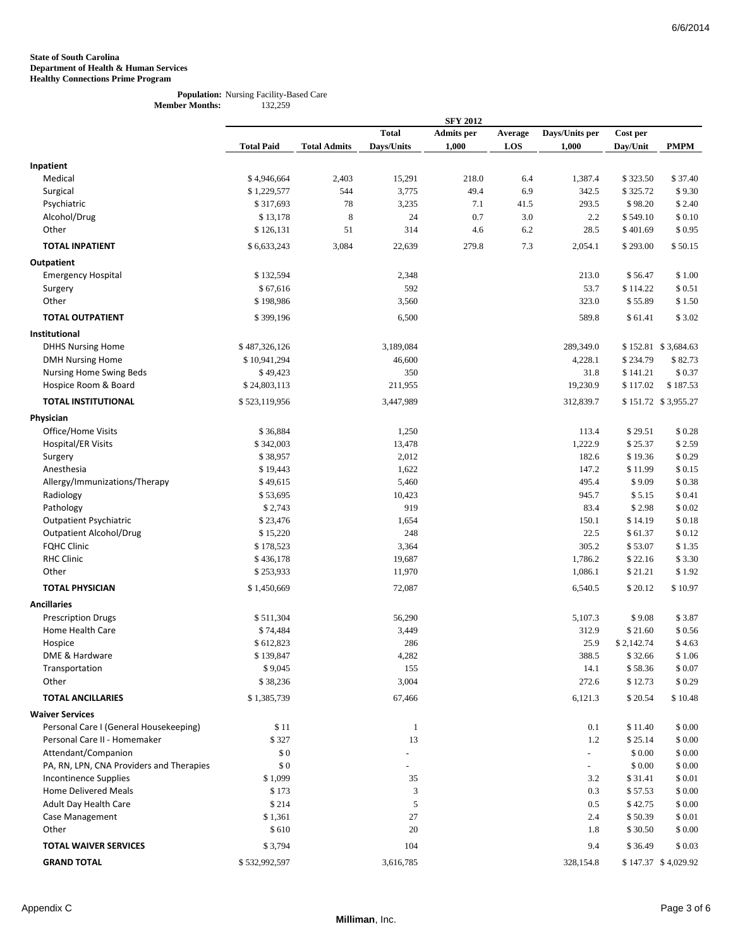#### **Population:** Nursing Facility-Based Care **Member Months:** 132,259

|                                          |                   |                     |              | <b>SFY 2012</b>   |         |                |            |                     |
|------------------------------------------|-------------------|---------------------|--------------|-------------------|---------|----------------|------------|---------------------|
|                                          |                   |                     | <b>Total</b> | <b>Admits</b> per | Average | Days/Units per | Cost per   |                     |
|                                          | <b>Total Paid</b> | <b>Total Admits</b> | Days/Units   | 1,000             | LOS     | 1,000          | Day/Unit   | <b>PMPM</b>         |
| Inpatient                                |                   |                     |              |                   |         |                |            |                     |
| Medical                                  | \$4,946,664       | 2,403               | 15,291       | 218.0             | 6.4     | 1,387.4        | \$323.50   | \$37.40             |
| Surgical                                 | \$1,229,577       | 544                 | 3,775        | 49.4              | 6.9     | 342.5          | \$325.72   | \$9.30              |
| Psychiatric                              | \$317,693         | 78                  | 3,235        | 7.1               | 41.5    | 293.5          | \$98.20    | \$2.40              |
| Alcohol/Drug                             | \$13,178          | $\,$ 8 $\,$         | 24           | 0.7               | 3.0     | 2.2            | \$549.10   | \$0.10              |
| Other                                    |                   |                     | 314          |                   |         |                |            |                     |
|                                          | \$126,131         | 51                  |              | 4.6               | 6.2     | 28.5           | \$401.69   | \$0.95              |
| <b>TOTAL INPATIENT</b>                   | \$6,633,243       | 3,084               | 22,639       | 279.8             | 7.3     | 2,054.1        | \$293.00   | \$50.15             |
| Outpatient                               |                   |                     |              |                   |         |                |            |                     |
| <b>Emergency Hospital</b>                | \$132,594         |                     | 2,348        |                   |         | 213.0          | \$56.47    | \$1.00              |
| Surgery                                  | \$67,616          |                     | 592          |                   |         | 53.7           | \$114.22   | \$0.51              |
| Other                                    | \$198,986         |                     | 3,560        |                   |         | 323.0          | \$55.89    | \$1.50              |
| <b>TOTAL OUTPATIENT</b>                  | \$399,196         |                     | 6,500        |                   |         | 589.8          | \$61.41    | \$3.02              |
| Institutional                            |                   |                     |              |                   |         |                |            |                     |
| <b>DHHS Nursing Home</b>                 | \$487,326,126     |                     | 3,189,084    |                   |         | 289,349.0      |            | \$152.81 \$3,684.63 |
| <b>DMH Nursing Home</b>                  | \$10,941,294      |                     | 46,600       |                   |         | 4,228.1        | \$234.79   | \$82.73             |
| Nursing Home Swing Beds                  | \$49,423          |                     | 350          |                   |         | 31.8           | \$141.21   | \$0.37              |
| Hospice Room & Board                     | \$24,803,113      |                     | 211,955      |                   |         | 19,230.9       | \$117.02   | \$187.53            |
|                                          |                   |                     |              |                   |         |                |            |                     |
| <b>TOTAL INSTITUTIONAL</b>               | \$523,119,956     |                     | 3,447,989    |                   |         | 312,839.7      |            | \$151.72 \$3,955.27 |
| Physician                                |                   |                     |              |                   |         |                |            |                     |
| Office/Home Visits                       | \$36,884          |                     | 1,250        |                   |         | 113.4          | \$29.51    | \$0.28              |
| Hospital/ER Visits                       | \$342,003         |                     | 13,478       |                   |         | 1,222.9        | \$25.37    | \$2.59              |
| Surgery                                  | \$38,957          |                     | 2,012        |                   |         | 182.6          | \$19.36    | \$0.29              |
| Anesthesia                               | \$19,443          |                     | 1,622        |                   |         | 147.2          | \$11.99    | \$0.15              |
| Allergy/Immunizations/Therapy            | \$49,615          |                     | 5,460        |                   |         | 495.4          | \$9.09     | \$0.38              |
| Radiology                                | \$53,695          |                     | 10,423       |                   |         | 945.7          | \$5.15     | \$0.41              |
| Pathology                                | \$2,743           |                     | 919          |                   |         | 83.4           | \$2.98     | \$0.02              |
| <b>Outpatient Psychiatric</b>            | \$23,476          |                     | 1,654        |                   |         | 150.1          | \$14.19    | \$0.18              |
| <b>Outpatient Alcohol/Drug</b>           | \$15,220          |                     | 248          |                   |         | 22.5           | \$61.37    | \$0.12              |
| <b>FQHC Clinic</b>                       | \$178,523         |                     | 3,364        |                   |         | 305.2          | \$53.07    | \$1.35              |
| <b>RHC Clinic</b>                        | \$436,178         |                     | 19,687       |                   |         | 1,786.2        | \$22.16    | \$3.30              |
| Other                                    | \$253,933         |                     | 11,970       |                   |         | 1,086.1        | \$21.21    | \$1.92              |
| <b>TOTAL PHYSICIAN</b>                   | \$1,450,669       |                     | 72,087       |                   |         | 6,540.5        | \$20.12    | \$10.97             |
| <b>Ancillaries</b>                       |                   |                     |              |                   |         |                |            |                     |
| <b>Prescription Drugs</b>                | \$511,304         |                     | 56,290       |                   |         | 5,107.3        | \$9.08     | \$3.87              |
| Home Health Care                         | \$74,484          |                     | 3,449        |                   |         | 312.9          | \$21.60    | \$0.56              |
| Hospice                                  | \$612,823         |                     | 286          |                   |         | 25.9           | \$2,142.74 | \$4.63              |
| DME & Hardware                           | \$139,847         |                     | 4,282        |                   |         | 388.5          | \$32.66    | \$1.06              |
| Transportation                           | \$9,045           |                     | 155          |                   |         | 14.1           | \$58.36    | \$0.07              |
| Other                                    | \$38,236          |                     | 3,004        |                   |         | 272.6          | \$12.73    | \$0.29              |
| <b>TOTAL ANCILLARIES</b>                 | \$1,385,739       |                     | 67,466       |                   |         | 6,121.3        | \$20.54    | \$10.48             |
| <b>Waiver Services</b>                   |                   |                     |              |                   |         |                |            |                     |
| Personal Care I (General Housekeeping)   | \$11              |                     | $\mathbf{1}$ |                   |         | 0.1            | \$11.40    | \$ 0.00             |
| Personal Care II - Homemaker             | \$327             |                     | 13           |                   |         | 1.2            | \$25.14    | \$0.00              |
| Attendant/Companion                      | \$0               |                     |              |                   |         | $\equiv$       | \$0.00     | \$0.00              |
| PA, RN, LPN, CNA Providers and Therapies | \$0               |                     |              |                   |         |                | \$0.00     | \$0.00              |
| <b>Incontinence Supplies</b>             | \$1,099           |                     | 35           |                   |         | 3.2            | \$31.41    | \$0.01              |
| <b>Home Delivered Meals</b>              | \$173             |                     | 3            |                   |         | 0.3            | \$57.53    | \$0.00              |
| Adult Day Health Care                    | \$214             |                     | 5            |                   |         | 0.5            | \$42.75    | \$0.00              |
| Case Management                          | \$1,361           |                     | 27           |                   |         | 2.4            | \$50.39    | \$0.01              |
| Other                                    | \$610             |                     | 20           |                   |         | 1.8            | \$30.50    | \$0.00              |
|                                          |                   |                     |              |                   |         |                |            |                     |
| <b>TOTAL WAIVER SERVICES</b>             | \$3,794           |                     | 104          |                   |         | 9.4            | \$36.49    | \$0.03              |
| <b>GRAND TOTAL</b>                       | \$532,992,597     |                     | 3,616,785    |                   |         | 328,154.8      |            | \$147.37 \$4,029.92 |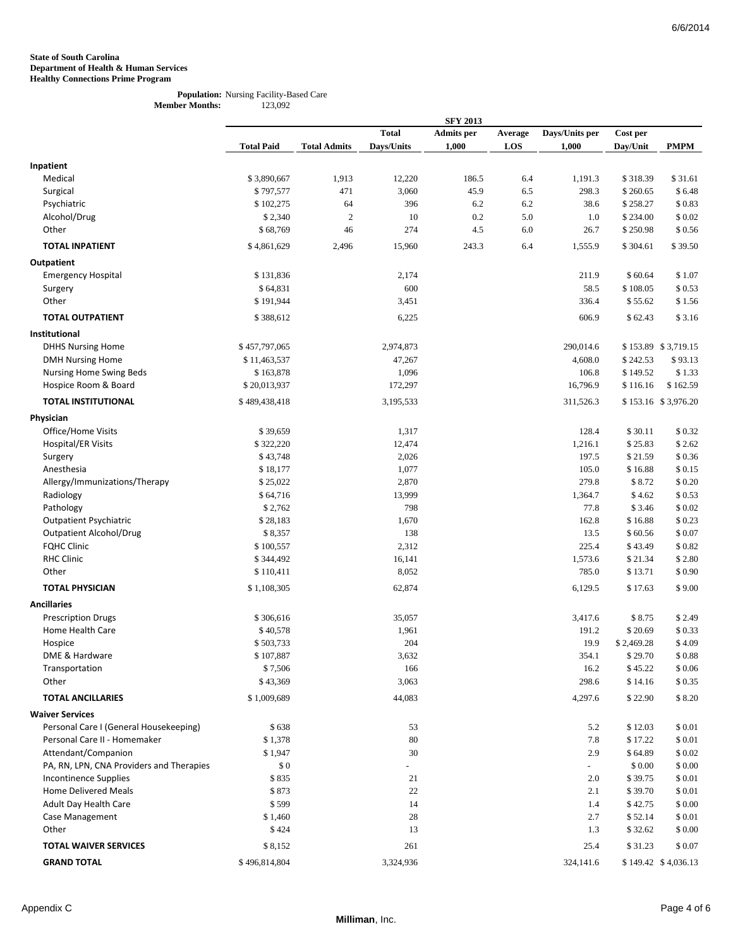#### **Population:** Nursing Facility-Based Care<br>ber Months: 123,092 **Member Months:**

|                                          |                       |                     |              | <b>SFY 2013</b>   |         |                           |            |                     |
|------------------------------------------|-----------------------|---------------------|--------------|-------------------|---------|---------------------------|------------|---------------------|
|                                          |                       |                     | <b>Total</b> | <b>Admits</b> per | Average | Days/Units per            | Cost per   |                     |
|                                          | <b>Total Paid</b>     | <b>Total Admits</b> | Days/Units   | 1,000             | LOS     | 1,000                     | Day/Unit   | <b>PMPM</b>         |
| Inpatient                                |                       |                     |              |                   |         |                           |            |                     |
| Medical                                  | \$3,890,667           | 1,913               | 12,220       | 186.5             | 6.4     | 1,191.3                   | \$318.39   | \$31.61             |
| Surgical                                 | \$797,577             | 471                 | 3,060        | 45.9              | 6.5     | 298.3                     | \$260.65   | \$6.48              |
| Psychiatric                              | \$102,275             | 64                  | 396          | 6.2               | 6.2     | 38.6                      | \$258.27   | \$0.83              |
| Alcohol/Drug                             | \$2,340               | $\overline{2}$      | 10           | 0.2               | 5.0     | 1.0                       | \$234.00   | \$0.02              |
| Other                                    |                       | 46                  | 274          |                   |         |                           |            |                     |
|                                          | \$68,769              |                     |              | 4.5               | 6.0     | 26.7                      | \$250.98   | \$0.56              |
| <b>TOTAL INPATIENT</b>                   | \$4,861,629           | 2,496               | 15,960       | 243.3             | 6.4     | 1,555.9                   | \$304.61   | \$39.50             |
| Outpatient                               |                       |                     |              |                   |         |                           |            |                     |
| <b>Emergency Hospital</b>                | \$131,836             |                     | 2,174        |                   |         | 211.9                     | \$60.64    | \$1.07              |
| Surgery                                  | \$64,831              |                     | 600          |                   |         | 58.5                      | \$108.05   | \$0.53              |
| Other                                    | \$191,944             |                     | 3,451        |                   |         | 336.4                     | \$55.62    | \$1.56              |
| <b>TOTAL OUTPATIENT</b>                  | \$388,612             |                     | 6,225        |                   |         | 606.9                     | \$62.43    | \$3.16              |
|                                          |                       |                     |              |                   |         |                           |            |                     |
| Institutional                            |                       |                     |              |                   |         |                           |            |                     |
| <b>DHHS Nursing Home</b>                 | \$457,797,065         |                     | 2,974,873    |                   |         | 290,014.6                 |            | \$153.89 \$3,719.15 |
| <b>DMH Nursing Home</b>                  | \$11,463,537          |                     | 47,267       |                   |         | 4,608.0                   | \$242.53   | \$93.13             |
| Nursing Home Swing Beds                  | \$163,878             |                     | 1,096        |                   |         | 106.8                     | \$149.52   | \$1.33              |
| Hospice Room & Board                     | \$20,013,937          |                     | 172,297      |                   |         | 16,796.9                  | \$116.16   | \$162.59            |
| <b>TOTAL INSTITUTIONAL</b>               | \$489,438,418         |                     | 3,195,533    |                   |         | 311,526.3                 |            | \$153.16 \$3,976.20 |
| Physician                                |                       |                     |              |                   |         |                           |            |                     |
| Office/Home Visits                       | \$39,659              |                     | 1,317        |                   |         | 128.4                     | \$30.11    | \$0.32              |
| Hospital/ER Visits                       | \$322,220             |                     | 12,474       |                   |         | 1,216.1                   | \$25.83    | \$2.62              |
| Surgery                                  | \$43,748              |                     | 2,026        |                   |         | 197.5                     | \$21.59    | \$0.36              |
| Anesthesia                               | \$18,177              |                     | 1,077        |                   |         | 105.0                     | \$16.88    | \$0.15              |
| Allergy/Immunizations/Therapy            | \$25,022              |                     | 2,870        |                   |         | 279.8                     | \$8.72     | \$0.20              |
| Radiology                                | \$64,716              |                     | 13,999       |                   |         | 1,364.7                   | \$4.62     | \$0.53              |
| Pathology                                | \$2,762               |                     | 798          |                   |         | 77.8                      | \$3.46     | \$0.02              |
| <b>Outpatient Psychiatric</b>            | \$28,183              |                     | 1,670        |                   |         | 162.8                     | \$16.88    | \$0.23              |
| <b>Outpatient Alcohol/Drug</b>           | \$8,357               |                     | 138          |                   |         | 13.5                      | \$60.56    | \$0.07              |
| <b>FQHC Clinic</b>                       | \$100,557             |                     | 2,312        |                   |         | 225.4                     | \$43.49    | \$0.82              |
| <b>RHC Clinic</b>                        | \$344,492             |                     | 16,141       |                   |         | 1,573.6                   | \$21.34    | \$2.80              |
| Other                                    | \$110,411             |                     | 8,052        |                   |         | 785.0                     | \$13.71    | \$0.90              |
| <b>TOTAL PHYSICIAN</b>                   | \$1,108,305           |                     | 62,874       |                   |         | 6,129.5                   | \$17.63    | \$9.00              |
| <b>Ancillaries</b>                       |                       |                     |              |                   |         |                           |            |                     |
|                                          |                       |                     |              |                   |         |                           |            |                     |
| <b>Prescription Drugs</b>                | \$306,616<br>\$40,578 |                     | 35,057       |                   |         | 3,417.6                   | \$8.75     | \$2.49              |
| Home Health Care                         |                       |                     | 1,961        |                   |         | 191.2                     | \$20.69    | \$0.33              |
| Hospice<br>DME & Hardware                | \$503,733             |                     | 204          |                   |         | 19.9                      | \$2,469.28 | \$4.09              |
|                                          | \$107,887             |                     | 3,632        |                   |         | 354.1                     | \$29.70    | \$0.88              |
| Transportation                           | \$7,506               |                     | 166          |                   |         | 16.2                      | \$45.22    | \$0.06              |
| Other                                    | \$43,369              |                     | 3,063        |                   |         | 298.6                     | \$14.16    | \$0.35              |
| <b>TOTAL ANCILLARIES</b>                 | \$1,009,689           |                     | 44,083       |                   |         | 4,297.6                   | \$22.90    | \$8.20              |
| <b>Waiver Services</b>                   |                       |                     |              |                   |         |                           |            |                     |
| Personal Care I (General Housekeeping)   | \$638                 |                     | 53           |                   |         | 5.2                       | \$12.03    | \$0.01              |
| Personal Care II - Homemaker             | \$1,378               |                     | 80           |                   |         | 7.8                       | \$17.22    | \$0.01              |
| Attendant/Companion                      | \$1,947               |                     | 30           |                   |         | 2.9                       | \$64.89    | \$0.02              |
| PA, RN, LPN, CNA Providers and Therapies | \$0                   |                     |              |                   |         | $\mathbb{Z}^{\mathbb{Z}}$ | \$0.00     | \$0.00              |
| <b>Incontinence Supplies</b>             | \$835                 |                     | 21           |                   |         | 2.0                       | \$39.75    | \$0.01              |
| <b>Home Delivered Meals</b>              | \$873                 |                     | $22\,$       |                   |         | 2.1                       | \$39.70    | \$0.01              |
| Adult Day Health Care                    | \$599                 |                     | 14           |                   |         | 1.4                       | \$42.75    | \$ 0.00             |
| Case Management                          | \$1,460               |                     | 28           |                   |         | 2.7                       | \$52.14    | \$0.01              |
| Other                                    | \$424                 |                     | 13           |                   |         | 1.3                       | \$32.62    | \$0.00              |
| <b>TOTAL WAIVER SERVICES</b>             | \$8,152               |                     | 261          |                   |         | 25.4                      | \$31.23    | \$0.07              |
| <b>GRAND TOTAL</b>                       | \$496,814,804         |                     |              |                   |         |                           |            |                     |
|                                          |                       |                     | 3,324,936    |                   |         | 324,141.6                 |            | \$149.42 \$4,036.13 |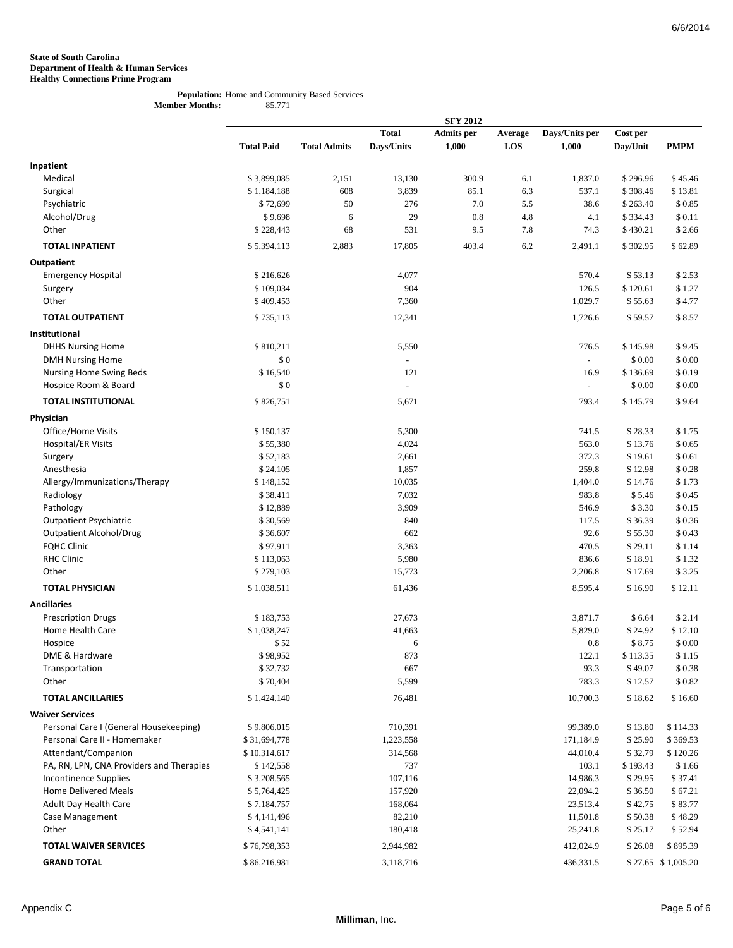#### **Population:** Home and Community Based Services **Member Months:** 85,771

|                                          |                   |                     |                          | <b>SFY 2012</b>   |         |                          |          |                    |
|------------------------------------------|-------------------|---------------------|--------------------------|-------------------|---------|--------------------------|----------|--------------------|
|                                          |                   |                     | <b>Total</b>             | <b>Admits</b> per | Average | Days/Units per           | Cost per |                    |
|                                          | <b>Total Paid</b> | <b>Total Admits</b> | Days/Units               | 1,000             | LOS     | 1,000                    | Day/Unit | <b>PMPM</b>        |
|                                          |                   |                     |                          |                   |         |                          |          |                    |
| Inpatient                                |                   |                     |                          |                   |         |                          |          |                    |
| Medical                                  | \$3,899,085       | 2,151               | 13,130                   | 300.9             | 6.1     | 1,837.0                  | \$296.96 | \$45.46            |
| Surgical                                 | \$1,184,188       | 608                 | 3,839                    | 85.1              | 6.3     | 537.1                    | \$308.46 | \$13.81            |
| Psychiatric                              | \$72,699          | 50                  | 276                      | 7.0               | 5.5     | 38.6                     | \$263.40 | \$0.85             |
| Alcohol/Drug                             | \$9,698           | 6                   | 29                       | 0.8               | 4.8     | 4.1                      | \$334.43 | \$0.11             |
| Other                                    | \$228,443         | 68                  | 531                      | 9.5               | 7.8     | 74.3                     | \$430.21 | \$2.66             |
| <b>TOTAL INPATIENT</b>                   | \$5,394,113       | 2,883               | 17,805                   | 403.4             | 6.2     | 2,491.1                  | \$302.95 | \$62.89            |
| Outpatient                               |                   |                     |                          |                   |         |                          |          |                    |
| <b>Emergency Hospital</b>                | \$216,626         |                     | 4,077                    |                   |         | 570.4                    | \$53.13  | \$2.53             |
| Surgery                                  | \$109,034         |                     | 904                      |                   |         | 126.5                    | \$120.61 | \$1.27             |
| Other                                    | \$409,453         |                     | 7,360                    |                   |         | 1,029.7                  | \$55.63  | \$4.77             |
| <b>TOTAL OUTPATIENT</b>                  | \$735,113         |                     | 12,341                   |                   |         | 1,726.6                  | \$59.57  | \$8.57             |
| Institutional                            |                   |                     |                          |                   |         |                          |          |                    |
| <b>DHHS Nursing Home</b>                 | \$810,211         |                     | 5,550                    |                   |         | 776.5                    | \$145.98 | \$9.45             |
| <b>DMH Nursing Home</b>                  | \$0               |                     | $\overline{\phantom{a}}$ |                   |         | $\equiv$                 | \$0.00   | \$0.00             |
| Nursing Home Swing Beds                  | \$16,540          |                     | 121                      |                   |         | 16.9                     | \$136.69 | \$0.19             |
| Hospice Room & Board                     | \$0               |                     | $\bar{\phantom{a}}$      |                   |         | $\overline{\phantom{a}}$ | \$0.00   | \$0.00             |
| <b>TOTAL INSTITUTIONAL</b>               | \$826,751         |                     | 5,671                    |                   |         | 793.4                    | \$145.79 | \$9.64             |
|                                          |                   |                     |                          |                   |         |                          |          |                    |
| Physician<br>Office/Home Visits          | \$150,137         |                     | 5,300                    |                   |         | 741.5                    | \$28.33  | \$1.75             |
| Hospital/ER Visits                       | \$55,380          |                     | 4,024                    |                   |         | 563.0                    | \$13.76  | \$0.65             |
| Surgery                                  | \$52,183          |                     | 2,661                    |                   |         | 372.3                    | \$19.61  | \$0.61             |
| Anesthesia                               | \$24,105          |                     | 1,857                    |                   |         | 259.8                    | \$12.98  | \$0.28             |
| Allergy/Immunizations/Therapy            | \$148,152         |                     | 10,035                   |                   |         | 1,404.0                  | \$14.76  | \$1.73             |
| Radiology                                | \$38,411          |                     | 7,032                    |                   |         | 983.8                    | \$5.46   | \$0.45             |
| Pathology                                | \$12,889          |                     | 3,909                    |                   |         | 546.9                    | \$3.30   | \$0.15             |
| <b>Outpatient Psychiatric</b>            | \$30,569          |                     | 840                      |                   |         | 117.5                    | \$36.39  | \$0.36             |
| <b>Outpatient Alcohol/Drug</b>           | \$36,607          |                     | 662                      |                   |         | 92.6                     | \$55.30  | \$0.43             |
| <b>FQHC Clinic</b>                       | \$97,911          |                     | 3,363                    |                   |         | 470.5                    | \$29.11  | \$1.14             |
| <b>RHC Clinic</b>                        | \$113,063         |                     | 5,980                    |                   |         | 836.6                    | \$18.91  | \$1.32             |
| Other                                    | \$279,103         |                     | 15,773                   |                   |         | 2,206.8                  | \$17.69  | \$3.25             |
|                                          |                   |                     |                          |                   |         |                          |          |                    |
| <b>TOTAL PHYSICIAN</b>                   | \$1,038,511       |                     | 61,436                   |                   |         | 8,595.4                  | \$16.90  | \$12.11            |
| <b>Ancillaries</b>                       |                   |                     |                          |                   |         |                          |          |                    |
| <b>Prescription Drugs</b>                | \$183,753         |                     | 27,673                   |                   |         | 3,871.7                  | \$6.64   | \$2.14             |
| Home Health Care                         | \$1,038,247       |                     | 41,663                   |                   |         | 5,829.0                  | \$24.92  | \$12.10            |
| Hospice                                  | \$52              |                     | 6                        |                   |         | 0.8                      | \$8.75   | \$0.00             |
| DME & Hardware                           | \$98,952          |                     | 873                      |                   |         | 122.1                    | \$113.35 | \$1.15             |
| Transportation                           | \$32,732          |                     | 667                      |                   |         | 93.3                     | \$49.07  | $\$$ 0.38 $\,$     |
| Other                                    | \$70,404          |                     | 5,599                    |                   |         | 783.3                    | \$12.57  | \$0.82             |
| <b>TOTAL ANCILLARIES</b>                 | \$1,424,140       |                     | 76,481                   |                   |         | 10,700.3                 | \$18.62  | \$16.60            |
| <b>Waiver Services</b>                   |                   |                     |                          |                   |         |                          |          |                    |
| Personal Care I (General Housekeeping)   | \$9,806,015       |                     | 710,391                  |                   |         | 99,389.0                 | \$13.80  | \$114.33           |
| Personal Care II - Homemaker             | \$31,694,778      |                     | 1,223,558                |                   |         | 171,184.9                | \$25.90  | \$369.53           |
| Attendant/Companion                      | \$10,314,617      |                     | 314,568                  |                   |         | 44,010.4                 | \$32.79  | \$120.26           |
| PA, RN, LPN, CNA Providers and Therapies | \$142,558         |                     | 737                      |                   |         | 103.1                    | \$193.43 | \$1.66             |
| <b>Incontinence Supplies</b>             | \$3,208,565       |                     | 107,116                  |                   |         | 14,986.3                 | \$29.95  | \$37.41            |
| <b>Home Delivered Meals</b>              | \$5,764,425       |                     | 157,920                  |                   |         | 22,094.2                 | \$36.50  | \$67.21            |
| Adult Day Health Care                    | \$7,184,757       |                     | 168,064                  |                   |         | 23,513.4                 | \$42.75  | \$83.77            |
| Case Management                          | \$4,141,496       |                     | 82,210                   |                   |         | 11,501.8                 | \$50.38  | \$48.29            |
| Other                                    | \$4,541,141       |                     | 180,418                  |                   |         | 25,241.8                 | \$25.17  | \$52.94            |
| <b>TOTAL WAIVER SERVICES</b>             | \$76,798,353      |                     | 2,944,982                |                   |         | 412,024.9                | \$26.08  | \$895.39           |
| <b>GRAND TOTAL</b>                       | \$86,216,981      |                     | 3,118,716                |                   |         | 436,331.5                |          | \$27.65 \$1,005.20 |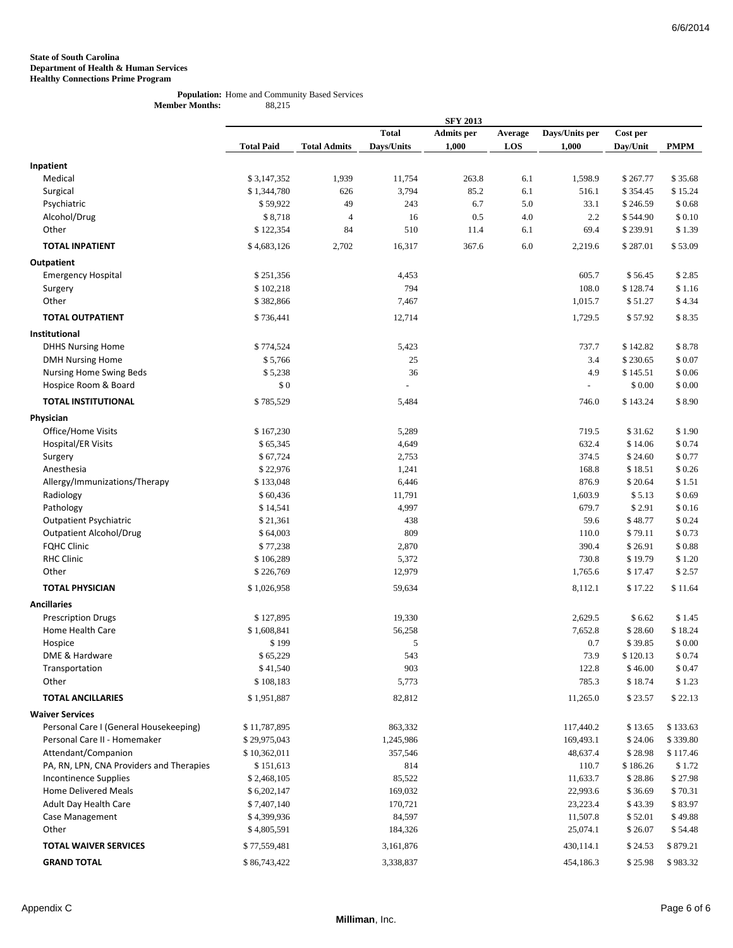#### **Population:** Home and Community Based Services **Member Months:** 88,215

|                                          |                   |                     |                          | <b>SFY 2013</b>   |         |                          |          |             |
|------------------------------------------|-------------------|---------------------|--------------------------|-------------------|---------|--------------------------|----------|-------------|
|                                          |                   |                     | <b>Total</b>             | <b>Admits</b> per | Average | Days/Units per           | Cost per |             |
|                                          | <b>Total Paid</b> | <b>Total Admits</b> | Days/Units               | 1,000             | LOS     | 1,000                    | Day/Unit | <b>PMPM</b> |
| Inpatient                                |                   |                     |                          |                   |         |                          |          |             |
| Medical                                  | \$3,147,352       | 1,939               | 11,754                   | 263.8             | 6.1     | 1,598.9                  | \$267.77 | \$35.68     |
| Surgical                                 | \$1,344,780       | 626                 | 3,794                    | 85.2              | 6.1     | 516.1                    | \$354.45 | \$15.24     |
| Psychiatric                              | \$59,922          | 49                  | 243                      | 6.7               | 5.0     | 33.1                     | \$246.59 | \$0.68      |
| Alcohol/Drug                             | \$8,718           | $\overline{4}$      | 16                       | 0.5               | 4.0     | 2.2                      | \$544.90 | \$0.10      |
| Other                                    | \$122,354         | 84                  | 510                      | 11.4              | 6.1     | 69.4                     | \$239.91 | \$1.39      |
| <b>TOTAL INPATIENT</b>                   | \$4,683,126       |                     | 16,317                   | 367.6             | 6.0     | 2,219.6                  | \$287.01 | \$53.09     |
|                                          |                   | 2,702               |                          |                   |         |                          |          |             |
| Outpatient                               |                   |                     |                          |                   |         |                          |          |             |
| <b>Emergency Hospital</b>                | \$251,356         |                     | 4,453<br>794             |                   |         | 605.7<br>108.0           | \$56.45  | \$2.85      |
| Surgery<br>Other                         | \$102,218         |                     |                          |                   |         |                          | \$128.74 | \$1.16      |
|                                          | \$382,866         |                     | 7,467                    |                   |         | 1,015.7                  | \$51.27  | \$4.34      |
| <b>TOTAL OUTPATIENT</b>                  | \$736,441         |                     | 12,714                   |                   |         | 1,729.5                  | \$57.92  | \$8.35      |
| Institutional                            |                   |                     |                          |                   |         |                          |          |             |
| <b>DHHS Nursing Home</b>                 | \$774,524         |                     | 5,423                    |                   |         | 737.7                    | \$142.82 | \$8.78      |
| <b>DMH Nursing Home</b>                  | \$5,766           |                     | 25                       |                   |         | 3.4                      | \$230.65 | \$0.07      |
| Nursing Home Swing Beds                  | \$5,238           |                     | 36                       |                   |         | 4.9                      | \$145.51 | \$0.06      |
| Hospice Room & Board                     | \$0               |                     | $\overline{\phantom{a}}$ |                   |         | $\overline{\phantom{a}}$ | \$0.00   | \$0.00      |
| <b>TOTAL INSTITUTIONAL</b>               | \$785,529         |                     | 5,484                    |                   |         | 746.0                    | \$143.24 | \$8.90      |
| Physician                                |                   |                     |                          |                   |         |                          |          |             |
| Office/Home Visits                       | \$167,230         |                     | 5,289                    |                   |         | 719.5                    | \$31.62  | \$1.90      |
| Hospital/ER Visits                       | \$65,345          |                     | 4,649                    |                   |         | 632.4                    | \$14.06  | \$0.74      |
| Surgery                                  | \$67,724          |                     | 2,753                    |                   |         | 374.5                    | \$24.60  | \$0.77      |
| Anesthesia                               | \$22,976          |                     | 1,241                    |                   |         | 168.8                    | \$18.51  | \$0.26      |
| Allergy/Immunizations/Therapy            | \$133,048         |                     | 6,446                    |                   |         | 876.9                    | \$20.64  | \$1.51      |
| Radiology                                | \$60,436          |                     | 11,791                   |                   |         | 1,603.9                  | \$5.13   | \$0.69      |
| Pathology                                | \$14,541          |                     | 4,997                    |                   |         | 679.7                    | \$2.91   | \$0.16      |
| <b>Outpatient Psychiatric</b>            | \$21,361          |                     | 438                      |                   |         | 59.6                     | \$48.77  | \$0.24      |
| <b>Outpatient Alcohol/Drug</b>           | \$64,003          |                     | 809                      |                   |         | 110.0                    | \$79.11  | \$0.73      |
| <b>FQHC Clinic</b>                       | \$77,238          |                     | 2,870                    |                   |         | 390.4                    | \$26.91  | \$0.88      |
| <b>RHC Clinic</b>                        | \$106,289         |                     | 5,372                    |                   |         | 730.8                    | \$19.79  | \$1.20      |
| Other                                    | \$226,769         |                     | 12,979                   |                   |         | 1,765.6                  | \$17.47  | \$2.57      |
| <b>TOTAL PHYSICIAN</b>                   | \$1,026,958       |                     | 59,634                   |                   |         | 8,112.1                  | \$17.22  | \$11.64     |
| <b>Ancillaries</b>                       |                   |                     |                          |                   |         |                          |          |             |
| <b>Prescription Drugs</b>                | \$127,895         |                     | 19,330                   |                   |         | 2,629.5                  | \$6.62   | \$1.45      |
| Home Health Care                         | \$1,608,841       |                     | 56,258                   |                   |         | 7,652.8                  | \$28.60  | \$18.24     |
| Hospice                                  | \$199             |                     | 5                        |                   |         | 0.7                      | \$39.85  | \$0.00      |
| DME & Hardware                           | \$65,229          |                     | 543                      |                   |         | 73.9                     | \$120.13 | \$0.74      |
| Transportation                           | \$41,540          |                     | 903                      |                   |         | 122.8                    | \$46.00  | \$0.47      |
| Other                                    | \$108,183         |                     | 5,773                    |                   |         | 785.3                    | \$18.74  | \$1.23      |
| <b>TOTAL ANCILLARIES</b>                 | \$1,951,887       |                     | 82,812                   |                   |         | 11,265.0                 | \$23.57  | \$22.13     |
| <b>Waiver Services</b>                   |                   |                     |                          |                   |         |                          |          |             |
| Personal Care I (General Housekeeping)   | \$11,787,895      |                     | 863,332                  |                   |         | 117,440.2                | \$13.65  | \$133.63    |
| Personal Care II - Homemaker             | \$29,975,043      |                     | 1,245,986                |                   |         | 169,493.1                | \$24.06  | \$339.80    |
| Attendant/Companion                      | \$10,362,011      |                     | 357,546                  |                   |         | 48,637.4                 | \$28.98  | \$117.46    |
| PA, RN, LPN, CNA Providers and Therapies | \$151,613         |                     | 814                      |                   |         | 110.7                    | \$186.26 | \$1.72      |
| <b>Incontinence Supplies</b>             | \$2,468,105       |                     | 85,522                   |                   |         | 11,633.7                 | \$28.86  | \$27.98     |
| <b>Home Delivered Meals</b>              | \$6,202,147       |                     | 169,032                  |                   |         | 22,993.6                 | \$36.69  | \$70.31     |
| Adult Day Health Care                    | \$7,407,140       |                     | 170,721                  |                   |         | 23,223.4                 | \$43.39  | \$83.97     |
| Case Management                          | \$4,399,936       |                     | 84,597                   |                   |         | 11,507.8                 | \$52.01  | \$49.88     |
| Other                                    | \$4,805,591       |                     | 184,326                  |                   |         | 25,074.1                 | \$26.07  | \$54.48     |
| <b>TOTAL WAIVER SERVICES</b>             | \$77,559,481      |                     | 3,161,876                |                   |         | 430,114.1                | \$24.53  | \$879.21    |
| <b>GRAND TOTAL</b>                       | \$86,743,422      |                     | 3,338,837                |                   |         | 454,186.3                | \$25.98  | \$983.32    |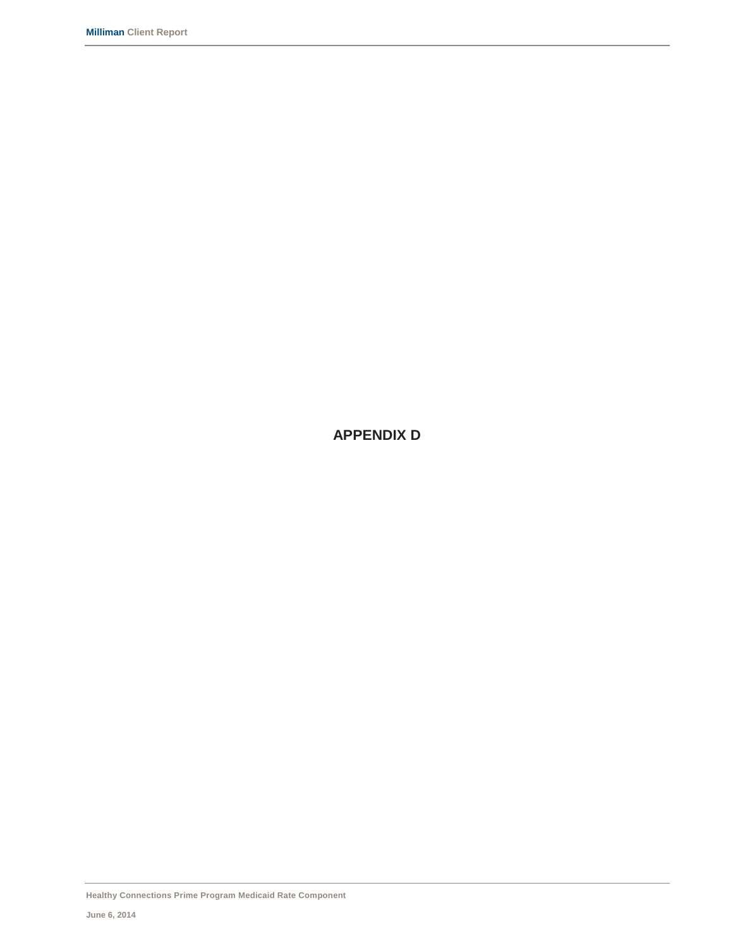**APPENDIX D**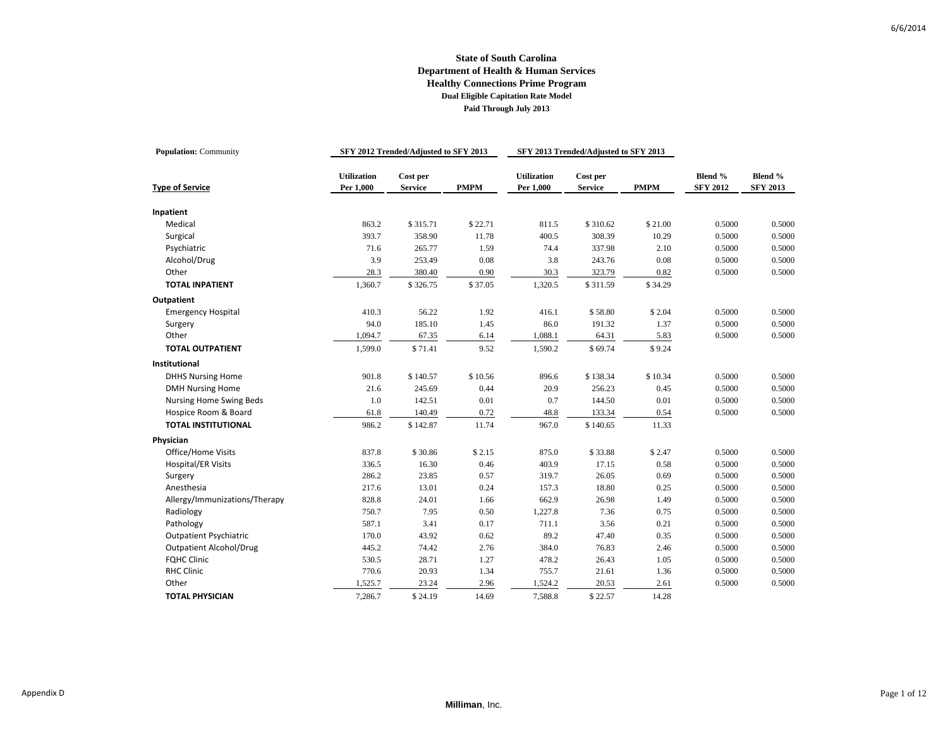| <b>Population: Community</b>                        |                                 | SFY 2012 Trended/Adjusted to SFY 2013 |              |                                 | SFY 2013 Trended/Adjusted to SFY 2013 |              |                            |                            |
|-----------------------------------------------------|---------------------------------|---------------------------------------|--------------|---------------------------------|---------------------------------------|--------------|----------------------------|----------------------------|
| <b>Type of Service</b>                              | <b>Utilization</b><br>Per 1.000 | $\bf Cost$ per<br><b>Service</b>      | <b>PMPM</b>  | <b>Utilization</b><br>Per 1,000 | Cost per<br><b>Service</b>            | <b>PMPM</b>  | Blend %<br><b>SFY 2012</b> | Blend %<br><b>SFY 2013</b> |
|                                                     |                                 |                                       |              |                                 |                                       |              |                            |                            |
| Inpatient<br>Medical                                | 863.2                           | \$315.71                              | \$22.71      | 811.5                           | \$310.62                              | \$21.00      | 0.5000                     | 0.5000                     |
| Surgical                                            | 393.7                           | 358.90                                | 11.78        | 400.5                           | 308.39                                | 10.29        | 0.5000                     | 0.5000                     |
| Psychiatric                                         | 71.6                            | 265.77                                | 1.59         | 74.4                            | 337.98                                | 2.10         | 0.5000                     | 0.5000                     |
| Alcohol/Drug                                        | 3.9                             | 253.49                                | 0.08         | 3.8                             | 243.76                                | 0.08         | 0.5000                     | 0.5000                     |
| Other                                               | 28.3                            | 380.40                                | 0.90         | 30.3                            | 323.79                                | 0.82         | 0.5000                     | 0.5000                     |
| <b>TOTAL INPATIENT</b>                              | 1,360.7                         | \$326.75                              | \$37.05      | 1,320.5                         | \$311.59                              | \$34.29      |                            |                            |
| Outpatient                                          |                                 |                                       |              |                                 |                                       |              |                            |                            |
| <b>Emergency Hospital</b>                           | 410.3                           | 56.22                                 | 1.92         | 416.1                           | \$58.80                               | \$2.04       | 0.5000                     | 0.5000                     |
| Surgery                                             | 94.0                            | 185.10                                | 1.45         | 86.0                            | 191.32                                | 1.37         | 0.5000                     | 0.5000                     |
| Other                                               | 1,094.7                         | 67.35                                 | 6.14         | 1,088.1                         | 64.31                                 | 5.83         | 0.5000                     | 0.5000                     |
| <b>TOTAL OUTPATIENT</b>                             | 1,599.0                         | \$71.41                               | 9.52         | 1,590.2                         | \$69.74                               | \$9.24       |                            |                            |
| Institutional                                       |                                 |                                       |              |                                 |                                       |              |                            |                            |
|                                                     | 901.8                           |                                       | \$10.56      | 896.6                           |                                       | \$10.34      | 0.5000                     | 0.5000                     |
| <b>DHHS Nursing Home</b><br><b>DMH Nursing Home</b> | 21.6                            | \$140.57<br>245.69                    | 0.44         | 20.9                            | \$138.34<br>256.23                    | 0.45         | 0.5000                     | 0.5000                     |
| Nursing Home Swing Beds                             | 1.0                             | 142.51                                | 0.01         | 0.7                             | 144.50                                | 0.01         | 0.5000                     | 0.5000                     |
| Hospice Room & Board                                | 61.8                            | 140.49                                | 0.72         | 48.8                            | 133.34                                | 0.54         | 0.5000                     | 0.5000                     |
| <b>TOTAL INSTITUTIONAL</b>                          | 986.2                           |                                       | 11.74        | 967.0                           | \$140.65                              |              |                            |                            |
|                                                     |                                 | \$142.87                              |              |                                 |                                       | 11.33        |                            |                            |
| Physician                                           |                                 |                                       |              |                                 |                                       |              |                            |                            |
| Office/Home Visits                                  | 837.8                           | \$30.86                               | \$2.15       | 875.0                           | \$33.88                               | \$2.47       | 0.5000                     | 0.5000                     |
| <b>Hospital/ER Visits</b>                           | 336.5                           | 16.30                                 | 0.46         | 403.9                           | 17.15                                 | 0.58         | 0.5000                     | 0.5000                     |
| Surgery                                             | 286.2                           | 23.85                                 | 0.57         | 319.7                           | 26.05                                 | 0.69         | 0.5000                     | 0.5000                     |
| Anesthesia                                          | 217.6                           | 13.01                                 | 0.24         | 157.3                           | 18.80                                 | 0.25         | 0.5000                     | 0.5000                     |
| Allergy/Immunizations/Therapy                       | 828.8<br>750.7                  | 24.01<br>7.95                         | 1.66         | 662.9                           | 26.98<br>7.36                         | 1.49<br>0.75 | 0.5000<br>0.5000           | 0.5000                     |
| Radiology<br>Pathology                              | 587.1                           | 3.41                                  | 0.50<br>0.17 | 1,227.8<br>711.1                | 3.56                                  | 0.21         | 0.5000                     | 0.5000<br>0.5000           |
| <b>Outpatient Psychiatric</b>                       | 170.0                           | 43.92                                 | 0.62         | 89.2                            | 47.40                                 | 0.35         | 0.5000                     | 0.5000                     |
| <b>Outpatient Alcohol/Drug</b>                      | 445.2                           | 74.42                                 | 2.76         | 384.0                           | 76.83                                 | 2.46         | 0.5000                     | 0.5000                     |
| <b>FQHC Clinic</b>                                  | 530.5                           | 28.71                                 | 1.27         | 478.2                           | 26.43                                 | 1.05         | 0.5000                     | 0.5000                     |
| <b>RHC Clinic</b>                                   | 770.6                           | 20.93                                 | 1.34         | 755.7                           | 21.61                                 | 1.36         | 0.5000                     | 0.5000                     |
| Other                                               | 1,525.7                         | 23.24                                 | 2.96         | 1,524.2                         | 20.53                                 | 2.61         | 0.5000                     | 0.5000                     |
|                                                     |                                 |                                       |              |                                 |                                       |              |                            |                            |
| <b>TOTAL PHYSICIAN</b>                              | 7,286.7                         | \$24.19                               | 14.69        | 7,588.8                         | \$22.57                               | 14.28        |                            |                            |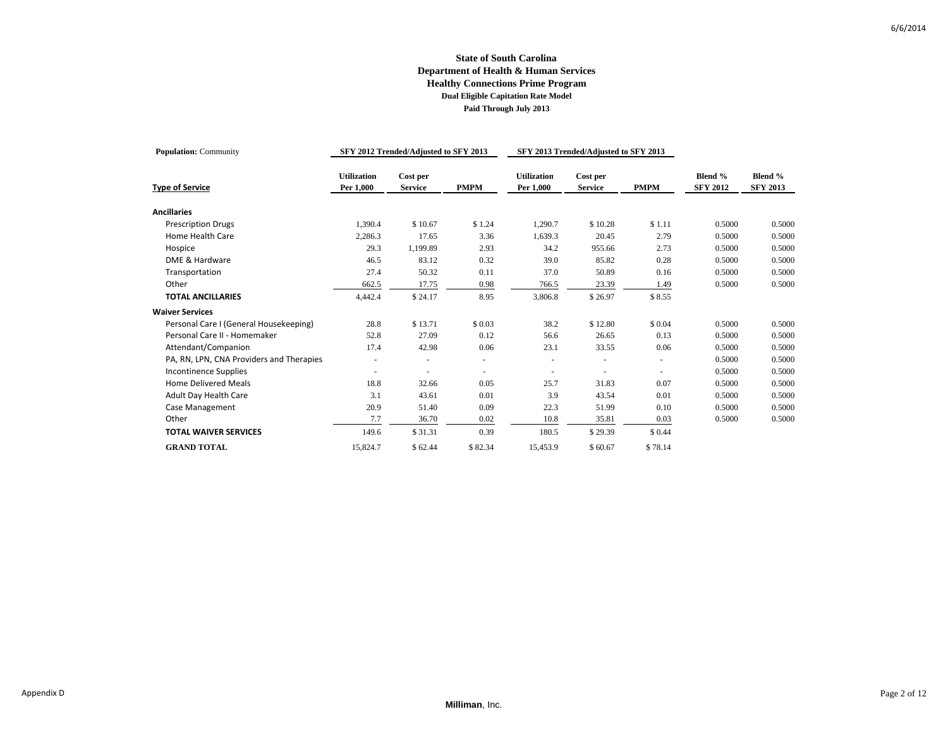| <b>Population: Community</b>             |                                 | SFY 2012 Trended/Adjusted to SFY 2013 |             |                                 | SFY 2013 Trended/Adjusted to SFY 2013 |             |                            |                            |
|------------------------------------------|---------------------------------|---------------------------------------|-------------|---------------------------------|---------------------------------------|-------------|----------------------------|----------------------------|
| <b>Type of Service</b>                   | <b>Utilization</b><br>Per 1,000 | Cost per<br><b>Service</b>            | <b>PMPM</b> | <b>Utilization</b><br>Per 1,000 | Cost per<br><b>Service</b>            | <b>PMPM</b> | Blend %<br><b>SFY 2012</b> | Blend %<br><b>SFY 2013</b> |
| <b>Ancillaries</b>                       |                                 |                                       |             |                                 |                                       |             |                            |                            |
| <b>Prescription Drugs</b>                | 1,390.4                         | \$10.67                               | \$1.24      | 1,290.7                         | \$10.28                               | \$1.11      | 0.5000                     | 0.5000                     |
| Home Health Care                         | 2,286.3                         | 17.65                                 | 3.36        | 1,639.3                         | 20.45                                 | 2.79        | 0.5000                     | 0.5000                     |
| Hospice                                  | 29.3                            | 1,199.89                              | 2.93        | 34.2                            | 955.66                                | 2.73        | 0.5000                     | 0.5000                     |
| DME & Hardware                           | 46.5                            | 83.12                                 | 0.32        | 39.0                            | 85.82                                 | 0.28        | 0.5000                     | 0.5000                     |
| Transportation                           | 27.4                            | 50.32                                 | 0.11        | 37.0                            | 50.89                                 | 0.16        | 0.5000                     | 0.5000                     |
| Other                                    | 662.5                           | 17.75                                 | 0.98        | 766.5                           | 23.39                                 | 1.49        | 0.5000                     | 0.5000                     |
| <b>TOTAL ANCILLARIES</b>                 | 4,442.4                         | \$24.17                               | 8.95        | 3,806.8                         | \$26.97                               | \$8.55      |                            |                            |
| <b>Waiver Services</b>                   |                                 |                                       |             |                                 |                                       |             |                            |                            |
| Personal Care I (General Housekeeping)   | 28.8                            | \$13.71                               | \$0.03      | 38.2                            | \$12.80                               | \$0.04      | 0.5000                     | 0.5000                     |
| Personal Care II - Homemaker             | 52.8                            | 27.09                                 | 0.12        | 56.6                            | 26.65                                 | 0.13        | 0.5000                     | 0.5000                     |
| Attendant/Companion                      | 17.4                            | 42.98                                 | 0.06        | 23.1                            | 33.55                                 | 0.06        | 0.5000                     | 0.5000                     |
| PA, RN, LPN, CNA Providers and Therapies |                                 |                                       | $\sim$      |                                 |                                       |             | 0.5000                     | 0.5000                     |
| <b>Incontinence Supplies</b>             |                                 |                                       |             |                                 |                                       |             | 0.5000                     | 0.5000                     |
| <b>Home Delivered Meals</b>              | 18.8                            | 32.66                                 | 0.05        | 25.7                            | 31.83                                 | 0.07        | 0.5000                     | 0.5000                     |
| <b>Adult Day Health Care</b>             | 3.1                             | 43.61                                 | 0.01        | 3.9                             | 43.54                                 | 0.01        | 0.5000                     | 0.5000                     |
| Case Management                          | 20.9                            | 51.40                                 | 0.09        | 22.3                            | 51.99                                 | 0.10        | 0.5000                     | 0.5000                     |
| Other                                    | 7.7                             | 36.70                                 | 0.02        | 10.8                            | 35.81                                 | 0.03        | 0.5000                     | 0.5000                     |
| <b>TOTAL WAIVER SERVICES</b>             | 149.6                           | \$31.31                               | 0.39        | 180.5                           | \$29.39                               | \$0.44      |                            |                            |
| <b>GRAND TOTAL</b>                       | 15,824.7                        | \$62.44                               | \$82.34     | 15,453.9                        | \$60.67                               | \$78.14     |                            |                            |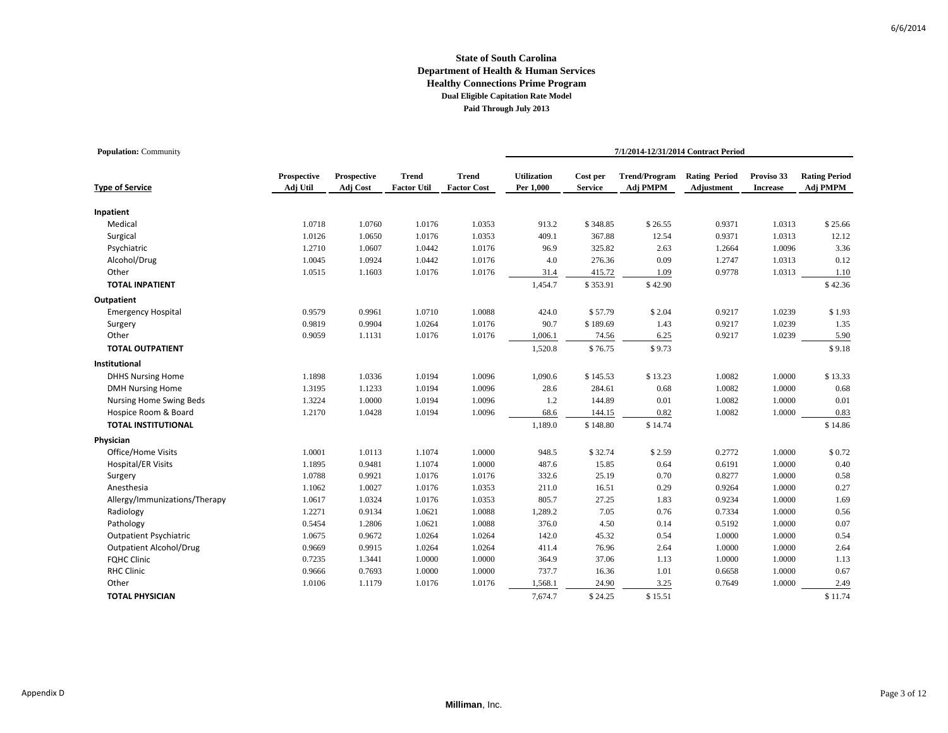| <b>Population:</b> Community   |                         |                         |                                    |                                    | 7/1/2014-12/31/2014 Contract Period |                            |                                  |                                    |                               |                                  |  |  |
|--------------------------------|-------------------------|-------------------------|------------------------------------|------------------------------------|-------------------------------------|----------------------------|----------------------------------|------------------------------------|-------------------------------|----------------------------------|--|--|
| <b>Type of Service</b>         | Prospective<br>Adj Util | Prospective<br>Adj Cost | <b>Trend</b><br><b>Factor Util</b> | <b>Trend</b><br><b>Factor Cost</b> | <b>Utilization</b><br>Per 1,000     | Cost per<br><b>Service</b> | <b>Trend/Program</b><br>Adj PMPM | <b>Rating Period</b><br>Adjustment | Proviso 33<br><b>Increase</b> | <b>Rating Period</b><br>Adj PMPM |  |  |
| Inpatient                      |                         |                         |                                    |                                    |                                     |                            |                                  |                                    |                               |                                  |  |  |
| Medical                        | 1.0718                  | 1.0760                  | 1.0176                             | 1.0353                             | 913.2                               | \$348.85                   | \$26.55                          | 0.9371                             | 1.0313                        | \$25.66                          |  |  |
| Surgical                       | 1.0126                  | 1.0650                  | 1.0176                             | 1.0353                             | 409.1                               | 367.88                     | 12.54                            | 0.9371                             | 1.0313                        | 12.12                            |  |  |
| Psychiatric                    | 1.2710                  | 1.0607                  | 1.0442                             | 1.0176                             | 96.9                                | 325.82                     | 2.63                             | 1.2664                             | 1.0096                        | 3.36                             |  |  |
| Alcohol/Drug                   | 1.0045                  | 1.0924                  | 1.0442                             | 1.0176                             | 4.0                                 | 276.36                     | 0.09                             | 1.2747                             | 1.0313                        | 0.12                             |  |  |
| Other                          | 1.0515                  | 1.1603                  | 1.0176                             | 1.0176                             | 31.4                                | 415.72                     | 1.09                             | 0.9778                             | 1.0313                        | 1.10                             |  |  |
| <b>TOTAL INPATIENT</b>         |                         |                         |                                    |                                    | 1,454.7                             | \$353.91                   | \$42.90                          |                                    |                               | \$42.36                          |  |  |
| Outpatient                     |                         |                         |                                    |                                    |                                     |                            |                                  |                                    |                               |                                  |  |  |
| <b>Emergency Hospital</b>      | 0.9579                  | 0.9961                  | 1.0710                             | 1.0088                             | 424.0                               | \$57.79                    | \$2.04                           | 0.9217                             | 1.0239                        | \$1.93                           |  |  |
| Surgery                        | 0.9819                  | 0.9904                  | 1.0264                             | 1.0176                             | 90.7                                | \$189.69                   | 1.43                             | 0.9217                             | 1.0239                        | 1.35                             |  |  |
| Other                          | 0.9059                  | 1.1131                  | 1.0176                             | 1.0176                             | 1,006.1                             | 74.56                      | 6.25                             | 0.9217                             | 1.0239                        | 5.90                             |  |  |
| <b>TOTAL OUTPATIENT</b>        |                         |                         |                                    |                                    | 1,520.8                             | \$76.75                    | \$9.73                           |                                    |                               | \$9.18                           |  |  |
| Institutional                  |                         |                         |                                    |                                    |                                     |                            |                                  |                                    |                               |                                  |  |  |
| <b>DHHS Nursing Home</b>       | 1.1898                  | 1.0336                  | 1.0194                             | 1.0096                             | 1,090.6                             | \$145.53                   | \$13.23                          | 1.0082                             | 1.0000                        | \$13.33                          |  |  |
| <b>DMH Nursing Home</b>        | 1.3195                  | 1.1233                  | 1.0194                             | 1.0096                             | 28.6                                | 284.61                     | 0.68                             | 1.0082                             | 1.0000                        | 0.68                             |  |  |
| Nursing Home Swing Beds        | 1.3224                  | 1.0000                  | 1.0194                             | 1.0096                             | 1.2                                 | 144.89                     | 0.01                             | 1.0082                             | 1.0000                        | 0.01                             |  |  |
| Hospice Room & Board           | 1.2170                  | 1.0428                  | 1.0194                             | 1.0096                             | 68.6                                | 144.15                     | 0.82                             | 1.0082                             | 1.0000                        | 0.83                             |  |  |
| <b>TOTAL INSTITUTIONAL</b>     |                         |                         |                                    |                                    | 1,189.0                             | \$148.80                   | \$14.74                          |                                    |                               | \$14.86                          |  |  |
| Physician                      |                         |                         |                                    |                                    |                                     |                            |                                  |                                    |                               |                                  |  |  |
| Office/Home Visits             | 1.0001                  | 1.0113                  | 1.1074                             | 1.0000                             | 948.5                               | \$32.74                    | \$2.59                           | 0.2772                             | 1.0000                        | \$0.72                           |  |  |
| <b>Hospital/ER Visits</b>      | 1.1895                  | 0.9481                  | 1.1074                             | 1.0000                             | 487.6                               | 15.85                      | 0.64                             | 0.6191                             | 1.0000                        | 0.40                             |  |  |
| Surgery                        | 1.0788                  | 0.9921                  | 1.0176                             | 1.0176                             | 332.6                               | 25.19                      | 0.70                             | 0.8277                             | 1.0000                        | 0.58                             |  |  |
| Anesthesia                     | 1.1062                  | 1.0027                  | 1.0176                             | 1.0353                             | 211.0                               | 16.51                      | 0.29                             | 0.9264                             | 1.0000                        | 0.27                             |  |  |
| Allergy/Immunizations/Therapy  | 1.0617                  | 1.0324                  | 1.0176                             | 1.0353                             | 805.7                               | 27.25                      | 1.83                             | 0.9234                             | 1.0000                        | 1.69                             |  |  |
| Radiology                      | 1.2271                  | 0.9134                  | 1.0621                             | 1.0088                             | 1,289.2                             | 7.05                       | 0.76                             | 0.7334                             | 1.0000                        | 0.56                             |  |  |
| Pathology                      | 0.5454                  | 1.2806                  | 1.0621                             | 1.0088                             | 376.0                               | 4.50                       | 0.14                             | 0.5192                             | 1.0000                        | 0.07                             |  |  |
| <b>Outpatient Psychiatric</b>  | 1.0675                  | 0.9672                  | 1.0264                             | 1.0264                             | 142.0                               | 45.32                      | 0.54                             | 1.0000                             | 1.0000                        | 0.54                             |  |  |
| <b>Outpatient Alcohol/Drug</b> | 0.9669                  | 0.9915                  | 1.0264                             | 1.0264                             | 411.4                               | 76.96                      | 2.64                             | 1.0000                             | 1.0000                        | 2.64                             |  |  |
| <b>FQHC Clinic</b>             | 0.7235                  | 1.3441                  | 1.0000                             | 1.0000                             | 364.9                               | 37.06                      | 1.13                             | 1.0000                             | 1.0000                        | 1.13                             |  |  |
| <b>RHC Clinic</b>              | 0.9666                  | 0.7693                  | 1.0000                             | 1.0000                             | 737.7                               | 16.36                      | 1.01                             | 0.6658                             | 1.0000                        | 0.67                             |  |  |
| Other                          | 1.0106                  | 1.1179                  | 1.0176                             | 1.0176                             | 1,568.1                             | 24.90                      | 3.25                             | 0.7649                             | 1.0000                        | 2.49                             |  |  |
| <b>TOTAL PHYSICIAN</b>         |                         |                         |                                    |                                    | 7,674.7                             | \$24.25                    | \$15.51                          |                                    |                               | \$11.74                          |  |  |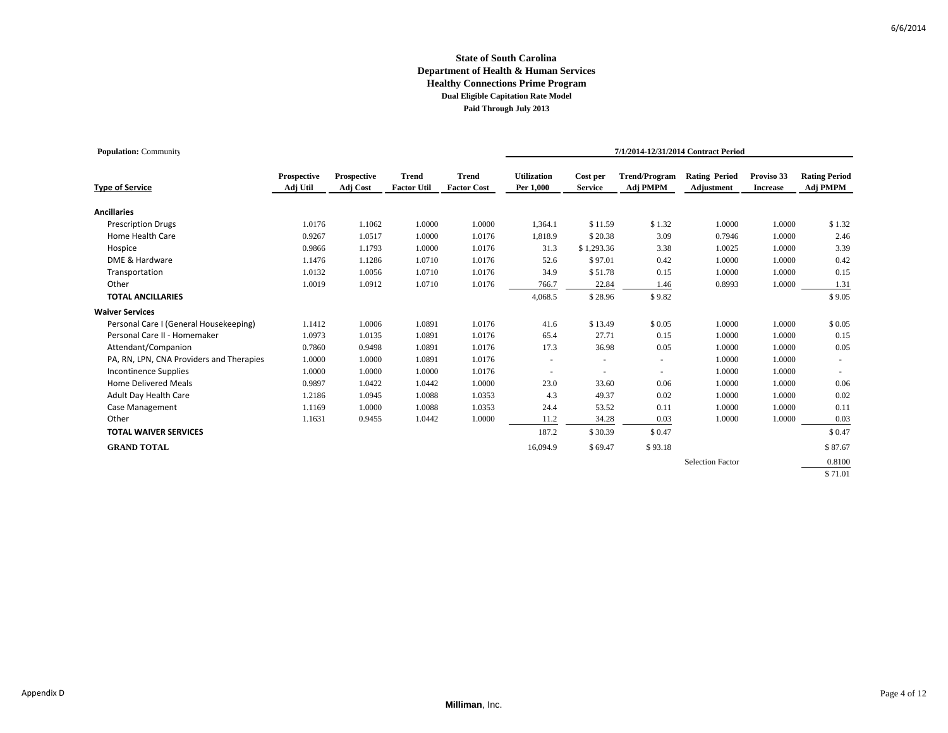| <b>Population: Community</b>             |                                |                         |                                    |                                    |                                 |                            |                                  | 7/1/2014-12/31/2014 Contract Period |                               |                                  |
|------------------------------------------|--------------------------------|-------------------------|------------------------------------|------------------------------------|---------------------------------|----------------------------|----------------------------------|-------------------------------------|-------------------------------|----------------------------------|
| <b>Type of Service</b>                   | <b>Prospective</b><br>Adj Util | Prospective<br>Adj Cost | <b>Trend</b><br><b>Factor Util</b> | <b>Trend</b><br><b>Factor Cost</b> | <b>Utilization</b><br>Per 1,000 | Cost per<br><b>Service</b> | <b>Trend/Program</b><br>Adj PMPM | <b>Rating Period</b><br>Adjustment  | Proviso 33<br><b>Increase</b> | <b>Rating Period</b><br>Adj PMPM |
| <b>Ancillaries</b>                       |                                |                         |                                    |                                    |                                 |                            |                                  |                                     |                               |                                  |
| <b>Prescription Drugs</b>                | 1.0176                         | 1.1062                  | 1.0000                             | 1.0000                             | 1,364.1                         | \$11.59                    | \$1.32                           | 1.0000                              | 1.0000                        | \$1.32                           |
| Home Health Care                         | 0.9267                         | 1.0517                  | 1.0000                             | 1.0176                             | 1,818.9                         | \$20.38                    | 3.09                             | 0.7946                              | 1.0000                        | 2.46                             |
| Hospice                                  | 0.9866                         | 1.1793                  | 1.0000                             | 1.0176                             | 31.3                            | \$1,293.36                 | 3.38                             | 1.0025                              | 1.0000                        | 3.39                             |
| DME & Hardware                           | 1.1476                         | 1.1286                  | 1.0710                             | 1.0176                             | 52.6                            | \$97.01                    | 0.42                             | 1.0000                              | 1.0000                        | 0.42                             |
| Transportation                           | 1.0132                         | 1.0056                  | 1.0710                             | 1.0176                             | 34.9                            | \$51.78                    | 0.15                             | 1.0000                              | 1.0000                        | 0.15                             |
| Other                                    | 1.0019                         | 1.0912                  | 1.0710                             | 1.0176                             | 766.7                           | 22.84                      | 1.46                             | 0.8993                              | 1.0000                        | 1.31                             |
| <b>TOTAL ANCILLARIES</b>                 |                                |                         |                                    |                                    | 4,068.5                         | \$28.96                    | \$9.82                           |                                     |                               | \$9.05                           |
| <b>Waiver Services</b>                   |                                |                         |                                    |                                    |                                 |                            |                                  |                                     |                               |                                  |
| Personal Care I (General Housekeeping)   | 1.1412                         | 1.0006                  | 1.0891                             | 1.0176                             | 41.6                            | \$13.49                    | \$0.05                           | 1.0000                              | 1.0000                        | \$0.05                           |
| Personal Care II - Homemaker             | 1.0973                         | 1.0135                  | 1.0891                             | 1.0176                             | 65.4                            | 27.71                      | 0.15                             | 1.0000                              | 1.0000                        | 0.15                             |
| Attendant/Companion                      | 0.7860                         | 0.9498                  | 1.0891                             | 1.0176                             | 17.3                            | 36.98                      | 0.05                             | 1.0000                              | 1.0000                        | 0.05                             |
| PA, RN, LPN, CNA Providers and Therapies | 1.0000                         | 1.0000                  | 1.0891                             | 1.0176                             | $\sim$                          | $\sim$                     | $\sim$                           | 1.0000                              | 1.0000                        |                                  |
| <b>Incontinence Supplies</b>             | 1.0000                         | 1.0000                  | 1.0000                             | 1.0176                             | $\overline{\phantom{a}}$        | $\sim$                     | $\sim$                           | 1.0000                              | 1.0000                        |                                  |
| <b>Home Delivered Meals</b>              | 0.9897                         | 1.0422                  | 1.0442                             | 1.0000                             | 23.0                            | 33.60                      | 0.06                             | 1.0000                              | 1.0000                        | 0.06                             |
| Adult Day Health Care                    | 1.2186                         | 1.0945                  | 1.0088                             | 1.0353                             | 4.3                             | 49.37                      | 0.02                             | 1.0000                              | 1.0000                        | 0.02                             |
| Case Management                          | 1.1169                         | 1.0000                  | 1.0088                             | 1.0353                             | 24.4                            | 53.52                      | 0.11                             | 1.0000                              | 1.0000                        | 0.11                             |
| Other                                    | 1.1631                         | 0.9455                  | 1.0442                             | 1.0000                             | 11.2                            | 34.28                      | 0.03                             | 1.0000                              | 1.0000                        | 0.03                             |
| <b>TOTAL WAIVER SERVICES</b>             |                                |                         |                                    |                                    | 187.2                           | \$30.39                    | \$0.47                           |                                     |                               | \$0.47                           |
| <b>GRAND TOTAL</b>                       |                                |                         |                                    |                                    | 16,094.9                        | \$69.47                    | \$93.18                          |                                     |                               | \$87.67                          |
|                                          |                                |                         |                                    |                                    |                                 |                            |                                  | <b>Selection Factor</b>             |                               | 0.8100                           |
|                                          |                                |                         |                                    |                                    |                                 |                            |                                  |                                     |                               | \$71.01                          |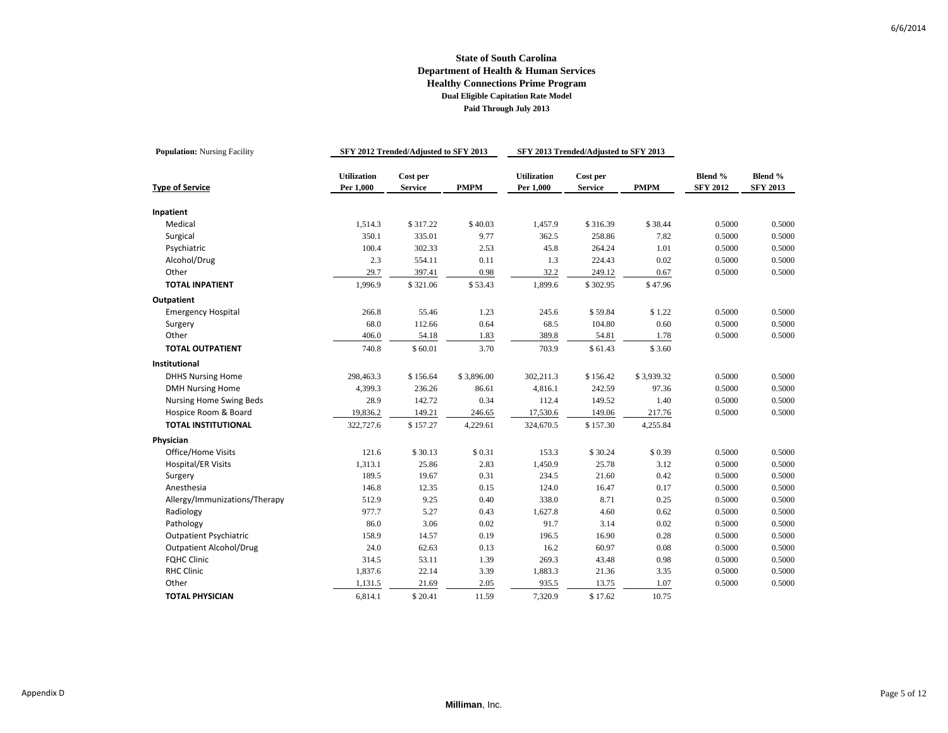| <b>Population:</b> Nursing Facility |                                 | SFY 2012 Trended/Adjusted to SFY 2013 |             |                                 | SFY 2013 Trended/Adjusted to SFY 2013 |             |                            |                            |
|-------------------------------------|---------------------------------|---------------------------------------|-------------|---------------------------------|---------------------------------------|-------------|----------------------------|----------------------------|
| <b>Type of Service</b>              | <b>Utilization</b><br>Per 1,000 | Cost per<br><b>Service</b>            | <b>PMPM</b> | <b>Utilization</b><br>Per 1,000 | Cost per<br><b>Service</b>            | <b>PMPM</b> | Blend %<br><b>SFY 2012</b> | Blend %<br><b>SFY 2013</b> |
|                                     |                                 |                                       |             |                                 |                                       |             |                            |                            |
| Inpatient<br>Medical                | 1,514.3                         | \$317.22                              | \$40.03     | 1,457.9                         | \$316.39                              | \$38.44     | 0.5000                     | 0.5000                     |
| Surgical                            | 350.1                           | 335.01                                | 9.77        | 362.5                           | 258.86                                | 7.82        | 0.5000                     | 0.5000                     |
| Psychiatric                         | 100.4                           | 302.33                                | 2.53        | 45.8                            | 264.24                                | 1.01        | 0.5000                     | 0.5000                     |
| Alcohol/Drug                        | 2.3                             | 554.11                                | 0.11        | 1.3                             | 224.43                                | 0.02        | 0.5000                     | 0.5000                     |
| Other                               | 29.7                            | 397.41                                | 0.98        | 32.2                            | 249.12                                | 0.67        | 0.5000                     | 0.5000                     |
| <b>TOTAL INPATIENT</b>              | 1,996.9                         | \$321.06                              | \$53.43     | 1,899.6                         | \$302.95                              | \$47.96     |                            |                            |
|                                     |                                 |                                       |             |                                 |                                       |             |                            |                            |
| Outpatient                          |                                 |                                       |             |                                 |                                       |             |                            |                            |
| <b>Emergency Hospital</b>           | 266.8                           | 55.46                                 | 1.23        | 245.6                           | \$59.84                               | \$1.22      | 0.5000                     | 0.5000                     |
| Surgery                             | 68.0                            | 112.66                                | 0.64        | 68.5                            | 104.80                                | 0.60        | 0.5000                     | 0.5000                     |
| Other                               | 406.0                           | 54.18                                 | 1.83        | 389.8                           | 54.81                                 | 1.78        | 0.5000                     | 0.5000                     |
| <b>TOTAL OUTPATIENT</b>             | 740.8                           | \$60.01                               | 3.70        | 703.9                           | \$61.43                               | \$3.60      |                            |                            |
| Institutional                       |                                 |                                       |             |                                 |                                       |             |                            |                            |
| <b>DHHS Nursing Home</b>            | 298,463.3                       | \$156.64                              | \$3,896.00  | 302,211.3                       | \$156.42                              | \$3,939.32  | 0.5000                     | 0.5000                     |
| <b>DMH Nursing Home</b>             | 4,399.3                         | 236.26                                | 86.61       | 4,816.1                         | 242.59                                | 97.36       | 0.5000                     | 0.5000                     |
| Nursing Home Swing Beds             | 28.9                            | 142.72                                | 0.34        | 112.4                           | 149.52                                | 1.40        | 0.5000                     | 0.5000                     |
| Hospice Room & Board                | 19,836.2                        | 149.21                                | 246.65      | 17,530.6                        | 149.06                                | 217.76      | 0.5000                     | 0.5000                     |
| <b>TOTAL INSTITUTIONAL</b>          | 322,727.6                       | \$157.27                              | 4,229.61    | 324,670.5                       | \$157.30                              | 4,255.84    |                            |                            |
| Physician                           |                                 |                                       |             |                                 |                                       |             |                            |                            |
| Office/Home Visits                  | 121.6                           | \$30.13                               | \$0.31      | 153.3                           | \$30.24                               | \$0.39      | 0.5000                     | 0.5000                     |
| <b>Hospital/ER Visits</b>           | 1,313.1                         | 25.86                                 | 2.83        | 1,450.9                         | 25.78                                 | 3.12        | 0.5000                     | 0.5000                     |
| Surgery                             | 189.5                           | 19.67                                 | 0.31        | 234.5                           | 21.60                                 | 0.42        | 0.5000                     | 0.5000                     |
| Anesthesia                          | 146.8                           | 12.35                                 | 0.15        | 124.0                           | 16.47                                 | 0.17        | 0.5000                     | 0.5000                     |
| Allergy/Immunizations/Therapy       | 512.9                           | 9.25                                  | 0.40        | 338.0                           | 8.71                                  | 0.25        | 0.5000                     | 0.5000                     |
| Radiology                           | 977.7                           | 5.27                                  | 0.43        | 1,627.8                         | 4.60                                  | 0.62        | 0.5000                     | 0.5000                     |
| Pathology                           | 86.0                            | 3.06                                  | 0.02        | 91.7                            | 3.14                                  | 0.02        | 0.5000                     | 0.5000                     |
| <b>Outpatient Psychiatric</b>       | 158.9                           | 14.57                                 | 0.19        | 196.5                           | 16.90                                 | 0.28        | 0.5000                     | 0.5000                     |
| <b>Outpatient Alcohol/Drug</b>      | 24.0                            | 62.63                                 | 0.13        | 16.2                            | 60.97                                 | $0.08\,$    | 0.5000                     | 0.5000                     |
| <b>FQHC Clinic</b>                  | 314.5                           | 53.11                                 | 1.39        | 269.3                           | 43.48                                 | 0.98        | 0.5000                     | 0.5000                     |
| <b>RHC Clinic</b>                   | 1,837.6                         | 22.14                                 | 3.39        | 1,883.3                         | 21.36                                 | 3.35        | 0.5000                     | 0.5000                     |
| Other                               | 1,131.5                         | 21.69                                 | 2.05        | 935.5                           | 13.75                                 | 1.07        | 0.5000                     | 0.5000                     |
| <b>TOTAL PHYSICIAN</b>              | 6,814.1                         | \$20.41                               | 11.59       | 7,320.9                         | \$17.62                               | 10.75       |                            |                            |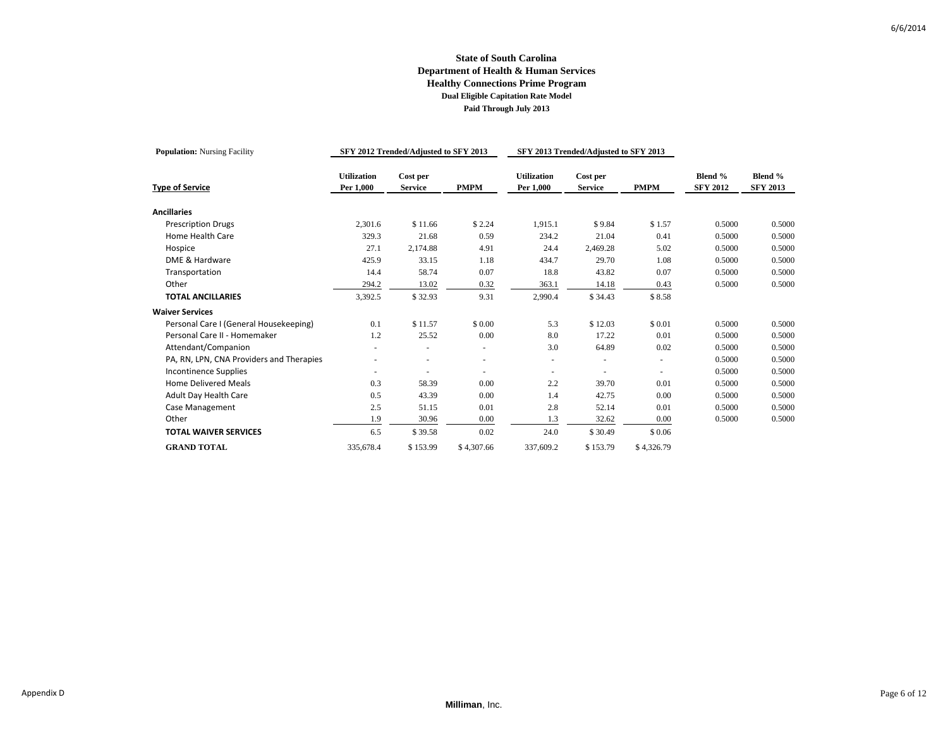| <b>Population:</b> Nursing Facility      |                                 | SFY 2012 Trended/Adjusted to SFY 2013 |             |                                 | SFY 2013 Trended/Adjusted to SFY 2013 |             |                            |                            |
|------------------------------------------|---------------------------------|---------------------------------------|-------------|---------------------------------|---------------------------------------|-------------|----------------------------|----------------------------|
| <b>Type of Service</b>                   | <b>Utilization</b><br>Per 1,000 | Cost per<br><b>Service</b>            | <b>PMPM</b> | <b>Utilization</b><br>Per 1,000 | Cost per<br><b>Service</b>            | <b>PMPM</b> | Blend %<br><b>SFY 2012</b> | Blend %<br><b>SFY 2013</b> |
| <b>Ancillaries</b>                       |                                 |                                       |             |                                 |                                       |             |                            |                            |
| <b>Prescription Drugs</b>                | 2,301.6                         | \$11.66                               | \$2.24      | 1,915.1                         | \$9.84                                | \$1.57      | 0.5000                     | 0.5000                     |
| Home Health Care                         | 329.3                           | 21.68                                 | 0.59        | 234.2                           | 21.04                                 | 0.41        | 0.5000                     | 0.5000                     |
| Hospice                                  | 27.1                            | 2,174.88                              | 4.91        | 24.4                            | 2,469.28                              | 5.02        | 0.5000                     | 0.5000                     |
| DME & Hardware                           | 425.9                           | 33.15                                 | 1.18        | 434.7                           | 29.70                                 | 1.08        | 0.5000                     | 0.5000                     |
| Transportation                           | 14.4                            | 58.74                                 | 0.07        | 18.8                            | 43.82                                 | 0.07        | 0.5000                     | 0.5000                     |
| Other                                    | 294.2                           | 13.02                                 | 0.32        | 363.1                           | 14.18                                 | 0.43        | 0.5000                     | 0.5000                     |
| <b>TOTAL ANCILLARIES</b>                 | 3,392.5                         | \$32.93                               | 9.31        | 2,990.4                         | \$34.43                               | \$8.58      |                            |                            |
| <b>Waiver Services</b>                   |                                 |                                       |             |                                 |                                       |             |                            |                            |
| Personal Care I (General Housekeeping)   | 0.1                             | \$11.57                               | \$0.00      | 5.3                             | \$12.03                               | \$0.01      | 0.5000                     | 0.5000                     |
| Personal Care II - Homemaker             | 1.2                             | 25.52                                 | 0.00        | 8.0                             | 17.22                                 | 0.01        | 0.5000                     | 0.5000                     |
| Attendant/Companion                      |                                 |                                       | $\sim$      | 3.0                             | 64.89                                 | 0.02        | 0.5000                     | 0.5000                     |
| PA, RN, LPN, CNA Providers and Therapies |                                 |                                       | $\sim$      |                                 |                                       |             | 0.5000                     | 0.5000                     |
| <b>Incontinence Supplies</b>             |                                 |                                       |             |                                 |                                       |             | 0.5000                     | 0.5000                     |
| <b>Home Delivered Meals</b>              | 0.3                             | 58.39                                 | 0.00        | 2.2                             | 39.70                                 | 0.01        | 0.5000                     | 0.5000                     |
| Adult Day Health Care                    | 0.5                             | 43.39                                 | 0.00        | 1.4                             | 42.75                                 | 0.00        | 0.5000                     | 0.5000                     |
| Case Management                          | 2.5                             | 51.15                                 | 0.01        | 2.8                             | 52.14                                 | 0.01        | 0.5000                     | 0.5000                     |
| Other                                    | 1.9                             | 30.96                                 | 0.00        | 1.3                             | 32.62                                 | 0.00        | 0.5000                     | 0.5000                     |
| <b>TOTAL WAIVER SERVICES</b>             | 6.5                             | \$39.58                               | 0.02        | 24.0                            | \$30.49                               | \$0.06      |                            |                            |
| <b>GRAND TOTAL</b>                       | 335,678.4                       | \$153.99                              | \$4,307.66  | 337,609.2                       | \$153.79                              | \$4,326.79  |                            |                            |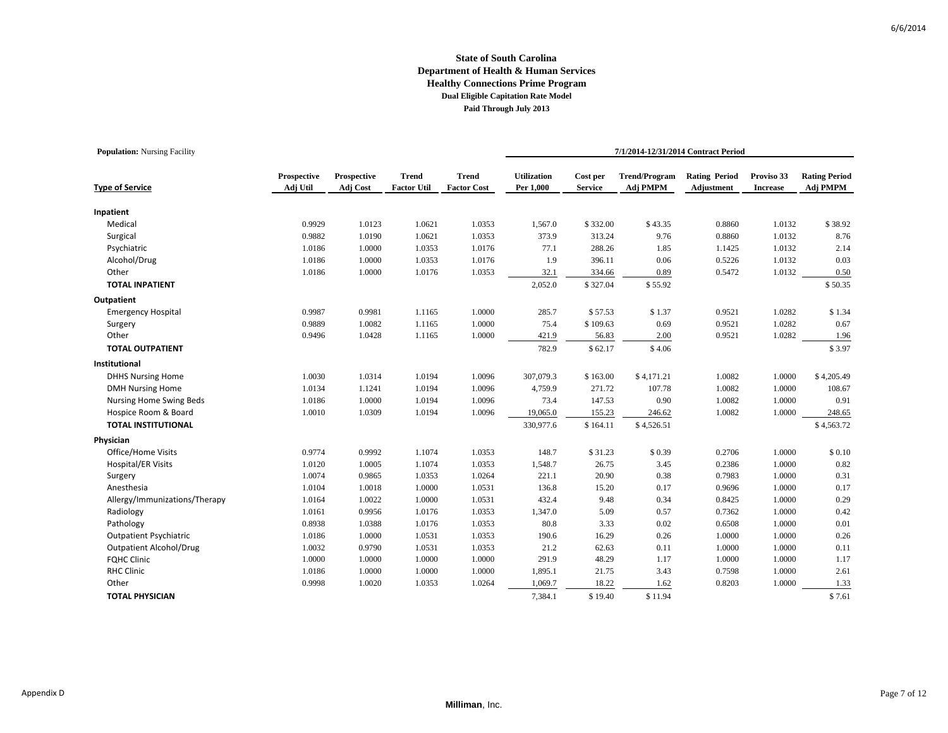| <b>Population:</b> Nursing Facility |                         |                         |                                    |                                    |                                 | 7/1/2014-12/31/2014 Contract Period |                                  |                                    |                               |                                  |  |  |
|-------------------------------------|-------------------------|-------------------------|------------------------------------|------------------------------------|---------------------------------|-------------------------------------|----------------------------------|------------------------------------|-------------------------------|----------------------------------|--|--|
| <b>Type of Service</b>              | Prospective<br>Adj Util | Prospective<br>Adj Cost | <b>Trend</b><br><b>Factor Util</b> | <b>Trend</b><br><b>Factor Cost</b> | <b>Utilization</b><br>Per 1,000 | Cost per<br><b>Service</b>          | <b>Trend/Program</b><br>Adj PMPM | <b>Rating Period</b><br>Adjustment | Proviso 33<br><b>Increase</b> | <b>Rating Period</b><br>Adj PMPM |  |  |
| Inpatient                           |                         |                         |                                    |                                    |                                 |                                     |                                  |                                    |                               |                                  |  |  |
| Medical                             | 0.9929                  | 1.0123                  | 1.0621                             | 1.0353                             | 1,567.0                         | \$332.00                            | \$43.35                          | 0.8860                             | 1.0132                        | \$38.92                          |  |  |
| Surgical                            | 0.9882                  | 1.0190                  | 1.0621                             | 1.0353                             | 373.9                           | 313.24                              | 9.76                             | 0.8860                             | 1.0132                        | 8.76                             |  |  |
| Psychiatric                         | 1.0186                  | 1.0000                  | 1.0353                             | 1.0176                             | 77.1                            | 288.26                              | 1.85                             | 1.1425                             | 1.0132                        | 2.14                             |  |  |
| Alcohol/Drug                        | 1.0186                  | 1.0000                  | 1.0353                             | 1.0176                             | 1.9                             | 396.11                              | 0.06                             | 0.5226                             | 1.0132                        | 0.03                             |  |  |
| Other                               | 1.0186                  | 1.0000                  | 1.0176                             | 1.0353                             | 32.1                            | 334.66                              | 0.89                             | 0.5472                             | 1.0132                        | 0.50                             |  |  |
| <b>TOTAL INPATIENT</b>              |                         |                         |                                    |                                    | 2,052.0                         | \$327.04                            | \$55.92                          |                                    |                               | \$50.35                          |  |  |
| Outpatient                          |                         |                         |                                    |                                    |                                 |                                     |                                  |                                    |                               |                                  |  |  |
| <b>Emergency Hospital</b>           | 0.9987                  | 0.9981                  | 1.1165                             | 1.0000                             | 285.7                           | \$57.53                             | \$1.37                           | 0.9521                             | 1.0282                        | \$1.34                           |  |  |
| Surgery                             | 0.9889                  | 1.0082                  | 1.1165                             | 1.0000                             | 75.4                            | \$109.63                            | 0.69                             | 0.9521                             | 1.0282                        | 0.67                             |  |  |
| Other                               | 0.9496                  | 1.0428                  | 1.1165                             | 1.0000                             | 421.9                           | 56.83                               | 2.00                             | 0.9521                             | 1.0282                        | 1.96                             |  |  |
| <b>TOTAL OUTPATIENT</b>             |                         |                         |                                    |                                    | 782.9                           | \$62.17                             | \$4.06                           |                                    |                               | \$3.97                           |  |  |
| Institutional                       |                         |                         |                                    |                                    |                                 |                                     |                                  |                                    |                               |                                  |  |  |
| <b>DHHS Nursing Home</b>            | 1.0030                  | 1.0314                  | 1.0194                             | 1.0096                             | 307,079.3                       | \$163.00                            | \$4,171.21                       | 1.0082                             | 1.0000                        | \$4,205.49                       |  |  |
| <b>DMH Nursing Home</b>             | 1.0134                  | 1.1241                  | 1.0194                             | 1.0096                             | 4,759.9                         | 271.72                              | 107.78                           | 1.0082                             | 1.0000                        | 108.67                           |  |  |
| Nursing Home Swing Beds             | 1.0186                  | 1.0000                  | 1.0194                             | 1.0096                             | 73.4                            | 147.53                              | 0.90                             | 1.0082                             | 1.0000                        | 0.91                             |  |  |
| Hospice Room & Board                | 1.0010                  | 1.0309                  | 1.0194                             | 1.0096                             | 19,065.0                        | 155.23                              | 246.62                           | 1.0082                             | 1.0000                        | 248.65                           |  |  |
| <b>TOTAL INSTITUTIONAL</b>          |                         |                         |                                    |                                    | 330,977.6                       | \$164.11                            | \$4,526.51                       |                                    |                               | \$4,563.72                       |  |  |
| Physician                           |                         |                         |                                    |                                    |                                 |                                     |                                  |                                    |                               |                                  |  |  |
| Office/Home Visits                  | 0.9774                  | 0.9992                  | 1.1074                             | 1.0353                             | 148.7                           | \$31.23                             | \$0.39                           | 0.2706                             | 1.0000                        | \$0.10                           |  |  |
| <b>Hospital/ER Visits</b>           | 1.0120                  | 1.0005                  | 1.1074                             | 1.0353                             | 1,548.7                         | 26.75                               | 3.45                             | 0.2386                             | 1.0000                        | 0.82                             |  |  |
| Surgery                             | 1.0074                  | 0.9865                  | 1.0353                             | 1.0264                             | 221.1                           | 20.90                               | 0.38                             | 0.7983                             | 1.0000                        | 0.31                             |  |  |
| Anesthesia                          | 1.0104                  | 1.0018                  | 1.0000                             | 1.0531                             | 136.8                           | 15.20                               | 0.17                             | 0.9696                             | 1.0000                        | 0.17                             |  |  |
| Allergy/Immunizations/Therapy       | 1.0164                  | 1.0022                  | 1.0000                             | 1.0531                             | 432.4                           | 9.48                                | 0.34                             | 0.8425                             | 1.0000                        | 0.29                             |  |  |
| Radiology                           | 1.0161                  | 0.9956                  | 1.0176                             | 1.0353                             | 1,347.0                         | 5.09                                | 0.57                             | 0.7362                             | 1.0000                        | 0.42                             |  |  |
| Pathology                           | 0.8938                  | 1.0388                  | 1.0176                             | 1.0353                             | 80.8                            | 3.33                                | 0.02                             | 0.6508                             | 1.0000                        | 0.01                             |  |  |
| <b>Outpatient Psychiatric</b>       | 1.0186                  | 1.0000                  | 1.0531                             | 1.0353                             | 190.6                           | 16.29                               | 0.26                             | 1.0000                             | 1.0000                        | 0.26                             |  |  |
| <b>Outpatient Alcohol/Drug</b>      | 1.0032                  | 0.9790                  | 1.0531                             | 1.0353                             | 21.2                            | 62.63                               | 0.11                             | 1.0000                             | 1.0000                        | 0.11                             |  |  |
| <b>FQHC Clinic</b>                  | 1.0000                  | 1.0000                  | 1.0000                             | 1.0000                             | 291.9                           | 48.29                               | 1.17                             | 1.0000                             | 1.0000                        | 1.17                             |  |  |
| <b>RHC Clinic</b>                   | 1.0186                  | 1.0000                  | 1.0000                             | 1.0000                             | 1,895.1                         | 21.75                               | 3.43                             | 0.7598                             | 1.0000                        | 2.61                             |  |  |
| Other                               | 0.9998                  | 1.0020                  | 1.0353                             | 1.0264                             | 1,069.7                         | 18.22                               | 1.62                             | 0.8203                             | 1.0000                        | 1.33                             |  |  |
| <b>TOTAL PHYSICIAN</b>              |                         |                         |                                    |                                    | 7,384.1                         | \$19.40                             | \$11.94                          |                                    |                               | \$7.61                           |  |  |

**Population:** Nursing Facility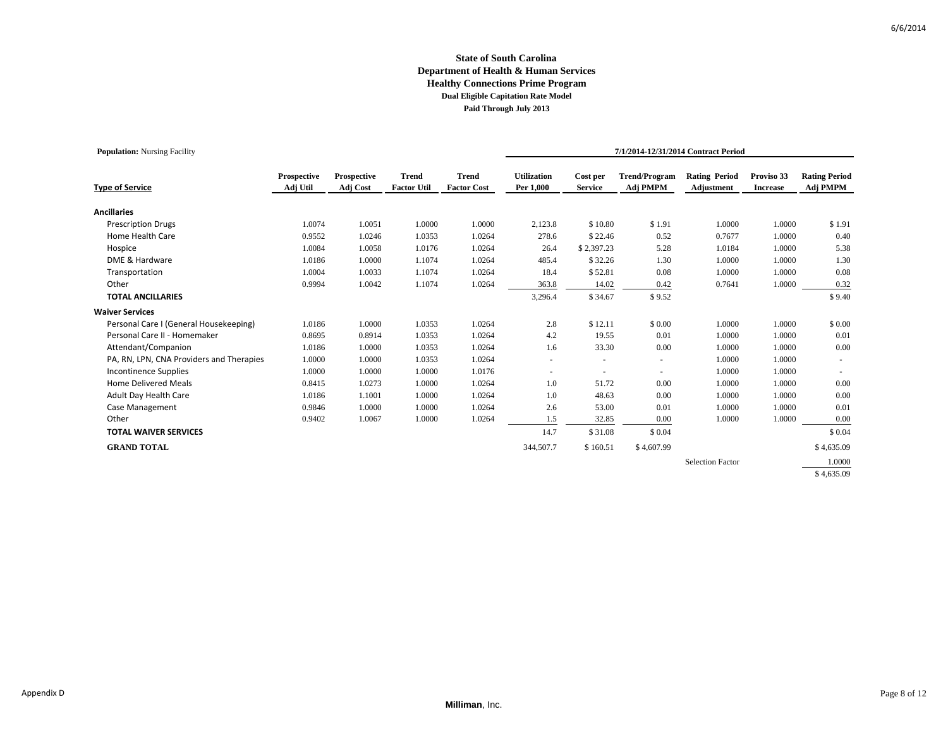| <b>Population:</b> Nursing Facility      |                         |                         |                                    |                                    |                                 |                            |                                  | 7/1/2014-12/31/2014 Contract Period |                               |                                  |
|------------------------------------------|-------------------------|-------------------------|------------------------------------|------------------------------------|---------------------------------|----------------------------|----------------------------------|-------------------------------------|-------------------------------|----------------------------------|
| <b>Type of Service</b>                   | Prospective<br>Adj Util | Prospective<br>Adj Cost | <b>Trend</b><br><b>Factor Util</b> | <b>Trend</b><br><b>Factor Cost</b> | <b>Utilization</b><br>Per 1,000 | Cost per<br><b>Service</b> | <b>Trend/Program</b><br>Adj PMPM | <b>Rating Period</b><br>Adjustment  | Proviso 33<br><b>Increase</b> | <b>Rating Period</b><br>Adj PMPM |
| <b>Ancillaries</b>                       |                         |                         |                                    |                                    |                                 |                            |                                  |                                     |                               |                                  |
| <b>Prescription Drugs</b>                | 1.0074                  | 1.0051                  | 1.0000                             | 1.0000                             | 2,123.8                         | \$10.80                    | \$1.91                           | 1.0000                              | 1.0000                        | \$1.91                           |
| Home Health Care                         | 0.9552                  | 1.0246                  | 1.0353                             | 1.0264                             | 278.6                           | \$22.46                    | 0.52                             | 0.7677                              | 1.0000                        | 0.40                             |
| Hospice                                  | 1.0084                  | 1.0058                  | 1.0176                             | 1.0264                             | 26.4                            | \$2,397.23                 | 5.28                             | 1.0184                              | 1.0000                        | 5.38                             |
| DME & Hardware                           | 1.0186                  | 1.0000                  | 1.1074                             | 1.0264                             | 485.4                           | \$32.26                    | 1.30                             | 1.0000                              | 1.0000                        | 1.30                             |
| Transportation                           | 1.0004                  | 1.0033                  | 1.1074                             | 1.0264                             | 18.4                            | \$52.81                    | 0.08                             | 1.0000                              | 1.0000                        | 0.08                             |
| Other                                    | 0.9994                  | 1.0042                  | 1.1074                             | 1.0264                             | 363.8                           | 14.02                      | 0.42                             | 0.7641                              | 1.0000                        | 0.32                             |
| <b>TOTAL ANCILLARIES</b>                 |                         |                         |                                    |                                    | 3,296.4                         | \$34.67                    | \$9.52                           |                                     |                               | \$9.40                           |
| <b>Waiver Services</b>                   |                         |                         |                                    |                                    |                                 |                            |                                  |                                     |                               |                                  |
| Personal Care I (General Housekeeping)   | 1.0186                  | 1.0000                  | 1.0353                             | 1.0264                             | 2.8                             | \$12.11                    | \$0.00                           | 1.0000                              | 1.0000                        | \$0.00                           |
| Personal Care II - Homemaker             | 0.8695                  | 0.8914                  | 1.0353                             | 1.0264                             | 4.2                             | 19.55                      | 0.01                             | 1.0000                              | 1.0000                        | 0.01                             |
| Attendant/Companion                      | 1.0186                  | 1.0000                  | 1.0353                             | 1.0264                             | 1.6                             | 33.30                      | 0.00                             | 1.0000                              | 1.0000                        | 0.00                             |
| PA, RN, LPN, CNA Providers and Therapies | 1.0000                  | 1.0000                  | 1.0353                             | 1.0264                             |                                 |                            |                                  | 1.0000                              | 1.0000                        |                                  |
| <b>Incontinence Supplies</b>             | 1.0000                  | 1.0000                  | 1.0000                             | 1.0176                             | $\overline{\phantom{a}}$        | ٠                          | $\sim$                           | 1.0000                              | 1.0000                        |                                  |
| <b>Home Delivered Meals</b>              | 0.8415                  | 1.0273                  | 1.0000                             | 1.0264                             | 1.0                             | 51.72                      | 0.00                             | 1.0000                              | 1.0000                        | 0.00                             |
| Adult Day Health Care                    | 1.0186                  | 1.1001                  | 1.0000                             | 1.0264                             | 1.0                             | 48.63                      | 0.00                             | 1.0000                              | 1.0000                        | 0.00                             |
| Case Management                          | 0.9846                  | 1.0000                  | 1.0000                             | 1.0264                             | 2.6                             | 53.00                      | 0.01                             | 1.0000                              | 1.0000                        | 0.01                             |
| Other                                    | 0.9402                  | 1.0067                  | 1.0000                             | 1.0264                             | 1.5                             | 32.85                      | 0.00                             | 1.0000                              | 1.0000                        | 0.00                             |
| <b>TOTAL WAIVER SERVICES</b>             |                         |                         |                                    |                                    | 14.7                            | \$31.08                    | \$0.04                           |                                     |                               | \$0.04                           |
| <b>GRAND TOTAL</b>                       |                         |                         |                                    |                                    | 344,507.7                       | \$160.51                   | \$4,607.99                       |                                     |                               | \$4,635.09                       |
|                                          |                         |                         |                                    |                                    |                                 |                            |                                  | <b>Selection Factor</b>             |                               | 1.0000                           |
|                                          |                         |                         |                                    |                                    |                                 |                            |                                  |                                     |                               | \$4,635.09                       |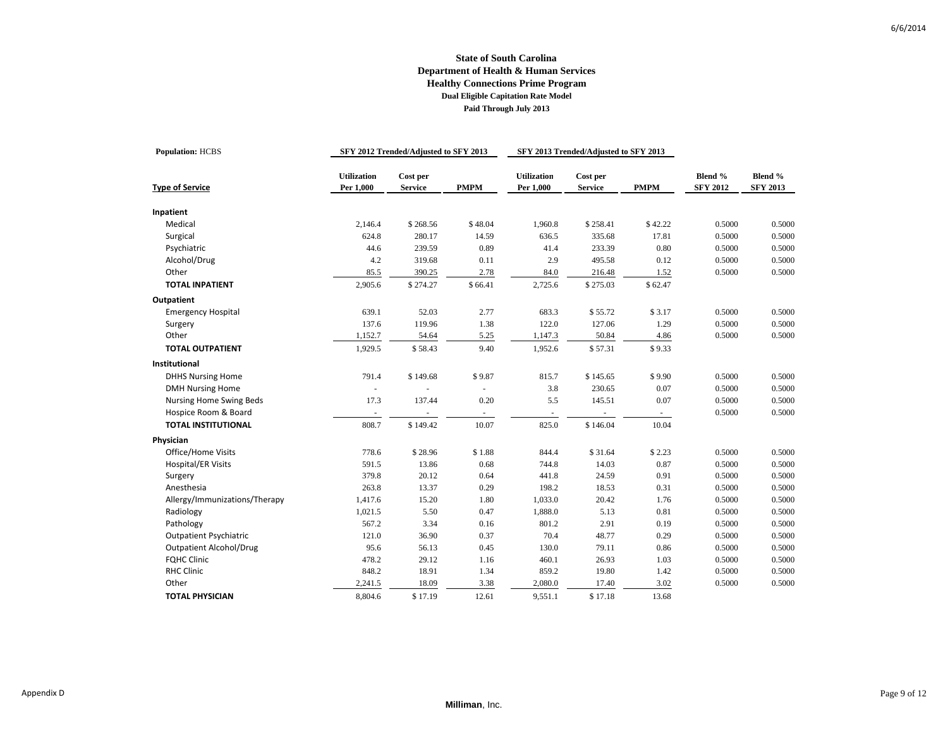| <b>Population: HCBS</b>        |                                 | SFY 2012 Trended/Adjusted to SFY 2013 |             |                                 | SFY 2013 Trended/Adjusted to SFY 2013 |             |                            |                            |
|--------------------------------|---------------------------------|---------------------------------------|-------------|---------------------------------|---------------------------------------|-------------|----------------------------|----------------------------|
| <b>Type of Service</b>         | <b>Utilization</b><br>Per 1,000 | Cost per<br><b>Service</b>            | <b>PMPM</b> | <b>Utilization</b><br>Per 1,000 | Cost per<br><b>Service</b>            | <b>PMPM</b> | Blend %<br><b>SFY 2012</b> | Blend %<br><b>SFY 2013</b> |
|                                |                                 |                                       |             |                                 |                                       |             |                            |                            |
| Inpatient<br>Medical           | 2,146.4                         | \$268.56                              | \$48.04     | 1,960.8                         | \$258.41                              | \$42.22     | 0.5000                     | 0.5000                     |
| Surgical                       | 624.8                           | 280.17                                | 14.59       | 636.5                           | 335.68                                | 17.81       | 0.5000                     | 0.5000                     |
| Psychiatric                    | 44.6                            | 239.59                                | 0.89        | 41.4                            | 233.39                                | 0.80        | 0.5000                     | 0.5000                     |
| Alcohol/Drug                   | 4.2                             | 319.68                                | 0.11        | 2.9                             | 495.58                                | 0.12        | 0.5000                     | 0.5000                     |
| Other                          | 85.5                            | 390.25                                | 2.78        | 84.0                            | 216.48                                | 1.52        | 0.5000                     | 0.5000                     |
| <b>TOTAL INPATIENT</b>         | 2,905.6                         | \$274.27                              | \$66.41     | 2,725.6                         | \$275.03                              | \$62.47     |                            |                            |
|                                |                                 |                                       |             |                                 |                                       |             |                            |                            |
| Outpatient                     | 639.1                           | 52.03                                 | 2.77        |                                 |                                       |             |                            |                            |
| <b>Emergency Hospital</b>      | 137.6                           |                                       |             | 683.3                           | \$55.72                               | \$3.17      | 0.5000<br>0.5000           | 0.5000                     |
| Surgery<br>Other               |                                 | 119.96                                | 1.38        | 122.0                           | 127.06                                | 1.29        |                            | 0.5000                     |
|                                | 1,152.7                         | 54.64                                 | 5.25        | 1,147.3                         | 50.84                                 | 4.86        | 0.5000                     | 0.5000                     |
| <b>TOTAL OUTPATIENT</b>        | 1,929.5                         | \$58.43                               | 9.40        | 1,952.6                         | \$57.31                               | \$9.33      |                            |                            |
| Institutional                  |                                 |                                       |             |                                 |                                       |             |                            |                            |
| <b>DHHS Nursing Home</b>       | 791.4                           | \$149.68                              | \$9.87      | 815.7                           | \$145.65                              | \$9.90      | 0.5000                     | 0.5000                     |
| <b>DMH Nursing Home</b>        | ä,                              |                                       |             | 3.8                             | 230.65                                | 0.07        | 0.5000                     | 0.5000                     |
| Nursing Home Swing Beds        | 17.3                            | 137.44                                | 0.20        | 5.5                             | 145.51                                | 0.07        | 0.5000                     | 0.5000                     |
| Hospice Room & Board           | $\sim$                          |                                       |             | $\overline{\phantom{a}}$        | $\omega$                              |             | 0.5000                     | 0.5000                     |
| <b>TOTAL INSTITUTIONAL</b>     | 808.7                           | \$149.42                              | 10.07       | 825.0                           | \$146.04                              | 10.04       |                            |                            |
| Physician                      |                                 |                                       |             |                                 |                                       |             |                            |                            |
| Office/Home Visits             | 778.6                           | \$28.96                               | \$1.88      | 844.4                           | \$31.64                               | \$2.23      | 0.5000                     | 0.5000                     |
| <b>Hospital/ER Visits</b>      | 591.5                           | 13.86                                 | 0.68        | 744.8                           | 14.03                                 | 0.87        | 0.5000                     | 0.5000                     |
| Surgery                        | 379.8                           | 20.12                                 | 0.64        | 441.8                           | 24.59                                 | 0.91        | 0.5000                     | 0.5000                     |
| Anesthesia                     | 263.8                           | 13.37                                 | 0.29        | 198.2                           | 18.53                                 | 0.31        | 0.5000                     | 0.5000                     |
| Allergy/Immunizations/Therapy  | 1,417.6                         | 15.20                                 | 1.80        | 1,033.0                         | 20.42                                 | 1.76        | 0.5000                     | 0.5000                     |
| Radiology                      | 1,021.5                         | 5.50                                  | 0.47        | 1,888.0                         | 5.13                                  | 0.81        | 0.5000                     | 0.5000                     |
| Pathology                      | 567.2                           | 3.34                                  | 0.16        | 801.2                           | 2.91                                  | 0.19        | 0.5000                     | 0.5000                     |
| <b>Outpatient Psychiatric</b>  | 121.0                           | 36.90                                 | 0.37        | 70.4                            | 48.77                                 | 0.29        | 0.5000                     | 0.5000                     |
| <b>Outpatient Alcohol/Drug</b> | 95.6                            | 56.13                                 | 0.45        | 130.0                           | 79.11                                 | 0.86        | 0.5000                     | 0.5000                     |
| <b>FQHC Clinic</b>             | 478.2                           | 29.12                                 | 1.16        | 460.1                           | 26.93                                 | 1.03        | 0.5000                     | 0.5000                     |
| <b>RHC Clinic</b>              | 848.2                           | 18.91                                 | 1.34        | 859.2                           | 19.80                                 | 1.42        | 0.5000                     | 0.5000                     |
| Other                          | 2,241.5                         | 18.09                                 | 3.38        | 2,080.0                         | 17.40                                 | 3.02        | 0.5000                     | 0.5000                     |
| <b>TOTAL PHYSICIAN</b>         | 8,804.6                         | \$17.19                               | 12.61       | 9,551.1                         | \$17.18                               | 13.68       |                            |                            |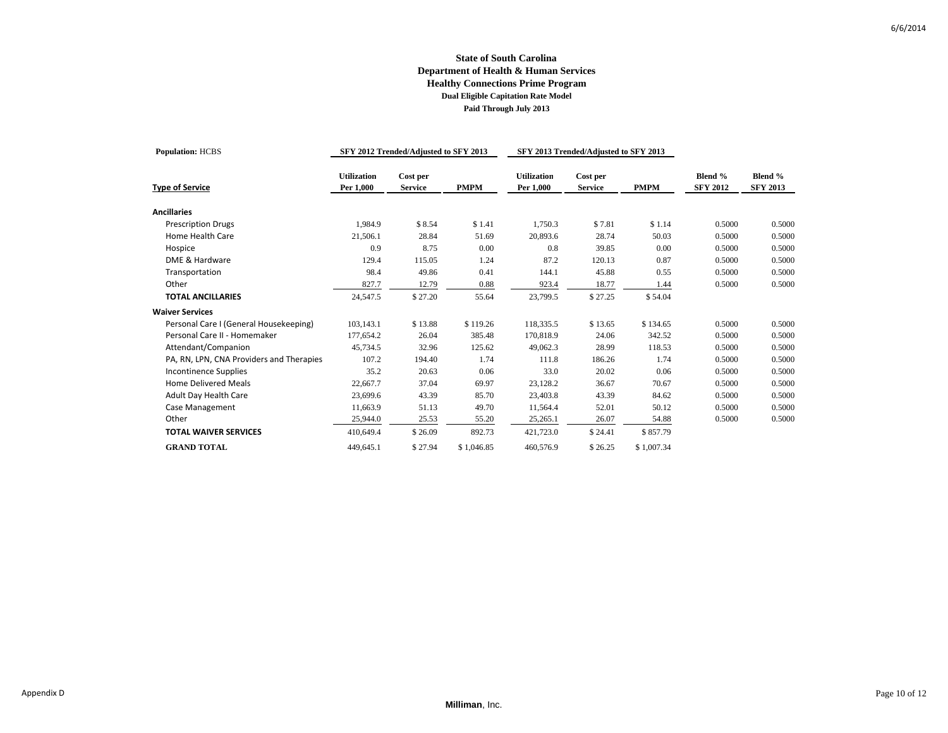## **State of South Carolina Department of Health & Human Services Healthy Connections Prime Program Dual Eligible Capitation Rate Model Paid Through July 2013**

| <b>Population: HCBS</b>                  |                                 | SFY 2012 Trended/Adjusted to SFY 2013 |             |                                 | SFY 2013 Trended/Adjusted to SFY 2013 |             |                            |                            |
|------------------------------------------|---------------------------------|---------------------------------------|-------------|---------------------------------|---------------------------------------|-------------|----------------------------|----------------------------|
| <b>Type of Service</b>                   | <b>Utilization</b><br>Per 1,000 | Cost per<br><b>Service</b>            | <b>PMPM</b> | <b>Utilization</b><br>Per 1,000 | Cost per<br><b>Service</b>            | <b>PMPM</b> | Blend %<br><b>SFY 2012</b> | Blend %<br><b>SFY 2013</b> |
| <b>Ancillaries</b>                       |                                 |                                       |             |                                 |                                       |             |                            |                            |
| <b>Prescription Drugs</b>                | 1,984.9                         | \$8.54                                | \$1.41      | 1,750.3                         | \$7.81                                | \$1.14      | 0.5000                     | 0.5000                     |
| Home Health Care                         | 21,506.1                        | 28.84                                 | 51.69       | 20,893.6                        | 28.74                                 | 50.03       | 0.5000                     | 0.5000                     |
| Hospice                                  | 0.9                             | 8.75                                  | 0.00        | 0.8                             | 39.85                                 | 0.00        | 0.5000                     | 0.5000                     |
| DME & Hardware                           | 129.4                           | 115.05                                | 1.24        | 87.2                            | 120.13                                | 0.87        | 0.5000                     | 0.5000                     |
| Transportation                           | 98.4                            | 49.86                                 | 0.41        | 144.1                           | 45.88                                 | 0.55        | 0.5000                     | 0.5000                     |
| Other                                    | 827.7                           | 12.79                                 | 0.88        | 923.4                           | 18.77                                 | 1.44        | 0.5000                     | 0.5000                     |
| <b>TOTAL ANCILLARIES</b>                 | 24,547.5                        | \$27.20                               | 55.64       | 23,799.5                        | \$27.25                               | \$54.04     |                            |                            |
| <b>Waiver Services</b>                   |                                 |                                       |             |                                 |                                       |             |                            |                            |
| Personal Care I (General Housekeeping)   | 103,143.1                       | \$13.88                               | \$119.26    | 118,335.5                       | \$13.65                               | \$134.65    | 0.5000                     | 0.5000                     |
| Personal Care II - Homemaker             | 177,654.2                       | 26.04                                 | 385.48      | 170,818.9                       | 24.06                                 | 342.52      | 0.5000                     | 0.5000                     |
| Attendant/Companion                      | 45,734.5                        | 32.96                                 | 125.62      | 49,062.3                        | 28.99                                 | 118.53      | 0.5000                     | 0.5000                     |
| PA, RN, LPN, CNA Providers and Therapies | 107.2                           | 194.40                                | 1.74        | 111.8                           | 186.26                                | 1.74        | 0.5000                     | 0.5000                     |
| <b>Incontinence Supplies</b>             | 35.2                            | 20.63                                 | 0.06        | 33.0                            | 20.02                                 | 0.06        | 0.5000                     | 0.5000                     |
| <b>Home Delivered Meals</b>              | 22,667.7                        | 37.04                                 | 69.97       | 23,128.2                        | 36.67                                 | 70.67       | 0.5000                     | 0.5000                     |
| <b>Adult Day Health Care</b>             | 23,699.6                        | 43.39                                 | 85.70       | 23,403.8                        | 43.39                                 | 84.62       | 0.5000                     | 0.5000                     |
| Case Management                          | 11,663.9                        | 51.13                                 | 49.70       | 11,564.4                        | 52.01                                 | 50.12       | 0.5000                     | 0.5000                     |
| Other                                    | 25,944.0                        | 25.53                                 | 55.20       | 25,265.1                        | 26.07                                 | 54.88       | 0.5000                     | 0.5000                     |
| <b>TOTAL WAIVER SERVICES</b>             | 410,649.4                       | \$26.09                               | 892.73      | 421,723.0                       | \$24.41                               | \$857.79    |                            |                            |
| <b>GRAND TOTAL</b>                       | 449,645.1                       | \$27.94                               | \$1,046.85  | 460,576.9                       | \$26.25                               | \$1,007.34  |                            |                            |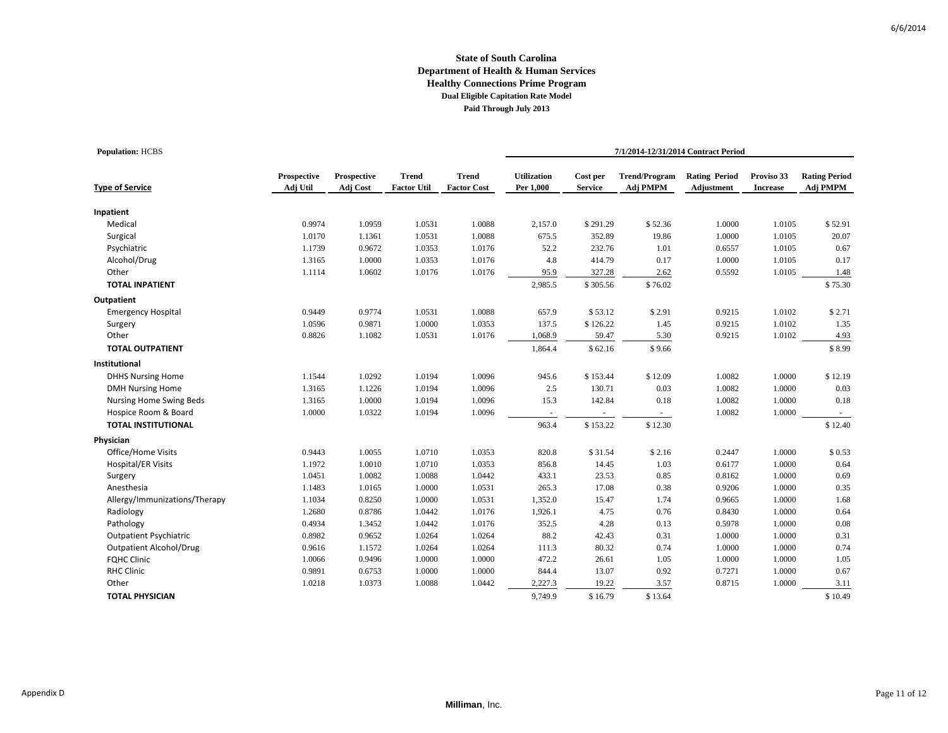## **State of South Carolina Department of Health & Human Services Healthy Connections Prime Program Dual Eligible Capitation Rate Model Paid Through July 2013**

| <b>Population: HCBS</b>        |                         |                         |                                    |                                    | 7/1/2014-12/31/2014 Contract Period |                            |                                  |                                    |                               |                                  |  |
|--------------------------------|-------------------------|-------------------------|------------------------------------|------------------------------------|-------------------------------------|----------------------------|----------------------------------|------------------------------------|-------------------------------|----------------------------------|--|
| <b>Type of Service</b>         | Prospective<br>Adj Util | Prospective<br>Adj Cost | <b>Trend</b><br><b>Factor Util</b> | <b>Trend</b><br><b>Factor Cost</b> | <b>Utilization</b><br>Per 1,000     | Cost per<br><b>Service</b> | <b>Trend/Program</b><br>Adj PMPM | <b>Rating Period</b><br>Adjustment | Proviso 33<br><b>Increase</b> | <b>Rating Period</b><br>Adj PMPM |  |
| Inpatient                      |                         |                         |                                    |                                    |                                     |                            |                                  |                                    |                               |                                  |  |
| Medical                        | 0.9974                  | 1.0959                  | 1.0531                             | 1.0088                             | 2,157.0                             | \$291.29                   | \$52.36                          | 1.0000                             | 1.0105                        | \$52.91                          |  |
| Surgical                       | 1.0170                  | 1.1361                  | 1.0531                             | 1.0088                             | 675.5                               | 352.89                     | 19.86                            | 1.0000                             | 1.0105                        | 20.07                            |  |
| Psychiatric                    | 1.1739                  | 0.9672                  | 1.0353                             | 1.0176                             | 52.2                                | 232.76                     | 1.01                             | 0.6557                             | 1.0105                        | 0.67                             |  |
| Alcohol/Drug                   | 1.3165                  | 1.0000                  | 1.0353                             | 1.0176                             | 4.8                                 | 414.79                     | 0.17                             | 1.0000                             | 1.0105                        | 0.17                             |  |
| Other                          | 1.1114                  | 1.0602                  | 1.0176                             | 1.0176                             | 95.9                                | 327.28                     | 2.62                             | 0.5592                             | 1.0105                        | 1.48                             |  |
| <b>TOTAL INPATIENT</b>         |                         |                         |                                    |                                    | 2,985.5                             | \$305.56                   | \$76.02                          |                                    |                               | \$75.30                          |  |
| Outpatient                     |                         |                         |                                    |                                    |                                     |                            |                                  |                                    |                               |                                  |  |
| <b>Emergency Hospital</b>      | 0.9449                  | 0.9774                  | 1.0531                             | 1.0088                             | 657.9                               | \$53.12                    | \$2.91                           | 0.9215                             | 1.0102                        | \$2.71                           |  |
| Surgery                        | 1.0596                  | 0.9871                  | 1.0000                             | 1.0353                             | 137.5                               | \$126.22                   | 1.45                             | 0.9215                             | 1.0102                        | 1.35                             |  |
| Other                          | 0.8826                  | 1.1082                  | 1.0531                             | 1.0176                             | 1,068.9                             | 59.47                      | 5.30                             | 0.9215                             | 1.0102                        | 4.93                             |  |
| <b>TOTAL OUTPATIENT</b>        |                         |                         |                                    |                                    | 1,864.4                             | \$62.16                    | \$9.66                           |                                    |                               | \$8.99                           |  |
| Institutional                  |                         |                         |                                    |                                    |                                     |                            |                                  |                                    |                               |                                  |  |
| <b>DHHS Nursing Home</b>       | 1.1544                  | 1.0292                  | 1.0194                             | 1.0096                             | 945.6                               | \$153.44                   | \$12.09                          | 1.0082                             | 1.0000                        | \$12.19                          |  |
| <b>DMH Nursing Home</b>        | 1.3165                  | 1.1226                  | 1.0194                             | 1.0096                             | 2.5                                 | 130.71                     | 0.03                             | 1.0082                             | 1.0000                        | 0.03                             |  |
| Nursing Home Swing Beds        | 1.3165                  | 1.0000                  | 1.0194                             | 1.0096                             | 15.3                                | 142.84                     | 0.18                             | 1.0082                             | 1.0000                        | 0.18                             |  |
| Hospice Room & Board           | 1.0000                  | 1.0322                  | 1.0194                             | 1.0096                             | ÷.                                  | $\sim$                     | $\sim$                           | 1.0082                             | 1.0000                        | $\sim$                           |  |
| <b>TOTAL INSTITUTIONAL</b>     |                         |                         |                                    |                                    | 963.4                               | \$153.22                   | \$12.30                          |                                    |                               | \$12.40                          |  |
| Physician                      |                         |                         |                                    |                                    |                                     |                            |                                  |                                    |                               |                                  |  |
| Office/Home Visits             | 0.9443                  | 1.0055                  | 1.0710                             | 1.0353                             | 820.8                               | \$31.54                    | \$2.16                           | 0.2447                             | 1.0000                        | \$0.53                           |  |
| <b>Hospital/ER Visits</b>      | 1.1972                  | 1.0010                  | 1.0710                             | 1.0353                             | 856.8                               | 14.45                      | 1.03                             | 0.6177                             | 1.0000                        | 0.64                             |  |
| Surgery                        | 1.0451                  | 1.0082                  | 1.0088                             | 1.0442                             | 433.1                               | 23.53                      | 0.85                             | 0.8162                             | 1.0000                        | 0.69                             |  |
| Anesthesia                     | 1.1483                  | 1.0165                  | 1.0000                             | 1.0531                             | 265.3                               | 17.08                      | 0.38                             | 0.9206                             | 1.0000                        | 0.35                             |  |
| Allergy/Immunizations/Therapy  | 1.1034                  | 0.8250                  | 1.0000                             | 1.0531                             | 1,352.0                             | 15.47                      | 1.74                             | 0.9665                             | 1.0000                        | 1.68                             |  |
| Radiology                      | 1.2680                  | 0.8786                  | 1.0442                             | 1.0176                             | 1,926.1                             | 4.75                       | 0.76                             | 0.8430                             | 1.0000                        | 0.64                             |  |
| Pathology                      | 0.4934                  | 1.3452                  | 1.0442                             | 1.0176                             | 352.5                               | 4.28                       | 0.13                             | 0.5978                             | 1.0000                        | 0.08                             |  |
| <b>Outpatient Psychiatric</b>  | 0.8982                  | 0.9652                  | 1.0264                             | 1.0264                             | 88.2                                | 42.43                      | 0.31                             | 1.0000                             | 1.0000                        | 0.31                             |  |
| <b>Outpatient Alcohol/Drug</b> | 0.9616                  | 1.1572                  | 1.0264                             | 1.0264                             | 111.3                               | 80.32                      | 0.74                             | 1.0000                             | 1.0000                        | 0.74                             |  |
| <b>FQHC Clinic</b>             | 1.0066                  | 0.9496                  | 1.0000                             | 1.0000                             | 472.2                               | 26.61                      | 1.05                             | 1.0000                             | 1.0000                        | 1.05                             |  |
| <b>RHC Clinic</b>              | 0.9891                  | 0.6753                  | 1.0000                             | 1.0000                             | 844.4                               | 13.07                      | 0.92                             | 0.7271                             | 1.0000                        | 0.67                             |  |
| Other                          | 1.0218                  | 1.0373                  | 1.0088                             | 1.0442                             | 2,227.3                             | 19.22                      | 3.57                             | 0.8715                             | 1.0000                        | 3.11                             |  |
| <b>TOTAL PHYSICIAN</b>         |                         |                         |                                    |                                    | 9.749.9                             | \$16.79                    | \$13.64                          |                                    |                               | \$10.49                          |  |

**TOTAL PHYSICIAN**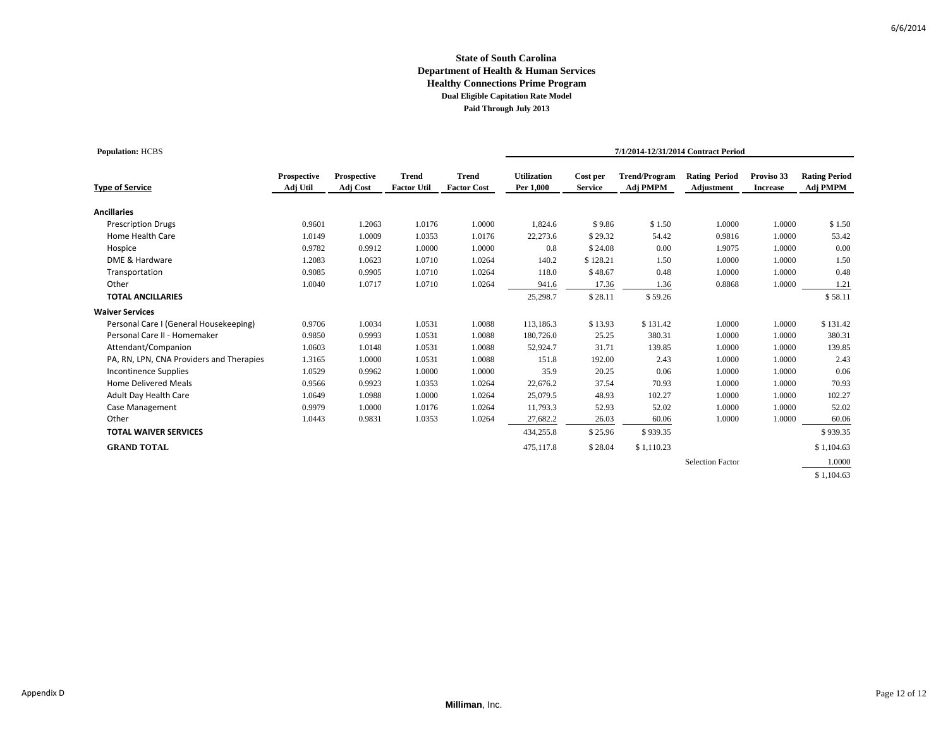## **State of South Carolina Department of Health & Human Services Healthy Connections Prime Program Dual Eligible Capitation Rate Model Paid Through July 2013**

| <b>Population: HCBS</b>                  |                         |                         |                                    |                                    | 7/1/2014-12/31/2014 Contract Period |                            |                                  |                                    |                               |                                  |
|------------------------------------------|-------------------------|-------------------------|------------------------------------|------------------------------------|-------------------------------------|----------------------------|----------------------------------|------------------------------------|-------------------------------|----------------------------------|
| <b>Type of Service</b>                   | Prospective<br>Adj Util | Prospective<br>Adj Cost | <b>Trend</b><br><b>Factor Util</b> | <b>Trend</b><br><b>Factor Cost</b> | <b>Utilization</b><br>Per 1,000     | Cost per<br><b>Service</b> | <b>Trend/Program</b><br>Adj PMPM | <b>Rating Period</b><br>Adjustment | Proviso 33<br><b>Increase</b> | <b>Rating Period</b><br>Adj PMPM |
| <b>Ancillaries</b>                       |                         |                         |                                    |                                    |                                     |                            |                                  |                                    |                               |                                  |
| <b>Prescription Drugs</b>                | 0.9601                  | 1.2063                  | 1.0176                             | 1.0000                             | 1,824.6                             | \$9.86                     | \$1.50                           | 1.0000                             | 1.0000                        | \$1.50                           |
| Home Health Care                         | 1.0149                  | 1.0009                  | 1.0353                             | 1.0176                             | 22,273.6                            | \$29.32                    | 54.42                            | 0.9816                             | 1.0000                        | 53.42                            |
| Hospice                                  | 0.9782                  | 0.9912                  | 1.0000                             | 1.0000                             | 0.8                                 | \$24.08                    | 0.00                             | 1.9075                             | 1.0000                        | 0.00                             |
| DME & Hardware                           | 1.2083                  | 1.0623                  | 1.0710                             | 1.0264                             | 140.2                               | \$128.21                   | 1.50                             | 1.0000                             | 1.0000                        | 1.50                             |
| Transportation                           | 0.9085                  | 0.9905                  | 1.0710                             | 1.0264                             | 118.0                               | \$48.67                    | 0.48                             | 1.0000                             | 1.0000                        | 0.48                             |
| Other                                    | 1.0040                  | 1.0717                  | 1.0710                             | 1.0264                             | 941.6                               | 17.36                      | 1.36                             | 0.8868                             | 1.0000                        | 1.21                             |
| <b>TOTAL ANCILLARIES</b>                 |                         |                         |                                    |                                    | 25,298.7                            | \$28.11                    | \$59.26                          |                                    |                               | \$58.11                          |
| <b>Waiver Services</b>                   |                         |                         |                                    |                                    |                                     |                            |                                  |                                    |                               |                                  |
| Personal Care I (General Housekeeping)   | 0.9706                  | 1.0034                  | 1.0531                             | 1.0088                             | 113,186.3                           | \$13.93                    | \$131.42                         | 1.0000                             | 1.0000                        | \$131.42                         |
| Personal Care II - Homemaker             | 0.9850                  | 0.9993                  | 1.0531                             | 1.0088                             | 180,726.0                           | 25.25                      | 380.31                           | 1.0000                             | 1.0000                        | 380.31                           |
| Attendant/Companion                      | 1.0603                  | 1.0148                  | 1.0531                             | 1.0088                             | 52,924.7                            | 31.71                      | 139.85                           | 1.0000                             | 1.0000                        | 139.85                           |
| PA, RN, LPN, CNA Providers and Therapies | 1.3165                  | 1.0000                  | 1.0531                             | 1.0088                             | 151.8                               | 192.00                     | 2.43                             | 1.0000                             | 1.0000                        | 2.43                             |
| <b>Incontinence Supplies</b>             | 1.0529                  | 0.9962                  | 1.0000                             | 1.0000                             | 35.9                                | 20.25                      | 0.06                             | 1.0000                             | 1.0000                        | 0.06                             |
| <b>Home Delivered Meals</b>              | 0.9566                  | 0.9923                  | 1.0353                             | 1.0264                             | 22,676.2                            | 37.54                      | 70.93                            | 1.0000                             | 1.0000                        | 70.93                            |
| Adult Day Health Care                    | 1.0649                  | 1.0988                  | 1.0000                             | 1.0264                             | 25,079.5                            | 48.93                      | 102.27                           | 1.0000                             | 1.0000                        | 102.27                           |
| Case Management                          | 0.9979                  | 1.0000                  | 1.0176                             | 1.0264                             | 11,793.3                            | 52.93                      | 52.02                            | 1.0000                             | 1.0000                        | 52.02                            |
| Other                                    | 1.0443                  | 0.9831                  | 1.0353                             | 1.0264                             | 27,682.2                            | 26.03                      | 60.06                            | 1.0000                             | 1.0000                        | 60.06                            |
| <b>TOTAL WAIVER SERVICES</b>             |                         |                         |                                    |                                    | 434,255.8                           | \$25.96                    | \$939.35                         |                                    |                               | \$939.35                         |
| <b>GRAND TOTAL</b>                       |                         |                         |                                    |                                    | 475,117.8                           | \$28.04                    | \$1,110.23                       |                                    |                               | \$1,104.63                       |
|                                          |                         |                         |                                    |                                    |                                     |                            |                                  | <b>Selection Factor</b>            |                               | 1.0000                           |
|                                          |                         |                         |                                    |                                    |                                     |                            |                                  |                                    |                               | \$1,104.63                       |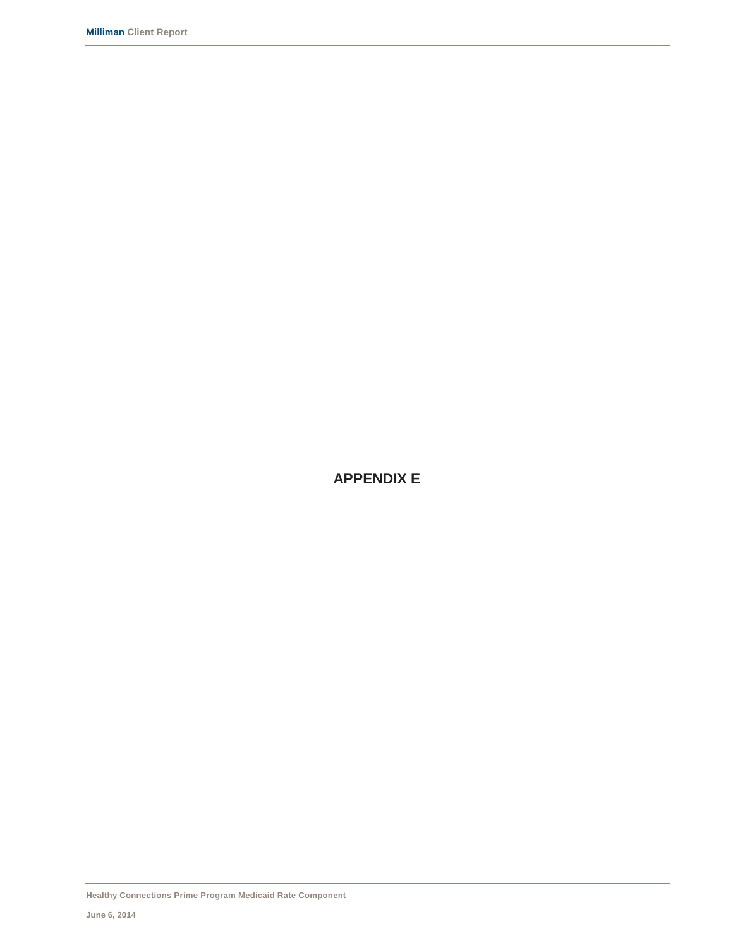**APPENDIX E**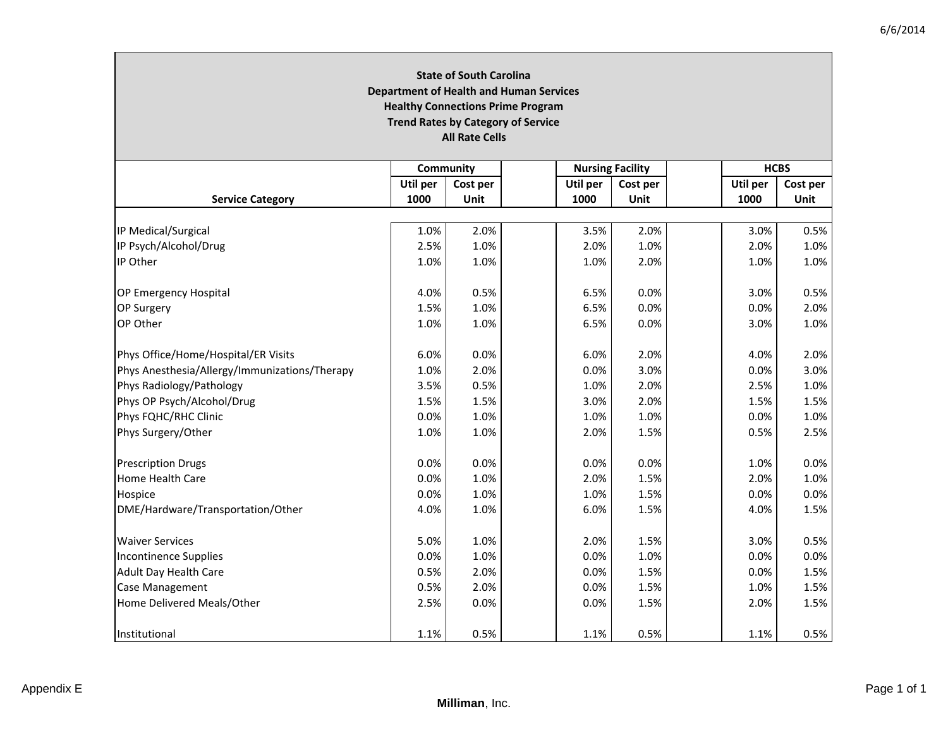#### **State of South Carolina Department of Health and Human Services Healthy Connections Prime Program Trend Rates by Category of Service All Rate Cells Community Nursing Facility HCBS Service Category Util per 1000Cost per UnitUtil per 1000Cost per UnitUtil per 1000Cost per Unit**IP Medical/Surgical 1.0% 2.0% 3.5% 2.0% 3.0% 0.5% IP Psych/Alcohol/Drug 2.5% 1.0% 2.0% 1.0% 2.0% 1.0% IP Other 1.0% $\%$  | 1.0% | 1.0% | 2.0% | 1.0% | 1.0% | 1.0% | 1.0% |  $\frac{1.08}{1.0}$ OP Emergency Hospital 4.0% 0.5% 6.5% 0.0% 3.0% 0.5% **OP Surgery** P Surgery 1.5% | 1.0% | 0.0% | 2.0% OP Other 1.0% $\%$  | 1.0% | 1.0% | 5.5% | 0.0% | 3.0% | 1.0% Phys Office/Home/Hospital/ER Visits 6.0% 0.0% 6.0% 2.0% 4.0% 2.0% Phys Anesthesia/Allergy/Immunizations/Therapy 1.0% 2.0% 0.0% 3.0% 0.0% 3.0% Phys Radiology/Pathology 3.5% 0.5% 1.0% 2.0% 2.5% 1.0% Phys OP Psych/Alcohol/Drug 1.5% 1.5% 1.5% 1.5% 1.5% 3.0% 2.0% 1.5% 1.5% 1.5% 1.5% Phys FQHC/RHC Clinic 0.0% 1.0% 1.0% 1.0% 0.0% 1.0% Phys Surgery/Other 1.0% 1.0% 2.0% 1.5% 0.5% 2.5% Prescription Drugs 0.0% | 0.0% | 0.0% | 1.0% | 0.0% Home Health Care 0.0%% 1.0% 2.0% 2.0% 2.0% 2.0% 2.0% 2.0% 3.0% 2.0% Hospice 0.0% 1.0% 1.0% 1.5% 0.0% 0.0% DME/Hardware/Transportation/Other 4.0% 1.0% 6.0% 1.5% 4.0% 1.5% Waiver Services 5.0% 1.0% 2.0% 1.5% 3.0% 0.5% Incontinence Supplies e Supplies | 0.0% | 1.0% | | 0.0% | 1.0% | | 0.0% | 0.0% Adult Day Health Care 0.5% | 2.0% | | 0.0% | 1.5% | | 0.0% | 1.5% **Case Management**  Management 0.5% 2.0% 0.0% 1.5% 1.0% 1.5% Home Delivered Meals/Other 2.5% 0.0% 0.0% 1.5% 2.0% 1.5% Institutional 1.1% % | 0.5% | 1.1% | 0.5% | 1.1% | 0.5% | 0.5% | 0.5% | 0.5% | 0.5% | 0.5% | 0.5% |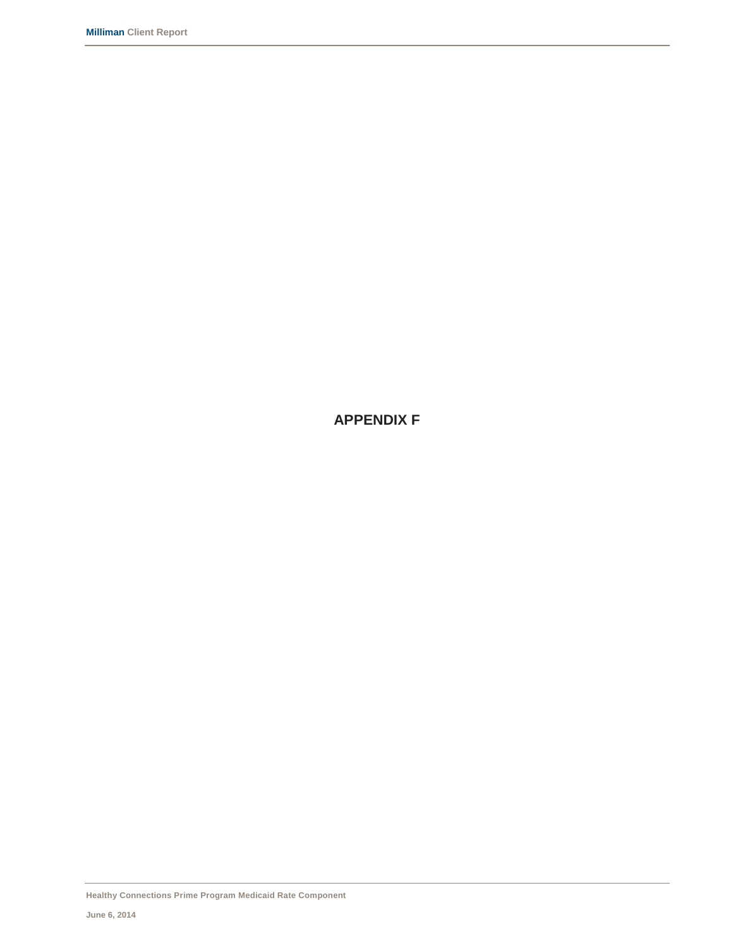**APPENDIX F**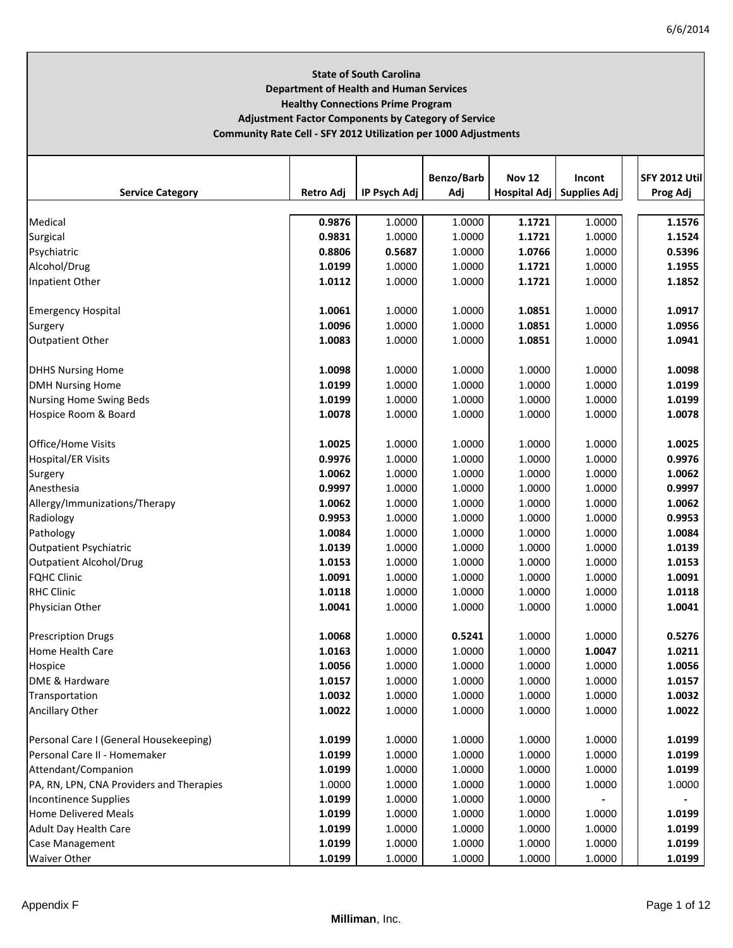# **State of South Carolina Department of Health and Human Services Healthy Connections Prime Program Adjustment Factor Components by Category of Service Community Rate Cell ‐ SFY 2012 Utilization per 1000 Adjustments**

|                                          |                  |              | Benzo/Barb | <b>Nov 12</b>       | Incont              | <b>SFY 2012 Utill</b> |
|------------------------------------------|------------------|--------------|------------|---------------------|---------------------|-----------------------|
| <b>Service Category</b>                  | <b>Retro Adj</b> | IP Psych Adj | Adj        | <b>Hospital Adj</b> | <b>Supplies Adj</b> | Prog Adj              |
| Medical                                  | 0.9876           | 1.0000       | 1.0000     | 1.1721              | 1.0000              | 1.1576                |
| Surgical                                 | 0.9831           | 1.0000       | 1.0000     | 1.1721              | 1.0000              | 1.1524                |
| Psychiatric                              | 0.8806           | 0.5687       | 1.0000     | 1.0766              | 1.0000              | 0.5396                |
| Alcohol/Drug                             | 1.0199           | 1.0000       | 1.0000     | 1.1721              | 1.0000              | 1.1955                |
| Inpatient Other                          | 1.0112           | 1.0000       | 1.0000     | 1.1721              | 1.0000              | 1.1852                |
|                                          |                  |              |            |                     |                     |                       |
| <b>Emergency Hospital</b>                | 1.0061           | 1.0000       | 1.0000     | 1.0851              | 1.0000              | 1.0917                |
| Surgery                                  | 1.0096           | 1.0000       | 1.0000     | 1.0851              | 1.0000              | 1.0956                |
| <b>Outpatient Other</b>                  | 1.0083           | 1.0000       | 1.0000     | 1.0851              | 1.0000              | 1.0941                |
| <b>DHHS Nursing Home</b>                 | 1.0098           | 1.0000       | 1.0000     | 1.0000              | 1.0000              | 1.0098                |
| <b>DMH Nursing Home</b>                  | 1.0199           | 1.0000       | 1.0000     | 1.0000              | 1.0000              | 1.0199                |
| <b>Nursing Home Swing Beds</b>           | 1.0199           | 1.0000       | 1.0000     | 1.0000              | 1.0000              | 1.0199                |
| Hospice Room & Board                     | 1.0078           | 1.0000       | 1.0000     | 1.0000              | 1.0000              | 1.0078                |
|                                          |                  |              |            |                     |                     |                       |
| Office/Home Visits                       | 1.0025           | 1.0000       | 1.0000     | 1.0000              | 1.0000              | 1.0025                |
| <b>Hospital/ER Visits</b>                | 0.9976           | 1.0000       | 1.0000     | 1.0000              | 1.0000              | 0.9976                |
| Surgery                                  | 1.0062           | 1.0000       | 1.0000     | 1.0000              | 1.0000              | 1.0062                |
| Anesthesia                               | 0.9997           | 1.0000       | 1.0000     | 1.0000              | 1.0000              | 0.9997                |
| Allergy/Immunizations/Therapy            | 1.0062           | 1.0000       | 1.0000     | 1.0000              | 1.0000              | 1.0062                |
| Radiology                                | 0.9953           | 1.0000       | 1.0000     | 1.0000              | 1.0000              | 0.9953                |
| Pathology                                | 1.0084           | 1.0000       | 1.0000     | 1.0000              | 1.0000              | 1.0084                |
| <b>Outpatient Psychiatric</b>            | 1.0139           | 1.0000       | 1.0000     | 1.0000              | 1.0000              | 1.0139                |
| <b>Outpatient Alcohol/Drug</b>           | 1.0153           | 1.0000       | 1.0000     | 1.0000              | 1.0000              | 1.0153                |
| <b>FQHC Clinic</b>                       | 1.0091           | 1.0000       | 1.0000     | 1.0000              | 1.0000              | 1.0091                |
| <b>RHC Clinic</b>                        | 1.0118           | 1.0000       | 1.0000     | 1.0000              | 1.0000              | 1.0118                |
| <b>Physician Other</b>                   | 1.0041           | 1.0000       | 1.0000     | 1.0000              | 1.0000              | 1.0041                |
|                                          |                  |              |            |                     |                     |                       |
| <b>Prescription Drugs</b>                | 1.0068           | 1.0000       | 0.5241     | 1.0000              | 1.0000              | 0.5276                |
| <b>Home Health Care</b>                  | 1.0163           | 1.0000       | 1.0000     | 1.0000              | 1.0047              | 1.0211                |
| Hospice                                  | 1.0056           | 1.0000       | 1.0000     | 1.0000              | 1.0000              | 1.0056                |
| DME & Hardware                           | 1.0157           | 1.0000       | 1.0000     | 1.0000              | 1.0000              | 1.0157                |
| Transportation                           | 1.0032           | 1.0000       | 1.0000     | 1.0000              | 1.0000              | 1.0032                |
| Ancillary Other                          | 1.0022           | 1.0000       | 1.0000     | 1.0000              | 1.0000              | 1.0022                |
| Personal Care I (General Housekeeping)   | 1.0199           | 1.0000       | 1.0000     | 1.0000              | 1.0000              | 1.0199                |
| Personal Care II - Homemaker             | 1.0199           | 1.0000       | 1.0000     | 1.0000              | 1.0000              | 1.0199                |
| Attendant/Companion                      | 1.0199           | 1.0000       | 1.0000     | 1.0000              | 1.0000              | 1.0199                |
| PA, RN, LPN, CNA Providers and Therapies | 1.0000           | 1.0000       | 1.0000     | 1.0000              | 1.0000              | 1.0000                |
| <b>Incontinence Supplies</b>             | 1.0199           | 1.0000       | 1.0000     | 1.0000              |                     |                       |
| <b>Home Delivered Meals</b>              | 1.0199           | 1.0000       | 1.0000     | 1.0000              | 1.0000              | 1.0199                |
| <b>Adult Day Health Care</b>             | 1.0199           | 1.0000       | 1.0000     | 1.0000              | 1.0000              | 1.0199                |
| Case Management                          | 1.0199           | 1.0000       | 1.0000     | 1.0000              | 1.0000              | 1.0199                |
| <b>Waiver Other</b>                      | 1.0199           | 1.0000       | 1.0000     | 1.0000              | 1.0000              | 1.0199                |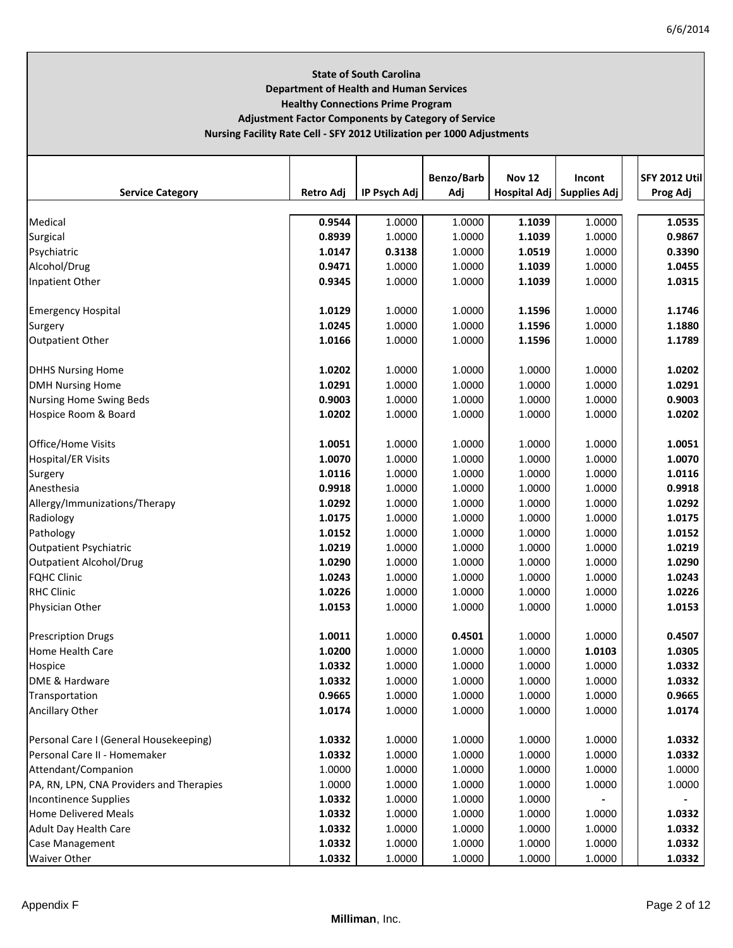# **State of South Carolina Department of Health and Human Services Healthy Connections Prime Program Adjustment Factor Components by Category of Service Nursing Facility Rate Cell ‐ SFY 2012 Utilization per 1000 Adjustments**

|                                          |           |              | Benzo/Barb | <b>Nov 12</b> | Incont                      | <b>SFY 2012 Util</b> |
|------------------------------------------|-----------|--------------|------------|---------------|-----------------------------|----------------------|
| <b>Service Category</b>                  | Retro Adj | IP Psych Adj | Adj        |               | Hospital Adj   Supplies Adj | Prog Adj             |
| Medical                                  | 0.9544    | 1.0000       | 1.0000     | 1.1039        | 1.0000                      | 1.0535               |
| Surgical                                 | 0.8939    | 1.0000       | 1.0000     | 1.1039        | 1.0000                      | 0.9867               |
| Psychiatric                              | 1.0147    | 0.3138       | 1.0000     | 1.0519        | 1.0000                      | 0.3390               |
| Alcohol/Drug                             | 0.9471    | 1.0000       | 1.0000     | 1.1039        | 1.0000                      | 1.0455               |
| Inpatient Other                          | 0.9345    | 1.0000       | 1.0000     | 1.1039        | 1.0000                      | 1.0315               |
| <b>Emergency Hospital</b>                | 1.0129    | 1.0000       | 1.0000     | 1.1596        | 1.0000                      | 1.1746               |
| Surgery                                  | 1.0245    | 1.0000       | 1.0000     | 1.1596        | 1.0000                      | 1.1880               |
| <b>Outpatient Other</b>                  | 1.0166    | 1.0000       | 1.0000     | 1.1596        | 1.0000                      | 1.1789               |
| <b>DHHS Nursing Home</b>                 | 1.0202    | 1.0000       | 1.0000     | 1.0000        | 1.0000                      | 1.0202               |
| <b>DMH Nursing Home</b>                  | 1.0291    | 1.0000       | 1.0000     | 1.0000        | 1.0000                      | 1.0291               |
| <b>Nursing Home Swing Beds</b>           | 0.9003    | 1.0000       | 1.0000     | 1.0000        | 1.0000                      | 0.9003               |
| Hospice Room & Board                     | 1.0202    | 1.0000       | 1.0000     | 1.0000        | 1.0000                      | 1.0202               |
| Office/Home Visits                       | 1.0051    | 1.0000       | 1.0000     | 1.0000        | 1.0000                      | 1.0051               |
| <b>Hospital/ER Visits</b>                | 1.0070    | 1.0000       | 1.0000     | 1.0000        | 1.0000                      | 1.0070               |
| Surgery                                  | 1.0116    | 1.0000       | 1.0000     | 1.0000        | 1.0000                      | 1.0116               |
| Anesthesia                               | 0.9918    | 1.0000       | 1.0000     | 1.0000        | 1.0000                      | 0.9918               |
| Allergy/Immunizations/Therapy            | 1.0292    | 1.0000       | 1.0000     | 1.0000        | 1.0000                      | 1.0292               |
| Radiology                                | 1.0175    | 1.0000       | 1.0000     | 1.0000        | 1.0000                      | 1.0175               |
| Pathology                                | 1.0152    | 1.0000       | 1.0000     | 1.0000        | 1.0000                      | 1.0152               |
| <b>Outpatient Psychiatric</b>            | 1.0219    | 1.0000       | 1.0000     | 1.0000        | 1.0000                      | 1.0219               |
| <b>Outpatient Alcohol/Drug</b>           | 1.0290    | 1.0000       | 1.0000     | 1.0000        | 1.0000                      | 1.0290               |
| <b>FQHC Clinic</b>                       | 1.0243    | 1.0000       | 1.0000     | 1.0000        | 1.0000                      | 1.0243               |
| <b>RHC Clinic</b>                        | 1.0226    | 1.0000       | 1.0000     | 1.0000        | 1.0000                      | 1.0226               |
| Physician Other                          | 1.0153    | 1.0000       | 1.0000     | 1.0000        | 1.0000                      | 1.0153               |
| <b>Prescription Drugs</b>                | 1.0011    | 1.0000       | 0.4501     | 1.0000        | 1.0000                      | 0.4507               |
| Home Health Care                         | 1.0200    | 1.0000       | 1.0000     | 1.0000        | 1.0103                      | 1.0305               |
| Hospice                                  | 1.0332    | 1.0000       | 1.0000     | 1.0000        | 1.0000                      | 1.0332               |
| DME & Hardware                           | 1.0332    | 1.0000       | 1.0000     | 1.0000        | 1.0000                      | 1.0332               |
| Transportation                           | 0.9665    | 1.0000       | 1.0000     | 1.0000        | 1.0000                      | 0.9665               |
| Ancillary Other                          | 1.0174    | 1.0000       | 1.0000     | 1.0000        | 1.0000                      | 1.0174               |
| Personal Care I (General Housekeeping)   | 1.0332    | 1.0000       | 1.0000     | 1.0000        | 1.0000                      | 1.0332               |
| Personal Care II - Homemaker             | 1.0332    | 1.0000       | 1.0000     | 1.0000        | 1.0000                      | 1.0332               |
| Attendant/Companion                      | 1.0000    | 1.0000       | 1.0000     | 1.0000        | 1.0000                      | 1.0000               |
| PA, RN, LPN, CNA Providers and Therapies | 1.0000    | 1.0000       | 1.0000     | 1.0000        | 1.0000                      | 1.0000               |
| <b>Incontinence Supplies</b>             | 1.0332    | 1.0000       | 1.0000     | 1.0000        |                             |                      |
| <b>Home Delivered Meals</b>              | 1.0332    | 1.0000       | 1.0000     | 1.0000        | 1.0000                      | 1.0332               |
| <b>Adult Day Health Care</b>             | 1.0332    | 1.0000       | 1.0000     | 1.0000        | 1.0000                      | 1.0332               |
| <b>Case Management</b>                   | 1.0332    | 1.0000       | 1.0000     | 1.0000        | 1.0000                      | 1.0332               |
| <b>Waiver Other</b>                      | 1.0332    | 1.0000       | 1.0000     | 1.0000        | 1.0000                      | 1.0332               |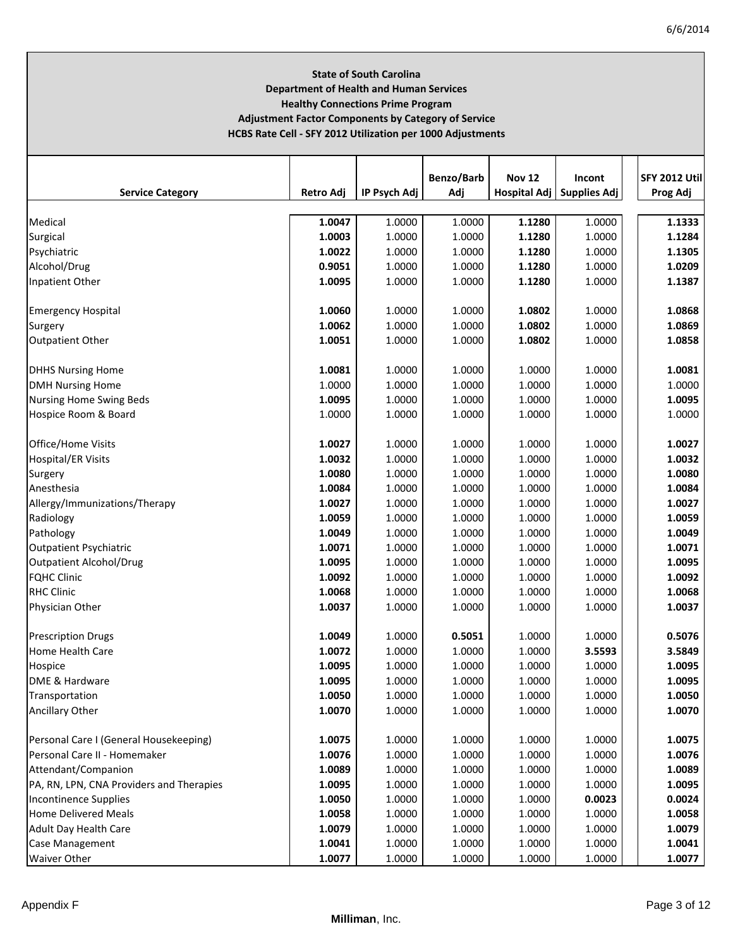# **State of South Carolina Department of Health and Human Services Healthy Connections Prime Program Adjustment Factor Components by Category of Service HCBS Rate Cell ‐ SFY 2012 Utilization per 1000 Adjustments**

| <b>Service Category</b>                  | <b>Retro Adj</b> | IP Psych Adj | Benzo/Barb<br>Adj | <b>Nov 12</b> | Incont                      | <b>SFY 2012 Util</b> |
|------------------------------------------|------------------|--------------|-------------------|---------------|-----------------------------|----------------------|
|                                          |                  |              |                   |               | Hospital Adj   Supplies Adj | Prog Adj             |
| Medical                                  | 1.0047           | 1.0000       | 1.0000            | 1.1280        | 1.0000                      | 1.1333               |
| Surgical                                 | 1.0003           | 1.0000       | 1.0000            | 1.1280        | 1.0000                      | 1.1284               |
| Psychiatric                              | 1.0022           | 1.0000       | 1.0000            | 1.1280        | 1.0000                      | 1.1305               |
| Alcohol/Drug                             | 0.9051           | 1.0000       | 1.0000            | 1.1280        | 1.0000                      | 1.0209               |
| Inpatient Other                          | 1.0095           | 1.0000       | 1.0000            | 1.1280        | 1.0000                      | 1.1387               |
|                                          |                  |              |                   |               |                             |                      |
| <b>Emergency Hospital</b>                | 1.0060           | 1.0000       | 1.0000            | 1.0802        | 1.0000                      | 1.0868               |
| Surgery                                  | 1.0062           | 1.0000       | 1.0000            | 1.0802        | 1.0000                      | 1.0869               |
| <b>Outpatient Other</b>                  | 1.0051           | 1.0000       | 1.0000            | 1.0802        | 1.0000                      | 1.0858               |
|                                          |                  |              |                   |               |                             |                      |
| <b>DHHS Nursing Home</b>                 | 1.0081           | 1.0000       | 1.0000            | 1.0000        | 1.0000                      | 1.0081               |
| <b>DMH Nursing Home</b>                  | 1.0000           | 1.0000       | 1.0000            | 1.0000        | 1.0000                      | 1.0000               |
| <b>Nursing Home Swing Beds</b>           | 1.0095           | 1.0000       | 1.0000            | 1.0000        | 1.0000                      | 1.0095               |
| Hospice Room & Board                     | 1.0000           | 1.0000       | 1.0000            | 1.0000        | 1.0000                      | 1.0000               |
| Office/Home Visits                       | 1.0027           | 1.0000       | 1.0000            | 1.0000        | 1.0000                      | 1.0027               |
| <b>Hospital/ER Visits</b>                | 1.0032           | 1.0000       | 1.0000            | 1.0000        | 1.0000                      | 1.0032               |
| Surgery                                  | 1.0080           | 1.0000       | 1.0000            | 1.0000        | 1.0000                      | 1.0080               |
| Anesthesia                               | 1.0084           | 1.0000       | 1.0000            | 1.0000        | 1.0000                      | 1.0084               |
| Allergy/Immunizations/Therapy            | 1.0027           | 1.0000       | 1.0000            | 1.0000        | 1.0000                      | 1.0027               |
| Radiology                                | 1.0059           | 1.0000       | 1.0000            | 1.0000        | 1.0000                      | 1.0059               |
| Pathology                                | 1.0049           | 1.0000       | 1.0000            | 1.0000        | 1.0000                      | 1.0049               |
| <b>Outpatient Psychiatric</b>            | 1.0071           | 1.0000       | 1.0000            | 1.0000        | 1.0000                      | 1.0071               |
| <b>Outpatient Alcohol/Drug</b>           | 1.0095           | 1.0000       | 1.0000            | 1.0000        | 1.0000                      | 1.0095               |
| <b>FQHC Clinic</b>                       | 1.0092           | 1.0000       | 1.0000            | 1.0000        | 1.0000                      | 1.0092               |
| <b>RHC Clinic</b>                        | 1.0068           | 1.0000       | 1.0000            | 1.0000        | 1.0000                      | 1.0068               |
|                                          |                  |              |                   |               |                             |                      |
| Physician Other                          | 1.0037           | 1.0000       | 1.0000            | 1.0000        | 1.0000                      | 1.0037               |
| <b>Prescription Drugs</b>                | 1.0049           | 1.0000       | 0.5051            | 1.0000        | 1.0000                      | 0.5076               |
| Home Health Care                         | 1.0072           | 1.0000       | 1.0000            | 1.0000        | 3.5593                      | 3.5849               |
| Hospice                                  | 1.0095           | 1.0000       | 1.0000            | 1.0000        | 1.0000                      | 1.0095               |
| DME & Hardware                           | 1.0095           | 1.0000       | 1.0000            | 1.0000        | 1.0000                      | 1.0095               |
| Transportation                           | 1.0050           | 1.0000       | 1.0000            | 1.0000        | 1.0000                      | 1.0050               |
| Ancillary Other                          | 1.0070           | 1.0000       | 1.0000            | 1.0000        | 1.0000                      | 1.0070               |
|                                          |                  |              |                   |               |                             |                      |
| Personal Care I (General Housekeeping)   | 1.0075           | 1.0000       | 1.0000            | 1.0000        | 1.0000                      | 1.0075               |
| Personal Care II - Homemaker             | 1.0076           | 1.0000       | 1.0000            | 1.0000        | 1.0000                      | 1.0076               |
| Attendant/Companion                      | 1.0089           | 1.0000       | 1.0000            | 1.0000        | 1.0000                      | 1.0089               |
| PA, RN, LPN, CNA Providers and Therapies | 1.0095           | 1.0000       | 1.0000            | 1.0000        | 1.0000                      | 1.0095               |
| <b>Incontinence Supplies</b>             | 1.0050           | 1.0000       | 1.0000            | 1.0000        | 0.0023                      | 0.0024               |
| <b>Home Delivered Meals</b>              | 1.0058           | 1.0000       | 1.0000            | 1.0000        | 1.0000                      | 1.0058               |
| <b>Adult Day Health Care</b>             | 1.0079           | 1.0000       | 1.0000            | 1.0000        | 1.0000                      | 1.0079               |
| Case Management                          | 1.0041           | 1.0000       | 1.0000            | 1.0000        | 1.0000                      | 1.0041               |
| <b>Waiver Other</b>                      | 1.0077           | 1.0000       | 1.0000            | 1.0000        | 1.0000                      | 1.0077               |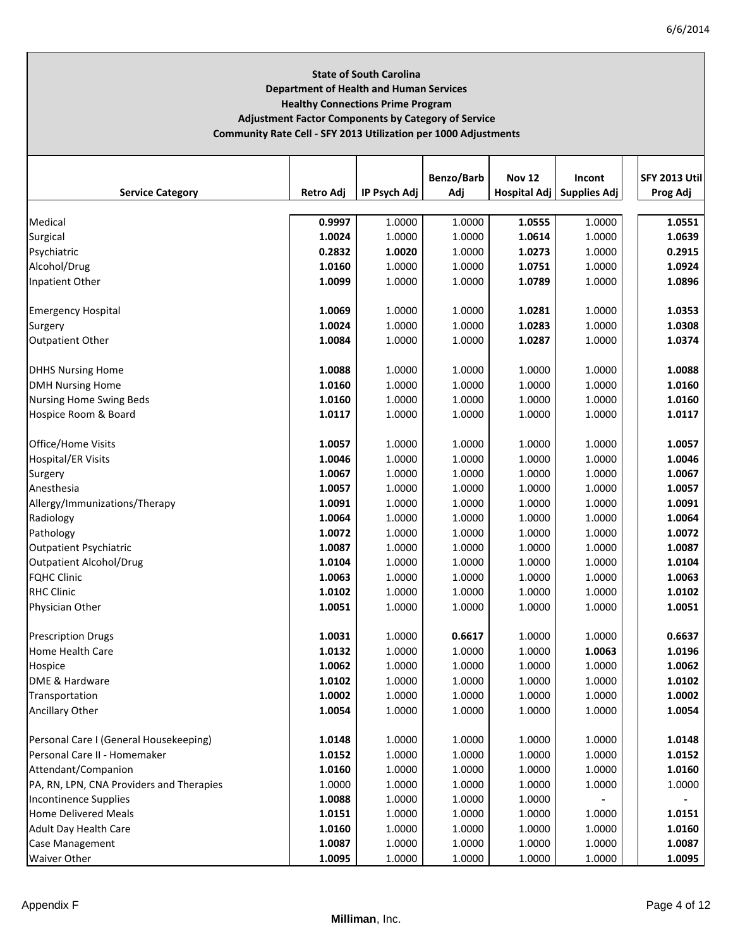# **State of South Carolina Department of Health and Human Services Healthy Connections Prime Program Adjustment Factor Components by Category of Service Community Rate Cell ‐ SFY 2013 Utilization per 1000 Adjustments**

|                                          |                  |              | Benzo/Barb | <b>Nov 12</b>       | Incont              | <b>SFY 2013 Utill</b> |
|------------------------------------------|------------------|--------------|------------|---------------------|---------------------|-----------------------|
| <b>Service Category</b>                  | <b>Retro Adj</b> | IP Psych Adj | Adj        | <b>Hospital Adj</b> | <b>Supplies Adj</b> | Prog Adj              |
| Medical                                  | 0.9997           | 1.0000       | 1.0000     | 1.0555              | 1.0000              | 1.0551                |
| Surgical                                 | 1.0024           | 1.0000       | 1.0000     | 1.0614              | 1.0000              | 1.0639                |
| Psychiatric                              | 0.2832           | 1.0020       | 1.0000     | 1.0273              | 1.0000              | 0.2915                |
| Alcohol/Drug                             | 1.0160           | 1.0000       | 1.0000     | 1.0751              | 1.0000              | 1.0924                |
| Inpatient Other                          | 1.0099           | 1.0000       | 1.0000     | 1.0789              | 1.0000              | 1.0896                |
|                                          |                  |              |            |                     |                     |                       |
| <b>Emergency Hospital</b>                | 1.0069           | 1.0000       | 1.0000     | 1.0281              | 1.0000              | 1.0353                |
| Surgery                                  | 1.0024           | 1.0000       | 1.0000     | 1.0283              | 1.0000              | 1.0308                |
| <b>Outpatient Other</b>                  | 1.0084           | 1.0000       | 1.0000     | 1.0287              | 1.0000              | 1.0374                |
|                                          |                  |              |            |                     |                     |                       |
| <b>DHHS Nursing Home</b>                 | 1.0088           | 1.0000       | 1.0000     | 1.0000              | 1.0000              | 1.0088                |
| <b>DMH Nursing Home</b>                  | 1.0160           | 1.0000       | 1.0000     | 1.0000              | 1.0000              | 1.0160                |
| <b>Nursing Home Swing Beds</b>           | 1.0160           | 1.0000       | 1.0000     | 1.0000              | 1.0000              | 1.0160                |
| Hospice Room & Board                     | 1.0117           | 1.0000       | 1.0000     | 1.0000              | 1.0000              | 1.0117                |
| Office/Home Visits                       | 1.0057           | 1.0000       | 1.0000     | 1.0000              | 1.0000              | 1.0057                |
| <b>Hospital/ER Visits</b>                | 1.0046           | 1.0000       | 1.0000     | 1.0000              | 1.0000              | 1.0046                |
| Surgery                                  | 1.0067           | 1.0000       | 1.0000     | 1.0000              | 1.0000              | 1.0067                |
| Anesthesia                               | 1.0057           | 1.0000       | 1.0000     | 1.0000              | 1.0000              | 1.0057                |
| Allergy/Immunizations/Therapy            | 1.0091           | 1.0000       | 1.0000     | 1.0000              | 1.0000              | 1.0091                |
| Radiology                                | 1.0064           | 1.0000       | 1.0000     | 1.0000              | 1.0000              | 1.0064                |
| Pathology                                | 1.0072           | 1.0000       | 1.0000     | 1.0000              | 1.0000              | 1.0072                |
| <b>Outpatient Psychiatric</b>            | 1.0087           | 1.0000       | 1.0000     | 1.0000              | 1.0000              | 1.0087                |
| <b>Outpatient Alcohol/Drug</b>           | 1.0104           | 1.0000       | 1.0000     | 1.0000              | 1.0000              | 1.0104                |
| <b>FQHC Clinic</b>                       | 1.0063           | 1.0000       | 1.0000     | 1.0000              | 1.0000              | 1.0063                |
| <b>RHC Clinic</b>                        | 1.0102           | 1.0000       | 1.0000     | 1.0000              | 1.0000              | 1.0102                |
| <b>Physician Other</b>                   | 1.0051           | 1.0000       | 1.0000     | 1.0000              | 1.0000              | 1.0051                |
|                                          |                  |              |            |                     |                     |                       |
| <b>Prescription Drugs</b>                | 1.0031           | 1.0000       | 0.6617     | 1.0000              | 1.0000              | 0.6637                |
| <b>Home Health Care</b>                  | 1.0132           | 1.0000       | 1.0000     | 1.0000              | 1.0063              | 1.0196                |
| Hospice                                  | 1.0062           | 1.0000       | 1.0000     | 1.0000              | 1.0000              | 1.0062                |
| DME & Hardware                           | 1.0102           | 1.0000       | 1.0000     | 1.0000              | 1.0000              | 1.0102                |
| Transportation                           | 1.0002           | 1.0000       | 1.0000     | 1.0000              | 1.0000              | 1.0002                |
| Ancillary Other                          | 1.0054           | 1.0000       | 1.0000     | 1.0000              | 1.0000              | 1.0054                |
| Personal Care I (General Housekeeping)   | 1.0148           | 1.0000       | 1.0000     | 1.0000              | 1.0000              | 1.0148                |
| Personal Care II - Homemaker             | 1.0152           | 1.0000       | 1.0000     | 1.0000              | 1.0000              | 1.0152                |
|                                          |                  |              |            |                     |                     | 1.0160                |
| Attendant/Companion                      | 1.0160           | 1.0000       | 1.0000     | 1.0000              | 1.0000              |                       |
| PA, RN, LPN, CNA Providers and Therapies | 1.0000           | 1.0000       | 1.0000     | 1.0000              | 1.0000              | 1.0000                |
| <b>Incontinence Supplies</b>             | 1.0088           | 1.0000       | 1.0000     | 1.0000              |                     |                       |
| <b>Home Delivered Meals</b>              | 1.0151           | 1.0000       | 1.0000     | 1.0000              | 1.0000              | 1.0151                |
| <b>Adult Day Health Care</b>             | 1.0160           | 1.0000       | 1.0000     | 1.0000              | 1.0000              | 1.0160                |
| Case Management                          | 1.0087           | 1.0000       | 1.0000     | 1.0000              | 1.0000              | 1.0087                |
| <b>Waiver Other</b>                      | 1.0095           | 1.0000       | 1.0000     | 1.0000              | 1.0000              | 1.0095                |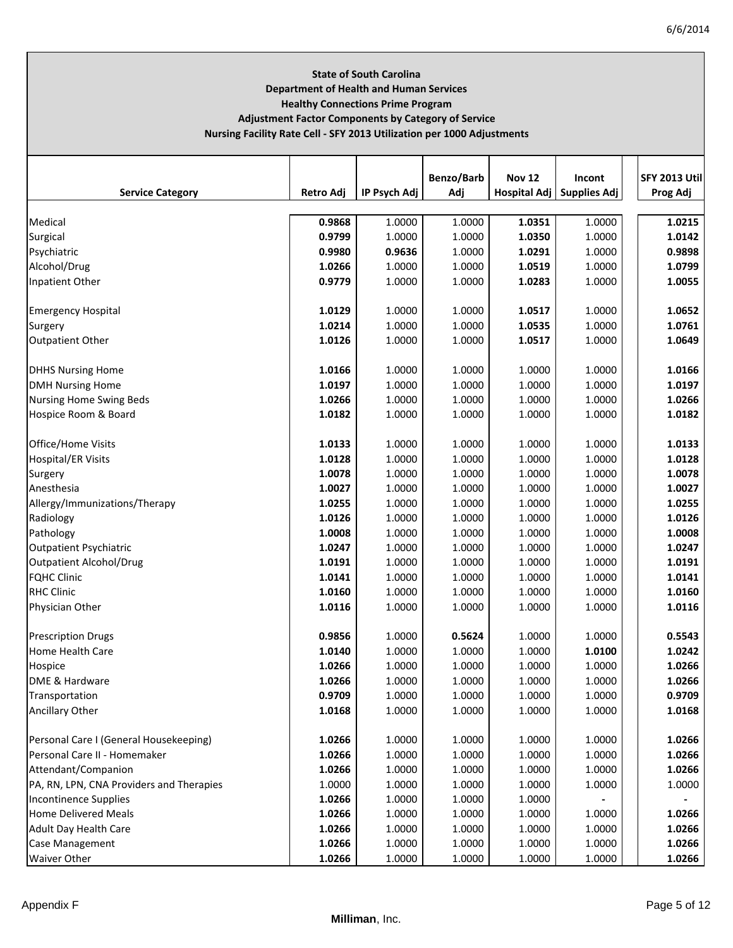# **State of South Carolina Department of Health and Human Services Healthy Connections Prime Program Adjustment Factor Components by Category of Service Nursing Facility Rate Cell ‐ SFY 2013 Utilization per 1000 Adjustments**

|                                          |                  |              | Benzo/Barb | <b>Nov 12</b> | Incont                      | <b>SFY 2013 Util</b> |
|------------------------------------------|------------------|--------------|------------|---------------|-----------------------------|----------------------|
| <b>Service Category</b>                  | <b>Retro Adj</b> | IP Psych Adj | Adj        |               | Hospital Adj   Supplies Adj | Prog Adj             |
| Medical                                  | 0.9868           | 1.0000       | 1.0000     | 1.0351        | 1.0000                      | 1.0215               |
| Surgical                                 | 0.9799           | 1.0000       | 1.0000     | 1.0350        | 1.0000                      | 1.0142               |
| Psychiatric                              | 0.9980           | 0.9636       | 1.0000     | 1.0291        | 1.0000                      | 0.9898               |
| Alcohol/Drug                             | 1.0266           | 1.0000       | 1.0000     | 1.0519        | 1.0000                      | 1.0799               |
| Inpatient Other                          | 0.9779           | 1.0000       | 1.0000     | 1.0283        | 1.0000                      | 1.0055               |
|                                          |                  |              |            |               |                             |                      |
| <b>Emergency Hospital</b>                | 1.0129           | 1.0000       | 1.0000     | 1.0517        | 1.0000                      | 1.0652               |
| Surgery                                  | 1.0214           | 1.0000       | 1.0000     | 1.0535        | 1.0000                      | 1.0761               |
| <b>Outpatient Other</b>                  | 1.0126           | 1.0000       | 1.0000     | 1.0517        | 1.0000                      | 1.0649               |
|                                          | 1.0166           |              |            | 1.0000        | 1.0000                      | 1.0166               |
| <b>DHHS Nursing Home</b>                 | 1.0197           | 1.0000       | 1.0000     | 1.0000        | 1.0000                      | 1.0197               |
| <b>DMH Nursing Home</b>                  |                  | 1.0000       | 1.0000     |               |                             |                      |
| <b>Nursing Home Swing Beds</b>           | 1.0266           | 1.0000       | 1.0000     | 1.0000        | 1.0000                      | 1.0266               |
| Hospice Room & Board                     | 1.0182           | 1.0000       | 1.0000     | 1.0000        | 1.0000                      | 1.0182               |
| Office/Home Visits                       | 1.0133           | 1.0000       | 1.0000     | 1.0000        | 1.0000                      | 1.0133               |
| <b>Hospital/ER Visits</b>                | 1.0128           | 1.0000       | 1.0000     | 1.0000        | 1.0000                      | 1.0128               |
| Surgery                                  | 1.0078           | 1.0000       | 1.0000     | 1.0000        | 1.0000                      | 1.0078               |
| Anesthesia                               | 1.0027           | 1.0000       | 1.0000     | 1.0000        | 1.0000                      | 1.0027               |
| Allergy/Immunizations/Therapy            | 1.0255           | 1.0000       | 1.0000     | 1.0000        | 1.0000                      | 1.0255               |
| Radiology                                | 1.0126           | 1.0000       | 1.0000     | 1.0000        | 1.0000                      | 1.0126               |
| Pathology                                | 1.0008           | 1.0000       | 1.0000     | 1.0000        | 1.0000                      | 1.0008               |
| <b>Outpatient Psychiatric</b>            | 1.0247           | 1.0000       | 1.0000     | 1.0000        | 1.0000                      | 1.0247               |
| <b>Outpatient Alcohol/Drug</b>           | 1.0191           | 1.0000       | 1.0000     | 1.0000        | 1.0000                      | 1.0191               |
| <b>FQHC Clinic</b>                       | 1.0141           | 1.0000       | 1.0000     | 1.0000        | 1.0000                      | 1.0141               |
| <b>RHC Clinic</b>                        | 1.0160           | 1.0000       | 1.0000     | 1.0000        | 1.0000                      | 1.0160               |
| Physician Other                          | 1.0116           | 1.0000       | 1.0000     | 1.0000        | 1.0000                      | 1.0116               |
|                                          |                  |              |            |               |                             |                      |
| <b>Prescription Drugs</b>                | 0.9856           | 1.0000       | 0.5624     | 1.0000        | 1.0000                      | 0.5543               |
| <b>Home Health Care</b>                  | 1.0140           | 1.0000       | 1.0000     | 1.0000        | 1.0100                      | 1.0242               |
| Hospice                                  | 1.0266           | 1.0000       | 1.0000     | 1.0000        | 1.0000                      | 1.0266               |
| DME & Hardware                           | 1.0266           | 1.0000       | 1.0000     | 1.0000        | 1.0000                      | 1.0266               |
| Transportation                           | 0.9709           | 1.0000       | 1.0000     | 1.0000        | 1.0000                      | 0.9709               |
| Ancillary Other                          | 1.0168           | 1.0000       | 1.0000     | 1.0000        | 1.0000                      | 1.0168               |
| Personal Care I (General Housekeeping)   | 1.0266           | 1.0000       | 1.0000     | 1.0000        | 1.0000                      | 1.0266               |
| Personal Care II - Homemaker             | 1.0266           | 1.0000       | 1.0000     | 1.0000        | 1.0000                      | 1.0266               |
| Attendant/Companion                      | 1.0266           | 1.0000       | 1.0000     | 1.0000        | 1.0000                      | 1.0266               |
| PA, RN, LPN, CNA Providers and Therapies | 1.0000           | 1.0000       | 1.0000     | 1.0000        | 1.0000                      | 1.0000               |
| <b>Incontinence Supplies</b>             | 1.0266           | 1.0000       | 1.0000     | 1.0000        |                             |                      |
| <b>Home Delivered Meals</b>              | 1.0266           | 1.0000       | 1.0000     | 1.0000        | 1.0000                      | 1.0266               |
| <b>Adult Day Health Care</b>             | 1.0266           | 1.0000       | 1.0000     | 1.0000        | 1.0000                      | 1.0266               |
| Case Management                          | 1.0266           | 1.0000       | 1.0000     | 1.0000        | 1.0000                      | 1.0266               |
| <b>Waiver Other</b>                      | 1.0266           | 1.0000       | 1.0000     | 1.0000        | 1.0000                      | 1.0266               |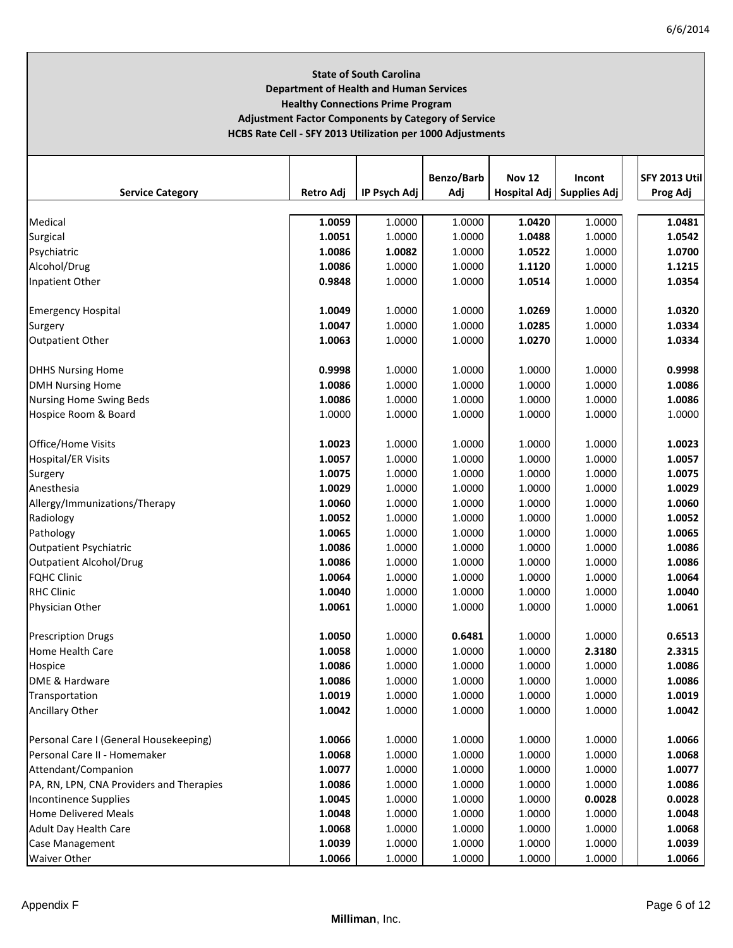# **State of South Carolina Department of Health and Human Services Healthy Connections Prime Program Adjustment Factor Components by Category of Service HCBS Rate Cell ‐ SFY 2013 Utilization per 1000 Adjustments**

|                                          |                  |              | Benzo/Barb | <b>Nov 12</b> | Incont                      | <b>SFY 2013 Util</b> |
|------------------------------------------|------------------|--------------|------------|---------------|-----------------------------|----------------------|
| <b>Service Category</b>                  | <b>Retro Adj</b> | IP Psych Adj | Adj        |               | Hospital Adj   Supplies Adj | Prog Adj             |
| Medical                                  | 1.0059           | 1.0000       | 1.0000     | 1.0420        | 1.0000                      | 1.0481               |
| Surgical                                 | 1.0051           | 1.0000       | 1.0000     | 1.0488        | 1.0000                      | 1.0542               |
| Psychiatric                              | 1.0086           | 1.0082       | 1.0000     | 1.0522        | 1.0000                      | 1.0700               |
| Alcohol/Drug                             | 1.0086           | 1.0000       | 1.0000     | 1.1120        | 1.0000                      | 1.1215               |
| Inpatient Other                          | 0.9848           | 1.0000       | 1.0000     | 1.0514        | 1.0000                      | 1.0354               |
|                                          |                  |              |            |               |                             |                      |
| <b>Emergency Hospital</b>                | 1.0049           | 1.0000       | 1.0000     | 1.0269        | 1.0000                      | 1.0320               |
| Surgery                                  | 1.0047           | 1.0000       | 1.0000     | 1.0285        | 1.0000                      | 1.0334               |
| <b>Outpatient Other</b>                  | 1.0063           | 1.0000       | 1.0000     | 1.0270        | 1.0000                      | 1.0334               |
|                                          |                  |              |            |               |                             |                      |
| <b>DHHS Nursing Home</b>                 | 0.9998           | 1.0000       | 1.0000     | 1.0000        | 1.0000                      | 0.9998               |
| <b>DMH Nursing Home</b>                  | 1.0086           | 1.0000       | 1.0000     | 1.0000        | 1.0000                      | 1.0086               |
| <b>Nursing Home Swing Beds</b>           | 1.0086           | 1.0000       | 1.0000     | 1.0000        | 1.0000                      | 1.0086               |
| Hospice Room & Board                     | 1.0000           | 1.0000       | 1.0000     | 1.0000        | 1.0000                      | 1.0000               |
|                                          |                  |              |            |               |                             |                      |
| <b>Office/Home Visits</b>                | 1.0023           | 1.0000       | 1.0000     | 1.0000        | 1.0000                      | 1.0023               |
| <b>Hospital/ER Visits</b>                | 1.0057           | 1.0000       | 1.0000     | 1.0000        | 1.0000                      | 1.0057               |
| Surgery                                  | 1.0075           | 1.0000       | 1.0000     | 1.0000        | 1.0000                      | 1.0075               |
| Anesthesia                               | 1.0029           | 1.0000       | 1.0000     | 1.0000        | 1.0000                      | 1.0029               |
| Allergy/Immunizations/Therapy            | 1.0060           | 1.0000       | 1.0000     | 1.0000        | 1.0000                      | 1.0060               |
| Radiology                                | 1.0052           | 1.0000       | 1.0000     | 1.0000        | 1.0000                      | 1.0052               |
| Pathology                                | 1.0065           | 1.0000       | 1.0000     | 1.0000        | 1.0000                      | 1.0065               |
| <b>Outpatient Psychiatric</b>            | 1.0086           | 1.0000       | 1.0000     | 1.0000        | 1.0000                      | 1.0086               |
| <b>Outpatient Alcohol/Drug</b>           | 1.0086           | 1.0000       | 1.0000     | 1.0000        | 1.0000                      | 1.0086               |
| <b>FQHC Clinic</b>                       | 1.0064           | 1.0000       | 1.0000     | 1.0000        | 1.0000                      | 1.0064               |
| <b>RHC Clinic</b>                        | 1.0040           | 1.0000       | 1.0000     | 1.0000        | 1.0000                      | 1.0040               |
| Physician Other                          | 1.0061           | 1.0000       | 1.0000     | 1.0000        | 1.0000                      | 1.0061               |
| <b>Prescription Drugs</b>                | 1.0050           | 1.0000       | 0.6481     | 1.0000        | 1.0000                      | 0.6513               |
| Home Health Care                         | 1.0058           | 1.0000       | 1.0000     | 1.0000        | 2.3180                      | 2.3315               |
| Hospice                                  | 1.0086           | 1.0000       | 1.0000     | 1.0000        | 1.0000                      | 1.0086               |
| DME & Hardware                           | 1.0086           | 1.0000       | 1.0000     | 1.0000        | 1.0000                      | 1.0086               |
| Transportation                           | 1.0019           | 1.0000       | 1.0000     | 1.0000        | 1.0000                      | 1.0019               |
| Ancillary Other                          | 1.0042           | 1.0000       | 1.0000     | 1.0000        | 1.0000                      | 1.0042               |
|                                          |                  |              |            |               |                             |                      |
| Personal Care I (General Housekeeping)   | 1.0066           | 1.0000       | 1.0000     | 1.0000        | 1.0000                      | 1.0066               |
| Personal Care II - Homemaker             | 1.0068           | 1.0000       | 1.0000     | 1.0000        | 1.0000                      | 1.0068               |
| Attendant/Companion                      | 1.0077           | 1.0000       | 1.0000     | 1.0000        | 1.0000                      | 1.0077               |
| PA, RN, LPN, CNA Providers and Therapies | 1.0086           | 1.0000       | 1.0000     | 1.0000        | 1.0000                      | 1.0086               |
| <b>Incontinence Supplies</b>             | 1.0045           | 1.0000       | 1.0000     | 1.0000        | 0.0028                      | 0.0028               |
| <b>Home Delivered Meals</b>              | 1.0048           | 1.0000       | 1.0000     | 1.0000        | 1.0000                      | 1.0048               |
| <b>Adult Day Health Care</b>             | 1.0068           | 1.0000       | 1.0000     | 1.0000        | 1.0000                      | 1.0068               |
| Case Management                          | 1.0039           | 1.0000       | 1.0000     | 1.0000        | 1.0000                      | 1.0039               |
| <b>Waiver Other</b>                      | 1.0066           | 1.0000       | 1.0000     | 1.0000        | 1.0000                      | 1.0066               |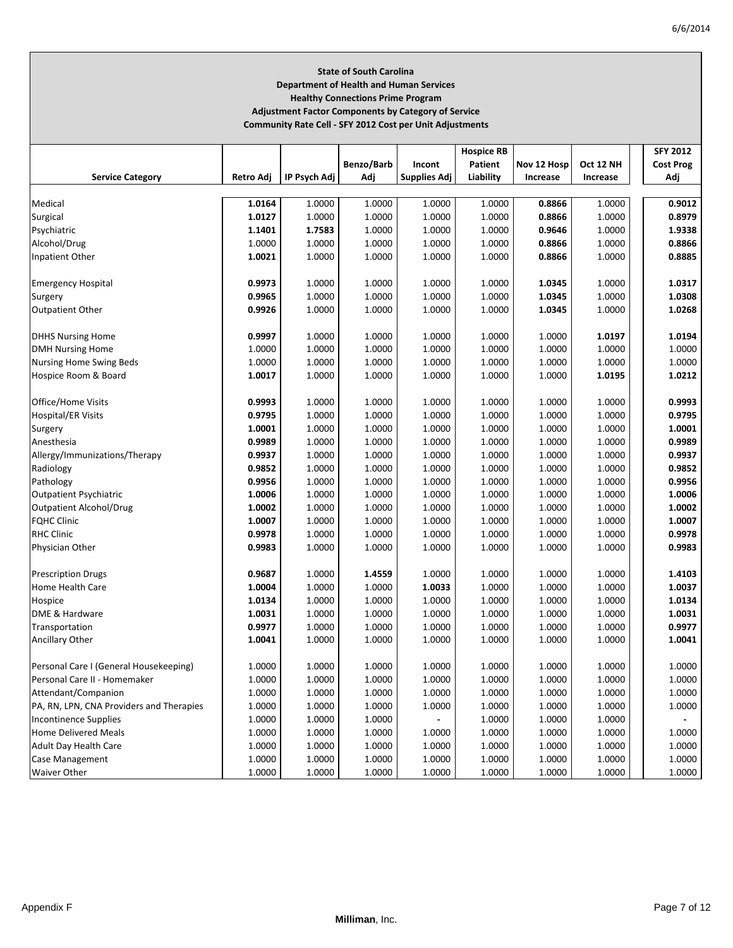# **State of South Carolina Department of Health and Human Services Healthy Connections Prime Program Adjustment Factor Components by Category of Service**

**Community Rate Cell ‐ SFY 2012 Cost per Unit Adjustments**

|                                          |                  |              |                  |                  | <b>Hospice RB</b> |                 |                  | <b>SFY 2012</b>  |
|------------------------------------------|------------------|--------------|------------------|------------------|-------------------|-----------------|------------------|------------------|
|                                          |                  |              | Benzo/Barb       | Incont           | Patient           | Nov 12 Hosp     | Oct 12 NH        | <b>Cost Prog</b> |
| <b>Service Category</b>                  | Retro Adj        | IP Psych Adj | Adj              | Supplies Adj     | Liability         | <b>Increase</b> | Increase         | Adj              |
|                                          |                  |              |                  |                  |                   |                 |                  |                  |
| Medical                                  | 1.0164           | 1.0000       | 1.0000           | 1.0000           | 1.0000            | 0.8866          | 1.0000           | 0.9012           |
| Surgical                                 | 1.0127           | 1.0000       | 1.0000           | 1.0000           | 1.0000            | 0.8866          | 1.0000           | 0.8979           |
| Psychiatric                              | 1.1401           | 1.7583       | 1.0000           | 1.0000           | 1.0000            | 0.9646          | 1.0000           | 1.9338           |
| Alcohol/Drug                             | 1.0000           | 1.0000       | 1.0000           | 1.0000           | 1.0000            | 0.8866          | 1.0000           | 0.8866           |
| Inpatient Other                          | 1.0021           | 1.0000       | 1.0000           | 1.0000           | 1.0000            | 0.8866          | 1.0000           | 0.8885           |
|                                          |                  |              |                  |                  |                   |                 |                  |                  |
| <b>Emergency Hospital</b>                | 0.9973           | 1.0000       | 1.0000           | 1.0000           | 1.0000            | 1.0345          | 1.0000           | 1.0317           |
| Surgery                                  | 0.9965           | 1.0000       | 1.0000           | 1.0000           | 1.0000            | 1.0345          | 1.0000           | 1.0308           |
| <b>Outpatient Other</b>                  | 0.9926           | 1.0000       | 1.0000           | 1.0000           | 1.0000            | 1.0345          | 1.0000           | 1.0268           |
|                                          |                  |              |                  |                  |                   |                 |                  |                  |
| <b>DHHS Nursing Home</b>                 | 0.9997           | 1.0000       | 1.0000           | 1.0000           | 1.0000            | 1.0000          | 1.0197           | 1.0194           |
| <b>DMH Nursing Home</b>                  | 1.0000           | 1.0000       | 1.0000           | 1.0000           | 1.0000            | 1.0000          | 1.0000           | 1.0000           |
| Nursing Home Swing Beds                  | 1.0000           | 1.0000       | 1.0000           | 1.0000           | 1.0000            | 1.0000          | 1.0000           | 1.0000           |
| Hospice Room & Board                     | 1.0017           | 1.0000       | 1.0000           | 1.0000           | 1.0000            | 1.0000          | 1.0195           | 1.0212           |
|                                          |                  |              |                  |                  |                   |                 |                  |                  |
| Office/Home Visits                       | 0.9993           | 1.0000       | 1.0000           | 1.0000           | 1.0000            | 1.0000          | 1.0000           | 0.9993           |
| <b>Hospital/ER Visits</b>                | 0.9795           | 1.0000       | 1.0000           | 1.0000           | 1.0000            | 1.0000          | 1.0000           | 0.9795           |
| Surgery                                  | 1.0001           | 1.0000       | 1.0000           | 1.0000           | 1.0000            | 1.0000          | 1.0000           | 1.0001           |
| Anesthesia                               | 0.9989           | 1.0000       | 1.0000           | 1.0000           | 1.0000            | 1.0000          | 1.0000           | 0.9989           |
| Allergy/Immunizations/Therapy            | 0.9937           | 1.0000       | 1.0000           | 1.0000           | 1.0000            | 1.0000          | 1.0000           | 0.9937           |
| Radiology                                | 0.9852           | 1.0000       | 1.0000           | 1.0000           | 1.0000            | 1.0000          | 1.0000           | 0.9852           |
| Pathology                                | 0.9956           | 1.0000       | 1.0000           | 1.0000           | 1.0000            | 1.0000          | 1.0000           | 0.9956           |
| <b>Outpatient Psychiatric</b>            | 1.0006           | 1.0000       | 1.0000           | 1.0000           | 1.0000            | 1.0000          | 1.0000           | 1.0006           |
| <b>Outpatient Alcohol/Drug</b>           | 1.0002           | 1.0000       | 1.0000           | 1.0000           | 1.0000            | 1.0000          | 1.0000           | 1.0002           |
| <b>FQHC Clinic</b>                       | 1.0007           | 1.0000       | 1.0000           | 1.0000           | 1.0000            | 1.0000          | 1.0000           | 1.0007           |
| <b>RHC Clinic</b>                        | 0.9978           | 1.0000       | 1.0000           | 1.0000           | 1.0000            | 1.0000          | 1.0000           | 0.9978           |
| Physician Other                          | 0.9983           | 1.0000       | 1.0000           | 1.0000           | 1.0000            | 1.0000          | 1.0000           | 0.9983           |
|                                          |                  |              |                  |                  |                   |                 |                  |                  |
| <b>Prescription Drugs</b>                | 0.9687           | 1.0000       | 1.4559           | 1.0000           | 1.0000            | 1.0000          | 1.0000           | 1.4103           |
| <b>Home Health Care</b>                  | 1.0004           | 1.0000       | 1.0000           | 1.0033           | 1.0000            | 1.0000          | 1.0000           | 1.0037           |
| Hospice                                  | 1.0134           | 1.0000       | 1.0000           | 1.0000           | 1.0000            | 1.0000          | 1.0000           | 1.0134           |
| DME & Hardware                           | 1.0031           | 1.0000       | 1.0000           | 1.0000           | 1.0000            | 1.0000          | 1.0000           | 1.0031           |
|                                          | 0.9977           | 1.0000       | 1.0000           | 1.0000           | 1.0000            | 1.0000          |                  | 0.9977           |
| Transportation                           | 1.0041           | 1.0000       | 1.0000           | 1.0000           | 1.0000            | 1.0000          | 1.0000           | 1.0041           |
| Ancillary Other                          |                  |              |                  |                  |                   |                 | 1.0000           |                  |
| Personal Care I (General Housekeeping)   | 1.0000           | 1.0000       | 1.0000           | 1.0000           | 1.0000            | 1.0000          | 1.0000           | 1.0000           |
| Personal Care II - Homemaker             | 1.0000           | 1.0000       | 1.0000           | 1.0000           | 1.0000            | 1.0000          | 1.0000           | 1.0000           |
| Attendant/Companion                      |                  | 1.0000       |                  |                  | 1.0000            | 1.0000          |                  | 1.0000           |
| PA, RN, LPN, CNA Providers and Therapies | 1.0000<br>1.0000 | 1.0000       | 1.0000<br>1.0000 | 1.0000<br>1.0000 | 1.0000            | 1.0000          | 1.0000<br>1.0000 |                  |
|                                          |                  |              |                  |                  |                   |                 |                  | 1.0000           |
| <b>Incontinence Supplies</b>             | 1.0000           | 1.0000       | 1.0000           |                  | 1.0000            | 1.0000          | 1.0000           |                  |
| <b>Home Delivered Meals</b>              | 1.0000           | 1.0000       | 1.0000           | 1.0000           | 1.0000            | 1.0000          | 1.0000           | 1.0000           |
| Adult Day Health Care                    | 1.0000           | 1.0000       | 1.0000           | 1.0000           | 1.0000            | 1.0000          | 1.0000           | 1.0000           |
| Case Management                          | 1.0000           | 1.0000       | 1.0000           | 1.0000           | 1.0000            | 1.0000          | 1.0000           | 1.0000           |
| <b>Waiver Other</b>                      | 1.0000           | 1.0000       | 1.0000           | 1.0000           | 1.0000            | 1.0000          | 1.0000           | 1.0000           |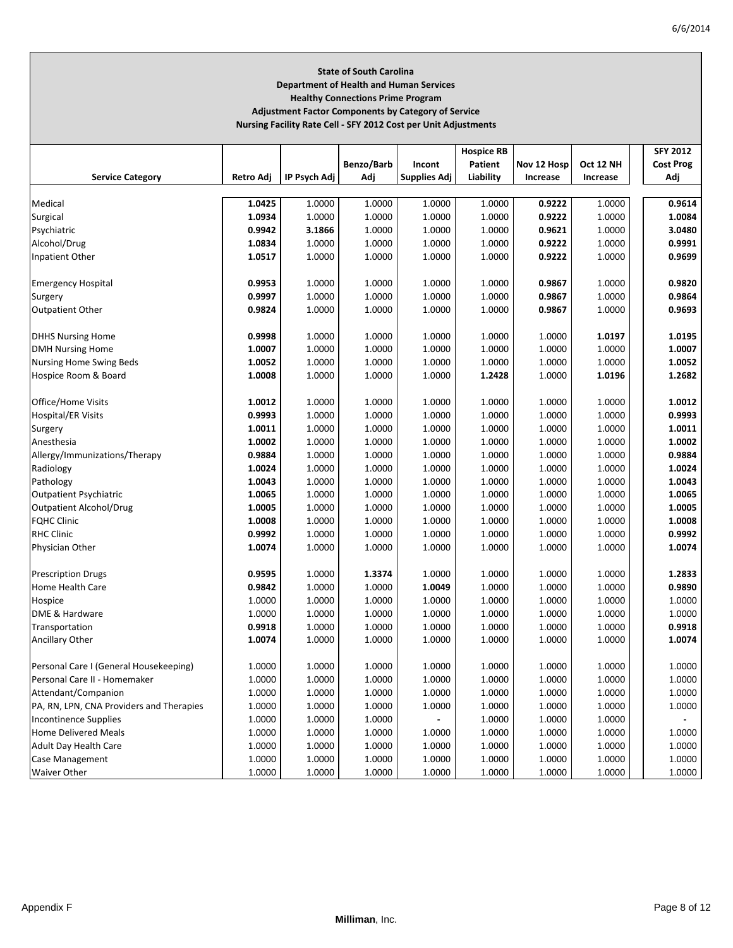# **State of South Carolina Department of Health and Human Services Healthy Connections Prime Program Adjustment Factor Components by Category of Service**

**Nursing Facility Rate Cell ‐ SFY 2012 Cost per Unit Adjustments**

|                                          |           |              |            |                     | <b>Hospice RB</b> |             |           | <b>SFY 2012</b>  |
|------------------------------------------|-----------|--------------|------------|---------------------|-------------------|-------------|-----------|------------------|
|                                          |           |              | Benzo/Barb | Incont              | Patient           | Nov 12 Hosp | Oct 12 NH | <b>Cost Prog</b> |
| <b>Service Category</b>                  | Retro Adj | IP Psych Adj | Adj        | <b>Supplies Adj</b> | Liability         | Increase    | Increase  | Adj              |
|                                          |           |              |            |                     |                   |             |           |                  |
| Medical                                  | 1.0425    | 1.0000       | 1.0000     | 1.0000              | 1.0000            | 0.9222      | 1.0000    | 0.9614           |
| Surgical                                 | 1.0934    | 1.0000       | 1.0000     | 1.0000              | 1.0000            | 0.9222      | 1.0000    | 1.0084           |
| Psychiatric                              | 0.9942    | 3.1866       | 1.0000     | 1.0000              | 1.0000            | 0.9621      | 1.0000    | 3.0480           |
| Alcohol/Drug                             | 1.0834    | 1.0000       | 1.0000     | 1.0000              | 1.0000            | 0.9222      | 1.0000    | 0.9991           |
| Inpatient Other                          | 1.0517    | 1.0000       | 1.0000     | 1.0000              | 1.0000            | 0.9222      | 1.0000    | 0.9699           |
|                                          |           |              |            |                     |                   |             |           |                  |
| <b>Emergency Hospital</b>                | 0.9953    | 1.0000       | 1.0000     | 1.0000              | 1.0000            | 0.9867      | 1.0000    | 0.9820           |
| Surgery                                  | 0.9997    | 1.0000       | 1.0000     | 1.0000              | 1.0000            | 0.9867      | 1.0000    | 0.9864           |
| <b>Outpatient Other</b>                  | 0.9824    | 1.0000       | 1.0000     | 1.0000              | 1.0000            | 0.9867      | 1.0000    | 0.9693           |
|                                          |           |              |            |                     |                   |             |           |                  |
| <b>DHHS Nursing Home</b>                 | 0.9998    | 1.0000       | 1.0000     | 1.0000              | 1.0000            | 1.0000      | 1.0197    | 1.0195           |
| <b>DMH Nursing Home</b>                  | 1.0007    | 1.0000       | 1.0000     | 1.0000              | 1.0000            | 1.0000      | 1.0000    | 1.0007           |
| Nursing Home Swing Beds                  | 1.0052    | 1.0000       | 1.0000     | 1.0000              | 1.0000            | 1.0000      | 1.0000    | 1.0052           |
| Hospice Room & Board                     | 1.0008    | 1.0000       | 1.0000     | 1.0000              | 1.2428            | 1.0000      | 1.0196    | 1.2682           |
|                                          |           |              |            |                     |                   |             |           |                  |
| Office/Home Visits                       | 1.0012    | 1.0000       | 1.0000     | 1.0000              | 1.0000            | 1.0000      | 1.0000    | 1.0012           |
| <b>Hospital/ER Visits</b>                | 0.9993    | 1.0000       | 1.0000     | 1.0000              | 1.0000            | 1.0000      | 1.0000    | 0.9993           |
| Surgery                                  | 1.0011    | 1.0000       | 1.0000     | 1.0000              | 1.0000            | 1.0000      | 1.0000    | 1.0011           |
| Anesthesia                               | 1.0002    | 1.0000       | 1.0000     | 1.0000              | 1.0000            | 1.0000      | 1.0000    | 1.0002           |
| Allergy/Immunizations/Therapy            | 0.9884    | 1.0000       | 1.0000     | 1.0000              | 1.0000            | 1.0000      | 1.0000    | 0.9884           |
| Radiology                                | 1.0024    | 1.0000       | 1.0000     | 1.0000              | 1.0000            | 1.0000      | 1.0000    | 1.0024           |
| Pathology                                | 1.0043    | 1.0000       | 1.0000     | 1.0000              | 1.0000            | 1.0000      | 1.0000    | 1.0043           |
| <b>Outpatient Psychiatric</b>            | 1.0065    | 1.0000       | 1.0000     | 1.0000              | 1.0000            | 1.0000      | 1.0000    | 1.0065           |
| <b>Outpatient Alcohol/Drug</b>           | 1.0005    | 1.0000       | 1.0000     | 1.0000              | 1.0000            | 1.0000      | 1.0000    | 1.0005           |
| <b>FQHC Clinic</b>                       | 1.0008    | 1.0000       | 1.0000     | 1.0000              | 1.0000            | 1.0000      | 1.0000    | 1.0008           |
| <b>RHC Clinic</b>                        | 0.9992    | 1.0000       | 1.0000     | 1.0000              | 1.0000            | 1.0000      | 1.0000    | 0.9992           |
| Physician Other                          | 1.0074    | 1.0000       | 1.0000     | 1.0000              | 1.0000            | 1.0000      | 1.0000    | 1.0074           |
|                                          |           |              |            |                     |                   |             |           |                  |
| <b>Prescription Drugs</b>                | 0.9595    | 1.0000       | 1.3374     | 1.0000              | 1.0000            | 1.0000      | 1.0000    | 1.2833           |
| Home Health Care                         | 0.9842    | 1.0000       | 1.0000     | 1.0049              | 1.0000            | 1.0000      | 1.0000    | 0.9890           |
| Hospice                                  | 1.0000    | 1.0000       | 1.0000     | 1.0000              | 1.0000            | 1.0000      | 1.0000    | 1.0000           |
| DME & Hardware                           | 1.0000    | 1.0000       | 1.0000     | 1.0000              | 1.0000            | 1.0000      | 1.0000    | 1.0000           |
| Transportation                           | 0.9918    | 1.0000       | 1.0000     | 1.0000              | 1.0000            | 1.0000      | 1.0000    | 0.9918           |
| Ancillary Other                          | 1.0074    | 1.0000       | 1.0000     | 1.0000              | 1.0000            | 1.0000      | 1.0000    | 1.0074           |
|                                          |           |              |            |                     |                   |             |           |                  |
| Personal Care I (General Housekeeping)   | 1.0000    | 1.0000       | 1.0000     | 1.0000              | 1.0000            | 1.0000      | 1.0000    | 1.0000           |
| Personal Care II - Homemaker             | 1.0000    | 1.0000       | 1.0000     | 1.0000              | 1.0000            | 1.0000      | 1.0000    | 1.0000           |
| Attendant/Companion                      | 1.0000    | 1.0000       | 1.0000     | 1.0000              | 1.0000            | 1.0000      | 1.0000    | 1.0000           |
| PA, RN, LPN, CNA Providers and Therapies | 1.0000    | 1.0000       | 1.0000     | 1.0000              | 1.0000            | 1.0000      | 1.0000    | 1.0000           |
| <b>Incontinence Supplies</b>             | 1.0000    | 1.0000       | 1.0000     |                     | 1.0000            | 1.0000      | 1.0000    |                  |
| <b>Home Delivered Meals</b>              | 1.0000    | 1.0000       | 1.0000     | 1.0000              | 1.0000            | 1.0000      | 1.0000    | 1.0000           |
| <b>Adult Day Health Care</b>             | 1.0000    | 1.0000       | 1.0000     | 1.0000              | 1.0000            | 1.0000      | 1.0000    | 1.0000           |
| Case Management                          | 1.0000    | 1.0000       | 1.0000     | 1.0000              | 1.0000            | 1.0000      | 1.0000    | 1.0000           |
| <b>Waiver Other</b>                      | 1.0000    | 1.0000       | 1.0000     | 1.0000              | 1.0000            | 1.0000      | 1.0000    | 1.0000           |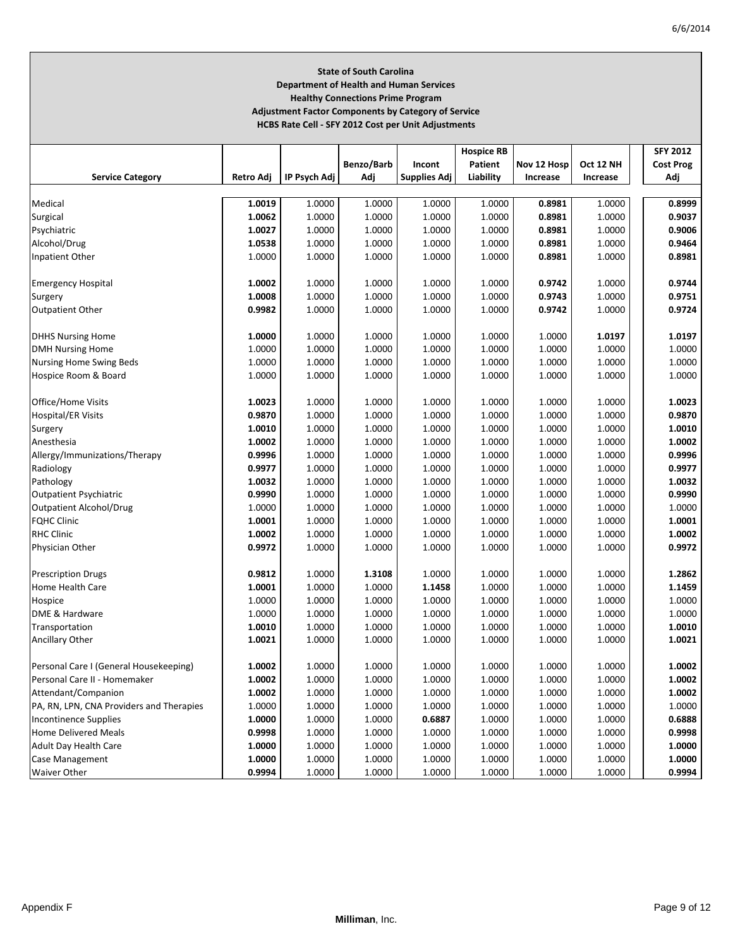## **State of South Carolina Department of Health and Human Services Healthy Connections Prime Program Adjustment Factor Components by Category of Service HCBS Rate Cell ‐ SFY 2012 Cost per Unit Adjustments**

|                                          |           |              |            |                     | <b>Hospice RB</b> |             |           | <b>SFY 2012</b>  |
|------------------------------------------|-----------|--------------|------------|---------------------|-------------------|-------------|-----------|------------------|
|                                          |           |              | Benzo/Barb | Incont              | Patient           | Nov 12 Hosp | Oct 12 NH | <b>Cost Prog</b> |
| <b>Service Category</b>                  | Retro Adj | IP Psych Adj | Adj        | <b>Supplies Adj</b> | Liability         | Increase    | Increase  | Adj              |
|                                          |           |              |            |                     |                   |             |           |                  |
| Medical                                  | 1.0019    | 1.0000       | 1.0000     | 1.0000              | 1.0000            | 0.8981      | 1.0000    | 0.8999           |
| Surgical                                 | 1.0062    | 1.0000       | 1.0000     | 1.0000              | 1.0000            | 0.8981      | 1.0000    | 0.9037           |
| Psychiatric                              | 1.0027    | 1.0000       | 1.0000     | 1.0000              | 1.0000            | 0.8981      | 1.0000    | 0.9006           |
| Alcohol/Drug                             | 1.0538    | 1.0000       | 1.0000     | 1.0000              | 1.0000            | 0.8981      | 1.0000    | 0.9464           |
| Inpatient Other                          | 1.0000    | 1.0000       | 1.0000     | 1.0000              | 1.0000            | 0.8981      | 1.0000    | 0.8981           |
|                                          |           |              |            |                     |                   |             |           |                  |
| <b>Emergency Hospital</b>                | 1.0002    | 1.0000       | 1.0000     | 1.0000              | 1.0000            | 0.9742      | 1.0000    | 0.9744           |
| Surgery                                  | 1.0008    | 1.0000       | 1.0000     | 1.0000              | 1.0000            | 0.9743      | 1.0000    | 0.9751           |
| <b>Outpatient Other</b>                  | 0.9982    | 1.0000       | 1.0000     | 1.0000              | 1.0000            | 0.9742      | 1.0000    | 0.9724           |
|                                          |           |              |            |                     |                   |             |           |                  |
| <b>DHHS Nursing Home</b>                 | 1.0000    | 1.0000       | 1.0000     | 1.0000              | 1.0000            | 1.0000      | 1.0197    | 1.0197           |
| <b>DMH Nursing Home</b>                  | 1.0000    | 1.0000       | 1.0000     | 1.0000              | 1.0000            | 1.0000      | 1.0000    | 1.0000           |
| Nursing Home Swing Beds                  | 1.0000    | 1.0000       | 1.0000     | 1.0000              | 1.0000            | 1.0000      | 1.0000    | 1.0000           |
| Hospice Room & Board                     | 1.0000    | 1.0000       | 1.0000     | 1.0000              | 1.0000            | 1.0000      | 1.0000    | 1.0000           |
|                                          |           |              |            |                     |                   |             |           |                  |
| Office/Home Visits                       | 1.0023    | 1.0000       | 1.0000     | 1.0000              | 1.0000            | 1.0000      | 1.0000    | 1.0023           |
| <b>Hospital/ER Visits</b>                | 0.9870    | 1.0000       | 1.0000     | 1.0000              | 1.0000            | 1.0000      | 1.0000    | 0.9870           |
| Surgery                                  | 1.0010    | 1.0000       | 1.0000     | 1.0000              | 1.0000            | 1.0000      | 1.0000    | 1.0010           |
| Anesthesia                               | 1.0002    | 1.0000       | 1.0000     | 1.0000              | 1.0000            | 1.0000      | 1.0000    | 1.0002           |
| Allergy/Immunizations/Therapy            | 0.9996    | 1.0000       | 1.0000     | 1.0000              | 1.0000            | 1.0000      | 1.0000    | 0.9996           |
| Radiology                                | 0.9977    | 1.0000       | 1.0000     | 1.0000              | 1.0000            | 1.0000      | 1.0000    | 0.9977           |
| Pathology                                | 1.0032    | 1.0000       | 1.0000     | 1.0000              | 1.0000            | 1.0000      | 1.0000    | 1.0032           |
| <b>Outpatient Psychiatric</b>            | 0.9990    | 1.0000       | 1.0000     | 1.0000              | 1.0000            | 1.0000      | 1.0000    | 0.9990           |
| <b>Outpatient Alcohol/Drug</b>           | 1.0000    | 1.0000       | 1.0000     | 1.0000              | 1.0000            | 1.0000      | 1.0000    | 1.0000           |
| <b>FQHC Clinic</b>                       | 1.0001    | 1.0000       | 1.0000     | 1.0000              | 1.0000            | 1.0000      | 1.0000    | 1.0001           |
| <b>RHC Clinic</b>                        |           |              |            |                     |                   |             |           |                  |
|                                          | 1.0002    | 1.0000       | 1.0000     | 1.0000              | 1.0000            | 1.0000      | 1.0000    | 1.0002           |
| Physician Other                          | 0.9972    | 1.0000       | 1.0000     | 1.0000              | 1.0000            | 1.0000      | 1.0000    | 0.9972           |
|                                          | 0.9812    | 1.0000       | 1.3108     | 1.0000              | 1.0000            | 1.0000      | 1.0000    | 1.2862           |
| <b>Prescription Drugs</b>                |           |              |            |                     |                   |             |           |                  |
| Home Health Care                         | 1.0001    | 1.0000       | 1.0000     | 1.1458              | 1.0000            | 1.0000      | 1.0000    | 1.1459           |
| Hospice                                  | 1.0000    | 1.0000       | 1.0000     | 1.0000              | 1.0000            | 1.0000      | 1.0000    | 1.0000           |
| DME & Hardware                           | 1.0000    | 1.0000       | 1.0000     | 1.0000              | 1.0000            | 1.0000      | 1.0000    | 1.0000           |
| Transportation                           | 1.0010    | 1.0000       | 1.0000     | 1.0000              | 1.0000            | 1.0000      | 1.0000    | 1.0010           |
| Ancillary Other                          | 1.0021    | 1.0000       | 1.0000     | 1.0000              | 1.0000            | 1.0000      | 1.0000    | 1.0021           |
|                                          |           |              |            |                     |                   |             |           |                  |
| Personal Care I (General Housekeeping)   | 1.0002    | 1.0000       | 1.0000     | 1.0000              | 1.0000            | 1.0000      | 1.0000    | 1.0002           |
| Personal Care II - Homemaker             | 1.0002    | 1.0000       | 1.0000     | 1.0000              | 1.0000            | 1.0000      | 1.0000    | 1.0002           |
| Attendant/Companion                      | 1.0002    | 1.0000       | 1.0000     | 1.0000              | 1.0000            | 1.0000      | 1.0000    | 1.0002           |
| PA, RN, LPN, CNA Providers and Therapies | 1.0000    | 1.0000       | 1.0000     | 1.0000              | 1.0000            | 1.0000      | 1.0000    | 1.0000           |
| Incontinence Supplies                    | 1.0000    | 1.0000       | 1.0000     | 0.6887              | 1.0000            | 1.0000      | 1.0000    | 0.6888           |
| <b>Home Delivered Meals</b>              | 0.9998    | 1.0000       | 1.0000     | 1.0000              | 1.0000            | 1.0000      | 1.0000    | 0.9998           |
| Adult Day Health Care                    | 1.0000    | 1.0000       | 1.0000     | 1.0000              | 1.0000            | 1.0000      | 1.0000    | 1.0000           |
| Case Management                          | 1.0000    | 1.0000       | 1.0000     | 1.0000              | 1.0000            | 1.0000      | 1.0000    | 1.0000           |
| <b>Waiver Other</b>                      | 0.9994    | 1.0000       | 1.0000     | 1.0000              | 1.0000            | 1.0000      | 1.0000    | 0.9994           |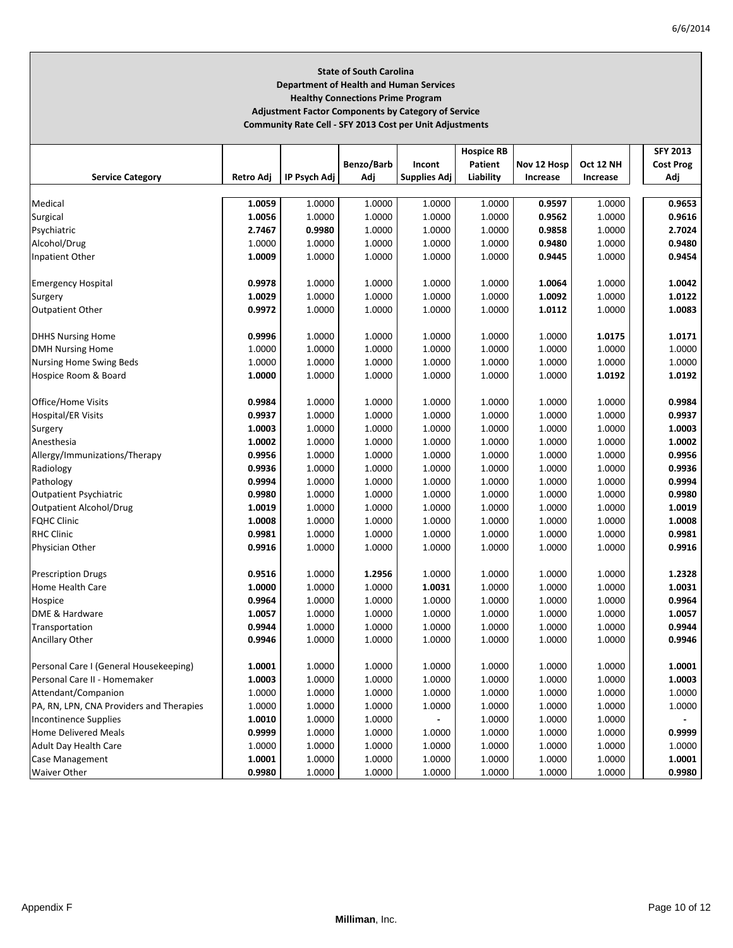# **State of South Carolina Department of Health and Human Services Healthy Connections Prime Program Adjustment Factor Components by Category of Service**

**Community Rate Cell ‐ SFY 2013 Cost per Unit Adjustments**

|                                          |           |              |            |                     | <b>Hospice RB</b> |             |           | <b>SFY 2013</b>  |
|------------------------------------------|-----------|--------------|------------|---------------------|-------------------|-------------|-----------|------------------|
|                                          |           |              | Benzo/Barb | Incont              | Patient           | Nov 12 Hosp | Oct 12 NH | <b>Cost Prog</b> |
| <b>Service Category</b>                  | Retro Adj | IP Psych Adj | Adj        | <b>Supplies Adj</b> | Liability         | Increase    | Increase  | Adj              |
|                                          |           |              |            |                     |                   |             |           |                  |
| Medical                                  | 1.0059    | 1.0000       | 1.0000     | 1.0000              | 1.0000            | 0.9597      | 1.0000    | 0.9653           |
| Surgical                                 | 1.0056    | 1.0000       | 1.0000     | 1.0000              | 1.0000            | 0.9562      | 1.0000    | 0.9616           |
| Psychiatric                              | 2.7467    | 0.9980       | 1.0000     | 1.0000              | 1.0000            | 0.9858      | 1.0000    | 2.7024           |
| Alcohol/Drug                             | 1.0000    | 1.0000       | 1.0000     | 1.0000              | 1.0000            | 0.9480      | 1.0000    | 0.9480           |
| Inpatient Other                          | 1.0009    | 1.0000       | 1.0000     | 1.0000              | 1.0000            | 0.9445      | 1.0000    | 0.9454           |
|                                          |           |              |            |                     |                   |             |           |                  |
| <b>Emergency Hospital</b>                | 0.9978    | 1.0000       | 1.0000     | 1.0000              | 1.0000            | 1.0064      | 1.0000    | 1.0042           |
| Surgery                                  | 1.0029    | 1.0000       | 1.0000     | 1.0000              | 1.0000            | 1.0092      | 1.0000    | 1.0122           |
| <b>Outpatient Other</b>                  | 0.9972    | 1.0000       | 1.0000     | 1.0000              | 1.0000            | 1.0112      | 1.0000    | 1.0083           |
|                                          |           |              |            |                     |                   |             |           |                  |
| <b>DHHS Nursing Home</b>                 | 0.9996    | 1.0000       | 1.0000     | 1.0000              | 1.0000            | 1.0000      | 1.0175    | 1.0171           |
| <b>DMH Nursing Home</b>                  | 1.0000    | 1.0000       | 1.0000     | 1.0000              | 1.0000            | 1.0000      | 1.0000    | 1.0000           |
| Nursing Home Swing Beds                  | 1.0000    | 1.0000       | 1.0000     | 1.0000              | 1.0000            | 1.0000      | 1.0000    | 1.0000           |
| Hospice Room & Board                     | 1.0000    | 1.0000       | 1.0000     | 1.0000              | 1.0000            | 1.0000      | 1.0192    | 1.0192           |
|                                          |           |              |            |                     |                   |             |           |                  |
| Office/Home Visits                       | 0.9984    | 1.0000       | 1.0000     | 1.0000              | 1.0000            | 1.0000      | 1.0000    | 0.9984           |
| <b>Hospital/ER Visits</b>                | 0.9937    | 1.0000       | 1.0000     | 1.0000              | 1.0000            | 1.0000      | 1.0000    | 0.9937           |
| Surgery                                  | 1.0003    | 1.0000       | 1.0000     | 1.0000              | 1.0000            | 1.0000      | 1.0000    | 1.0003           |
| Anesthesia                               | 1.0002    | 1.0000       | 1.0000     | 1.0000              | 1.0000            | 1.0000      | 1.0000    | 1.0002           |
| Allergy/Immunizations/Therapy            | 0.9956    | 1.0000       | 1.0000     | 1.0000              | 1.0000            | 1.0000      | 1.0000    | 0.9956           |
| Radiology                                | 0.9936    | 1.0000       | 1.0000     | 1.0000              | 1.0000            | 1.0000      | 1.0000    | 0.9936           |
| Pathology                                | 0.9994    | 1.0000       | 1.0000     | 1.0000              | 1.0000            | 1.0000      | 1.0000    | 0.9994           |
| <b>Outpatient Psychiatric</b>            | 0.9980    | 1.0000       | 1.0000     | 1.0000              | 1.0000            | 1.0000      | 1.0000    | 0.9980           |
| <b>Outpatient Alcohol/Drug</b>           | 1.0019    | 1.0000       | 1.0000     | 1.0000              | 1.0000            | 1.0000      | 1.0000    | 1.0019           |
| <b>FQHC Clinic</b>                       | 1.0008    | 1.0000       | 1.0000     | 1.0000              | 1.0000            | 1.0000      | 1.0000    | 1.0008           |
| <b>RHC Clinic</b>                        | 0.9981    | 1.0000       | 1.0000     | 1.0000              | 1.0000            | 1.0000      | 1.0000    | 0.9981           |
| Physician Other                          | 0.9916    | 1.0000       | 1.0000     | 1.0000              | 1.0000            | 1.0000      | 1.0000    | 0.9916           |
|                                          |           |              |            |                     |                   |             |           |                  |
| <b>Prescription Drugs</b>                | 0.9516    | 1.0000       | 1.2956     | 1.0000              | 1.0000            | 1.0000      | 1.0000    | 1.2328           |
| <b>Home Health Care</b>                  | 1.0000    | 1.0000       | 1.0000     | 1.0031              | 1.0000            | 1.0000      | 1.0000    | 1.0031           |
| Hospice                                  | 0.9964    | 1.0000       | 1.0000     | 1.0000              | 1.0000            | 1.0000      | 1.0000    | 0.9964           |
| DME & Hardware                           | 1.0057    | 1.0000       | 1.0000     | 1.0000              | 1.0000            | 1.0000      | 1.0000    | 1.0057           |
| Transportation                           | 0.9944    | 1.0000       | 1.0000     | 1.0000              | 1.0000            | 1.0000      | 1.0000    | 0.9944           |
| Ancillary Other                          | 0.9946    | 1.0000       | 1.0000     | 1.0000              | 1.0000            | 1.0000      | 1.0000    | 0.9946           |
|                                          |           |              |            |                     |                   |             |           |                  |
| Personal Care I (General Housekeeping)   | 1.0001    | 1.0000       | 1.0000     | 1.0000              | 1.0000            | 1.0000      | 1.0000    | 1.0001           |
| Personal Care II - Homemaker             | 1.0003    | 1.0000       | 1.0000     | 1.0000              | 1.0000            | 1.0000      | 1.0000    | 1.0003           |
| Attendant/Companion                      | 1.0000    | 1.0000       | 1.0000     | 1.0000              | 1.0000            | 1.0000      | 1.0000    | 1.0000           |
| PA, RN, LPN, CNA Providers and Therapies | 1.0000    | 1.0000       | 1.0000     | 1.0000              | 1.0000            | 1.0000      | 1.0000    | 1.0000           |
| <b>Incontinence Supplies</b>             | 1.0010    | 1.0000       | 1.0000     |                     | 1.0000            | 1.0000      | 1.0000    |                  |
| <b>Home Delivered Meals</b>              | 0.9999    | 1.0000       | 1.0000     | 1.0000              | 1.0000            | 1.0000      | 1.0000    | 0.9999           |
| Adult Day Health Care                    | 1.0000    | 1.0000       | 1.0000     | 1.0000              | 1.0000            | 1.0000      | 1.0000    | 1.0000           |
| Case Management                          | 1.0001    | 1.0000       | 1.0000     | 1.0000              | 1.0000            | 1.0000      | 1.0000    | 1.0001           |
| <b>Waiver Other</b>                      | 0.9980    | 1.0000       | 1.0000     | 1.0000              | 1.0000            | 1.0000      | 1.0000    | 0.9980           |
|                                          |           |              |            |                     |                   |             |           |                  |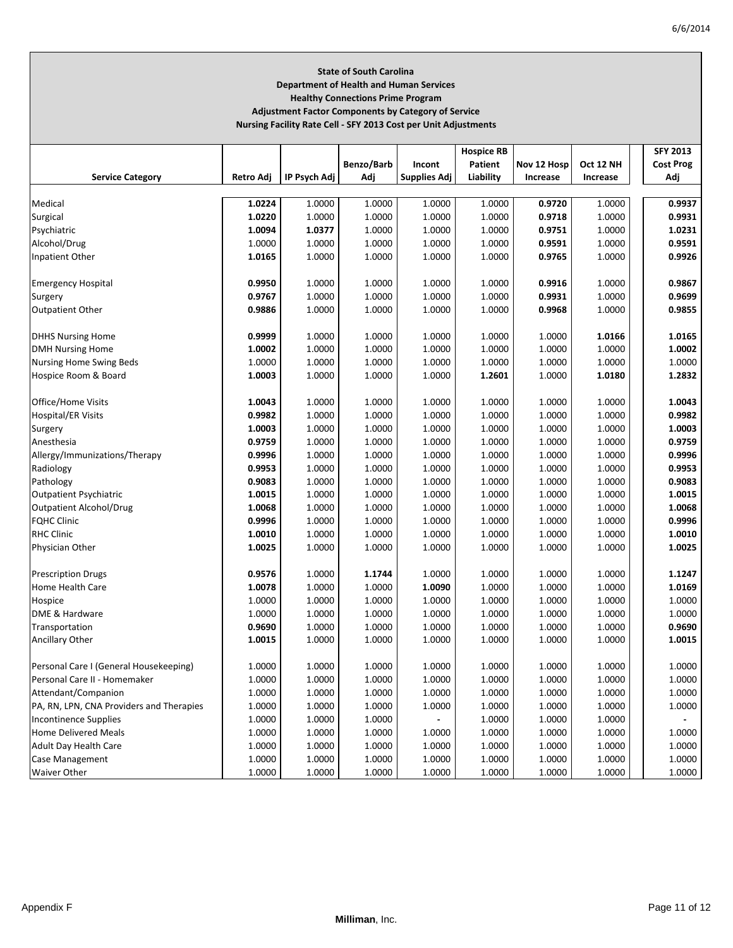# **State of South Carolina Department of Health and Human Services Healthy Connections Prime Program Adjustment Factor Components by Category of Service**

**Nursing Facility Rate Cell ‐ SFY 2013 Cost per Unit Adjustments**

|                                          |           |              |            |                     | <b>Hospice RB</b> |             |           | <b>SFY 2013</b>  |
|------------------------------------------|-----------|--------------|------------|---------------------|-------------------|-------------|-----------|------------------|
|                                          |           |              | Benzo/Barb | Incont              | Patient           | Nov 12 Hosp | Oct 12 NH | <b>Cost Prog</b> |
| <b>Service Category</b>                  | Retro Adj | IP Psych Adj | Adj        | <b>Supplies Adj</b> | Liability         | Increase    | Increase  | Adj              |
|                                          |           |              |            |                     |                   |             |           |                  |
| Medical                                  | 1.0224    | 1.0000       | 1.0000     | 1.0000              | 1.0000            | 0.9720      | 1.0000    | 0.9937           |
| Surgical                                 | 1.0220    | 1.0000       | 1.0000     | 1.0000              | 1.0000            | 0.9718      | 1.0000    | 0.9931           |
| Psychiatric                              | 1.0094    | 1.0377       | 1.0000     | 1.0000              | 1.0000            | 0.9751      | 1.0000    | 1.0231           |
| Alcohol/Drug                             | 1.0000    | 1.0000       | 1.0000     | 1.0000              | 1.0000            | 0.9591      | 1.0000    | 0.9591           |
| Inpatient Other                          | 1.0165    | 1.0000       | 1.0000     | 1.0000              | 1.0000            | 0.9765      | 1.0000    | 0.9926           |
|                                          |           |              |            |                     |                   |             |           |                  |
| <b>Emergency Hospital</b>                | 0.9950    | 1.0000       | 1.0000     | 1.0000              | 1.0000            | 0.9916      | 1.0000    | 0.9867           |
| Surgery                                  | 0.9767    | 1.0000       | 1.0000     | 1.0000              | 1.0000            | 0.9931      | 1.0000    | 0.9699           |
| <b>Outpatient Other</b>                  | 0.9886    | 1.0000       | 1.0000     | 1.0000              | 1.0000            | 0.9968      | 1.0000    | 0.9855           |
|                                          |           |              |            |                     |                   |             |           |                  |
| <b>DHHS Nursing Home</b>                 | 0.9999    | 1.0000       | 1.0000     | 1.0000              | 1.0000            | 1.0000      | 1.0166    | 1.0165           |
| <b>DMH Nursing Home</b>                  | 1.0002    | 1.0000       | 1.0000     | 1.0000              | 1.0000            | 1.0000      | 1.0000    | 1.0002           |
| Nursing Home Swing Beds                  | 1.0000    | 1.0000       | 1.0000     | 1.0000              | 1.0000            | 1.0000      | 1.0000    | 1.0000           |
| Hospice Room & Board                     | 1.0003    | 1.0000       | 1.0000     | 1.0000              | 1.2601            | 1.0000      | 1.0180    | 1.2832           |
|                                          |           |              |            |                     |                   |             |           |                  |
| Office/Home Visits                       | 1.0043    | 1.0000       | 1.0000     | 1.0000              | 1.0000            | 1.0000      | 1.0000    | 1.0043           |
|                                          | 0.9982    | 1.0000       | 1.0000     | 1.0000              | 1.0000            | 1.0000      | 1.0000    | 0.9982           |
| <b>Hospital/ER Visits</b>                |           |              |            |                     |                   |             |           |                  |
| Surgery                                  | 1.0003    | 1.0000       | 1.0000     | 1.0000              | 1.0000            | 1.0000      | 1.0000    | 1.0003           |
| Anesthesia                               | 0.9759    | 1.0000       | 1.0000     | 1.0000              | 1.0000            | 1.0000      | 1.0000    | 0.9759           |
| Allergy/Immunizations/Therapy            | 0.9996    | 1.0000       | 1.0000     | 1.0000              | 1.0000            | 1.0000      | 1.0000    | 0.9996           |
| Radiology                                | 0.9953    | 1.0000       | 1.0000     | 1.0000              | 1.0000            | 1.0000      | 1.0000    | 0.9953           |
| Pathology                                | 0.9083    | 1.0000       | 1.0000     | 1.0000              | 1.0000            | 1.0000      | 1.0000    | 0.9083           |
| <b>Outpatient Psychiatric</b>            | 1.0015    | 1.0000       | 1.0000     | 1.0000              | 1.0000            | 1.0000      | 1.0000    | 1.0015           |
| <b>Outpatient Alcohol/Drug</b>           | 1.0068    | 1.0000       | 1.0000     | 1.0000              | 1.0000            | 1.0000      | 1.0000    | 1.0068           |
| <b>FQHC Clinic</b>                       | 0.9996    | 1.0000       | 1.0000     | 1.0000              | 1.0000            | 1.0000      | 1.0000    | 0.9996           |
| <b>RHC Clinic</b>                        | 1.0010    | 1.0000       | 1.0000     | 1.0000              | 1.0000            | 1.0000      | 1.0000    | 1.0010           |
| Physician Other                          | 1.0025    | 1.0000       | 1.0000     | 1.0000              | 1.0000            | 1.0000      | 1.0000    | 1.0025           |
|                                          |           |              |            |                     |                   |             |           |                  |
| <b>Prescription Drugs</b>                | 0.9576    | 1.0000       | 1.1744     | 1.0000              | 1.0000            | 1.0000      | 1.0000    | 1.1247           |
| Home Health Care                         | 1.0078    | 1.0000       | 1.0000     | 1.0090              | 1.0000            | 1.0000      | 1.0000    | 1.0169           |
| Hospice                                  | 1.0000    | 1.0000       | 1.0000     | 1.0000              | 1.0000            | 1.0000      | 1.0000    | 1.0000           |
| DME & Hardware                           | 1.0000    | 1.0000       | 1.0000     | 1.0000              | 1.0000            | 1.0000      | 1.0000    | 1.0000           |
| Transportation                           | 0.9690    | 1.0000       | 1.0000     | 1.0000              | 1.0000            | 1.0000      | 1.0000    | 0.9690           |
| Ancillary Other                          | 1.0015    | 1.0000       | 1.0000     | 1.0000              | 1.0000            | 1.0000      | 1.0000    | 1.0015           |
|                                          |           |              |            |                     |                   |             |           |                  |
| Personal Care I (General Housekeeping)   | 1.0000    | 1.0000       | 1.0000     | 1.0000              | 1.0000            | 1.0000      | 1.0000    | 1.0000           |
| Personal Care II - Homemaker             | 1.0000    | 1.0000       | 1.0000     | 1.0000              | 1.0000            | 1.0000      | 1.0000    | 1.0000           |
| Attendant/Companion                      | 1.0000    | 1.0000       | 1.0000     | 1.0000              | 1.0000            | 1.0000      | 1.0000    | 1.0000           |
| PA, RN, LPN, CNA Providers and Therapies | 1.0000    | 1.0000       | 1.0000     | 1.0000              | 1.0000            | 1.0000      | 1.0000    | 1.0000           |
| <b>Incontinence Supplies</b>             | 1.0000    | 1.0000       | 1.0000     |                     | 1.0000            | 1.0000      | 1.0000    |                  |
| <b>Home Delivered Meals</b>              | 1.0000    | 1.0000       | 1.0000     | 1.0000              | 1.0000            | 1.0000      | 1.0000    | 1.0000           |
| <b>Adult Day Health Care</b>             | 1.0000    | 1.0000       | 1.0000     | 1.0000              | 1.0000            | 1.0000      | 1.0000    | 1.0000           |
| Case Management                          | 1.0000    | 1.0000       | 1.0000     | 1.0000              | 1.0000            | 1.0000      | 1.0000    | 1.0000           |
| <b>Waiver Other</b>                      | 1.0000    | 1.0000       | 1.0000     | 1.0000              | 1.0000            | 1.0000      | 1.0000    | 1.0000           |
|                                          |           |              |            |                     |                   |             |           |                  |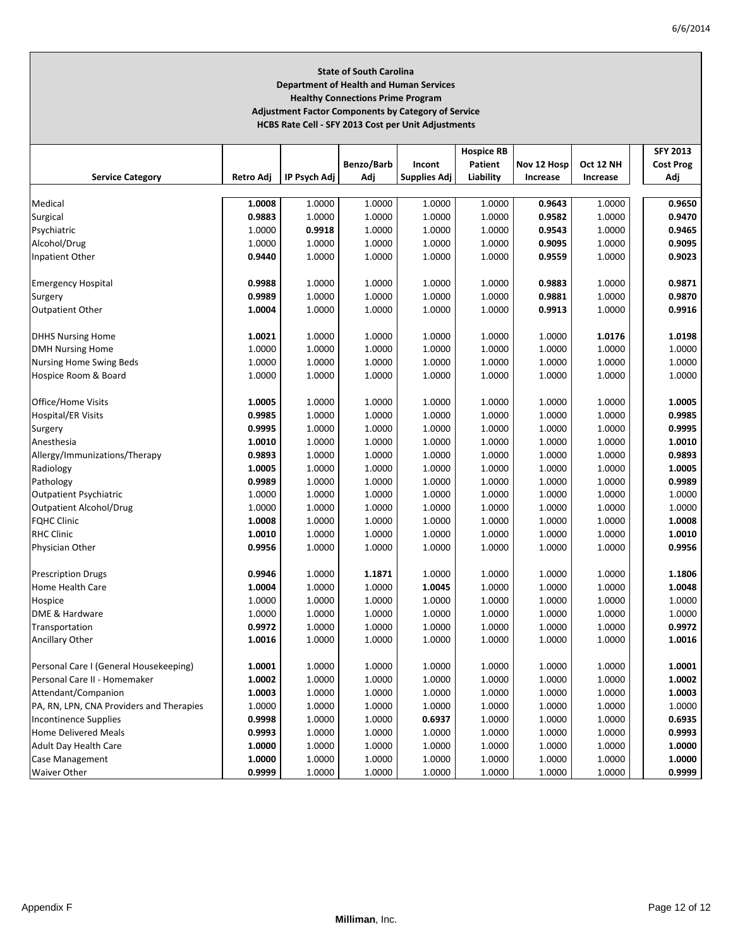## **State of South Carolina Department of Health and Human Services Healthy Connections Prime Program Adjustment Factor Components by Category of Service HCBS Rate Cell ‐ SFY 2013 Cost per Unit Adjustments**

|                                          |           |              |            |                     | <b>Hospice RB</b> |             |           | <b>SFY 2013</b>  |
|------------------------------------------|-----------|--------------|------------|---------------------|-------------------|-------------|-----------|------------------|
|                                          |           |              | Benzo/Barb | Incont              | Patient           | Nov 12 Hosp | Oct 12 NH | <b>Cost Prog</b> |
| <b>Service Category</b>                  | Retro Adj | IP Psych Adj | Adj        | <b>Supplies Adj</b> | Liability         | Increase    | Increase  | Adj              |
|                                          |           |              |            |                     |                   |             |           |                  |
| Medical                                  | 1.0008    | 1.0000       | 1.0000     | 1.0000              | 1.0000            | 0.9643      | 1.0000    | 0.9650           |
| Surgical                                 | 0.9883    | 1.0000       | 1.0000     | 1.0000              | 1.0000            | 0.9582      | 1.0000    | 0.9470           |
| Psychiatric                              | 1.0000    | 0.9918       | 1.0000     | 1.0000              | 1.0000            | 0.9543      | 1.0000    | 0.9465           |
| Alcohol/Drug                             | 1.0000    | 1.0000       | 1.0000     | 1.0000              | 1.0000            | 0.9095      | 1.0000    | 0.9095           |
| Inpatient Other                          | 0.9440    | 1.0000       | 1.0000     | 1.0000              | 1.0000            | 0.9559      | 1.0000    | 0.9023           |
|                                          |           |              |            |                     |                   |             |           |                  |
| <b>Emergency Hospital</b>                | 0.9988    | 1.0000       | 1.0000     | 1.0000              | 1.0000            | 0.9883      | 1.0000    | 0.9871           |
| Surgery                                  | 0.9989    | 1.0000       | 1.0000     | 1.0000              | 1.0000            | 0.9881      | 1.0000    | 0.9870           |
| Outpatient Other                         | 1.0004    | 1.0000       | 1.0000     | 1.0000              | 1.0000            | 0.9913      | 1.0000    | 0.9916           |
|                                          |           |              |            |                     |                   |             |           |                  |
| <b>DHHS Nursing Home</b>                 | 1.0021    | 1.0000       | 1.0000     | 1.0000              | 1.0000            | 1.0000      | 1.0176    | 1.0198           |
| <b>DMH Nursing Home</b>                  | 1.0000    | 1.0000       | 1.0000     | 1.0000              | 1.0000            | 1.0000      | 1.0000    | 1.0000           |
| Nursing Home Swing Beds                  | 1.0000    | 1.0000       | 1.0000     | 1.0000              | 1.0000            | 1.0000      | 1.0000    | 1.0000           |
| Hospice Room & Board                     | 1.0000    | 1.0000       | 1.0000     | 1.0000              | 1.0000            | 1.0000      | 1.0000    | 1.0000           |
|                                          |           |              |            |                     |                   |             |           |                  |
| Office/Home Visits                       | 1.0005    | 1.0000       | 1.0000     | 1.0000              | 1.0000            | 1.0000      | 1.0000    | 1.0005           |
| <b>Hospital/ER Visits</b>                | 0.9985    | 1.0000       | 1.0000     | 1.0000              | 1.0000            | 1.0000      | 1.0000    | 0.9985           |
| Surgery                                  | 0.9995    | 1.0000       | 1.0000     | 1.0000              | 1.0000            | 1.0000      | 1.0000    | 0.9995           |
| Anesthesia                               | 1.0010    | 1.0000       | 1.0000     | 1.0000              | 1.0000            | 1.0000      | 1.0000    | 1.0010           |
| Allergy/Immunizations/Therapy            | 0.9893    | 1.0000       | 1.0000     | 1.0000              | 1.0000            | 1.0000      | 1.0000    | 0.9893           |
| Radiology                                | 1.0005    | 1.0000       | 1.0000     | 1.0000              | 1.0000            | 1.0000      | 1.0000    | 1.0005           |
| Pathology                                | 0.9989    | 1.0000       | 1.0000     | 1.0000              | 1.0000            | 1.0000      | 1.0000    | 0.9989           |
| <b>Outpatient Psychiatric</b>            | 1.0000    | 1.0000       | 1.0000     | 1.0000              | 1.0000            | 1.0000      | 1.0000    | 1.0000           |
| Outpatient Alcohol/Drug                  | 1.0000    | 1.0000       | 1.0000     | 1.0000              | 1.0000            | 1.0000      | 1.0000    | 1.0000           |
| <b>FQHC Clinic</b>                       | 1.0008    | 1.0000       | 1.0000     | 1.0000              | 1.0000            | 1.0000      | 1.0000    | 1.0008           |
|                                          |           |              |            |                     |                   |             |           |                  |
| <b>RHC Clinic</b>                        | 1.0010    | 1.0000       | 1.0000     | 1.0000              | 1.0000            | 1.0000      | 1.0000    | 1.0010           |
| Physician Other                          | 0.9956    | 1.0000       | 1.0000     | 1.0000              | 1.0000            | 1.0000      | 1.0000    | 0.9956           |
|                                          | 0.9946    | 1.0000       | 1.1871     | 1.0000              | 1.0000            |             | 1.0000    | 1.1806           |
| <b>Prescription Drugs</b>                |           |              |            |                     |                   | 1.0000      |           |                  |
| Home Health Care                         | 1.0004    | 1.0000       | 1.0000     | 1.0045              | 1.0000            | 1.0000      | 1.0000    | 1.0048           |
| Hospice                                  | 1.0000    | 1.0000       | 1.0000     | 1.0000              | 1.0000            | 1.0000      | 1.0000    | 1.0000           |
| DME & Hardware                           | 1.0000    | 1.0000       | 1.0000     | 1.0000              | 1.0000            | 1.0000      | 1.0000    | 1.0000           |
| Transportation                           | 0.9972    | 1.0000       | 1.0000     | 1.0000              | 1.0000            | 1.0000      | 1.0000    | 0.9972           |
| Ancillary Other                          | 1.0016    | 1.0000       | 1.0000     | 1.0000              | 1.0000            | 1.0000      | 1.0000    | 1.0016           |
|                                          |           |              |            |                     |                   |             |           |                  |
| Personal Care I (General Housekeeping)   | 1.0001    | 1.0000       | 1.0000     | 1.0000              | 1.0000            | 1.0000      | 1.0000    | 1.0001           |
| Personal Care II - Homemaker             | 1.0002    | 1.0000       | 1.0000     | 1.0000              | 1.0000            | 1.0000      | 1.0000    | 1.0002           |
| Attendant/Companion                      | 1.0003    | 1.0000       | 1.0000     | 1.0000              | 1.0000            | 1.0000      | 1.0000    | 1.0003           |
| PA, RN, LPN, CNA Providers and Therapies | 1.0000    | 1.0000       | 1.0000     | 1.0000              | 1.0000            | 1.0000      | 1.0000    | 1.0000           |
| <b>Incontinence Supplies</b>             | 0.9998    | 1.0000       | 1.0000     | 0.6937              | 1.0000            | 1.0000      | 1.0000    | 0.6935           |
| <b>Home Delivered Meals</b>              | 0.9993    | 1.0000       | 1.0000     | 1.0000              | 1.0000            | 1.0000      | 1.0000    | 0.9993           |
| Adult Day Health Care                    | 1.0000    | 1.0000       | 1.0000     | 1.0000              | 1.0000            | 1.0000      | 1.0000    | 1.0000           |
| Case Management                          | 1.0000    | 1.0000       | 1.0000     | 1.0000              | 1.0000            | 1.0000      | 1.0000    | 1.0000           |
| <b>Waiver Other</b>                      | 0.9999    | 1.0000       | 1.0000     | 1.0000              | 1.0000            | 1.0000      | 1.0000    | 0.9999           |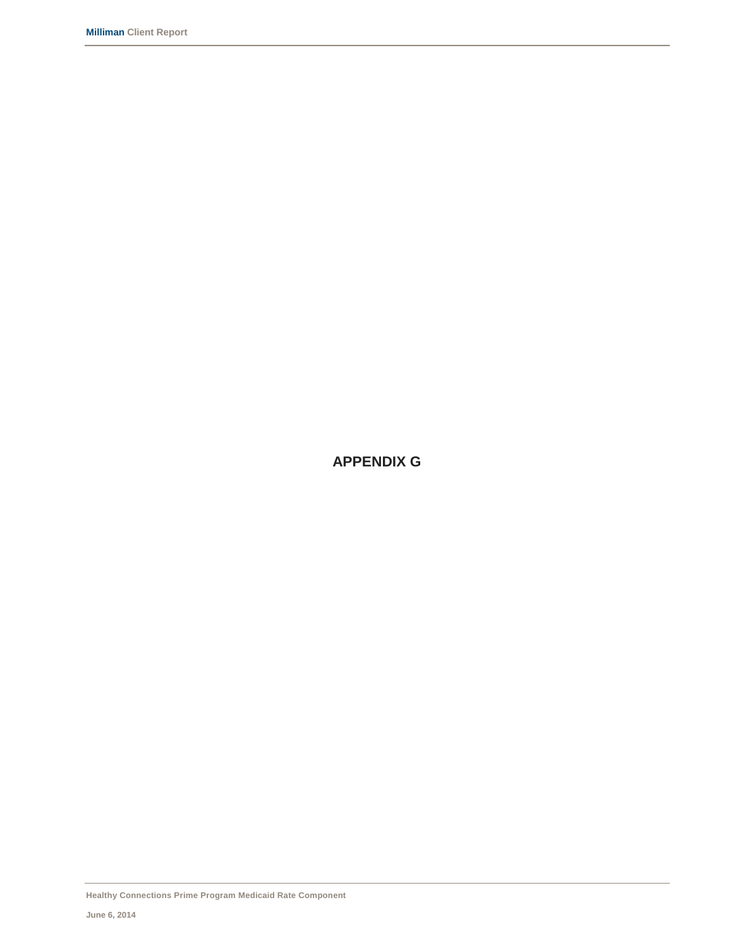**APPENDIX G**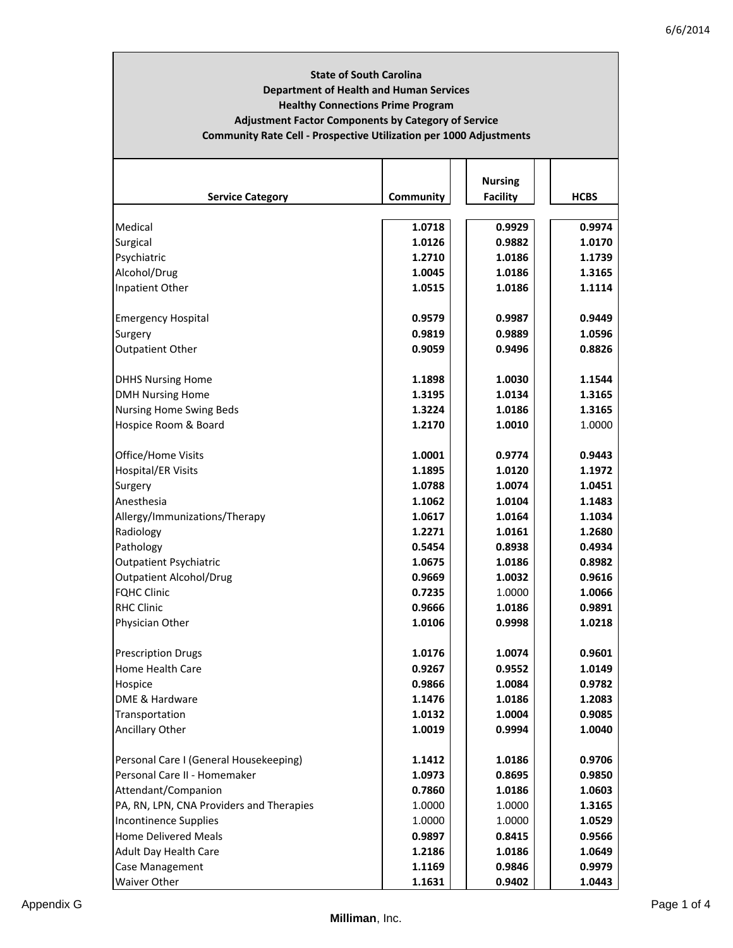# **State of South Carolina Department of Health and Human Services Healthy Connections Prime Program Adjustment Factor Components by Category of Service Community Rate Cell ‐ Prospective Utilization per 1000 Adjustments**

|                                          |           | <b>Nursing</b>  |             |
|------------------------------------------|-----------|-----------------|-------------|
| <b>Service Category</b>                  | Community | <b>Facility</b> | <b>HCBS</b> |
|                                          |           |                 |             |
| Medical                                  | 1.0718    | 0.9929          | 0.9974      |
| Surgical                                 | 1.0126    | 0.9882          | 1.0170      |
| Psychiatric                              | 1.2710    | 1.0186          | 1.1739      |
| Alcohol/Drug                             | 1.0045    | 1.0186          | 1.3165      |
| Inpatient Other                          | 1.0515    | 1.0186          | 1.1114      |
| <b>Emergency Hospital</b>                | 0.9579    | 0.9987          | 0.9449      |
| Surgery                                  | 0.9819    | 0.9889          | 1.0596      |
| <b>Outpatient Other</b>                  | 0.9059    | 0.9496          | 0.8826      |
| <b>DHHS Nursing Home</b>                 | 1.1898    | 1.0030          | 1.1544      |
| <b>DMH Nursing Home</b>                  | 1.3195    | 1.0134          | 1.3165      |
| <b>Nursing Home Swing Beds</b>           | 1.3224    | 1.0186          | 1.3165      |
| Hospice Room & Board                     | 1.2170    | 1.0010          | 1.0000      |
| Office/Home Visits                       | 1.0001    | 0.9774          | 0.9443      |
| <b>Hospital/ER Visits</b>                | 1.1895    | 1.0120          | 1.1972      |
| Surgery                                  | 1.0788    | 1.0074          | 1.0451      |
| Anesthesia                               | 1.1062    | 1.0104          | 1.1483      |
| Allergy/Immunizations/Therapy            | 1.0617    | 1.0164          | 1.1034      |
| Radiology                                | 1.2271    | 1.0161          | 1.2680      |
| Pathology                                | 0.5454    | 0.8938          | 0.4934      |
| <b>Outpatient Psychiatric</b>            | 1.0675    | 1.0186          | 0.8982      |
| <b>Outpatient Alcohol/Drug</b>           | 0.9669    | 1.0032          | 0.9616      |
| <b>FQHC Clinic</b>                       | 0.7235    | 1.0000          | 1.0066      |
| <b>RHC Clinic</b>                        | 0.9666    | 1.0186          | 0.9891      |
| Physician Other                          | 1.0106    | 0.9998          | 1.0218      |
| <b>Prescription Drugs</b>                | 1.0176    | 1.0074          | 0.9601      |
| <b>Home Health Care</b>                  | 0.9267    | 0.9552          | 1.0149      |
| Hospice                                  | 0.9866    | 1.0084          | 0.9782      |
| DME & Hardware                           | 1.1476    | 1.0186          | 1.2083      |
| Transportation                           | 1.0132    | 1.0004          | 0.9085      |
| <b>Ancillary Other</b>                   | 1.0019    | 0.9994          | 1.0040      |
| Personal Care I (General Housekeeping)   | 1.1412    | 1.0186          | 0.9706      |
| Personal Care II - Homemaker             | 1.0973    | 0.8695          | 0.9850      |
| Attendant/Companion                      | 0.7860    | 1.0186          | 1.0603      |
| PA, RN, LPN, CNA Providers and Therapies | 1.0000    | 1.0000          | 1.3165      |
| <b>Incontinence Supplies</b>             | 1.0000    | 1.0000          | 1.0529      |
| <b>Home Delivered Meals</b>              | 0.9897    | 0.8415          | 0.9566      |
| <b>Adult Day Health Care</b>             | 1.2186    | 1.0186          | 1.0649      |
| Case Management                          | 1.1169    | 0.9846          | 0.9979      |
| <b>Waiver Other</b>                      | 1.1631    | 0.9402          | 1.0443      |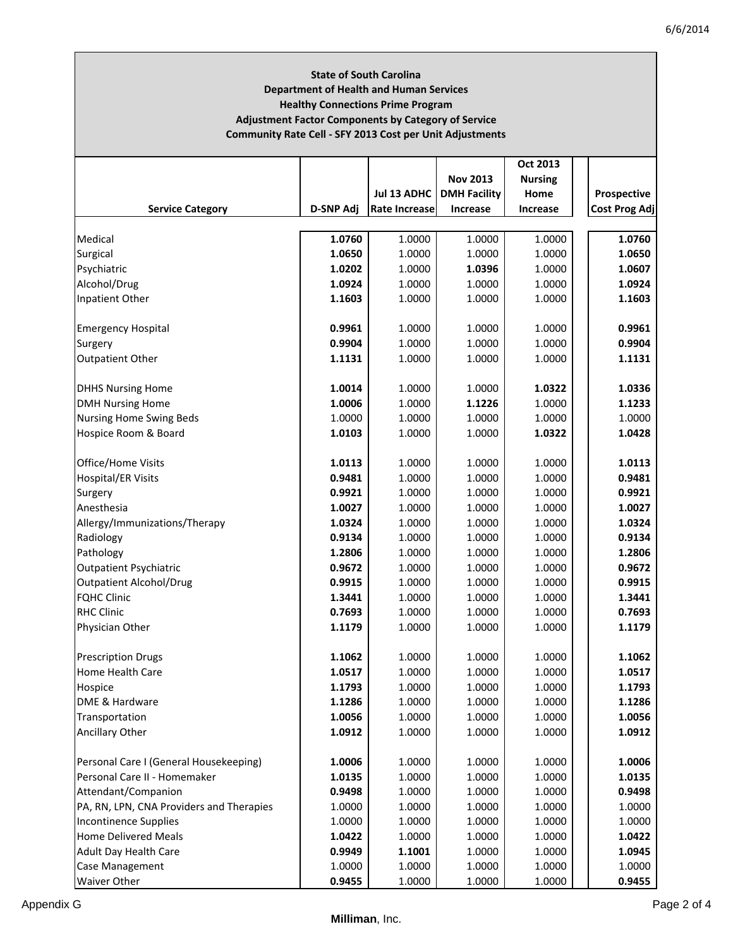| <b>Department of Health and Human Services</b><br><b>Healthy Connections Prime Program</b> |                  |                      |                     |                  |                      |  |  |  |  |  |  |  |  |  |
|--------------------------------------------------------------------------------------------|------------------|----------------------|---------------------|------------------|----------------------|--|--|--|--|--|--|--|--|--|
| <b>Adjustment Factor Components by Category of Service</b>                                 |                  |                      |                     |                  |                      |  |  |  |  |  |  |  |  |  |
| <b>Community Rate Cell - SFY 2013 Cost per Unit Adjustments</b>                            |                  |                      |                     |                  |                      |  |  |  |  |  |  |  |  |  |
|                                                                                            |                  |                      |                     | Oct 2013         |                      |  |  |  |  |  |  |  |  |  |
|                                                                                            |                  |                      | <b>Nov 2013</b>     | <b>Nursing</b>   |                      |  |  |  |  |  |  |  |  |  |
|                                                                                            |                  | Jul 13 ADHC          | <b>DMH Facility</b> | Home             | Prospective          |  |  |  |  |  |  |  |  |  |
| <b>Service Category</b>                                                                    | <b>D-SNP Adi</b> | <b>Rate Increase</b> | Increase            | <b>Increase</b>  | <b>Cost Prog Adj</b> |  |  |  |  |  |  |  |  |  |
| Medical                                                                                    | 1.0760           | 1.0000               | 1.0000              | 1.0000           | 1.0760               |  |  |  |  |  |  |  |  |  |
| Surgical                                                                                   | 1.0650           | 1.0000               | 1.0000              | 1.0000           | 1.0650               |  |  |  |  |  |  |  |  |  |
| Psychiatric                                                                                | 1.0202           | 1.0000               | 1.0396              | 1.0000           | 1.0607               |  |  |  |  |  |  |  |  |  |
| Alcohol/Drug                                                                               | 1.0924           | 1.0000               | 1.0000              | 1.0000           | 1.0924               |  |  |  |  |  |  |  |  |  |
| Inpatient Other                                                                            | 1.1603           | 1.0000               | 1.0000              | 1.0000           | 1.1603               |  |  |  |  |  |  |  |  |  |
|                                                                                            |                  |                      |                     |                  |                      |  |  |  |  |  |  |  |  |  |
| <b>Emergency Hospital</b>                                                                  | 0.9961           | 1.0000               | 1.0000              | 1.0000           | 0.9961               |  |  |  |  |  |  |  |  |  |
| Surgery                                                                                    | 0.9904           | 1.0000               | 1.0000              | 1.0000           | 0.9904               |  |  |  |  |  |  |  |  |  |
| <b>Outpatient Other</b>                                                                    | 1.1131           | 1.0000               | 1.0000              | 1.0000           | 1.1131               |  |  |  |  |  |  |  |  |  |
| <b>DHHS Nursing Home</b>                                                                   | 1.0014           | 1.0000               | 1.0000              | 1.0322           | 1.0336               |  |  |  |  |  |  |  |  |  |
| <b>DMH Nursing Home</b>                                                                    | 1.0006           | 1.0000               | 1.1226              | 1.0000           | 1.1233               |  |  |  |  |  |  |  |  |  |
| <b>Nursing Home Swing Beds</b>                                                             | 1.0000           | 1.0000               | 1.0000              | 1.0000           | 1.0000               |  |  |  |  |  |  |  |  |  |
| Hospice Room & Board                                                                       | 1.0103           | 1.0000               | 1.0000              | 1.0322           | 1.0428               |  |  |  |  |  |  |  |  |  |
| Office/Home Visits                                                                         | 1.0113           | 1.0000               | 1.0000              | 1.0000           | 1.0113               |  |  |  |  |  |  |  |  |  |
| <b>Hospital/ER Visits</b>                                                                  | 0.9481           | 1.0000               | 1.0000              | 1.0000           | 0.9481               |  |  |  |  |  |  |  |  |  |
| Surgery                                                                                    | 0.9921           | 1.0000               | 1.0000              | 1.0000           | 0.9921               |  |  |  |  |  |  |  |  |  |
| Anesthesia                                                                                 | 1.0027           | 1.0000               | 1.0000              | 1.0000           | 1.0027               |  |  |  |  |  |  |  |  |  |
| Allergy/Immunizations/Therapy                                                              | 1.0324           | 1.0000               | 1.0000              | 1.0000           | 1.0324               |  |  |  |  |  |  |  |  |  |
| Radiology                                                                                  | 0.9134           | 1.0000               | 1.0000              | 1.0000           | 0.9134               |  |  |  |  |  |  |  |  |  |
| Pathology                                                                                  | 1.2806           | 1.0000               | 1.0000              | 1.0000           | 1.2806               |  |  |  |  |  |  |  |  |  |
| <b>Outpatient Psychiatric</b>                                                              | 0.9672           | 1.0000               | 1.0000              | 1.0000           | 0.9672               |  |  |  |  |  |  |  |  |  |
| <b>Outpatient Alcohol/Drug</b>                                                             | 0.9915           | 1.0000               | 1.0000              | 1.0000           | 0.9915               |  |  |  |  |  |  |  |  |  |
| <b>FQHC Clinic</b>                                                                         | 1.3441           | 1.0000               | 1.0000              | 1.0000           | 1.3441               |  |  |  |  |  |  |  |  |  |
| <b>RHC Clinic</b>                                                                          | 0.7693           | 1.0000               | 1.0000              | 1.0000           | 0.7693               |  |  |  |  |  |  |  |  |  |
| Physician Other                                                                            | 1.1179           | 1.0000               | 1.0000              | 1.0000           | 1.1179               |  |  |  |  |  |  |  |  |  |
|                                                                                            |                  |                      |                     |                  |                      |  |  |  |  |  |  |  |  |  |
| <b>Prescription Drugs</b><br><b>Home Health Care</b>                                       | 1.1062           | 1.0000               | 1.0000              | 1.0000           | 1.1062               |  |  |  |  |  |  |  |  |  |
|                                                                                            | 1.0517<br>1.1793 | 1.0000<br>1.0000     | 1.0000<br>1.0000    | 1.0000<br>1.0000 | 1.0517<br>1.1793     |  |  |  |  |  |  |  |  |  |
| Hospice<br>DME & Hardware                                                                  | 1.1286           | 1.0000               | 1.0000              | 1.0000           | 1.1286               |  |  |  |  |  |  |  |  |  |
| Transportation                                                                             | 1.0056           | 1.0000               | 1.0000              | 1.0000           | 1.0056               |  |  |  |  |  |  |  |  |  |
| Ancillary Other                                                                            | 1.0912           | 1.0000               | 1.0000              | 1.0000           | 1.0912               |  |  |  |  |  |  |  |  |  |
|                                                                                            |                  |                      |                     |                  |                      |  |  |  |  |  |  |  |  |  |
| Personal Care I (General Housekeeping)                                                     | 1.0006           | 1.0000               | 1.0000              | 1.0000           | 1.0006               |  |  |  |  |  |  |  |  |  |
| Personal Care II - Homemaker                                                               | 1.0135           | 1.0000               | 1.0000              | 1.0000           | 1.0135               |  |  |  |  |  |  |  |  |  |
| Attendant/Companion                                                                        | 0.9498           | 1.0000               | 1.0000              | 1.0000           | 0.9498               |  |  |  |  |  |  |  |  |  |
| PA, RN, LPN, CNA Providers and Therapies                                                   | 1.0000           | 1.0000               | 1.0000              | 1.0000           | 1.0000               |  |  |  |  |  |  |  |  |  |
| <b>Incontinence Supplies</b>                                                               | 1.0000           | 1.0000               | 1.0000              | 1.0000           | 1.0000               |  |  |  |  |  |  |  |  |  |
| <b>Home Delivered Meals</b>                                                                | 1.0422           | 1.0000               | 1.0000              | 1.0000           | 1.0422               |  |  |  |  |  |  |  |  |  |
| Adult Day Health Care                                                                      | 0.9949           | 1.1001               | 1.0000              | 1.0000           | 1.0945               |  |  |  |  |  |  |  |  |  |
| Case Management                                                                            | 1.0000           | 1.0000               | 1.0000              | 1.0000           | 1.0000               |  |  |  |  |  |  |  |  |  |
| Waiver Other                                                                               | 0.9455           | 1.0000               | 1.0000              | 1.0000           | 0.9455               |  |  |  |  |  |  |  |  |  |

**State of South Carolina**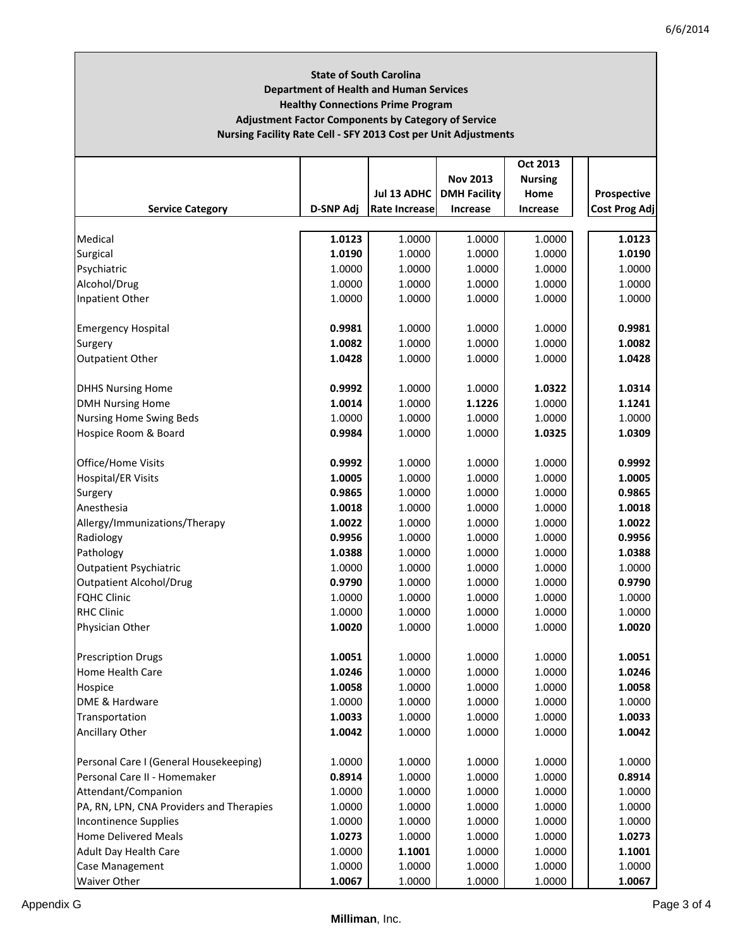ī

| <b>State of South Carolina</b><br><b>Department of Health and Human Services</b><br><b>Healthy Connections Prime Program</b><br><b>Adjustment Factor Components by Category of Service</b><br>Nursing Facility Rate Cell - SFY 2013 Cost per Unit Adjustments |                  |               |                     |                |                      |  |  |  |  |  |  |  |  |  |
|---------------------------------------------------------------------------------------------------------------------------------------------------------------------------------------------------------------------------------------------------------------|------------------|---------------|---------------------|----------------|----------------------|--|--|--|--|--|--|--|--|--|
|                                                                                                                                                                                                                                                               |                  |               |                     | Oct 2013       |                      |  |  |  |  |  |  |  |  |  |
|                                                                                                                                                                                                                                                               |                  |               | <b>Nov 2013</b>     | <b>Nursing</b> |                      |  |  |  |  |  |  |  |  |  |
|                                                                                                                                                                                                                                                               |                  | Jul 13 ADHC   | <b>DMH Facility</b> | Home           | Prospective          |  |  |  |  |  |  |  |  |  |
| <b>Service Category</b>                                                                                                                                                                                                                                       | <b>D-SNP Adj</b> | Rate Increase | <b>Increase</b>     | Increase       | <b>Cost Prog Adj</b> |  |  |  |  |  |  |  |  |  |
| Medical                                                                                                                                                                                                                                                       | 1.0123           | 1.0000        | 1.0000              | 1.0000         | 1.0123               |  |  |  |  |  |  |  |  |  |
| Surgical                                                                                                                                                                                                                                                      | 1.0190           | 1.0000        | 1.0000              | 1.0000         | 1.0190               |  |  |  |  |  |  |  |  |  |
| Psychiatric                                                                                                                                                                                                                                                   | 1.0000           | 1.0000        | 1.0000              | 1.0000         | 1.0000               |  |  |  |  |  |  |  |  |  |
| Alcohol/Drug                                                                                                                                                                                                                                                  | 1.0000           | 1.0000        | 1.0000              | 1.0000         | 1.0000               |  |  |  |  |  |  |  |  |  |
| Inpatient Other                                                                                                                                                                                                                                               | 1.0000           | 1.0000        | 1.0000              | 1.0000         | 1.0000               |  |  |  |  |  |  |  |  |  |
|                                                                                                                                                                                                                                                               |                  |               |                     |                |                      |  |  |  |  |  |  |  |  |  |
| <b>Emergency Hospital</b>                                                                                                                                                                                                                                     | 0.9981           | 1.0000        | 1.0000              | 1.0000         | 0.9981               |  |  |  |  |  |  |  |  |  |
| Surgery                                                                                                                                                                                                                                                       | 1.0082           | 1.0000        | 1.0000              | 1.0000         | 1.0082               |  |  |  |  |  |  |  |  |  |
| Outpatient Other                                                                                                                                                                                                                                              | 1.0428           | 1.0000        | 1.0000              | 1.0000         | 1.0428               |  |  |  |  |  |  |  |  |  |
| <b>DHHS Nursing Home</b>                                                                                                                                                                                                                                      | 0.9992           | 1.0000        | 1.0000              | 1.0322         | 1.0314               |  |  |  |  |  |  |  |  |  |
| <b>DMH Nursing Home</b>                                                                                                                                                                                                                                       | 1.0014           | 1.0000        | 1.1226              | 1.0000         | 1.1241               |  |  |  |  |  |  |  |  |  |
| <b>Nursing Home Swing Beds</b>                                                                                                                                                                                                                                | 1.0000           | 1.0000        | 1.0000              | 1.0000         | 1.0000               |  |  |  |  |  |  |  |  |  |
| Hospice Room & Board                                                                                                                                                                                                                                          | 0.9984           | 1.0000        | 1.0000              | 1.0325         | 1.0309               |  |  |  |  |  |  |  |  |  |
|                                                                                                                                                                                                                                                               |                  |               |                     |                |                      |  |  |  |  |  |  |  |  |  |
| Office/Home Visits                                                                                                                                                                                                                                            | 0.9992           | 1.0000        | 1.0000              | 1.0000         | 0.9992               |  |  |  |  |  |  |  |  |  |
| <b>Hospital/ER Visits</b>                                                                                                                                                                                                                                     | 1.0005           | 1.0000        | 1.0000              | 1.0000         | 1.0005               |  |  |  |  |  |  |  |  |  |
| Surgery                                                                                                                                                                                                                                                       | 0.9865           | 1.0000        | 1.0000              | 1.0000         | 0.9865               |  |  |  |  |  |  |  |  |  |
| Anesthesia                                                                                                                                                                                                                                                    | 1.0018           | 1.0000        | 1.0000              | 1.0000         | 1.0018               |  |  |  |  |  |  |  |  |  |
| Allergy/Immunizations/Therapy                                                                                                                                                                                                                                 | 1.0022           | 1.0000        | 1.0000              | 1.0000         | 1.0022               |  |  |  |  |  |  |  |  |  |
| Radiology                                                                                                                                                                                                                                                     | 0.9956           | 1.0000        | 1.0000              | 1.0000         | 0.9956               |  |  |  |  |  |  |  |  |  |
| Pathology                                                                                                                                                                                                                                                     | 1.0388           | 1.0000        | 1.0000              | 1.0000         | 1.0388               |  |  |  |  |  |  |  |  |  |
| <b>Outpatient Psychiatric</b>                                                                                                                                                                                                                                 | 1.0000           | 1.0000        | 1.0000              | 1.0000         | 1.0000               |  |  |  |  |  |  |  |  |  |
| <b>Outpatient Alcohol/Drug</b>                                                                                                                                                                                                                                | 0.9790           | 1.0000        | 1.0000              | 1.0000         | 0.9790               |  |  |  |  |  |  |  |  |  |
| <b>FQHC Clinic</b>                                                                                                                                                                                                                                            | 1.0000           | 1.0000        | 1.0000              | 1.0000         | 1.0000               |  |  |  |  |  |  |  |  |  |
| <b>RHC Clinic</b>                                                                                                                                                                                                                                             | 1.0000           | 1.0000        | 1.0000              | 1.0000         | 1.0000               |  |  |  |  |  |  |  |  |  |
| Physician Other                                                                                                                                                                                                                                               | 1.0020           | 1.0000        | 1.0000              | 1.0000         | 1.0020               |  |  |  |  |  |  |  |  |  |
| <b>Prescription Drugs</b>                                                                                                                                                                                                                                     | 1.0051           | 1.0000        | 1.0000              | 1.0000         | 1.0051               |  |  |  |  |  |  |  |  |  |
| Home Health Care                                                                                                                                                                                                                                              | 1.0246           | 1.0000        | 1.0000              | 1.0000         | 1.0246               |  |  |  |  |  |  |  |  |  |
| Hospice                                                                                                                                                                                                                                                       | 1.0058           | 1.0000        | 1.0000              | 1.0000         | 1.0058               |  |  |  |  |  |  |  |  |  |
| DME & Hardware                                                                                                                                                                                                                                                | 1.0000           | 1.0000        | 1.0000              | 1.0000         | 1.0000               |  |  |  |  |  |  |  |  |  |
| Transportation                                                                                                                                                                                                                                                | 1.0033           | 1.0000        | 1.0000              | 1.0000         | 1.0033               |  |  |  |  |  |  |  |  |  |
| Ancillary Other                                                                                                                                                                                                                                               | 1.0042           | 1.0000        | 1.0000              | 1.0000         | 1.0042               |  |  |  |  |  |  |  |  |  |
| Personal Care I (General Housekeeping)                                                                                                                                                                                                                        | 1.0000           | 1.0000        | 1.0000              | 1.0000         | 1.0000               |  |  |  |  |  |  |  |  |  |
| Personal Care II - Homemaker                                                                                                                                                                                                                                  | 0.8914           | 1.0000        | 1.0000              | 1.0000         | 0.8914               |  |  |  |  |  |  |  |  |  |
| Attendant/Companion                                                                                                                                                                                                                                           | 1.0000           | 1.0000        | 1.0000              | 1.0000         | 1.0000               |  |  |  |  |  |  |  |  |  |
| PA, RN, LPN, CNA Providers and Therapies                                                                                                                                                                                                                      | 1.0000           | 1.0000        | 1.0000              | 1.0000         | 1.0000               |  |  |  |  |  |  |  |  |  |
| <b>Incontinence Supplies</b>                                                                                                                                                                                                                                  | 1.0000           | 1.0000        | 1.0000              | 1.0000         | 1.0000               |  |  |  |  |  |  |  |  |  |
| <b>Home Delivered Meals</b>                                                                                                                                                                                                                                   | 1.0273           | 1.0000        | 1.0000              | 1.0000         | 1.0273               |  |  |  |  |  |  |  |  |  |
| Adult Day Health Care                                                                                                                                                                                                                                         | 1.0000           | 1.1001        | 1.0000              | 1.0000         | 1.1001               |  |  |  |  |  |  |  |  |  |
| Case Management                                                                                                                                                                                                                                               | 1.0000           | 1.0000        | 1.0000              | 1.0000         | 1.0000               |  |  |  |  |  |  |  |  |  |
| Waiver Other                                                                                                                                                                                                                                                  | 1.0067           | 1.0000        | 1.0000              | 1.0000         | 1.0067               |  |  |  |  |  |  |  |  |  |

Г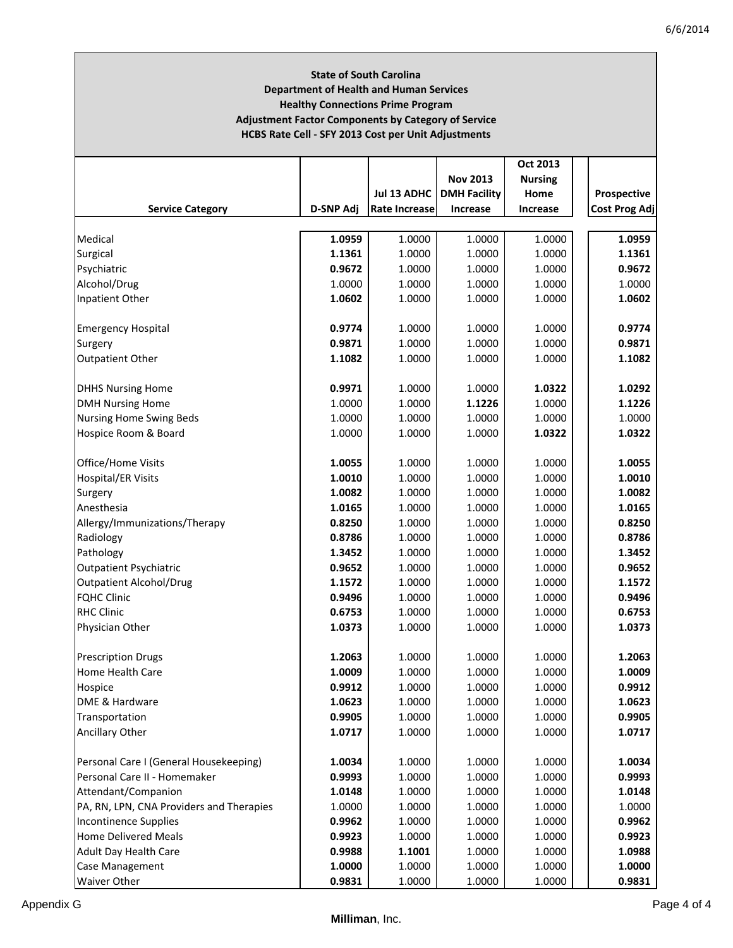# **State of South Carolina Department of Health and Human Services Healthy Connections Prime Program Adjustment Factor Components by Category of Service HCBS Rate Cell ‐ SFY 2013 Cost per Unit Adjustments**

|                                          |                  |                      |                     | Oct 2013         |                      |
|------------------------------------------|------------------|----------------------|---------------------|------------------|----------------------|
|                                          |                  |                      | <b>Nov 2013</b>     | <b>Nursing</b>   |                      |
|                                          |                  | Jul 13 ADHC          | <b>DMH Facility</b> | Home             | Prospective          |
| <b>Service Category</b>                  | <b>D-SNP Adj</b> | <b>Rate Increase</b> | Increase            | <b>Increase</b>  | <b>Cost Prog Adj</b> |
| Medical                                  | 1.0959           | 1.0000               | 1.0000              | 1.0000           | 1.0959               |
|                                          | 1.1361           | 1.0000               | 1.0000              | 1.0000           | 1.1361               |
| Surgical                                 | 0.9672           | 1.0000               | 1.0000              |                  | 0.9672               |
| Psychiatric                              | 1.0000           | 1.0000               | 1.0000              | 1.0000<br>1.0000 | 1.0000               |
| Alcohol/Drug                             |                  |                      |                     |                  |                      |
| Inpatient Other                          | 1.0602           | 1.0000               | 1.0000              | 1.0000           | 1.0602               |
| <b>Emergency Hospital</b>                | 0.9774           | 1.0000               | 1.0000              | 1.0000           | 0.9774               |
| Surgery                                  | 0.9871           | 1.0000               | 1.0000              | 1.0000           | 0.9871               |
| Outpatient Other                         | 1.1082           | 1.0000               | 1.0000              | 1.0000           | 1.1082               |
| <b>DHHS Nursing Home</b>                 | 0.9971           | 1.0000               | 1.0000              | 1.0322           | 1.0292               |
| <b>DMH Nursing Home</b>                  | 1.0000           | 1.0000               | 1.1226              | 1.0000           | 1.1226               |
| <b>Nursing Home Swing Beds</b>           | 1.0000           | 1.0000               | 1.0000              | 1.0000           | 1.0000               |
| Hospice Room & Board                     | 1.0000           | 1.0000               | 1.0000              | 1.0322           | 1.0322               |
| Office/Home Visits                       | 1.0055           | 1.0000               | 1.0000              | 1.0000           | 1.0055               |
| Hospital/ER Visits                       | 1.0010           | 1.0000               | 1.0000              | 1.0000           | 1.0010               |
| Surgery                                  | 1.0082           | 1.0000               | 1.0000              | 1.0000           | 1.0082               |
| Anesthesia                               | 1.0165           | 1.0000               | 1.0000              | 1.0000           | 1.0165               |
| Allergy/Immunizations/Therapy            | 0.8250           | 1.0000               | 1.0000              | 1.0000           | 0.8250               |
| Radiology                                | 0.8786           | 1.0000               | 1.0000              | 1.0000           | 0.8786               |
| Pathology                                | 1.3452           | 1.0000               | 1.0000              | 1.0000           | 1.3452               |
| <b>Outpatient Psychiatric</b>            | 0.9652           | 1.0000               | 1.0000              | 1.0000           | 0.9652               |
| <b>Outpatient Alcohol/Drug</b>           | 1.1572           | 1.0000               | 1.0000              | 1.0000           | 1.1572               |
| <b>FQHC Clinic</b>                       | 0.9496           | 1.0000               | 1.0000              | 1.0000           | 0.9496               |
| <b>RHC Clinic</b>                        | 0.6753           | 1.0000               | 1.0000              | 1.0000           | 0.6753               |
| Physician Other                          | 1.0373           | 1.0000               | 1.0000              | 1.0000           | 1.0373               |
| <b>Prescription Drugs</b>                | 1.2063           | 1.0000               | 1.0000              | 1.0000           | 1.2063               |
| Home Health Care                         | 1.0009           | 1.0000               | 1.0000              | 1.0000           | 1.0009               |
| Hospice                                  | 0.9912           | 1.0000               | 1.0000              | 1.0000           | 0.9912               |
| DME & Hardware                           | 1.0623           | 1.0000               | 1.0000              | 1.0000           | 1.0623               |
| Transportation                           | 0.9905           | 1.0000               | 1.0000              | 1.0000           | 0.9905               |
| Ancillary Other                          | 1.0717           | 1.0000               | 1.0000              | 1.0000           | 1.0717               |
| Personal Care I (General Housekeeping)   | 1.0034           | 1.0000               | 1.0000              | 1.0000           | 1.0034               |
| Personal Care II - Homemaker             | 0.9993           | 1.0000               | 1.0000              | 1.0000           | 0.9993               |
| Attendant/Companion                      | 1.0148           | 1.0000               | 1.0000              | 1.0000           | 1.0148               |
| PA, RN, LPN, CNA Providers and Therapies | 1.0000           | 1.0000               | 1.0000              | 1.0000           | 1.0000               |
| <b>Incontinence Supplies</b>             | 0.9962           | 1.0000               | 1.0000              | 1.0000           | 0.9962               |
| <b>Home Delivered Meals</b>              | 0.9923           | 1.0000               | 1.0000              | 1.0000           | 0.9923               |
| Adult Day Health Care                    | 0.9988           | 1.1001               | 1.0000              | 1.0000           | 1.0988               |
| Case Management                          | 1.0000           | 1.0000               | 1.0000              | 1.0000           | 1.0000               |
| Waiver Other                             | 0.9831           | 1.0000               | 1.0000              | 1.0000           | 0.9831               |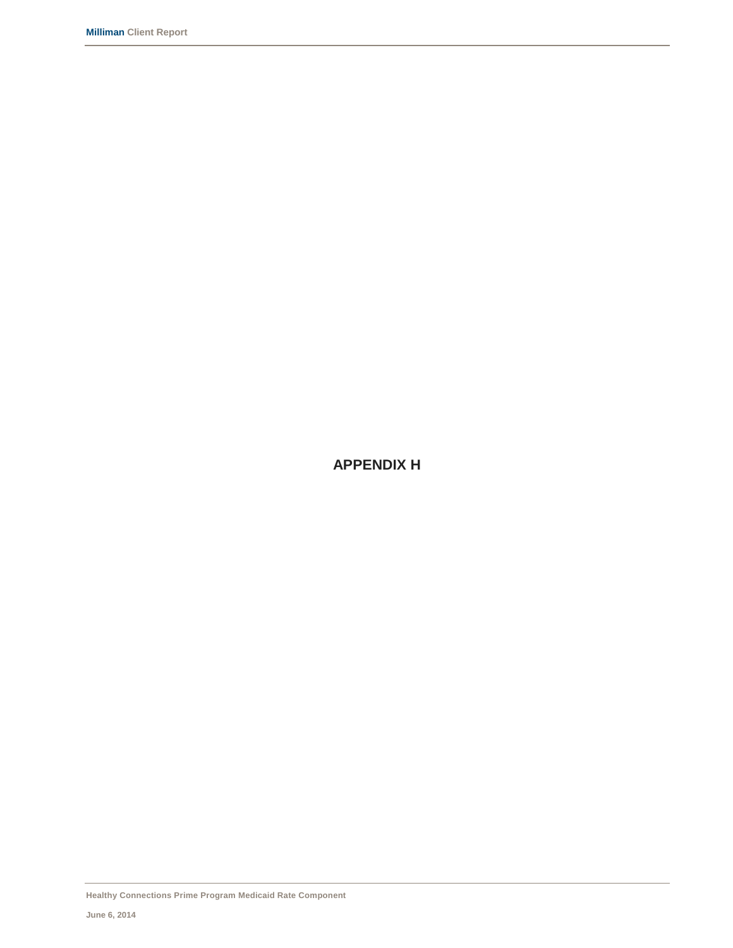**APPENDIX H**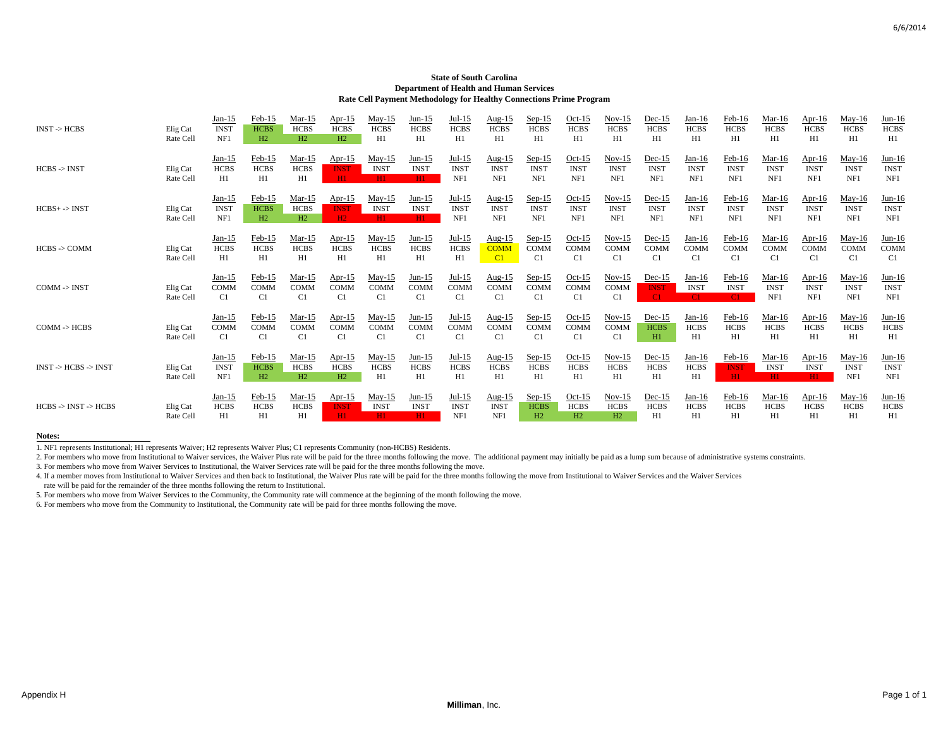#### **State of South Carolina Department of Health and Human Services Rate Cell Payment Methodology for Healthy Connections Prime Program**

| $INST$ -> $HCBS$                         | Elig Cat<br>Rate Cell | $Jan-15$<br><b>INST</b><br>NF1 | $Feb-15$<br><b>HCBS</b><br>H2           | $Mar-15$<br><b>HCBS</b><br>H2 | Apr- $15$<br><b>HCBS</b><br>H2 | $May-15$<br><b>HCBS</b><br>H1 | Jun-15<br><b>HCBS</b><br>H1   | Jul-15<br><b>HCBS</b><br>H1    | Aug- $15$<br><b>HCBS</b><br>H1             | $Sep-15$<br><b>HCBS</b><br>H1             | $Oct-15$<br><b>HCBS</b><br>H1  | $Nov-15$<br><b>HCBS</b><br>H1  | $Dec-15$<br><b>HCBS</b><br>H1  | $Jan-16$<br><b>HCBS</b><br>H1  | Feb-16<br><b>HCBS</b><br>H1    | Mar-16<br><b>HCBS</b><br>H1    | Apr- $16$<br><b>HCBS</b><br>H1  | $May-16$<br><b>HCBS</b><br>H1           | Jun-16<br><b>HCBS</b><br>H1    |
|------------------------------------------|-----------------------|--------------------------------|-----------------------------------------|-------------------------------|--------------------------------|-------------------------------|-------------------------------|--------------------------------|--------------------------------------------|-------------------------------------------|--------------------------------|--------------------------------|--------------------------------|--------------------------------|--------------------------------|--------------------------------|---------------------------------|-----------------------------------------|--------------------------------|
| $HCBS \rightarrow INST$                  | Elig Cat<br>Rate Cell | $Jan-15$<br><b>HCBS</b><br>H1  | Feb-15<br><b>HCBS</b><br>H1             | $Mar-15$<br><b>HCBS</b><br>H1 | $Ar-15$<br><b>INST</b><br>H1   | $May-15$<br><b>INST</b><br>HI | Jun-15<br><b>INST</b><br>H1   | $Jul-15$<br><b>INST</b><br>NF1 | Aug-15<br><b>INST</b><br>NF1               | $Sep-15$<br><b>INST</b><br>NF1            | $Oct-15$<br><b>INST</b><br>NF1 | $Nov-15$<br><b>INST</b><br>NF1 | $Dec-15$<br><b>INST</b><br>NF1 | $Jan-16$<br><b>INST</b><br>NF1 | Feb-16<br><b>INST</b><br>NF1   | Mar-16<br><b>INST</b><br>NF1   | Apr-16<br><b>INST</b><br>NF1    | $May-16$<br><b>INST</b><br>NF1          | $Jun-16$<br><b>INST</b><br>NF1 |
| $HCBS+->INST$                            | Elig Cat<br>Rate Cell | $Jan-15$<br><b>INST</b><br>NF1 | Feb-15<br><b>HCBS</b><br>H2             | $Mar-15$<br><b>HCBS</b><br>H2 | Apr- $15$<br><b>INST</b><br>H2 | $May-15$<br><b>INST</b><br>H1 | $Jun-15$<br><b>INST</b><br>H1 | $Jul-15$<br><b>INST</b><br>NF1 | Aug- $15$<br><b>INST</b><br>NF1            | $Sep-15$<br><b>INST</b><br>NF1            | $Oct-15$<br><b>INST</b><br>NF1 | $Nov-15$<br><b>INST</b><br>NF1 | $Dec-15$<br><b>INST</b><br>NF1 | $Jan-16$<br><b>INST</b><br>NF1 | $Feb-16$<br><b>INST</b><br>NF1 | $Mar-16$<br><b>INST</b><br>NF1 | Apr- $16$<br><b>INST</b><br>NF1 | $May-16$<br><b>INST</b><br>NF1          | $Jun-16$<br><b>INST</b><br>NF1 |
| $HCBS - COMM$                            | Elig Cat<br>Rate Cell | $Jan-15$<br><b>HCBS</b><br>H1  | Feb-15<br><b>HCBS</b><br>H1             | Mar-15<br><b>HCBS</b><br>H1   | Apr- $15$<br><b>HCBS</b><br>H1 | May-15<br><b>HCBS</b><br>H1   | Jun-15<br><b>HCBS</b><br>H1   | $Jul-15$<br><b>HCBS</b><br>H1  | Aug-15<br><b>COMM</b><br>$\overline{C}$    | $Sep-15$<br><b>COMM</b><br>C <sub>1</sub> | $Oct-15$<br><b>COMM</b><br>C1  | $Nov-15$<br>COMM<br>C1         | $Dec-15$<br><b>COMM</b><br>C1  | $Jan-16$<br><b>COMM</b><br>C1  | $Feb-16$<br>COMM<br>C1         | Mar-16<br><b>COMM</b><br>C1    | Apr-16<br><b>COMM</b><br>C1     | May-16<br><b>COMM</b><br>C <sub>1</sub> | $Jun-16$<br><b>COMM</b><br>C1  |
| $COMM \rightarrow INST$                  | Elig Cat<br>Rate Cell | $Jan-15$<br><b>COMM</b><br>C1  | Feb-15<br><b>COMM</b><br>C1             | $Mar-15$<br><b>COMM</b><br>C1 | Apr- $15$<br>COMM<br>C1        | $May-15$<br>COMM<br>C1        | $Jun-15$<br><b>COMM</b><br>C1 | $Jul-15$<br><b>COMM</b><br>C1  | Aug- $15$<br><b>COMM</b><br>C1             | $Sep-15$<br><b>COMM</b><br>C1             | $Oct-15$<br><b>COMM</b><br>C1  | $Nov-15$<br><b>COMM</b><br>C1  | $Dec-15$<br><b>INST</b><br>C1  | $Jan-16$<br><b>INST</b><br>C1. | $Feb-16$<br><b>INST</b><br>C1  | $Mar-16$<br><b>INST</b><br>NF1 | Apr-16<br><b>INST</b><br>NF1    | May-16<br><b>INST</b><br>NF1            | $Jun-16$<br><b>INST</b><br>NF1 |
| $COMM \rightarrow HCBS$                  | Elig Cat<br>Rate Cell | $Jan-15$<br><b>COMM</b><br>C1  | Feb-15<br><b>COMM</b><br>C <sub>1</sub> | $Mar-15$<br><b>COMM</b><br>C1 | Apr- $15$<br>COMM<br>C1        | $May-15$<br><b>COMM</b><br>C1 | $Jun-15$<br><b>COMM</b><br>C1 | $Jul-15$<br><b>COMM</b><br>C1  | Aug- $15$<br><b>COMM</b><br>C <sub>1</sub> | $Sep-15$<br><b>COMM</b><br>C1             | $Oct-15$<br><b>COMM</b><br>C1  | $Nov-15$<br><b>COMM</b><br>C1  | $Dec-15$<br><b>HCBS</b><br>H1  | $Jan-16$<br><b>HCBS</b><br>H1  | $Feb-16$<br><b>HCBS</b><br>H1  | $Mar-16$<br><b>HCBS</b><br>H1  | Apr-16<br><b>HCBS</b><br>H1     | $May-16$<br><b>HCBS</b><br>H1           | $Jun-16$<br><b>HCBS</b><br>H1  |
| $INST$ -> $HCBS$ -> $INST$               | Elig Cat<br>Rate Cell | $Jan-15$<br><b>INST</b><br>NF1 | Feb-15<br><b>HCBS</b><br>H2             | $Mar-15$<br><b>HCBS</b><br>H2 | Apr- $15$<br><b>HCBS</b><br>H2 | $May-15$<br><b>HCBS</b><br>H1 | $Jun-15$<br><b>HCBS</b><br>H1 | $Jul-15$<br><b>HCBS</b><br>H1  | Aug- $15$<br><b>HCBS</b><br>H1             | $Sep-15$<br><b>HCBS</b><br>H1             | $Oct-15$<br><b>HCBS</b><br>H1  | $Nov-15$<br><b>HCBS</b><br>H1  | $Dec-15$<br><b>HCBS</b><br>H1  | $Jan-16$<br><b>HCBS</b><br>H1  | $Feb-16$<br><b>INST</b><br>H1  | $Mar-16$<br><b>INST</b><br>H1  | Apr- $16$<br><b>INST</b><br>H1  | $May-16$<br><b>INST</b><br>NF1          | $Jun-16$<br><b>INST</b><br>NF1 |
| $HCBS \rightarrow INST \rightarrow HCBS$ | Elig Cat<br>Rate Cell | $Jan-15$<br><b>HCBS</b><br>H1  | Feb-15<br><b>HCBS</b><br>H1             | $Mar-15$<br><b>HCBS</b><br>H1 | Apr- $15$<br><b>INST</b><br>H1 | $May-15$<br><b>INST</b><br>H1 | $Jun-15$<br><b>INST</b><br>H1 | $Jul-15$<br><b>INST</b><br>NF1 | Aug- $15$<br><b>INST</b><br>NF1            | $Sep-15$<br><b>HCBS</b><br>H2             | $Oct-15$<br><b>HCBS</b><br>H2  | $Nov-15$<br><b>HCBS</b><br>H2  | $Dec-15$<br><b>HCBS</b><br>H1  | $Jan-16$<br><b>HCBS</b><br>H1  | $Feb-16$<br><b>HCBS</b><br>H1  | $Mar-16$<br><b>HCBS</b><br>H1  | Apr-16<br><b>HCBS</b><br>H1     | $May-16$<br><b>HCBS</b><br>H1           | $Jun-16$<br><b>HCBS</b><br>H1  |

#### **Notes:**

1. NF1 represents Institutional; H1 represents Waiver; H2 represents Waiver Plus; C1 represents Community (non-HCBS) Residents.

2. For members who move from Institutional to Waiver services, the Waiver Plus rate will be paid for the three months following the move. The additional payment may initially be paid as a lump sum because of administrative

3. For members who move from Waiver Services to Institutional, the Waiver Services rate will be paid for the three months following the move.

4. If a member moves from Institutional to Waiver Services and then back to Institutional, the Waiver Plus rate will be paid for the three months following the move from Institutional to Waiver Services and the Waiver Serv

rate will be paid for the remainder of the three months following the return to Institutional.

5. For members who move from Waiver Services to the Community, the Community rate will commence at the beginning of the month following the move.

6. For members who move from the Community to Institutional, the Community rate will be paid for three months following the move.

6/6/2014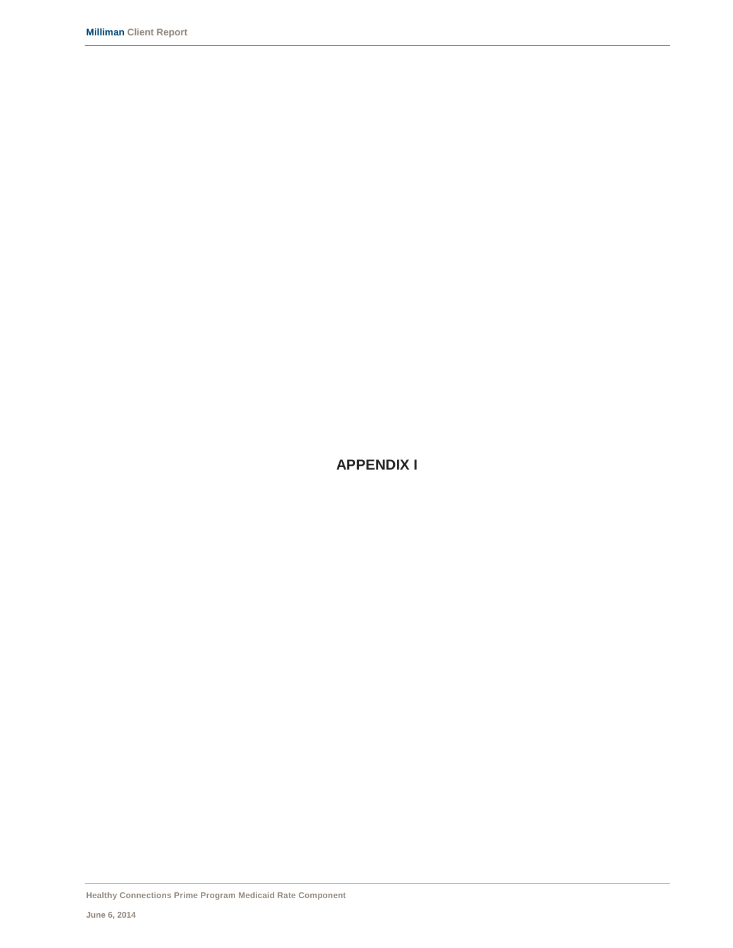**APPENDIX I**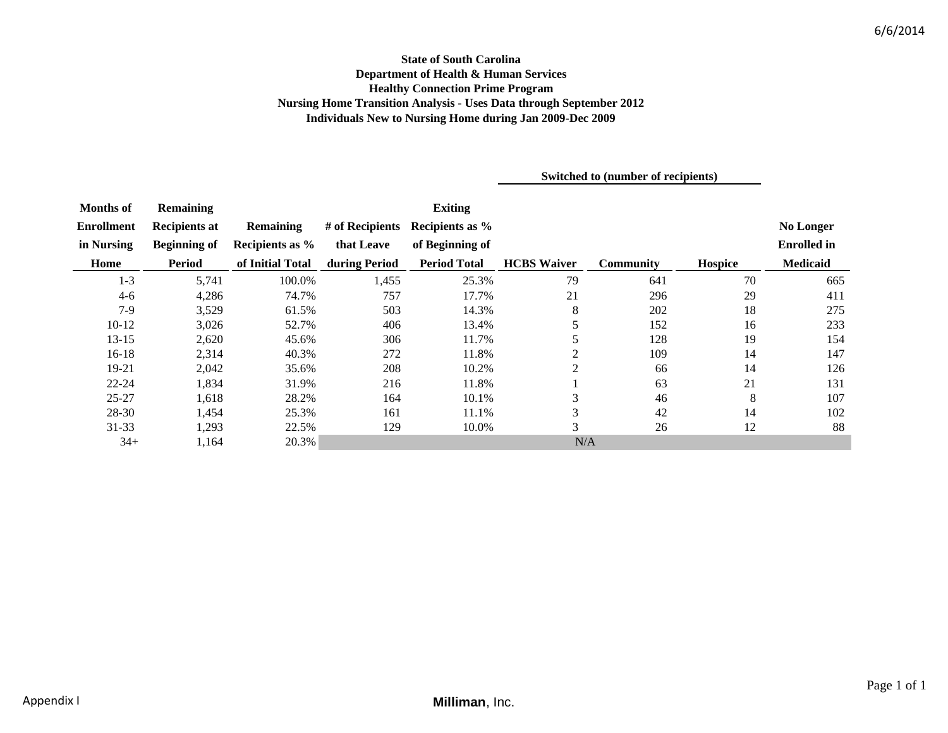# **State of South Carolina Department of Health & Human Services Healthy Connection Prime Program Nursing Home Transition Analysis - Uses Data through September 2012 Individuals New to Nursing Home during Jan 2009-Dec 2009**

**Switched to (number of recipients)**

| <b>Months of</b>  | <b>Remaining</b>     |                  |                 | <b>Exiting</b>      |                    |                  |         |                    |
|-------------------|----------------------|------------------|-----------------|---------------------|--------------------|------------------|---------|--------------------|
| <b>Enrollment</b> | <b>Recipients at</b> | <b>Remaining</b> | # of Recipients | Recipients as %     |                    |                  |         | <b>No Longer</b>   |
| in Nursing        | <b>Beginning of</b>  | Recipients as %  | that Leave      | of Beginning of     |                    |                  |         | <b>Enrolled</b> in |
| Home              | Period               | of Initial Total | during Period   | <b>Period Total</b> | <b>HCBS</b> Waiver | <b>Community</b> | Hospice | <b>Medicaid</b>    |
| $1 - 3$           | 5,741                | 100.0%           | 1,455           | 25.3%               | 79                 | 641              | 70      | 665                |
| $4-6$             | 4,286                | 74.7%            | 757             | 17.7%               | 21                 | 296              | 29      | 411                |
| $7-9$             | 3,529                | 61.5%            | 503             | 14.3%               | $\,8$              | 202              | 18      | 275                |
| $10 - 12$         | 3,026                | 52.7%            | 406             | 13.4%               | 5                  | 152              | 16      | 233                |
| $13 - 15$         | 2,620                | 45.6%            | 306             | 11.7%               | 5                  | 128              | 19      | 154                |
| $16-18$           | 2,314                | 40.3%            | 272             | 11.8%               | $\mathfrak{2}$     | 109              | 14      | 147                |
| 19-21             | 2,042                | 35.6%            | 208             | 10.2%               | 2                  | 66               | 14      | 126                |
| $22 - 24$         | 1,834                | 31.9%            | 216             | 11.8%               |                    | 63               | 21      | 131                |
| $25 - 27$         | 1,618                | 28.2%            | 164             | 10.1%               | 3                  | 46               | 8       | 107                |
| 28-30             | 1,454                | 25.3%            | 161             | 11.1%               | 3                  | 42               | 14      | 102                |
| $31 - 33$         | 1,293                | 22.5%            | 129             | 10.0%               | $\overline{3}$     | 26               | 12      | 88                 |
| $34+$             | 1,164                | 20.3%            |                 |                     | N/A                |                  |         |                    |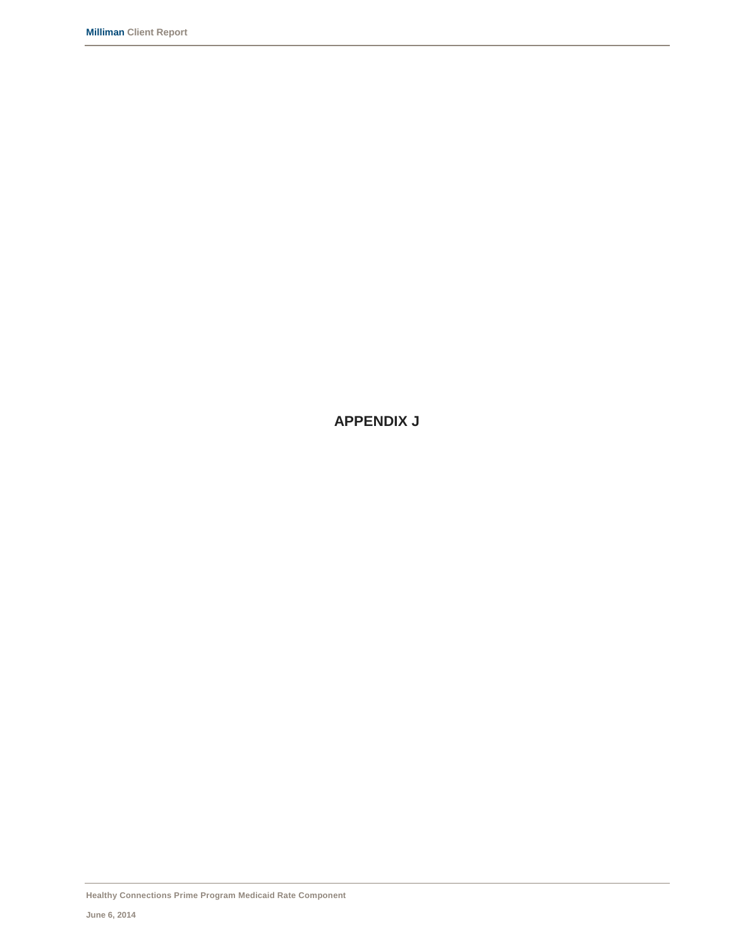**APPENDIX J**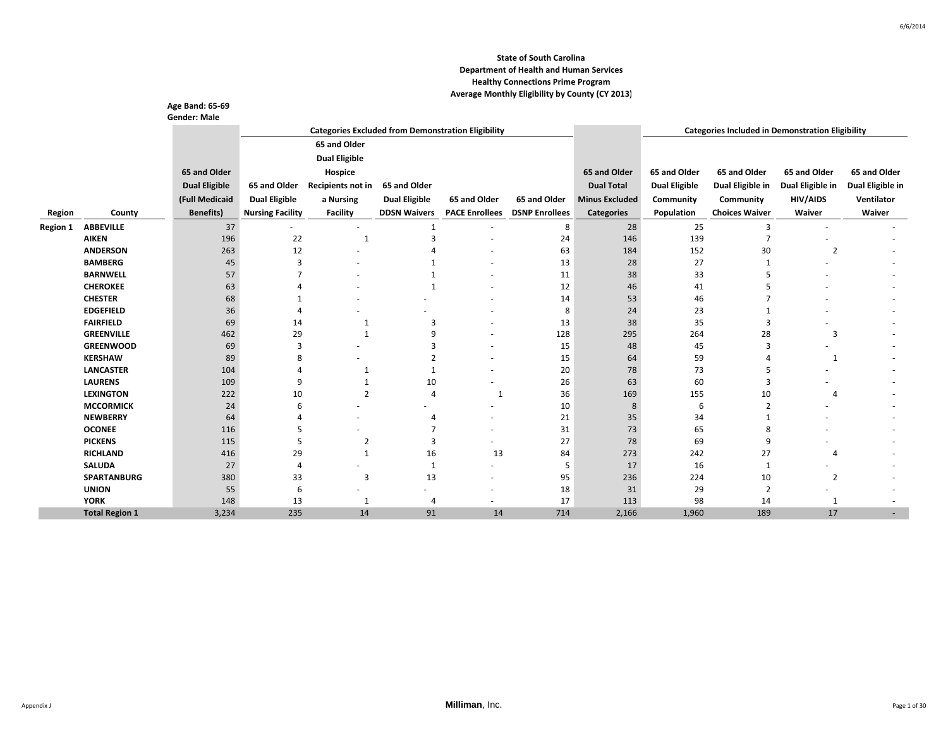|                 |                       | Age Band: 65-69      |                         |                      |                      |                                                           |                       |                       |                      |                                                         |                  |                  |
|-----------------|-----------------------|----------------------|-------------------------|----------------------|----------------------|-----------------------------------------------------------|-----------------------|-----------------------|----------------------|---------------------------------------------------------|------------------|------------------|
|                 |                       | <b>Gender: Male</b>  |                         |                      |                      |                                                           |                       |                       |                      |                                                         |                  |                  |
|                 |                       |                      |                         |                      |                      | <b>Categories Excluded from Demonstration Eligibility</b> |                       |                       |                      | <b>Categories Included in Demonstration Eligibility</b> |                  |                  |
|                 |                       |                      |                         | 65 and Older         |                      |                                                           |                       |                       |                      |                                                         |                  |                  |
|                 |                       |                      |                         | <b>Dual Eligible</b> |                      |                                                           |                       |                       |                      |                                                         |                  |                  |
|                 |                       | 65 and Older         |                         | Hospice              |                      |                                                           |                       | 65 and Older          | 65 and Older         | 65 and Older                                            | 65 and Older     | 65 and Older     |
|                 |                       | <b>Dual Eligible</b> | 65 and Older            | Recipients not in    | 65 and Older         |                                                           |                       | <b>Dual Total</b>     | <b>Dual Eligible</b> | Dual Eligible in                                        | Dual Eligible in | Dual Eligible in |
|                 |                       | (Full Medicaid       | <b>Dual Eligible</b>    | a Nursing            | <b>Dual Eligible</b> | 65 and Older                                              | 65 and Older          | <b>Minus Excluded</b> | Community            | Community                                               | <b>HIV/AIDS</b>  | Ventilator       |
|                 |                       |                      |                         |                      |                      |                                                           |                       |                       |                      |                                                         |                  |                  |
| Region          | County                | <b>Benefits)</b>     | <b>Nursing Facility</b> | Facility             | <b>DDSN Waivers</b>  | <b>PACE Enrollees</b>                                     | <b>DSNP Enrollees</b> | <b>Categories</b>     | Population           | <b>Choices Waiver</b>                                   | Waiver           | Waiver           |
| <b>Region 1</b> | <b>ABBEVILLE</b>      | 37                   |                         |                      | $\mathbf{1}$         |                                                           | 8                     | 28                    | 25                   | 3                                                       |                  |                  |
|                 | <b>AIKEN</b>          | 196                  | 22                      | $\mathbf{1}$         | з                    |                                                           | 24                    | 146                   | 139                  | 7                                                       |                  |                  |
|                 | <b>ANDERSON</b>       | 263                  | 12                      |                      |                      |                                                           | 63                    | 184                   | 152                  | 30                                                      | $\overline{2}$   |                  |
|                 | <b>BAMBERG</b>        | 45                   | $\overline{3}$          |                      |                      |                                                           | 13                    | 28                    | 27                   |                                                         |                  |                  |
|                 | <b>BARNWELL</b>       | 57                   |                         |                      |                      |                                                           | 11                    | 38                    | 33                   |                                                         |                  |                  |
|                 | <b>CHEROKEE</b>       | 63                   |                         |                      | $\overline{1}$       |                                                           | 12                    | 46                    | 41                   |                                                         |                  |                  |
|                 | <b>CHESTER</b>        | 68                   |                         |                      |                      |                                                           | 14                    | 53                    | 46                   |                                                         |                  |                  |
|                 | <b>EDGEFIELD</b>      | 36                   |                         |                      |                      |                                                           | 8                     | 24                    | 23                   |                                                         |                  |                  |
|                 | <b>FAIRFIELD</b>      | 69                   | 14                      | 1                    | 3                    |                                                           | 13                    | 38                    | 35                   | 3                                                       |                  |                  |
|                 | <b>GREENVILLE</b>     | 462                  | 29                      | $\mathbf{1}$         | q                    |                                                           | 128                   | 295                   | 264                  | 28                                                      | 3                |                  |
|                 | <b>GREENWOOD</b>      | 69                   | 3                       |                      | 3                    |                                                           | 15                    | 48                    | 45                   | 3                                                       |                  |                  |
|                 | <b>KERSHAW</b>        | 89                   | 8                       |                      | $\overline{2}$       |                                                           | 15                    | 64                    | 59                   |                                                         | 1                |                  |
|                 | <b>LANCASTER</b>      | 104                  | $\Delta$                | 1                    | $\mathbf{1}$         |                                                           | 20                    | 78                    | 73                   | 5                                                       |                  |                  |
|                 | <b>LAURENS</b>        | 109                  | 9                       |                      | 10                   | $\overline{\phantom{a}}$                                  | 26                    | 63                    | 60                   | $\overline{3}$                                          |                  |                  |
|                 | <b>LEXINGTON</b>      | 222                  | 10                      | $\overline{2}$       | $\overline{4}$       | 1                                                         | 36                    | 169                   | 155                  | 10                                                      | $\overline{4}$   |                  |
|                 | <b>MCCORMICK</b>      | 24                   | 6                       |                      | ٠                    | ٠                                                         | 10                    | 8                     | 6                    | $\overline{2}$                                          |                  |                  |
|                 | <b>NEWBERRY</b>       | 64                   |                         |                      | 4                    |                                                           | 21                    | 35                    | 34                   |                                                         |                  |                  |
|                 | <b>OCONEE</b>         | 116                  | 5                       |                      |                      |                                                           | 31                    | 73                    | 65                   | 8                                                       |                  |                  |
|                 | <b>PICKENS</b>        | 115                  | 5                       | $\overline{2}$       | 3                    |                                                           | 27                    | 78                    | 69                   | 9                                                       |                  |                  |
|                 | <b>RICHLAND</b>       | 416                  | 29                      | $\mathbf{1}$         | 16                   | 13                                                        | 84                    | 273                   | 242                  | 27                                                      | $\overline{4}$   |                  |
|                 | <b>SALUDA</b>         | 27                   | $\overline{4}$          |                      | $\mathbf{1}$         | ٠                                                         | 5                     | 17                    | 16                   | $\mathbf{1}$                                            | ۰                |                  |
|                 | <b>SPARTANBURG</b>    | 380                  | 33                      | 3                    | 13                   | ٠                                                         | 95                    | 236                   | 224                  | 10                                                      | $\overline{2}$   |                  |
|                 | <b>UNION</b>          | 55                   | 6                       |                      |                      | $\overline{\phantom{a}}$                                  | 18                    | 31                    | 29                   | $\overline{2}$                                          |                  |                  |
|                 | <b>YORK</b>           | 148                  | 13                      | 1                    | $\overline{4}$       | $\overline{\phantom{a}}$                                  | 17                    | 113                   | 98                   | 14                                                      | 1                |                  |
|                 | <b>Total Region 1</b> | 3,234                | 235                     | 14                   | 91                   | 14                                                        | 714                   | 2,166                 | 1,960                | 189                                                     | 17               |                  |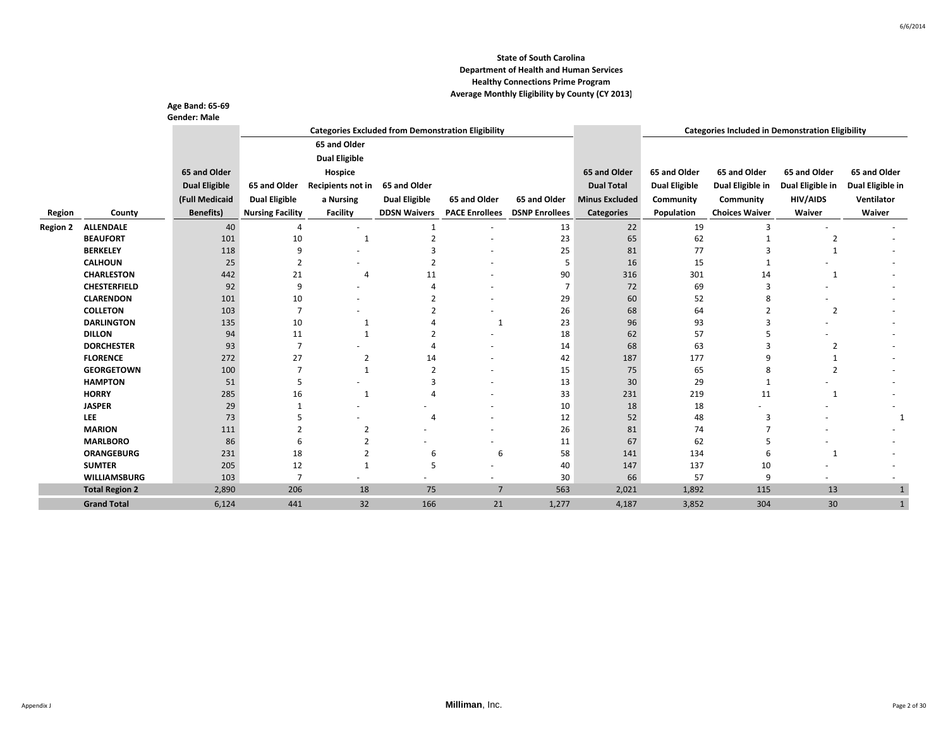|                 |                                | Age Band: 65-69      |                         |                      |                          |                                                           |                       |                       |                      |                                                         |                  |                  |
|-----------------|--------------------------------|----------------------|-------------------------|----------------------|--------------------------|-----------------------------------------------------------|-----------------------|-----------------------|----------------------|---------------------------------------------------------|------------------|------------------|
|                 |                                | <b>Gender: Male</b>  |                         |                      |                          |                                                           |                       |                       |                      |                                                         |                  |                  |
|                 |                                |                      |                         |                      |                          | <b>Categories Excluded from Demonstration Eligibility</b> |                       |                       |                      | <b>Categories Included in Demonstration Eligibility</b> |                  |                  |
|                 |                                |                      |                         | 65 and Older         |                          |                                                           |                       |                       |                      |                                                         |                  |                  |
|                 |                                |                      |                         | <b>Dual Eligible</b> |                          |                                                           |                       |                       |                      |                                                         |                  |                  |
|                 |                                | 65 and Older         |                         | Hospice              |                          |                                                           |                       | 65 and Older          | 65 and Older         | 65 and Older                                            | 65 and Older     | 65 and Older     |
|                 |                                | <b>Dual Eligible</b> | 65 and Older            | Recipients not in    | 65 and Older             |                                                           |                       | <b>Dual Total</b>     | <b>Dual Eligible</b> | Dual Eligible in                                        | Dual Eligible in | Dual Eligible in |
|                 |                                | (Full Medicaid       | <b>Dual Eligible</b>    | a Nursing            | <b>Dual Eligible</b>     | 65 and Older                                              | 65 and Older          | <b>Minus Excluded</b> | Community            | Community                                               | <b>HIV/AIDS</b>  | Ventilator       |
| Region          | County                         | <b>Benefits</b> )    | <b>Nursing Facility</b> | <b>Facility</b>      | <b>DDSN Waivers</b>      | <b>PACE Enrollees</b>                                     | <b>DSNP Enrollees</b> | <b>Categories</b>     | Population           | <b>Choices Waiver</b>                                   | Waiver           | Waiver           |
| <b>Region 2</b> | <b>ALLENDALE</b>               | 40                   | $\overline{4}$          | $\sim$               | 1                        | ٠                                                         | 13                    | 22                    | 19                   | 3                                                       |                  |                  |
|                 | <b>BEAUFORT</b>                | 101                  | 10                      | 1                    | $\overline{\phantom{a}}$ | ٠                                                         | 23                    | 65                    | 62                   |                                                         | $\overline{2}$   |                  |
|                 | <b>BERKELEY</b>                | 118                  | 9                       |                      | 3                        |                                                           | 25                    | 81                    | 77                   |                                                         | $\mathbf{1}$     |                  |
|                 | <b>CALHOUN</b>                 | 25                   | $\overline{2}$          |                      | $\overline{z}$           |                                                           | 5                     | 16                    | 15                   |                                                         |                  |                  |
|                 | <b>CHARLESTON</b>              | 442                  | 21                      | 4                    | 11                       |                                                           | 90                    | 316                   | 301                  | 14                                                      | 1                |                  |
|                 | <b>CHESTERFIELD</b>            | 92                   | 9                       |                      |                          |                                                           | 7                     | 72                    | 69                   | 3                                                       |                  |                  |
|                 | <b>CLARENDON</b>               | 101                  | 10                      |                      |                          |                                                           | 29                    | 60                    | 52                   |                                                         |                  |                  |
|                 | <b>COLLETON</b>                | 103                  | $\overline{7}$          |                      |                          |                                                           | 26                    | 68                    | 64                   |                                                         | $\overline{2}$   |                  |
|                 | <b>DARLINGTON</b>              | 135                  | 10                      | 1                    |                          | 1                                                         | 23                    | 96                    | 93                   |                                                         |                  |                  |
|                 | <b>DILLON</b>                  | 94                   | 11                      | $\mathbf{1}$         |                          |                                                           | 18                    | 62                    | 57                   |                                                         |                  |                  |
|                 | <b>DORCHESTER</b>              | 93                   | $\overline{7}$          |                      |                          |                                                           | 14                    | 68                    | 63                   |                                                         | $\overline{2}$   |                  |
|                 | <b>FLORENCE</b>                | 272                  | 27                      | 2                    | 14                       |                                                           | 42                    | 187                   | 177                  | q                                                       | $\mathbf{1}$     |                  |
|                 | <b>GEORGETOWN</b>              | 100                  | $\overline{7}$          | 1                    | $\overline{2}$           |                                                           | 15                    | 75                    | 65                   | 8                                                       | $\overline{2}$   |                  |
|                 | <b>HAMPTON</b><br><b>HORRY</b> | 51                   | -5                      |                      | 3                        |                                                           | 13<br>33              | 30<br>231             | 29<br>219            | 11                                                      |                  |                  |
|                 | <b>JASPER</b>                  | 285<br>29            | 16<br>$\mathbf{1}$      | 1                    |                          |                                                           | 10                    | 18                    | 18                   |                                                         | 1                |                  |
|                 | <b>LEE</b>                     | 73                   | .5                      |                      | $\overline{4}$           |                                                           | 12                    | 52                    | 48                   | 3                                                       |                  | 1                |
|                 | <b>MARION</b>                  | 111                  | $\overline{2}$          | $\overline{2}$       |                          |                                                           | 26                    | 81                    | 74                   |                                                         |                  |                  |
|                 | <b>MARLBORO</b>                | 86                   | 6                       |                      |                          |                                                           | 11                    | 67                    | 62                   |                                                         |                  |                  |
|                 | <b>ORANGEBURG</b>              | 231                  | 18                      | $\overline{2}$       | 6                        | 6                                                         | 58                    | 141                   | 134                  |                                                         | $\mathbf{1}$     |                  |
|                 | <b>SUMTER</b>                  | 205                  | 12                      | 1                    | .5                       |                                                           | 40                    | 147                   | 137                  | 10                                                      |                  |                  |
|                 | <b>WILLIAMSBURG</b>            | 103                  | $\overline{7}$          |                      |                          |                                                           | 30                    | 66                    | 57                   | 9                                                       |                  |                  |
|                 | <b>Total Region 2</b>          | 2,890                | 206                     | 18                   | 75                       | $\overline{7}$                                            | 563                   | 2,021                 | 1,892                | 115                                                     | 13               | 1                |
|                 | <b>Grand Total</b>             | 6,124                | 441                     | 32                   | 166                      | 21                                                        | 1,277                 | 4,187                 | 3,852                | 304                                                     | 30               | $\mathbf{1}$     |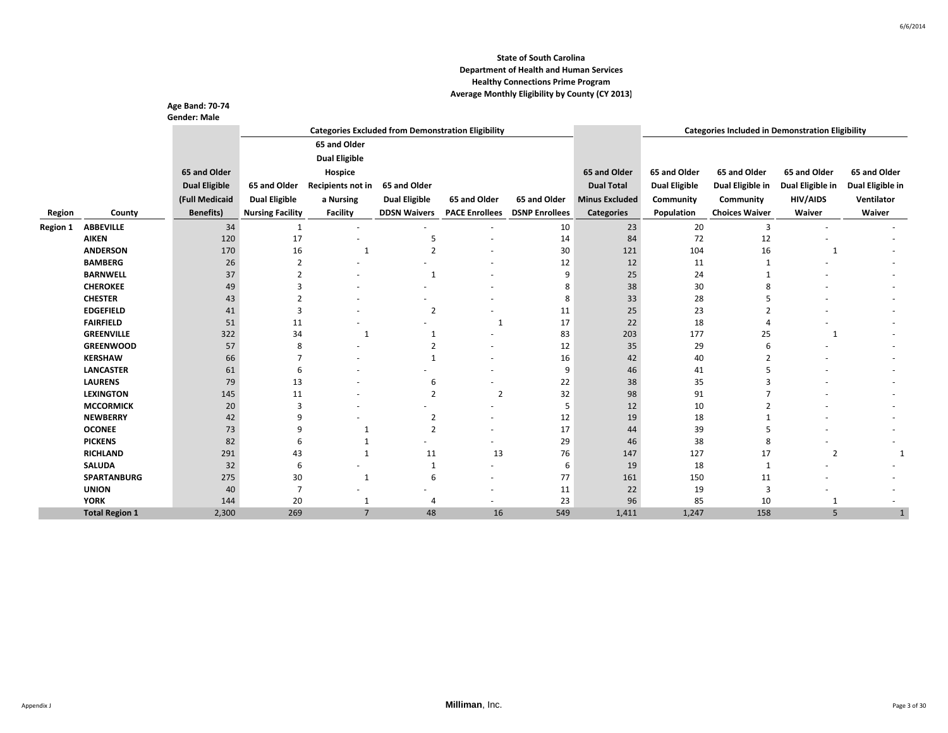|                 |                       | <b>Age Band: 70-74</b> |                         |                      |                      |                                                           |                       |                       |                      |                                                         |                  |                  |
|-----------------|-----------------------|------------------------|-------------------------|----------------------|----------------------|-----------------------------------------------------------|-----------------------|-----------------------|----------------------|---------------------------------------------------------|------------------|------------------|
|                 |                       | <b>Gender: Male</b>    |                         |                      |                      | <b>Categories Excluded from Demonstration Eligibility</b> |                       |                       |                      | <b>Categories Included in Demonstration Eligibility</b> |                  |                  |
|                 |                       |                        |                         | 65 and Older         |                      |                                                           |                       |                       |                      |                                                         |                  |                  |
|                 |                       |                        |                         |                      |                      |                                                           |                       |                       |                      |                                                         |                  |                  |
|                 |                       |                        |                         | <b>Dual Eligible</b> |                      |                                                           |                       |                       |                      |                                                         |                  |                  |
|                 |                       | 65 and Older           |                         | Hospice              |                      |                                                           |                       | 65 and Older          | 65 and Older         | 65 and Older                                            | 65 and Older     | 65 and Older     |
|                 |                       | <b>Dual Eligible</b>   | 65 and Older            | Recipients not in    | 65 and Older         |                                                           |                       | <b>Dual Total</b>     | <b>Dual Eligible</b> | Dual Eligible in                                        | Dual Eligible in | Dual Eligible in |
|                 |                       | (Full Medicaid         | <b>Dual Eligible</b>    | a Nursing            | <b>Dual Eligible</b> | 65 and Older                                              | 65 and Older          | <b>Minus Excluded</b> | Community            | Community                                               | <b>HIV/AIDS</b>  | Ventilator       |
| Region          | County                | <b>Benefits)</b>       | <b>Nursing Facility</b> | <b>Facility</b>      | <b>DDSN Waivers</b>  | <b>PACE Enrollees</b>                                     | <b>DSNP Enrollees</b> | <b>Categories</b>     | Population           | <b>Choices Waiver</b>                                   | Waiver           | Waiver           |
| <b>Region 1</b> | <b>ABBEVILLE</b>      | 34                     | $\mathbf{1}$            | $\sim$               |                      |                                                           | 10                    | 23                    | 20                   | 3                                                       |                  |                  |
|                 | <b>AIKEN</b>          | 120                    | 17                      |                      | 5                    |                                                           | 14                    | 84                    | 72                   | 12                                                      |                  |                  |
|                 | <b>ANDERSON</b>       | 170                    | 16                      | 1                    | $\overline{2}$       |                                                           | 30                    | 121                   | 104                  | 16                                                      | 1                |                  |
|                 | <b>BAMBERG</b>        | 26                     | $\overline{2}$          |                      |                      |                                                           | 12                    | 12                    | 11                   |                                                         |                  |                  |
|                 | <b>BARNWELL</b>       | 37                     | $\overline{2}$          |                      | $\mathbf{1}$         |                                                           | 9                     | 25                    | 24                   |                                                         |                  |                  |
|                 | <b>CHEROKEE</b>       | 49                     | 3                       |                      |                      |                                                           | 8                     | 38                    | 30                   | 8                                                       |                  |                  |
|                 | <b>CHESTER</b>        | 43                     | 2                       |                      |                      |                                                           | 8                     | 33                    | 28                   |                                                         |                  |                  |
|                 | <b>EDGEFIELD</b>      | 41                     | 3                       |                      | $\overline{2}$       |                                                           | 11                    | 25                    | 23                   |                                                         |                  |                  |
|                 | <b>FAIRFIELD</b>      | 51                     | 11                      |                      |                      | 1                                                         | 17                    | 22                    | 18                   |                                                         |                  |                  |
|                 | <b>GREENVILLE</b>     | 322                    | 34                      | $\mathbf{1}$         | $\mathbf{1}$         |                                                           | 83                    | 203                   | 177                  | 25                                                      | $\mathbf{1}$     |                  |
|                 | <b>GREENWOOD</b>      | 57                     | 8                       |                      | $\overline{2}$       |                                                           | 12                    | 35                    | 29                   | 6                                                       |                  |                  |
|                 | <b>KERSHAW</b>        | 66                     | 7                       |                      | 1                    |                                                           | 16                    | 42                    | 40                   | $\overline{2}$                                          |                  |                  |
|                 | <b>LANCASTER</b>      | 61                     | 6                       |                      |                      |                                                           | 9                     | 46                    | 41                   | 5                                                       |                  |                  |
|                 | <b>LAURENS</b>        | 79                     | 13                      |                      | 6                    |                                                           | 22                    | 38                    | 35                   | ς                                                       |                  |                  |
|                 | <b>LEXINGTON</b>      | 145                    | 11                      |                      | $\overline{2}$       | $\overline{2}$                                            | 32                    | 98                    | 91                   |                                                         |                  |                  |
|                 | <b>MCCORMICK</b>      | 20                     | 3                       |                      | ٠                    | ٠                                                         | 5                     | 12                    | 10                   | $\mathfrak{p}$                                          |                  |                  |
|                 | <b>NEWBERRY</b>       | 42                     | 9                       |                      | $\overline{2}$       |                                                           | 12                    | 19                    | 18                   |                                                         |                  |                  |
|                 | <b>OCONEE</b>         | 73                     | 9                       | 1                    | $\overline{2}$       |                                                           | 17                    | 44                    | 39                   | 5                                                       |                  |                  |
|                 | <b>PICKENS</b>        | 82                     | 6                       | 1                    |                      |                                                           | 29                    | 46                    | 38                   | 8                                                       |                  |                  |
|                 | <b>RICHLAND</b>       | 291                    | 43                      | $\mathbf{1}$         | 11                   | 13                                                        | 76                    | 147                   | 127                  | 17                                                      | $\overline{2}$   |                  |
|                 | <b>SALUDA</b>         | 32                     | 6                       | $\overline{a}$       | $\mathbf{1}$         | ٠                                                         | 6                     | 19                    | 18                   |                                                         |                  |                  |
|                 | <b>SPARTANBURG</b>    | 275                    | 30                      | 1                    | 6                    | ٠                                                         | 77                    | 161                   | 150                  | 11                                                      |                  |                  |
|                 | <b>UNION</b>          | 40                     | $\overline{7}$          |                      |                      | $\overline{\phantom{a}}$                                  | 11                    | 22                    | 19                   | $\overline{3}$                                          |                  |                  |
|                 | <b>YORK</b>           | 144                    | 20                      | 1                    | $\overline{4}$       | $\overline{\phantom{a}}$                                  | 23                    | 96                    | 85                   | 10                                                      |                  |                  |
|                 | <b>Total Region 1</b> | 2,300                  | 269                     | $\overline{7}$       | 48                   | 16                                                        | 549                   | 1,411                 | 1,247                | 158                                                     | 5                |                  |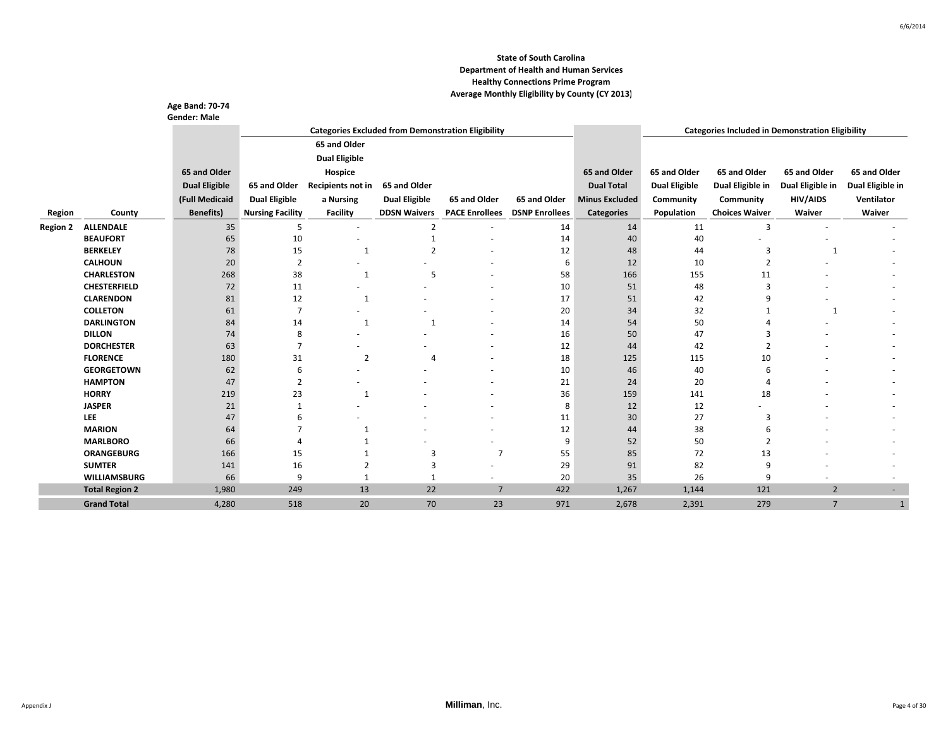|                 |                             | Age Band: 70-74<br><b>Gender: Male</b> |                             |                                                           |                      |                       |                       |                       |                                                         |                       |                  |                          |  |
|-----------------|-----------------------------|----------------------------------------|-----------------------------|-----------------------------------------------------------|----------------------|-----------------------|-----------------------|-----------------------|---------------------------------------------------------|-----------------------|------------------|--------------------------|--|
|                 |                             |                                        |                             | <b>Categories Excluded from Demonstration Eligibility</b> |                      |                       |                       |                       | <b>Categories Included in Demonstration Eligibility</b> |                       |                  |                          |  |
|                 |                             |                                        |                             | 65 and Older                                              |                      |                       |                       |                       |                                                         |                       |                  |                          |  |
|                 |                             |                                        |                             | <b>Dual Eligible</b>                                      |                      |                       |                       |                       |                                                         |                       |                  |                          |  |
|                 |                             | 65 and Older                           |                             | Hospice                                                   |                      |                       |                       | 65 and Older          | 65 and Older                                            | 65 and Older          | 65 and Older     | 65 and Older             |  |
|                 |                             | <b>Dual Eligible</b>                   | 65 and Older                | Recipients not in                                         | 65 and Older         |                       |                       | <b>Dual Total</b>     | <b>Dual Eligible</b>                                    | Dual Eligible in      | Dual Eligible in | Dual Eligible in         |  |
|                 |                             |                                        |                             |                                                           |                      |                       |                       |                       |                                                         |                       |                  |                          |  |
|                 |                             | (Full Medicaid                         | <b>Dual Eligible</b>        | a Nursing                                                 | <b>Dual Eligible</b> | 65 and Older          | 65 and Older          | <b>Minus Excluded</b> | Community                                               | Community             | <b>HIV/AIDS</b>  | Ventilator               |  |
| Region          | County                      | <b>Benefits</b> )                      | <b>Nursing Facility</b>     | Facility                                                  | <b>DDSN Waivers</b>  | <b>PACE Enrollees</b> | <b>DSNP Enrollees</b> | <b>Categories</b>     | Population                                              | <b>Choices Waiver</b> | Waiver           | Waiver                   |  |
| <b>Region 2</b> | <b>ALLENDALE</b>            | 35                                     | 5                           |                                                           | $\overline{2}$       | ä,                    | 14                    | 14                    | 11                                                      | 3                     |                  |                          |  |
|                 | <b>BEAUFORT</b>             | 65                                     | 10                          |                                                           | $\mathbf{1}$         |                       | 14                    | 40                    | 40                                                      |                       |                  |                          |  |
|                 | <b>BERKELEY</b>             | 78                                     | 15                          | 1                                                         | $\overline{z}$       |                       | 12                    | 48                    | 44                                                      | 3                     | 1                |                          |  |
|                 | <b>CALHOUN</b>              | 20                                     | $\overline{2}$              |                                                           |                      |                       | 6                     | 12                    | 10                                                      | $\overline{2}$        |                  |                          |  |
|                 | <b>CHARLESTON</b>           | 268                                    | 38                          | 1                                                         | -5                   |                       | 58                    | 166                   | 155                                                     | 11                    |                  |                          |  |
|                 | <b>CHESTERFIELD</b>         | 72                                     | 11                          |                                                           |                      |                       | 10                    | 51                    | 48                                                      | 3                     |                  |                          |  |
|                 | <b>CLARENDON</b>            | 81                                     | 12                          | 1                                                         |                      |                       | 17                    | 51                    | 42                                                      | q                     |                  |                          |  |
|                 | <b>COLLETON</b>             | 61                                     | $\overline{7}$              |                                                           |                      |                       | 20                    | 34                    | 32                                                      |                       | 1                |                          |  |
|                 | <b>DARLINGTON</b>           | 84                                     | 14                          | 1                                                         | $\mathbf{1}$         |                       | 14                    | 54                    | 50                                                      |                       |                  |                          |  |
|                 | <b>DILLON</b>               | 74                                     | 8                           |                                                           |                      |                       | 16                    | 50                    | 47                                                      |                       |                  |                          |  |
|                 | <b>DORCHESTER</b>           | 63                                     | $\overline{7}$              |                                                           |                      |                       | 12                    | 44                    | 42                                                      |                       |                  |                          |  |
|                 | <b>FLORENCE</b>             | 180                                    | 31                          | $\overline{2}$                                            | $\Delta$             |                       | 18                    | 125                   | 115                                                     | 10                    |                  |                          |  |
|                 | <b>GEORGETOWN</b>           | 62                                     | 6                           |                                                           |                      |                       | 10                    | 46                    | 40                                                      |                       |                  |                          |  |
|                 | <b>HAMPTON</b>              | 47                                     | $\overline{2}$              |                                                           |                      |                       | 21                    | 24                    | 20                                                      |                       |                  |                          |  |
|                 | <b>HORRY</b>                | 219                                    | 23                          | $\mathbf{1}$                                              |                      |                       | 36                    | 159                   | 141                                                     | 18                    |                  |                          |  |
|                 | <b>JASPER</b>               | 21                                     | 1                           |                                                           |                      |                       | 8                     | 12                    | 12                                                      |                       |                  |                          |  |
|                 | <b>LEE</b><br><b>MARION</b> | 47<br>64                               | 6<br>7                      |                                                           |                      |                       | 11<br>12              | 30                    | 27<br>38                                                | 3<br>6                |                  |                          |  |
|                 | <b>MARLBORO</b>             |                                        | $\boldsymbol{\vartriangle}$ | 1                                                         |                      |                       | 9                     | 44<br>52              | 50                                                      | $\overline{2}$        |                  |                          |  |
|                 | <b>ORANGEBURG</b>           | 66<br>166                              |                             |                                                           | 3                    | 7                     | 55                    | 85                    | 72                                                      |                       |                  |                          |  |
|                 | <b>SUMTER</b>               | 141                                    | 15<br>16                    | 2                                                         | 3                    |                       | 29                    | 91                    | 82                                                      | 13<br>9               |                  |                          |  |
|                 | <b>WILLIAMSBURG</b>         | 66                                     | 9                           | $\mathbf{1}$                                              | 1                    |                       | 20                    | 35                    | 26                                                      | 9                     |                  |                          |  |
|                 | <b>Total Region 2</b>       | 1,980                                  | 249                         | 13                                                        | 22                   | $\overline{7}$        | 422                   | 1,267                 | 1,144                                                   | 121                   | $\overline{2}$   | $\overline{\phantom{a}}$ |  |
|                 | <b>Grand Total</b>          | 4,280                                  | 518                         | 20                                                        | 70                   | 23                    | 971                   | 2,678                 | 2,391                                                   | 279                   | $\overline{7}$   |                          |  |
|                 |                             |                                        |                             |                                                           |                      |                       |                       |                       |                                                         |                       |                  |                          |  |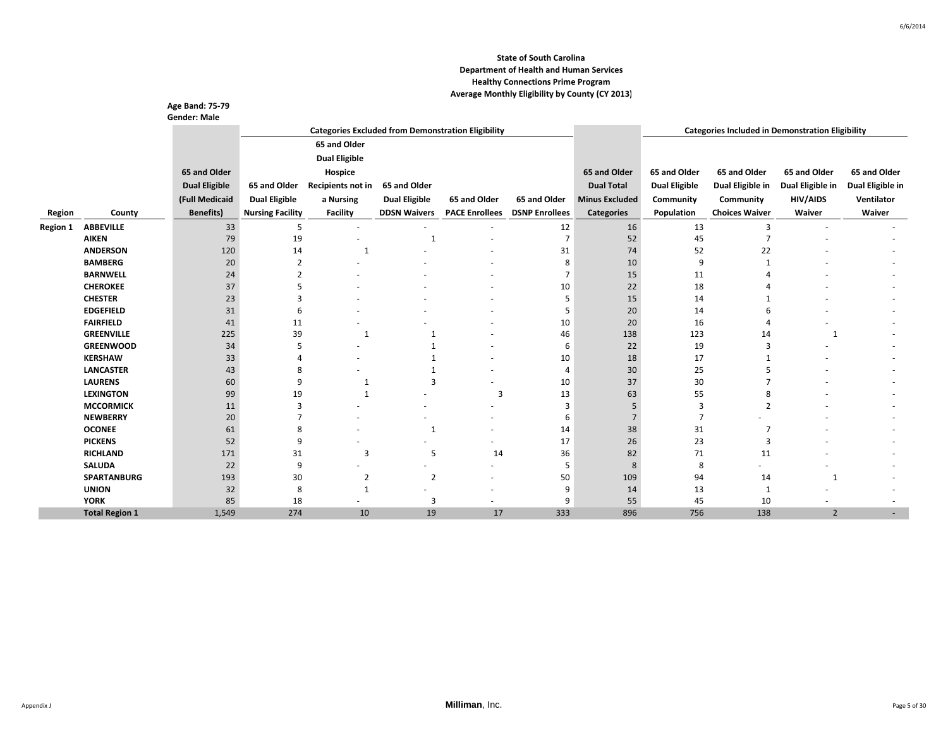|                 |                       | Age Band: 75-79      |                         |                          |                      |                                                           |                       |                       |                                                         |                       |                  |                  |
|-----------------|-----------------------|----------------------|-------------------------|--------------------------|----------------------|-----------------------------------------------------------|-----------------------|-----------------------|---------------------------------------------------------|-----------------------|------------------|------------------|
|                 |                       | <b>Gender: Male</b>  |                         |                          |                      |                                                           |                       |                       |                                                         |                       |                  |                  |
|                 |                       |                      |                         |                          |                      | <b>Categories Excluded from Demonstration Eligibility</b> |                       |                       | <b>Categories Included in Demonstration Eligibility</b> |                       |                  |                  |
|                 |                       |                      |                         | 65 and Older             |                      |                                                           |                       |                       |                                                         |                       |                  |                  |
|                 |                       |                      |                         | <b>Dual Eligible</b>     |                      |                                                           |                       |                       |                                                         |                       |                  |                  |
|                 |                       | 65 and Older         |                         | Hospice                  |                      |                                                           |                       | 65 and Older          | 65 and Older                                            | 65 and Older          | 65 and Older     | 65 and Older     |
|                 |                       | <b>Dual Eligible</b> | 65 and Older            | Recipients not in        | 65 and Older         |                                                           |                       | <b>Dual Total</b>     | <b>Dual Eligible</b>                                    | Dual Eligible in      | Dual Eligible in | Dual Eligible in |
|                 |                       |                      |                         |                          |                      |                                                           |                       |                       |                                                         |                       |                  |                  |
|                 |                       | (Full Medicaid       | <b>Dual Eligible</b>    | a Nursing                | <b>Dual Eligible</b> | 65 and Older                                              | 65 and Older          | <b>Minus Excluded</b> | Community                                               | Community             | <b>HIV/AIDS</b>  | Ventilator       |
| Region          | County                | <b>Benefits</b> )    | <b>Nursing Facility</b> | <b>Facility</b>          | <b>DDSN Waivers</b>  | <b>PACE Enrollees</b>                                     | <b>DSNP Enrollees</b> | <b>Categories</b>     | Population                                              | <b>Choices Waiver</b> | Waiver           | Waiver           |
| <b>Region 1</b> | <b>ABBEVILLE</b>      | 33                   | 5                       | $\overline{\phantom{a}}$ | ٠                    | ٠                                                         | 12                    | 16                    | 13                                                      | $\overline{3}$        |                  |                  |
|                 | <b>AIKEN</b>          | 79                   | 19                      |                          | $\mathbf{1}$         |                                                           | $\overline{7}$        | 52                    | 45                                                      |                       |                  |                  |
|                 | <b>ANDERSON</b>       | 120                  | 14                      | 1                        |                      |                                                           | 31                    | 74                    | 52                                                      | 22                    |                  |                  |
|                 | <b>BAMBERG</b>        | 20                   | $\overline{2}$          |                          |                      |                                                           | 8                     | 10                    | 9                                                       |                       |                  |                  |
|                 | <b>BARNWELL</b>       | 24                   | $\overline{2}$          |                          |                      |                                                           | 7                     | 15                    | 11                                                      |                       |                  |                  |
|                 | <b>CHEROKEE</b>       | 37                   | 5                       |                          |                      |                                                           | 10                    | 22                    | 18                                                      |                       |                  |                  |
|                 | <b>CHESTER</b>        | 23                   | з                       |                          |                      |                                                           | 5                     | 15                    | 14                                                      |                       |                  |                  |
|                 | <b>EDGEFIELD</b>      | 31                   | 6                       |                          |                      |                                                           | 5                     | 20                    | 14                                                      | 6                     |                  |                  |
|                 | <b>FAIRFIELD</b>      | 41                   | 11                      |                          |                      |                                                           | 10                    | 20                    | 16                                                      |                       |                  |                  |
|                 | <b>GREENVILLE</b>     | 225                  | 39                      | 1                        |                      |                                                           | 46                    | 138                   | 123                                                     | 14                    | 1                |                  |
|                 | <b>GREENWOOD</b>      | 34                   | 5                       |                          |                      |                                                           | 6                     | 22                    | 19                                                      | $\overline{3}$        |                  |                  |
|                 | <b>KERSHAW</b>        | 33                   |                         |                          |                      |                                                           | 10                    | 18                    | 17                                                      |                       |                  |                  |
|                 | <b>LANCASTER</b>      | 43                   | 8                       |                          | $\mathbf 1$          |                                                           | $\overline{4}$        | 30                    | 25                                                      |                       |                  |                  |
|                 | <b>LAURENS</b>        | 60                   | 9                       | 1                        | $\overline{3}$       |                                                           | 10                    | 37                    | 30                                                      |                       |                  |                  |
|                 | <b>LEXINGTON</b>      | 99                   | 19                      | 1                        |                      | 3                                                         | 13                    | 63                    | 55                                                      |                       |                  |                  |
|                 | <b>MCCORMICK</b>      | 11                   | 3                       |                          |                      |                                                           | $\overline{3}$        |                       | 3                                                       | $\overline{2}$        |                  |                  |
|                 | <b>NEWBERRY</b>       | 20                   |                         |                          |                      |                                                           | 6                     |                       | $\overline{7}$                                          |                       |                  |                  |
|                 | <b>OCONEE</b>         | 61                   | 8                       |                          | -1                   |                                                           | 14                    | 38                    | 31                                                      |                       |                  |                  |
|                 | <b>PICKENS</b>        | 52                   | 9                       |                          |                      |                                                           | 17                    | 26                    | 23                                                      | $\overline{3}$        |                  |                  |
|                 | <b>RICHLAND</b>       | 171                  | 31                      | $\overline{3}$           | 5                    | 14                                                        | 36                    | 82                    | 71                                                      | 11                    |                  |                  |
|                 | <b>SALUDA</b>         | 22                   | 9                       | $\overline{a}$           | ٠                    | ٠                                                         | 5                     | 8                     | 8                                                       |                       |                  |                  |
|                 | <b>SPARTANBURG</b>    | 193                  | 30                      | $\overline{2}$           | $\overline{2}$       |                                                           | 50                    | 109                   | 94                                                      | 14                    | 1                |                  |
|                 | <b>UNION</b>          | 32                   | 8                       | $\mathbf{1}$             |                      | ٠                                                         | 9                     | 14                    | 13                                                      | -1                    |                  |                  |
|                 | <b>YORK</b>           | 85                   | 18                      |                          | 3                    | $\overline{\phantom{a}}$                                  | 9                     | 55                    | 45                                                      | 10                    |                  |                  |
|                 | <b>Total Region 1</b> | 1,549                | 274                     | 10                       | 19                   | 17                                                        | 333                   | 896                   | 756                                                     | 138                   | $\overline{2}$   |                  |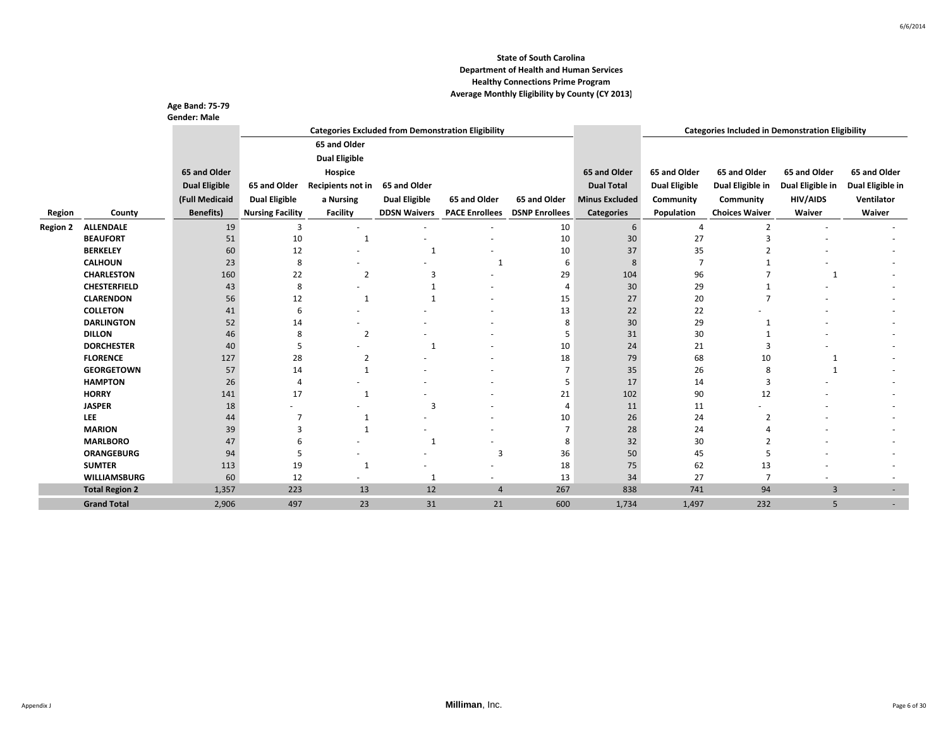|                 |                                      | Age Band: 75-79<br><b>Gender: Male</b> |                         |                                                           |                      |                       |                       |                       |                                                         |                       |                  |                          |
|-----------------|--------------------------------------|----------------------------------------|-------------------------|-----------------------------------------------------------|----------------------|-----------------------|-----------------------|-----------------------|---------------------------------------------------------|-----------------------|------------------|--------------------------|
|                 |                                      |                                        |                         | <b>Categories Excluded from Demonstration Eligibility</b> |                      |                       |                       |                       | <b>Categories Included in Demonstration Eligibility</b> |                       |                  |                          |
|                 |                                      |                                        |                         | 65 and Older                                              |                      |                       |                       |                       |                                                         |                       |                  |                          |
|                 |                                      |                                        |                         | <b>Dual Eligible</b>                                      |                      |                       |                       |                       |                                                         |                       |                  |                          |
|                 |                                      | 65 and Older                           |                         | Hospice                                                   |                      |                       |                       | 65 and Older          | 65 and Older                                            | 65 and Older          | 65 and Older     | 65 and Older             |
|                 |                                      | <b>Dual Eligible</b>                   | 65 and Older            | Recipients not in                                         | 65 and Older         |                       |                       | <b>Dual Total</b>     | <b>Dual Eligible</b>                                    | Dual Eligible in      | Dual Eligible in | Dual Eligible in         |
|                 |                                      |                                        |                         |                                                           |                      |                       |                       |                       |                                                         |                       |                  | Ventilator               |
|                 |                                      | (Full Medicaid                         | <b>Dual Eligible</b>    | a Nursing                                                 | <b>Dual Eligible</b> | 65 and Older          | 65 and Older          | <b>Minus Excluded</b> | Community                                               | Community             | HIV/AIDS         |                          |
| Region          | County                               | <b>Benefits)</b>                       | <b>Nursing Facility</b> | <b>Facility</b>                                           | <b>DDSN Waivers</b>  | <b>PACE Enrollees</b> | <b>DSNP Enrollees</b> | <b>Categories</b>     | Population                                              | <b>Choices Waiver</b> | Waiver           | Waiver                   |
| <b>Region 2</b> | <b>ALLENDALE</b>                     | 19                                     | 3                       |                                                           |                      |                       | 10                    | 6                     | $\overline{4}$                                          | 2                     |                  |                          |
|                 | <b>BEAUFORT</b>                      | 51                                     | 10                      | 1                                                         |                      |                       | 10                    | 30                    | 27                                                      | 3                     |                  |                          |
|                 | <b>BERKELEY</b>                      | 60                                     | 12                      |                                                           | 1                    |                       | 10                    | 37                    | 35                                                      |                       |                  |                          |
|                 | <b>CALHOUN</b>                       | 23                                     | 8                       |                                                           |                      | $\mathbf{1}$          | 6                     | 8                     | 7                                                       |                       |                  |                          |
|                 | <b>CHARLESTON</b>                    | 160                                    | 22                      | 2                                                         | 3                    |                       | 29                    | 104                   | 96                                                      |                       | 1                |                          |
|                 | <b>CHESTERFIELD</b>                  | 43                                     | 8                       |                                                           |                      |                       | $\overline{4}$        | 30                    | 29                                                      |                       |                  |                          |
|                 | <b>CLARENDON</b>                     | 56                                     | 12                      | 1                                                         | $\mathbf 1$          |                       | 15                    | 27                    | 20                                                      |                       |                  |                          |
|                 | <b>COLLETON</b>                      | 41                                     | 6                       |                                                           |                      |                       | 13                    | 22                    | 22                                                      |                       |                  |                          |
|                 | <b>DARLINGTON</b>                    | 52                                     | 14                      |                                                           |                      |                       | 8                     | 30                    | 29                                                      |                       |                  |                          |
|                 | <b>DILLON</b>                        | 46                                     | 8                       | $\overline{2}$                                            |                      |                       | 5                     | 31                    | 30                                                      |                       |                  |                          |
|                 | <b>DORCHESTER</b>                    | 40                                     | 5                       |                                                           | -1                   |                       | 10                    | 24                    | 21                                                      | 3                     |                  |                          |
|                 | <b>FLORENCE</b><br><b>GEORGETOWN</b> | 127                                    | 28                      | 2                                                         |                      |                       | 18<br>7               | 79                    | 68                                                      | 10                    | 1                |                          |
|                 | <b>HAMPTON</b>                       | 57                                     | 14<br>$\overline{4}$    | $\mathbf{1}$                                              |                      |                       | 5                     | 35                    | 26                                                      | 8<br>3                | $\mathbf{1}$     |                          |
|                 | <b>HORRY</b>                         | 26<br>141                              | 17                      | $\mathbf{1}$                                              |                      |                       |                       | 17<br>102             | 14                                                      |                       |                  |                          |
|                 | <b>JASPER</b>                        | 18                                     |                         |                                                           | 3                    |                       | 21<br>$\overline{4}$  | 11                    | 90<br>11                                                | 12                    |                  |                          |
|                 | <b>LEE</b>                           | 44                                     | 7                       | $\mathbf{1}$                                              |                      |                       | 10                    | 26                    | 24                                                      | $\overline{2}$        |                  |                          |
|                 | <b>MARION</b>                        | 39                                     | з                       | $\mathbf{1}$                                              |                      |                       | $\overline{7}$        | 28                    | 24                                                      |                       |                  |                          |
|                 | <b>MARLBORO</b>                      | 47                                     | 6                       |                                                           | -1                   |                       | 8                     | 32                    | 30                                                      |                       |                  |                          |
|                 | <b>ORANGEBURG</b>                    | 94                                     | 5                       |                                                           |                      | $\overline{3}$        | 36                    | 50                    | 45                                                      |                       |                  |                          |
|                 | <b>SUMTER</b>                        | 113                                    | 19                      | 1                                                         |                      |                       | 18                    | 75                    | 62                                                      | 13                    |                  |                          |
|                 | <b>WILLIAMSBURG</b>                  | 60                                     | 12                      |                                                           | 1                    |                       | 13                    | 34                    | 27                                                      | 7                     |                  |                          |
|                 | <b>Total Region 2</b>                | 1,357                                  | 223                     | 13                                                        | 12                   | $\overline{4}$        | 267                   | 838                   | 741                                                     | 94                    | $\overline{3}$   | $\overline{\phantom{a}}$ |
|                 | <b>Grand Total</b>                   | 2,906                                  | 497                     | 23                                                        | 31                   | 21                    | 600                   | 1,734                 | 1,497                                                   | 232                   | 5                |                          |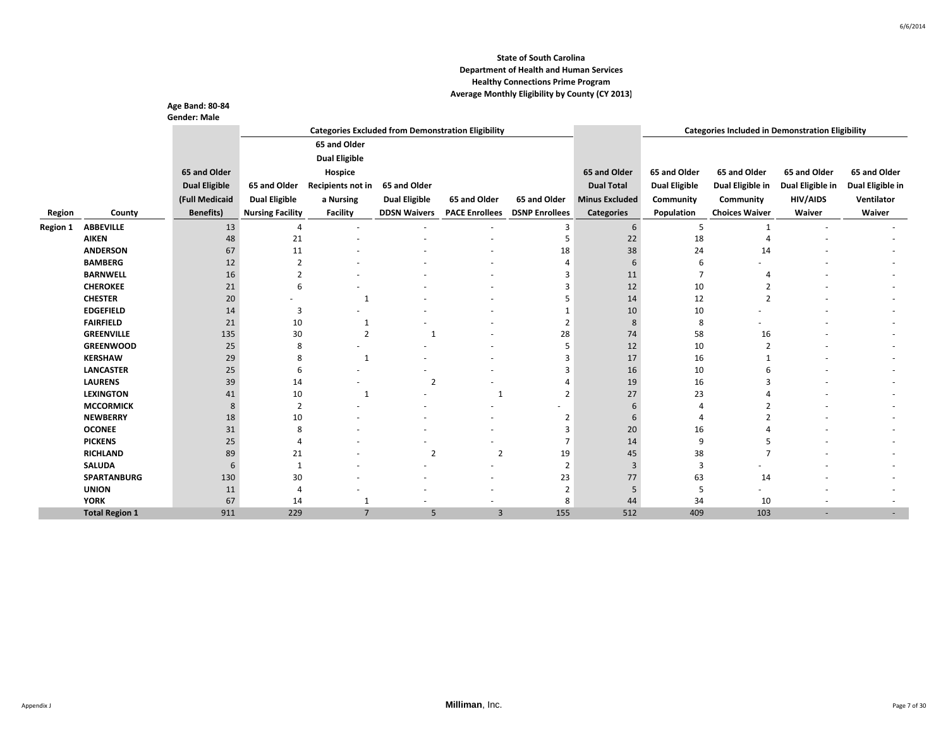|                 |                       | <b>Age Band: 80-84</b> |                             |                                                           |                      |                          |                       |                       |                                                         |                          |                  |                  |  |
|-----------------|-----------------------|------------------------|-----------------------------|-----------------------------------------------------------|----------------------|--------------------------|-----------------------|-----------------------|---------------------------------------------------------|--------------------------|------------------|------------------|--|
|                 |                       | <b>Gender: Male</b>    |                             |                                                           |                      |                          |                       |                       |                                                         |                          |                  |                  |  |
|                 |                       |                        |                             | <b>Categories Excluded from Demonstration Eligibility</b> |                      |                          |                       |                       | <b>Categories Included in Demonstration Eligibility</b> |                          |                  |                  |  |
|                 |                       |                        |                             | 65 and Older                                              |                      |                          |                       |                       |                                                         |                          |                  |                  |  |
|                 |                       |                        |                             | <b>Dual Eligible</b>                                      |                      |                          |                       |                       |                                                         |                          |                  |                  |  |
|                 |                       | 65 and Older           |                             | Hospice                                                   |                      |                          |                       | 65 and Older          | 65 and Older                                            | 65 and Older             | 65 and Older     | 65 and Older     |  |
|                 |                       | <b>Dual Eligible</b>   | 65 and Older                | Recipients not in                                         | 65 and Older         |                          |                       | <b>Dual Total</b>     | <b>Dual Eligible</b>                                    | Dual Eligible in         | Dual Eligible in | Dual Eligible in |  |
|                 |                       | (Full Medicaid         | <b>Dual Eligible</b>        |                                                           | <b>Dual Eligible</b> | 65 and Older             | 65 and Older          | <b>Minus Excluded</b> | Community                                               |                          | <b>HIV/AIDS</b>  | Ventilator       |  |
|                 |                       |                        |                             | a Nursing                                                 |                      |                          |                       |                       |                                                         | Community                |                  |                  |  |
| Region          | County                | <b>Benefits</b> )      | <b>Nursing Facility</b>     | <b>Facility</b>                                           | <b>DDSN Waivers</b>  | <b>PACE Enrollees</b>    | <b>DSNP Enrollees</b> | <b>Categories</b>     | Population                                              | <b>Choices Waiver</b>    | Waiver           | Waiver           |  |
| <b>Region 1</b> | <b>ABBEVILLE</b>      | 13                     | $\overline{4}$              | $\overline{\phantom{a}}$                                  |                      |                          | 3                     | 6                     | 5                                                       | $\mathbf{1}$             |                  |                  |  |
|                 | <b>AIKEN</b>          | 48                     | 21                          |                                                           |                      |                          | 5                     | 22                    | 18                                                      |                          |                  |                  |  |
|                 | <b>ANDERSON</b>       | 67                     | 11                          |                                                           |                      |                          | 18                    | 38                    | 24                                                      | 14                       |                  |                  |  |
|                 | <b>BAMBERG</b>        | 12                     | $\overline{2}$              |                                                           |                      |                          |                       | 6                     | 6                                                       |                          |                  |                  |  |
|                 | <b>BARNWELL</b>       | 16                     | $\overline{2}$              |                                                           |                      |                          | 3                     | 11                    | $\overline{7}$                                          |                          |                  |                  |  |
|                 | <b>CHEROKEE</b>       | 21                     | 6                           |                                                           |                      |                          | 3                     | 12                    | 10                                                      |                          |                  |                  |  |
|                 | <b>CHESTER</b>        | 20                     |                             | 1                                                         |                      |                          | 5                     | 14                    | 12                                                      | $\overline{2}$           |                  |                  |  |
|                 | <b>EDGEFIELD</b>      | 14                     | 3                           | ٠                                                         |                      |                          | $\mathbf{1}$          | 10                    | 10                                                      |                          |                  |                  |  |
|                 | <b>FAIRFIELD</b>      | 21                     | 10                          | 1                                                         |                      |                          | $\overline{2}$        | 8                     | 8                                                       |                          |                  |                  |  |
|                 | <b>GREENVILLE</b>     | 135                    | 30                          | $\overline{2}$                                            | $\mathbf{1}$         |                          | 28                    | 74                    | 58                                                      | 16                       |                  |                  |  |
|                 | <b>GREENWOOD</b>      | 25                     | 8                           |                                                           |                      |                          | 5                     | 12                    | 10                                                      | $\overline{2}$           |                  |                  |  |
|                 | <b>KERSHAW</b>        | 29                     | 8                           | 1                                                         |                      |                          | -3                    | 17                    | 16                                                      |                          |                  |                  |  |
|                 | <b>LANCASTER</b>      | 25                     | 6                           |                                                           |                      |                          | $\overline{3}$        | 16                    | 10                                                      | 6                        |                  |                  |  |
|                 | <b>LAURENS</b>        | 39                     | 14                          |                                                           | $\overline{2}$       |                          |                       | 19                    | 16                                                      |                          |                  |                  |  |
|                 | <b>LEXINGTON</b>      | 41                     | 10                          | -1                                                        |                      | $\mathbf{1}$             | $\overline{2}$        | 27                    | 23                                                      |                          |                  |                  |  |
|                 | <b>MCCORMICK</b>      | 8                      | $\overline{2}$              |                                                           |                      |                          |                       | 6                     |                                                         | $\overline{\phantom{a}}$ |                  |                  |  |
|                 | <b>NEWBERRY</b>       | 18                     | 10                          |                                                           |                      |                          | $\overline{2}$        | 6                     | $\boldsymbol{\Delta}$                                   |                          |                  |                  |  |
|                 | <b>OCONEE</b>         | 31                     | 8                           |                                                           |                      |                          | 3                     | 20                    | 16                                                      |                          |                  |                  |  |
|                 | <b>PICKENS</b>        | 25                     | $\overline{4}$              |                                                           |                      |                          | 7                     | 14                    | 9                                                       |                          |                  |                  |  |
|                 | <b>RICHLAND</b>       | 89                     | 21                          |                                                           | $\overline{2}$       | $\overline{2}$           | 19                    | 45                    | 38                                                      |                          |                  |                  |  |
|                 | <b>SALUDA</b>         | 6                      | $\mathbf{1}$                |                                                           |                      |                          | $\overline{2}$        | 3                     | 3                                                       |                          |                  |                  |  |
|                 | <b>SPARTANBURG</b>    | 130                    | 30                          |                                                           |                      |                          | 23                    | 77                    | 63                                                      | 14                       |                  |                  |  |
|                 | <b>UNION</b>          | 11                     | $\boldsymbol{\vartriangle}$ |                                                           |                      |                          | $\overline{2}$        | 5                     | 5                                                       |                          |                  |                  |  |
|                 | <b>YORK</b>           | 67                     | 14                          |                                                           |                      | $\overline{\phantom{a}}$ | 8                     | 44                    | 34                                                      | 10                       |                  |                  |  |
|                 | <b>Total Region 1</b> | 911                    | 229                         | $\overline{7}$                                            | 5                    | $\overline{3}$           | 155                   | 512                   | 409                                                     | 103                      |                  |                  |  |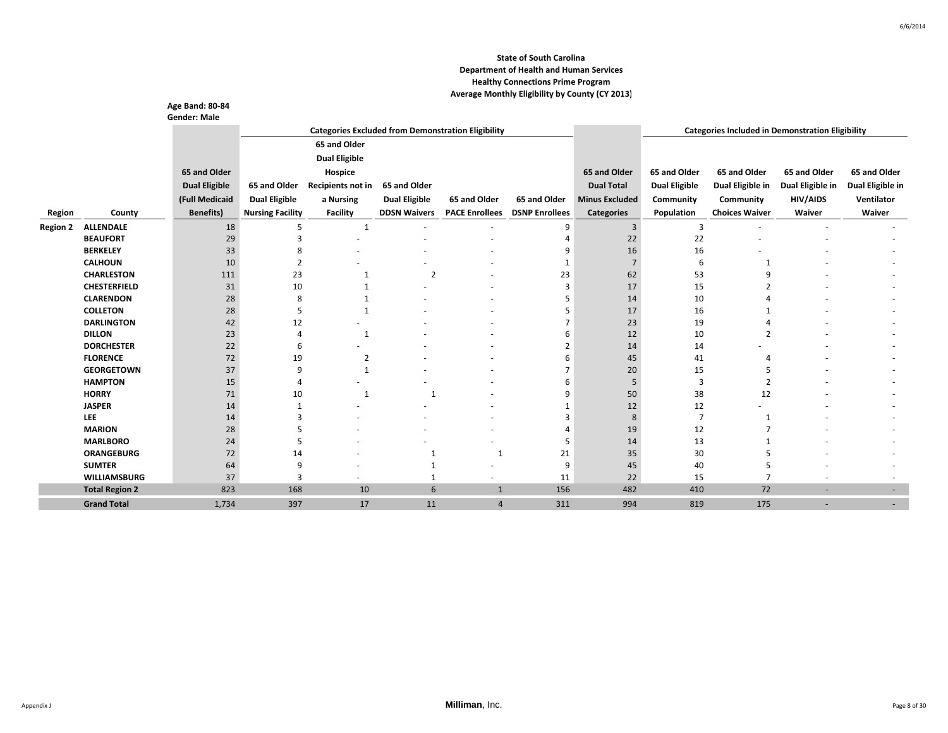|                 |                                      | Age Band: 80-84<br><b>Gender: Male</b> |                         |                      |                                                           |                       |                       |                       |                      |                                                         |                  |                          |
|-----------------|--------------------------------------|----------------------------------------|-------------------------|----------------------|-----------------------------------------------------------|-----------------------|-----------------------|-----------------------|----------------------|---------------------------------------------------------|------------------|--------------------------|
|                 |                                      |                                        |                         |                      | <b>Categories Excluded from Demonstration Eligibility</b> |                       |                       |                       |                      | <b>Categories Included in Demonstration Eligibility</b> |                  |                          |
|                 |                                      |                                        |                         | 65 and Older         |                                                           |                       |                       |                       |                      |                                                         |                  |                          |
|                 |                                      |                                        |                         | <b>Dual Eligible</b> |                                                           |                       |                       |                       |                      |                                                         |                  |                          |
|                 |                                      | 65 and Older                           |                         | Hospice              |                                                           |                       |                       | 65 and Older          | 65 and Older         | 65 and Older                                            | 65 and Older     | 65 and Older             |
|                 |                                      | <b>Dual Eligible</b>                   | 65 and Older            | Recipients not in    | 65 and Older                                              |                       |                       | <b>Dual Total</b>     | <b>Dual Eligible</b> | Dual Eligible in                                        | Dual Eligible in | Dual Eligible in         |
|                 |                                      |                                        |                         |                      |                                                           |                       |                       |                       |                      |                                                         |                  |                          |
|                 |                                      | (Full Medicaid                         | <b>Dual Eligible</b>    | a Nursing            | <b>Dual Eligible</b>                                      | 65 and Older          | 65 and Older          | <b>Minus Excluded</b> | Community            | Community                                               | <b>HIV/AIDS</b>  | Ventilator               |
| Region          | County                               | <b>Benefits)</b>                       | <b>Nursing Facility</b> | <b>Facility</b>      | <b>DDSN Waivers</b>                                       | <b>PACE Enrollees</b> | <b>DSNP Enrollees</b> | <b>Categories</b>     | Population           | <b>Choices Waiver</b>                                   | Waiver           | Waiver                   |
| <b>Region 2</b> | <b>ALLENDALE</b>                     | 18                                     | 5                       | 1                    |                                                           |                       | 9                     | 3                     | 3                    |                                                         |                  |                          |
|                 | <b>BEAUFORT</b>                      | 29                                     | 3                       |                      |                                                           |                       | $\boldsymbol{\Delta}$ | 22                    | 22                   |                                                         |                  |                          |
|                 | <b>BERKELEY</b>                      | 33                                     | 8                       |                      |                                                           |                       | 9                     | 16                    | 16                   |                                                         |                  |                          |
|                 | <b>CALHOUN</b>                       | 10                                     | $\overline{2}$          |                      |                                                           |                       | $\mathbf{1}$          |                       | 6                    |                                                         |                  |                          |
|                 | <b>CHARLESTON</b>                    | 111                                    | 23                      |                      | $\overline{2}$                                            |                       | 23                    | 62                    | 53                   | q                                                       |                  |                          |
|                 | <b>CHESTERFIELD</b>                  | 31                                     | 10                      |                      |                                                           |                       | 3                     | 17                    | 15                   |                                                         |                  |                          |
|                 | <b>CLARENDON</b>                     | 28                                     | 8                       |                      |                                                           |                       | 5                     | 14                    | 10                   |                                                         |                  |                          |
|                 | <b>COLLETON</b>                      | 28                                     | 5                       |                      |                                                           |                       | 5                     | 17                    | 16                   |                                                         |                  |                          |
|                 | <b>DARLINGTON</b>                    | 42                                     | 12                      |                      |                                                           |                       | $\overline{ }$        | 23                    | 19                   |                                                         |                  |                          |
|                 | <b>DILLON</b>                        | 23                                     | $\overline{4}$          | 1                    |                                                           |                       | 6                     | 12                    | 10                   | $\overline{2}$                                          |                  |                          |
|                 | <b>DORCHESTER</b>                    | 22                                     | 6                       |                      |                                                           |                       | $\overline{2}$        | 14                    | 14                   |                                                         |                  |                          |
|                 | <b>FLORENCE</b>                      | 72                                     | 19                      | 2                    |                                                           |                       | 6                     | 45                    | 41                   |                                                         |                  |                          |
|                 | <b>GEORGETOWN</b>                    | 37                                     | 9                       | $\mathbf{1}$         |                                                           |                       | $\overline{7}$        | 20                    | 15                   |                                                         |                  |                          |
|                 | <b>HAMPTON</b>                       | 15                                     | $\Delta$                |                      |                                                           |                       | 6                     | 5                     | 3                    | $\overline{2}$                                          |                  |                          |
|                 | <b>HORRY</b>                         | 71                                     | 10                      | $\mathbf{1}$         | -1                                                        |                       | 9                     | 50                    | 38                   | 12                                                      |                  |                          |
|                 | <b>JASPER</b>                        | 14                                     |                         |                      |                                                           |                       | $\mathbf{1}$          | 12                    | 12                   |                                                         |                  |                          |
|                 | <b>LEE</b>                           | 14                                     | Р                       |                      |                                                           |                       | 3                     | 8                     | $\overline{7}$       | -1                                                      |                  |                          |
|                 | <b>MARION</b>                        | 28                                     | 5                       |                      |                                                           |                       | $\boldsymbol{\Delta}$ | 19                    | 12                   |                                                         |                  |                          |
|                 | <b>MARLBORO</b>                      | 24                                     | 5                       |                      |                                                           |                       | 5                     | 14                    | 13                   |                                                         |                  |                          |
|                 | <b>ORANGEBURG</b>                    | 72                                     | 14                      |                      | $\mathbf{1}$                                              | $\mathbf{1}$          | 21                    | 35                    | 30                   |                                                         |                  |                          |
|                 | <b>SUMTER</b><br><b>WILLIAMSBURG</b> | 64                                     | 9<br>3                  |                      |                                                           |                       | 9                     | 45                    | 40                   |                                                         |                  |                          |
|                 |                                      | 37                                     |                         |                      | 1                                                         |                       | 11                    | 22                    | 15                   |                                                         |                  |                          |
|                 | <b>Total Region 2</b>                | 823                                    | 168                     | 10                   | 6                                                         | $\mathbf{1}$          | 156                   | 482                   | 410                  | 72                                                      |                  | $\overline{\phantom{a}}$ |
|                 | <b>Grand Total</b>                   | 1,734                                  | 397                     | 17                   | 11                                                        | 4                     | 311                   | 994                   | 819                  | 175                                                     |                  |                          |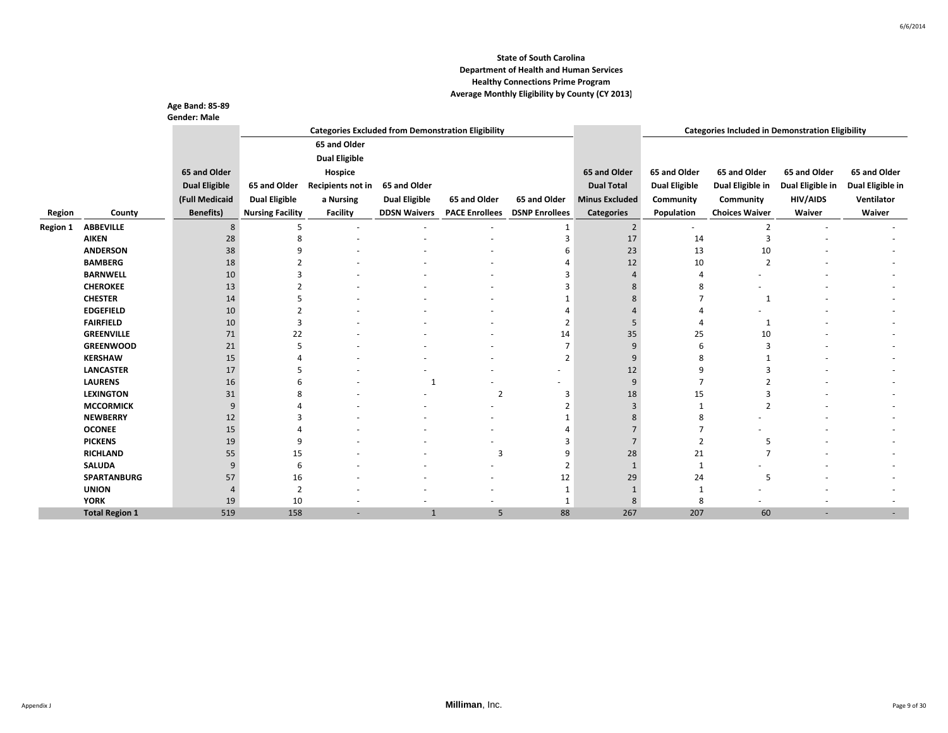|                 |                       | <b>Age Band: 85-89</b> |                         |                      |                          |                                                           |                       |                       |                      |                                                         |                  |                  |
|-----------------|-----------------------|------------------------|-------------------------|----------------------|--------------------------|-----------------------------------------------------------|-----------------------|-----------------------|----------------------|---------------------------------------------------------|------------------|------------------|
|                 |                       | <b>Gender: Male</b>    |                         |                      |                          |                                                           |                       |                       |                      |                                                         |                  |                  |
|                 |                       |                        |                         |                      |                          | <b>Categories Excluded from Demonstration Eligibility</b> |                       |                       |                      | <b>Categories Included in Demonstration Eligibility</b> |                  |                  |
|                 |                       |                        |                         | 65 and Older         |                          |                                                           |                       |                       |                      |                                                         |                  |                  |
|                 |                       |                        |                         | <b>Dual Eligible</b> |                          |                                                           |                       |                       |                      |                                                         |                  |                  |
|                 |                       | 65 and Older           |                         | Hospice              |                          |                                                           |                       | 65 and Older          | 65 and Older         | 65 and Older                                            | 65 and Older     | 65 and Older     |
|                 |                       | <b>Dual Eligible</b>   | 65 and Older            | Recipients not in    | 65 and Older             |                                                           |                       | <b>Dual Total</b>     | <b>Dual Eligible</b> | Dual Eligible in                                        | Dual Eligible in | Dual Eligible in |
|                 |                       | (Full Medicaid         | <b>Dual Eligible</b>    | a Nursing            | <b>Dual Eligible</b>     | 65 and Older                                              | 65 and Older          | <b>Minus Excluded</b> | Community            | Community                                               | <b>HIV/AIDS</b>  | Ventilator       |
| Region          | County                | <b>Benefits)</b>       | <b>Nursing Facility</b> | Facility             | <b>DDSN Waivers</b>      | <b>PACE Enrollees</b>                                     | <b>DSNP Enrollees</b> | <b>Categories</b>     | Population           | <b>Choices Waiver</b>                                   | Waiver           | Waiver           |
|                 | <b>ABBEVILLE</b>      |                        | 5                       |                      |                          |                                                           |                       | $2^{\circ}$           |                      |                                                         |                  |                  |
| <b>Region 1</b> | <b>AIKEN</b>          | 8<br>28                | 8                       | $\sim$               | $\overline{\phantom{a}}$ | ٠                                                         | 1<br>3                | 17                    | ۰<br>14              | 2                                                       |                  |                  |
|                 | <b>ANDERSON</b>       | 38                     |                         |                      |                          |                                                           | 6                     | 23                    | 13                   | 10                                                      |                  |                  |
|                 | <b>BAMBERG</b>        | 18                     |                         |                      |                          |                                                           |                       | 12                    | 10                   | $\overline{2}$                                          |                  |                  |
|                 | <b>BARNWELL</b>       | 10                     |                         |                      |                          |                                                           | 3                     |                       | Δ                    |                                                         |                  |                  |
|                 | <b>CHEROKEE</b>       | 13                     |                         |                      |                          |                                                           | 3                     |                       | 8                    |                                                         |                  |                  |
|                 | <b>CHESTER</b>        | 14                     |                         |                      |                          |                                                           |                       |                       | $\overline{7}$       | -1                                                      |                  |                  |
|                 | <b>EDGEFIELD</b>      | 10                     |                         |                      |                          |                                                           |                       |                       |                      |                                                         |                  |                  |
|                 | <b>FAIRFIELD</b>      | 10                     | 3                       |                      |                          |                                                           | $\overline{2}$        |                       | Δ                    | 1                                                       |                  |                  |
|                 | <b>GREENVILLE</b>     | 71                     | 22                      |                      |                          |                                                           | 14                    | 35                    | 25                   | 10                                                      |                  |                  |
|                 | <b>GREENWOOD</b>      | 21                     | 5                       |                      |                          |                                                           | $\overline{7}$        |                       | 6                    | 3                                                       |                  |                  |
|                 | <b>KERSHAW</b>        | 15                     |                         |                      |                          |                                                           | $\overline{2}$        |                       | 8                    |                                                         |                  |                  |
|                 | <b>LANCASTER</b>      | 17                     |                         |                      |                          |                                                           |                       | 12                    | q                    |                                                         |                  |                  |
|                 | <b>LAURENS</b>        | 16                     |                         |                      | 1                        |                                                           |                       | 9                     | $\overline{7}$       |                                                         |                  |                  |
|                 | <b>LEXINGTON</b>      | 31                     |                         |                      |                          | $\overline{2}$                                            | 3                     | 18                    | 15                   |                                                         |                  |                  |
|                 | <b>MCCORMICK</b>      | 9                      |                         |                      |                          |                                                           | $\overline{2}$        |                       |                      | $\overline{2}$                                          |                  |                  |
|                 | <b>NEWBERRY</b>       | 12                     |                         |                      |                          |                                                           |                       |                       | 8                    |                                                         |                  |                  |
|                 | <b>OCONEE</b>         | 15                     |                         |                      |                          |                                                           |                       |                       |                      |                                                         |                  |                  |
|                 | <b>PICKENS</b>        | 19                     | 9                       |                      |                          |                                                           | 3                     |                       | $\overline{2}$       | .5                                                      |                  |                  |
|                 | <b>RICHLAND</b>       | 55                     | 15                      |                      |                          | 3                                                         | 9                     | 28                    | 21                   | $\overline{\phantom{a}}$                                |                  |                  |
|                 | <b>SALUDA</b>         | 9                      | 6                       |                      |                          |                                                           | $\overline{2}$        |                       |                      |                                                         |                  |                  |
|                 | <b>SPARTANBURG</b>    | 57                     | 16                      |                      |                          |                                                           | 12                    | 29                    | 24                   | 5                                                       |                  |                  |
|                 | <b>UNION</b>          |                        | $\overline{2}$          |                      |                          |                                                           | 1                     |                       |                      |                                                         |                  |                  |
|                 | <b>YORK</b>           | 19                     | 10                      |                      |                          | $\overline{\phantom{a}}$                                  | 1                     | 8                     | 8                    |                                                         |                  |                  |
|                 | <b>Total Region 1</b> | 519                    | 158                     |                      | $\mathbf{1}$             | 5                                                         | 88                    | 267                   | 207                  | 60                                                      |                  |                  |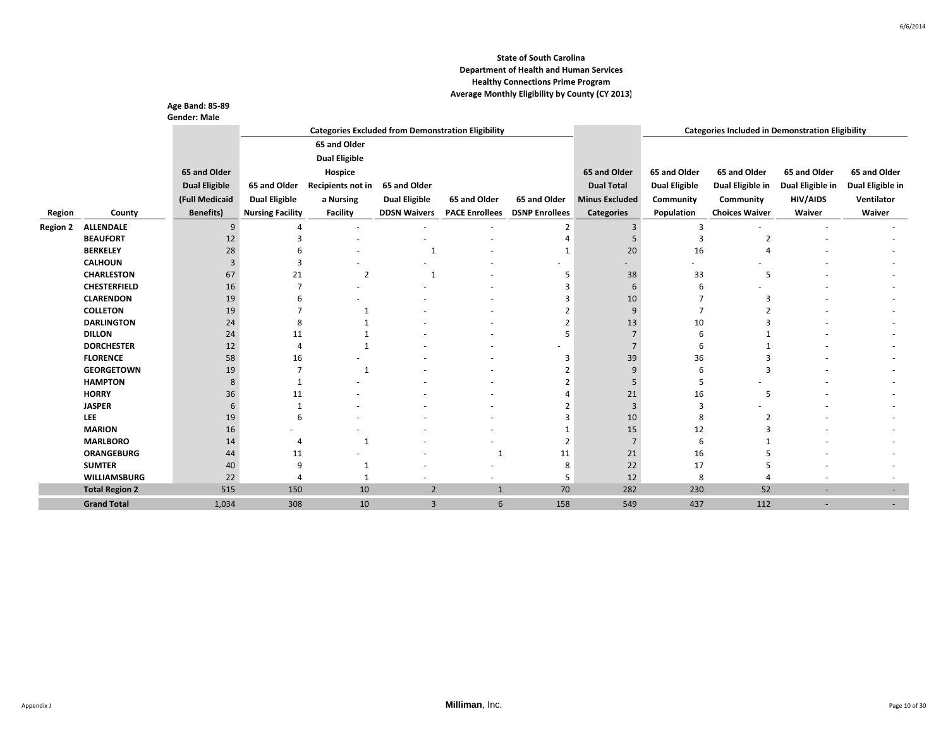|                 |                                     | <b>Age Band: 85-89</b><br><b>Gender: Male</b> |                         |                      |                      |                                                           |                       |                       |                      |                                                         |                  |                          |
|-----------------|-------------------------------------|-----------------------------------------------|-------------------------|----------------------|----------------------|-----------------------------------------------------------|-----------------------|-----------------------|----------------------|---------------------------------------------------------|------------------|--------------------------|
|                 |                                     |                                               |                         |                      |                      | <b>Categories Excluded from Demonstration Eligibility</b> |                       |                       |                      | <b>Categories Included in Demonstration Eligibility</b> |                  |                          |
|                 |                                     |                                               |                         | 65 and Older         |                      |                                                           |                       |                       |                      |                                                         |                  |                          |
|                 |                                     |                                               |                         | <b>Dual Eligible</b> |                      |                                                           |                       |                       |                      |                                                         |                  |                          |
|                 |                                     | 65 and Older                                  |                         | Hospice              |                      |                                                           |                       | 65 and Older          | 65 and Older         | 65 and Older                                            | 65 and Older     | 65 and Older             |
|                 |                                     | <b>Dual Eligible</b>                          | 65 and Older            | Recipients not in    | 65 and Older         |                                                           |                       | <b>Dual Total</b>     | <b>Dual Eligible</b> | Dual Eligible in                                        | Dual Eligible in | Dual Eligible in         |
|                 |                                     | (Full Medicaid                                | <b>Dual Eligible</b>    | a Nursing            | <b>Dual Eligible</b> | 65 and Older                                              | 65 and Older          | <b>Minus Excluded</b> | Community            | Community                                               | <b>HIV/AIDS</b>  | Ventilator               |
|                 |                                     |                                               |                         |                      |                      |                                                           |                       |                       |                      |                                                         |                  |                          |
| Region          | County                              | <b>Benefits)</b>                              | <b>Nursing Facility</b> | <b>Facility</b>      | <b>DDSN Waivers</b>  | <b>PACE Enrollees</b>                                     | <b>DSNP Enrollees</b> | <b>Categories</b>     | Population           | <b>Choices Waiver</b>                                   | Waiver           | Waiver                   |
| <b>Region 2</b> | <b>ALLENDALE</b>                    | 9                                             | $\Delta$                |                      |                      |                                                           | $\overline{2}$        | 3                     | 3                    |                                                         |                  |                          |
|                 | <b>BEAUFORT</b>                     | 12                                            | 3                       |                      |                      |                                                           | $\boldsymbol{\Delta}$ | 5                     | 3                    |                                                         |                  |                          |
|                 | <b>BERKELEY</b>                     | 28                                            |                         |                      |                      |                                                           | 1                     | 20                    | 16                   |                                                         |                  |                          |
|                 | <b>CALHOUN</b>                      | 3                                             | 3                       |                      |                      |                                                           |                       |                       |                      |                                                         |                  |                          |
|                 | <b>CHARLESTON</b>                   | 67                                            | 21<br>$\overline{7}$    | $\overline{2}$       | $\mathbf{1}$         |                                                           | 5                     | 38                    | 33                   | 5                                                       |                  |                          |
|                 | <b>CHESTERFIELD</b>                 | 16                                            |                         |                      |                      |                                                           | 3                     | 6                     | 6                    |                                                         |                  |                          |
|                 | <b>CLARENDON</b><br><b>COLLETON</b> | 19                                            | 6<br>7                  |                      |                      |                                                           | 3<br>$\overline{2}$   | 10<br>9               | 7                    | 3                                                       |                  |                          |
|                 | <b>DARLINGTON</b>                   | 19<br>24                                      | 8                       |                      |                      |                                                           | $\overline{2}$        | 13                    | 10                   |                                                         |                  |                          |
|                 | <b>DILLON</b>                       | 24                                            | 11                      |                      |                      |                                                           | 5                     |                       | 6                    |                                                         |                  |                          |
|                 | <b>DORCHESTER</b>                   | 12                                            | $\overline{4}$          | $\mathbf{1}$         |                      |                                                           |                       |                       | 6                    |                                                         |                  |                          |
|                 | <b>FLORENCE</b>                     | 58                                            | 16                      |                      |                      |                                                           | 3                     | 39                    | 36                   |                                                         |                  |                          |
|                 | <b>GEORGETOWN</b>                   | 19                                            | $\overline{7}$          | 1                    |                      |                                                           | 2                     | 9                     | 6                    | 3                                                       |                  |                          |
|                 | <b>HAMPTON</b>                      | 8                                             | $\overline{1}$          |                      |                      |                                                           | $\overline{2}$        | 5                     | 5                    |                                                         |                  |                          |
|                 | <b>HORRY</b>                        | 36                                            | 11                      |                      |                      |                                                           |                       | 21                    | 16                   | 5                                                       |                  |                          |
|                 | <b>JASPER</b>                       | 6                                             | 1                       |                      |                      |                                                           | $\overline{2}$        | 3                     | 3                    |                                                         |                  |                          |
|                 | LEE                                 | 19                                            | 6                       |                      |                      |                                                           | 3                     | 10                    | 8                    | $\overline{2}$                                          |                  |                          |
|                 | <b>MARION</b>                       | 16                                            |                         |                      |                      |                                                           | $\mathbf{1}$          | 15                    | 12                   |                                                         |                  |                          |
|                 | <b>MARLBORO</b>                     | 14                                            | $\overline{4}$          | $\mathbf{1}$         |                      |                                                           | $\overline{2}$        | $\overline{7}$        | 6                    |                                                         |                  |                          |
|                 | <b>ORANGEBURG</b>                   | 44                                            | 11                      |                      |                      | 1                                                         | 11                    | 21                    | 16                   |                                                         |                  |                          |
|                 | <b>SUMTER</b>                       | 40                                            | 9                       | 1                    |                      |                                                           | 8                     | 22                    | 17                   |                                                         |                  |                          |
|                 | <b>WILLIAMSBURG</b>                 | 22                                            | $\overline{4}$          | $\mathbf{1}$         |                      |                                                           | 5                     | 12                    | 8                    |                                                         |                  |                          |
|                 | <b>Total Region 2</b>               | 515                                           | 150                     | 10                   | $\overline{2}$       | $\mathbf{1}$                                              | 70                    | 282                   | 230                  | 52                                                      |                  | $\overline{\phantom{a}}$ |
|                 | <b>Grand Total</b>                  | 1,034                                         | 308                     | 10                   | $\overline{3}$       | 6                                                         | 158                   | 549                   | 437                  | 112                                                     |                  |                          |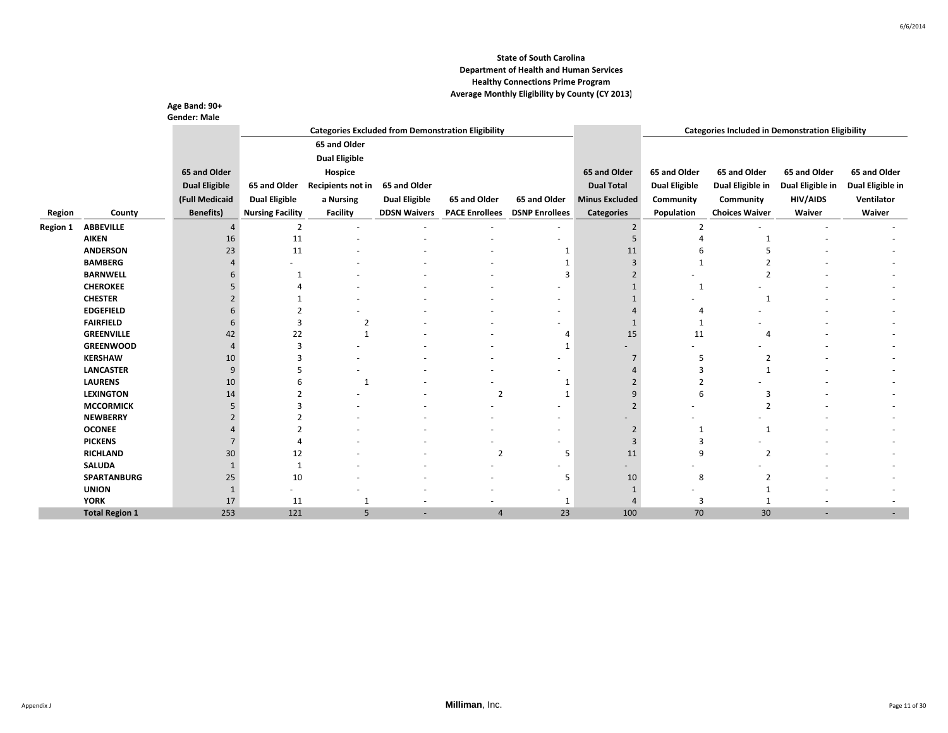|                 |                       | Age Band: 90+<br><b>Gender: Male</b> |                         |                      |                      |                                                           |                       |                       |                          |                                                         |                  |                  |
|-----------------|-----------------------|--------------------------------------|-------------------------|----------------------|----------------------|-----------------------------------------------------------|-----------------------|-----------------------|--------------------------|---------------------------------------------------------|------------------|------------------|
|                 |                       |                                      |                         |                      |                      | <b>Categories Excluded from Demonstration Eligibility</b> |                       |                       |                          | <b>Categories Included in Demonstration Eligibility</b> |                  |                  |
|                 |                       |                                      |                         | 65 and Older         |                      |                                                           |                       |                       |                          |                                                         |                  |                  |
|                 |                       |                                      |                         | <b>Dual Eligible</b> |                      |                                                           |                       |                       |                          |                                                         |                  |                  |
|                 |                       | 65 and Older                         |                         | Hospice              |                      |                                                           |                       | 65 and Older          | 65 and Older             | 65 and Older                                            | 65 and Older     | 65 and Older     |
|                 |                       | <b>Dual Eligible</b>                 | 65 and Older            | Recipients not in    | 65 and Older         |                                                           |                       | <b>Dual Total</b>     | <b>Dual Eligible</b>     | Dual Eligible in                                        | Dual Eligible in | Dual Eligible in |
|                 |                       | (Full Medicaid                       | <b>Dual Eligible</b>    | a Nursing            | <b>Dual Eligible</b> | 65 and Older                                              | 65 and Older          | <b>Minus Excluded</b> | Community                | Community                                               | <b>HIV/AIDS</b>  | Ventilator       |
|                 |                       |                                      |                         |                      |                      |                                                           |                       |                       |                          |                                                         |                  |                  |
| Region          | County                | <b>Benefits)</b>                     | <b>Nursing Facility</b> | <b>Facility</b>      | <b>DDSN Waivers</b>  | <b>PACE Enrollees</b>                                     | <b>DSNP Enrollees</b> | <b>Categories</b>     | Population               | <b>Choices Waiver</b>                                   | Waiver           | Waiver           |
| <b>Region 1</b> | <b>ABBEVILLE</b>      | $\overline{4}$                       | $\overline{2}$          |                      |                      |                                                           |                       | $\overline{2}$        | $\overline{2}$           |                                                         |                  |                  |
|                 | <b>AIKEN</b>          | 16                                   | 11                      |                      |                      |                                                           |                       |                       |                          | $\mathbf 1$                                             |                  |                  |
|                 | <b>ANDERSON</b>       | 23                                   | 11                      |                      |                      |                                                           | 1                     | 11                    |                          |                                                         |                  |                  |
|                 | <b>BAMBERG</b>        |                                      |                         |                      |                      |                                                           |                       | 3                     | $\mathbf{1}$             |                                                         |                  |                  |
|                 | <b>BARNWELL</b>       | 6                                    |                         |                      |                      |                                                           | 3                     |                       |                          | $\mathfrak{p}$                                          |                  |                  |
|                 | <b>CHEROKEE</b>       | 5                                    |                         |                      |                      |                                                           |                       |                       | $\mathbf{1}$             |                                                         |                  |                  |
|                 | <b>CHESTER</b>        | $\overline{2}$                       |                         |                      |                      |                                                           |                       |                       |                          | -1                                                      |                  |                  |
|                 | <b>EDGEFIELD</b>      | 6                                    |                         |                      |                      |                                                           |                       |                       | Δ                        |                                                         |                  |                  |
|                 | <b>FAIRFIELD</b>      | 6                                    | 3                       | $\overline{2}$       |                      |                                                           |                       |                       | -1                       |                                                         |                  |                  |
|                 | <b>GREENVILLE</b>     | 42                                   | 22                      |                      |                      |                                                           | $\overline{4}$        | 15                    | 11                       | 4                                                       |                  |                  |
|                 | <b>GREENWOOD</b>      | 4                                    | 3                       |                      |                      |                                                           | $\mathbf{1}$          |                       |                          |                                                         |                  |                  |
|                 | <b>KERSHAW</b>        | 10                                   |                         |                      |                      |                                                           |                       |                       | 5                        | 2                                                       |                  |                  |
|                 | <b>LANCASTER</b>      | 9                                    |                         |                      |                      |                                                           |                       |                       | з                        | $\mathbf 1$                                             |                  |                  |
|                 | <b>LAURENS</b>        | 10                                   |                         | -1                   |                      |                                                           | 1                     |                       | $\mathcal{P}$            |                                                         |                  |                  |
|                 | <b>LEXINGTON</b>      | 14                                   |                         |                      |                      | $\overline{2}$                                            | $\mathbf{1}$          | q                     | 6                        | 3                                                       |                  |                  |
|                 | <b>MCCORMICK</b>      | 5                                    |                         |                      |                      |                                                           | ٠                     |                       |                          | $\overline{\phantom{0}}$                                |                  |                  |
|                 | <b>NEWBERRY</b>       | $\overline{2}$                       |                         |                      |                      |                                                           |                       |                       |                          |                                                         |                  |                  |
|                 | <b>OCONEE</b>         |                                      |                         |                      |                      |                                                           |                       | $\overline{2}$        | $\mathbf{1}$             |                                                         |                  |                  |
|                 | <b>PICKENS</b>        | 7                                    |                         |                      |                      |                                                           |                       | 3                     | 3                        |                                                         |                  |                  |
|                 | <b>RICHLAND</b>       | 30                                   | 12                      |                      |                      | $\overline{2}$                                            | 5                     | 11                    | 9                        | $\overline{2}$                                          |                  |                  |
|                 | <b>SALUDA</b>         |                                      | $\mathbf{1}$            |                      |                      |                                                           |                       |                       | $\overline{\phantom{a}}$ |                                                         |                  |                  |
|                 | <b>SPARTANBURG</b>    | 25                                   | 10                      |                      |                      |                                                           | 5                     | 10                    | 8                        | $\overline{2}$                                          |                  |                  |
|                 | <b>UNION</b>          | 1                                    |                         |                      |                      |                                                           |                       |                       |                          |                                                         |                  |                  |
|                 | <b>YORK</b>           | 17                                   | 11                      |                      |                      |                                                           | $\mathbf{1}$          |                       | 3                        |                                                         |                  |                  |
|                 | <b>Total Region 1</b> | 253                                  | 121                     | 5                    |                      | $\overline{4}$                                            | 23                    | 100                   | 70                       | 30                                                      |                  |                  |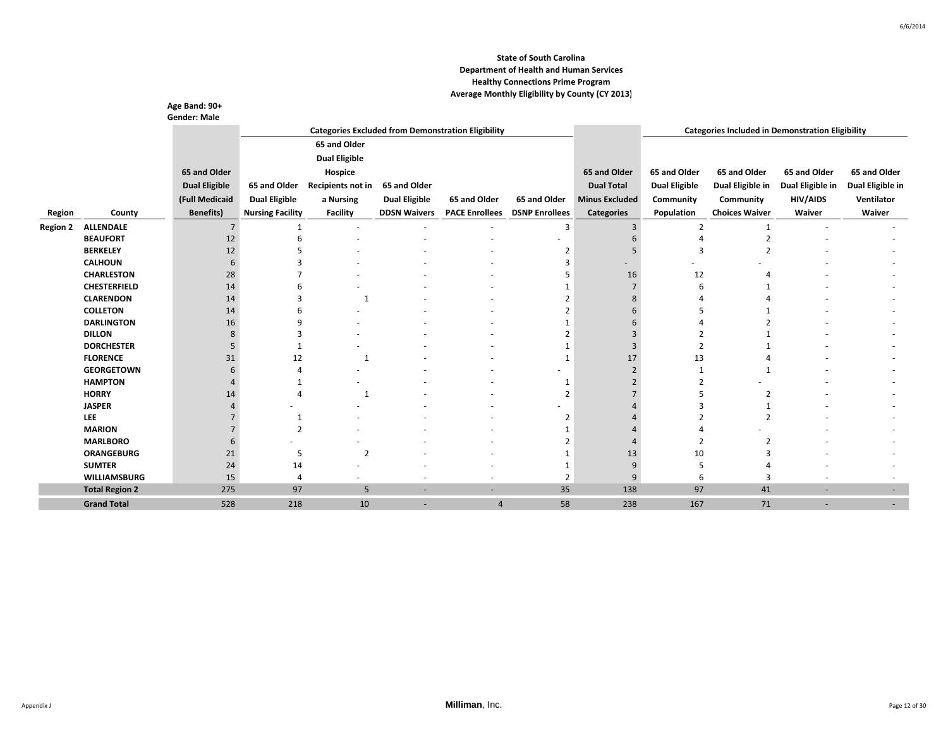|                 |                                     | Age Band: 90+        |                         |                      |                      |                                                           |                       |                       |                          |                                                         |                  |                  |
|-----------------|-------------------------------------|----------------------|-------------------------|----------------------|----------------------|-----------------------------------------------------------|-----------------------|-----------------------|--------------------------|---------------------------------------------------------|------------------|------------------|
|                 |                                     | <b>Gender: Male</b>  |                         |                      |                      | <b>Categories Excluded from Demonstration Eligibility</b> |                       |                       |                          | <b>Categories Included in Demonstration Eligibility</b> |                  |                  |
|                 |                                     |                      |                         | 65 and Older         |                      |                                                           |                       |                       |                          |                                                         |                  |                  |
|                 |                                     |                      |                         |                      |                      |                                                           |                       |                       |                          |                                                         |                  |                  |
|                 |                                     |                      |                         | <b>Dual Eligible</b> |                      |                                                           |                       |                       |                          |                                                         |                  |                  |
|                 |                                     | 65 and Older         |                         | Hospice              |                      |                                                           |                       | 65 and Older          | 65 and Older             | 65 and Older                                            | 65 and Older     | 65 and Older     |
|                 |                                     | <b>Dual Eligible</b> | 65 and Older            | Recipients not in    | 65 and Older         |                                                           |                       | <b>Dual Total</b>     | <b>Dual Eligible</b>     | Dual Eligible in                                        | Dual Eligible in | Dual Eligible in |
|                 |                                     | (Full Medicaid       | <b>Dual Eligible</b>    | a Nursing            | <b>Dual Eligible</b> | 65 and Older                                              | 65 and Older          | <b>Minus Excluded</b> | Community                | Community                                               | <b>HIV/AIDS</b>  | Ventilator       |
| Region          | County                              | <b>Benefits)</b>     | <b>Nursing Facility</b> | <b>Facility</b>      | <b>DDSN Waivers</b>  | <b>PACE Enrollees</b>                                     | <b>DSNP Enrollees</b> | <b>Categories</b>     | Population               | <b>Choices Waiver</b>                                   | Waiver           | Waiver           |
| <b>Region 2</b> | <b>ALLENDALE</b>                    | $\overline{7}$       | 1                       |                      |                      |                                                           | 3                     | 3                     | $\overline{\phantom{a}}$ | $\mathbf{1}$                                            |                  |                  |
|                 | <b>BEAUFORT</b>                     | 12                   | 6                       |                      |                      |                                                           |                       | հ                     |                          | $\overline{2}$                                          |                  |                  |
|                 | <b>BERKELEY</b>                     | 12                   |                         |                      |                      |                                                           | 2                     |                       | 3                        |                                                         |                  |                  |
|                 | <b>CALHOUN</b>                      | 6                    |                         |                      |                      |                                                           | 3                     |                       |                          |                                                         |                  |                  |
|                 | <b>CHARLESTON</b>                   | 28                   |                         |                      |                      |                                                           |                       | 16                    | 12                       |                                                         |                  |                  |
|                 | <b>CHESTERFIELD</b>                 | 14                   |                         |                      |                      |                                                           |                       |                       | 6                        |                                                         |                  |                  |
|                 | <b>CLARENDON</b>                    | 14                   |                         | $\mathbf{1}$         |                      |                                                           | $\mathcal{P}$         |                       |                          |                                                         |                  |                  |
|                 | <b>COLLETON</b>                     | 14                   |                         |                      |                      |                                                           | 2                     |                       |                          |                                                         |                  |                  |
|                 | <b>DARLINGTON</b>                   | 16                   | q                       |                      |                      |                                                           | $\mathbf{1}$          |                       |                          |                                                         |                  |                  |
|                 | <b>DILLON</b>                       | 8                    |                         |                      |                      |                                                           | $\overline{2}$        |                       |                          |                                                         |                  |                  |
|                 | <b>DORCHESTER</b>                   | 5                    |                         |                      |                      |                                                           |                       |                       | $\overline{2}$           |                                                         |                  |                  |
|                 | <b>FLORENCE</b>                     | 31                   | 12                      | 1                    |                      |                                                           | 1                     | 17                    | 13                       |                                                         |                  |                  |
|                 | <b>GEORGETOWN</b><br><b>HAMPTON</b> | 6                    |                         |                      |                      |                                                           |                       |                       | $\mathbf{1}$             |                                                         |                  |                  |
|                 | <b>HORRY</b>                        | 14                   |                         |                      |                      |                                                           | 1<br>$\overline{2}$   |                       |                          | $\overline{2}$                                          |                  |                  |
|                 | <b>JASPER</b>                       |                      |                         |                      |                      |                                                           |                       |                       |                          |                                                         |                  |                  |
|                 | <b>LEE</b>                          |                      | 1                       |                      |                      |                                                           | $\overline{2}$        |                       |                          | $\overline{\phantom{a}}$                                |                  |                  |
|                 | <b>MARION</b>                       |                      | $\mathcal{P}$           |                      |                      |                                                           |                       |                       |                          |                                                         |                  |                  |
|                 | <b>MARLBORO</b>                     | 6                    |                         |                      |                      |                                                           | $\mathcal{P}$         |                       |                          |                                                         |                  |                  |
|                 | <b>ORANGEBURG</b>                   | 21                   | 5                       | $\overline{2}$       |                      |                                                           | 1                     | 13                    | 10                       |                                                         |                  |                  |
|                 | <b>SUMTER</b>                       | 24                   | 14                      |                      |                      |                                                           | 1                     | 9                     |                          |                                                         |                  |                  |
|                 | <b>WILLIAMSBURG</b>                 | 15                   | $\overline{4}$          |                      |                      |                                                           | $\overline{2}$        | 9                     | 6                        | 3                                                       |                  |                  |
|                 | <b>Total Region 2</b>               | 275                  | 97                      | 5                    |                      | ٠                                                         | 35                    | 138                   | 97                       | 41                                                      |                  | ٠                |
|                 | <b>Grand Total</b>                  | 528                  | 218                     | 10                   | ٠                    | 4                                                         | 58                    | 238                   | 167                      | 71                                                      | ٠                |                  |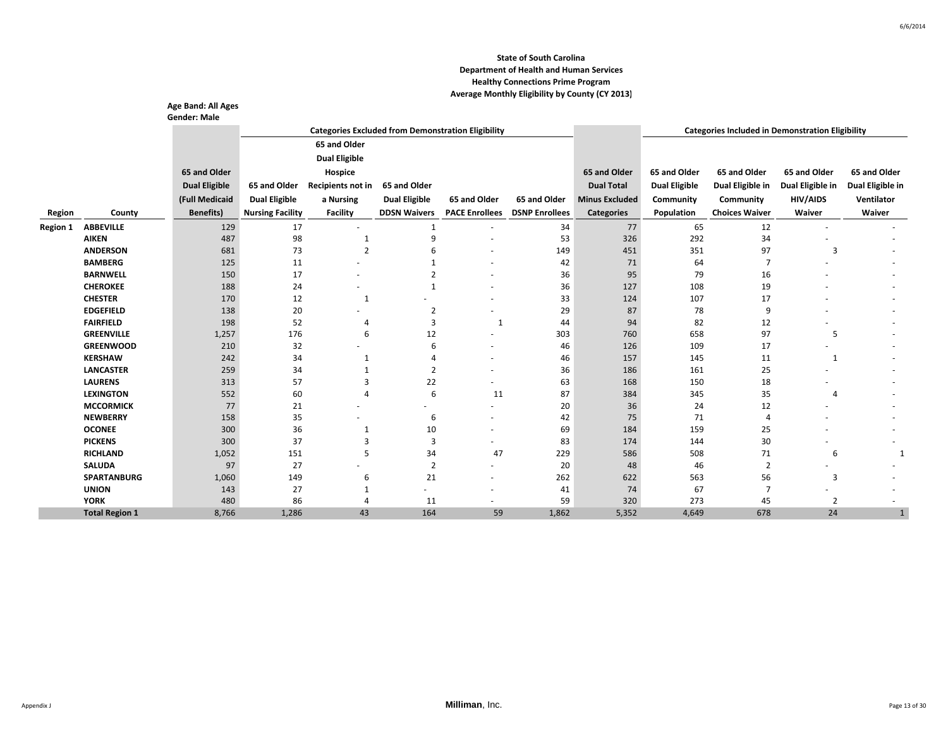|                 |                       | Age Band: All Ages<br><b>Gender: Male</b> |                         |                      |                      |                                                           |                       |                       |                      |                                                         |                  |                  |
|-----------------|-----------------------|-------------------------------------------|-------------------------|----------------------|----------------------|-----------------------------------------------------------|-----------------------|-----------------------|----------------------|---------------------------------------------------------|------------------|------------------|
|                 |                       |                                           |                         |                      |                      | <b>Categories Excluded from Demonstration Eligibility</b> |                       |                       |                      | <b>Categories Included in Demonstration Eligibility</b> |                  |                  |
|                 |                       |                                           |                         | 65 and Older         |                      |                                                           |                       |                       |                      |                                                         |                  |                  |
|                 |                       |                                           |                         | <b>Dual Eligible</b> |                      |                                                           |                       |                       |                      |                                                         |                  |                  |
|                 |                       | 65 and Older                              |                         | Hospice              |                      |                                                           |                       | 65 and Older          | 65 and Older         | 65 and Older                                            | 65 and Older     | 65 and Older     |
|                 |                       | <b>Dual Eligible</b>                      | 65 and Older            | Recipients not in    | 65 and Older         |                                                           |                       | <b>Dual Total</b>     | <b>Dual Eligible</b> | Dual Eligible in                                        | Dual Eligible in | Dual Eligible in |
|                 |                       | (Full Medicaid                            | <b>Dual Eligible</b>    | a Nursing            | <b>Dual Eligible</b> | 65 and Older                                              | 65 and Older          | <b>Minus Excluded</b> | Community            | Community                                               | <b>HIV/AIDS</b>  | Ventilator       |
|                 |                       |                                           |                         |                      | <b>DDSN Waivers</b>  |                                                           | <b>DSNP Enrollees</b> |                       |                      | <b>Choices Waiver</b>                                   | Waiver           | Waiver           |
| Region          | County                | <b>Benefits)</b>                          | <b>Nursing Facility</b> | <b>Facility</b>      |                      | <b>PACE Enrollees</b>                                     |                       | <b>Categories</b>     | Population           |                                                         |                  |                  |
| <b>Region 1</b> | <b>ABBEVILLE</b>      | 129                                       | 17                      |                      | 1                    |                                                           | 34                    | 77                    | 65                   | 12                                                      |                  |                  |
|                 | <b>AIKEN</b>          | 487                                       | 98                      | 1                    | 9                    |                                                           | 53                    | 326                   | 292                  | 34                                                      |                  |                  |
|                 | <b>ANDERSON</b>       | 681                                       | 73                      | $\overline{2}$       | 6                    |                                                           | 149                   | 451                   | 351                  | 97                                                      | 3                |                  |
|                 | <b>BAMBERG</b>        | 125                                       | 11                      | ٠                    |                      |                                                           | 42                    | 71                    | 64                   | $\overline{7}$                                          |                  |                  |
|                 | <b>BARNWELL</b>       | 150                                       | 17                      |                      |                      |                                                           | 36                    | 95                    | 79                   | 16                                                      |                  |                  |
|                 | <b>CHEROKEE</b>       | 188                                       | 24                      |                      | 1                    |                                                           | 36                    | 127                   | 108                  | 19                                                      |                  |                  |
|                 | <b>CHESTER</b>        | 170                                       | 12                      | 1                    |                      | ٠                                                         | 33                    | 124                   | 107                  | 17                                                      |                  |                  |
|                 | <b>EDGEFIELD</b>      | 138                                       | 20                      |                      | $\overline{2}$       | $\overline{\phantom{a}}$                                  | 29                    | 87                    | 78                   | 9                                                       |                  |                  |
|                 | <b>FAIRFIELD</b>      | 198                                       | 52                      | 4                    | 3                    | 1                                                         | 44                    | 94                    | 82                   | 12                                                      |                  |                  |
|                 | <b>GREENVILLE</b>     | 1,257                                     | 176                     | 6                    | 12                   | $\overline{a}$                                            | 303                   | 760                   | 658                  | 97                                                      | 5                |                  |
|                 | <b>GREENWOOD</b>      | 210                                       | 32                      |                      | 6                    | ٠                                                         | 46                    | 126                   | 109                  | 17                                                      |                  |                  |
|                 | <b>KERSHAW</b>        | 242                                       | 34                      | 1                    | Δ                    | ٠                                                         | 46                    | 157                   | 145                  | 11                                                      | 1                |                  |
|                 | <b>LANCASTER</b>      | 259                                       | 34                      |                      | $\overline{2}$       |                                                           | 36                    | 186                   | 161                  | 25                                                      |                  |                  |
|                 | <b>LAURENS</b>        | 313                                       | 57                      | 3                    | 22                   | ٠                                                         | 63                    | 168                   | 150                  | 18                                                      |                  |                  |
|                 | <b>LEXINGTON</b>      | 552                                       | 60                      | 4                    | 6                    | 11                                                        | 87                    | 384                   | 345                  | 35                                                      | $\overline{4}$   |                  |
|                 | <b>MCCORMICK</b>      | 77                                        | 21                      |                      | ٠                    | ٠                                                         | 20                    | 36                    | 24                   | 12                                                      |                  |                  |
|                 | <b>NEWBERRY</b>       | 158                                       | 35                      |                      | 6                    | ٠                                                         | 42                    | 75                    | 71                   | $\overline{4}$                                          |                  |                  |
|                 | <b>OCONEE</b>         | 300                                       | 36                      | 1                    | 10                   | ٠                                                         | 69                    | 184                   | 159                  | 25                                                      |                  |                  |
|                 | <b>PICKENS</b>        | 300                                       | 37                      | $\overline{3}$       | 3                    |                                                           | 83                    | 174                   | 144                  | 30                                                      |                  |                  |
|                 | <b>RICHLAND</b>       | 1,052                                     | 151                     | 5                    | 34                   | 47                                                        | 229                   | 586                   | 508                  | 71                                                      | 6                | $\overline{1}$   |
|                 | <b>SALUDA</b>         | 97                                        | 27                      |                      | $\overline{2}$       | ٠                                                         | 20                    | 48                    | 46                   | $\overline{2}$                                          |                  |                  |
|                 | <b>SPARTANBURG</b>    | 1,060                                     | 149                     | 6                    | 21                   | ٠                                                         | 262                   | 622                   | 563                  | 56                                                      | 3                |                  |
|                 | <b>UNION</b>          | 143                                       | 27                      | 1                    |                      | ۰                                                         | 41                    | 74                    | 67                   | $\overline{7}$                                          |                  |                  |
|                 | <b>YORK</b>           | 480                                       | 86                      | 4                    | 11                   | ۰                                                         | 59                    | 320                   | 273                  | 45                                                      | $\overline{2}$   |                  |
|                 | <b>Total Region 1</b> | 8,766                                     | 1,286                   | 43                   | 164                  | 59                                                        | 1,862                 | 5,352                 | 4,649                | 678                                                     | 24               |                  |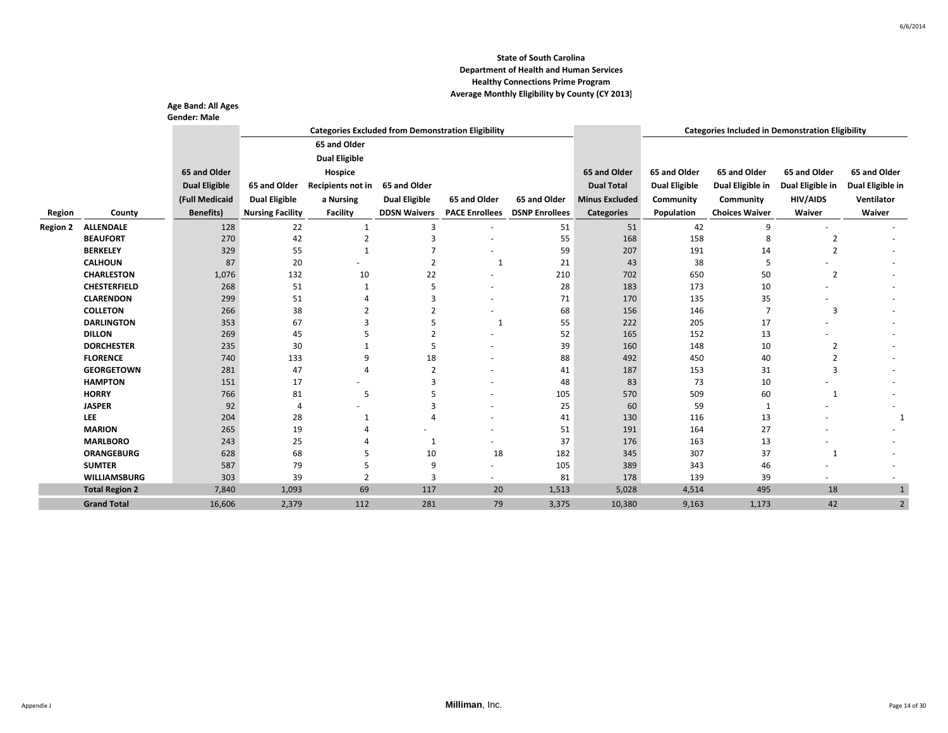|                 |                                    | Age Band: All Ages   |                         |                                                           |                      |                       |                       |                       |                      |                                                         |                                  |                  |
|-----------------|------------------------------------|----------------------|-------------------------|-----------------------------------------------------------|----------------------|-----------------------|-----------------------|-----------------------|----------------------|---------------------------------------------------------|----------------------------------|------------------|
|                 |                                    | <b>Gender: Male</b>  |                         |                                                           |                      |                       |                       |                       |                      |                                                         |                                  |                  |
|                 |                                    |                      |                         | <b>Categories Excluded from Demonstration Eligibility</b> |                      |                       |                       |                       |                      | <b>Categories Included in Demonstration Eligibility</b> |                                  |                  |
|                 |                                    |                      |                         | 65 and Older                                              |                      |                       |                       |                       |                      |                                                         |                                  |                  |
|                 |                                    |                      |                         | <b>Dual Eligible</b>                                      |                      |                       |                       |                       |                      |                                                         |                                  |                  |
|                 |                                    | 65 and Older         |                         | Hospice                                                   |                      |                       |                       | 65 and Older          | 65 and Older         | 65 and Older                                            | 65 and Older                     | 65 and Older     |
|                 |                                    | <b>Dual Eligible</b> | 65 and Older            | Recipients not in                                         | 65 and Older         |                       |                       | <b>Dual Total</b>     | <b>Dual Eligible</b> | Dual Eligible in                                        | Dual Eligible in                 | Dual Eligible in |
|                 |                                    | (Full Medicaid       | <b>Dual Eligible</b>    | a Nursing                                                 | <b>Dual Eligible</b> | 65 and Older          | 65 and Older          | <b>Minus Excluded</b> | Community            | Community                                               | <b>HIV/AIDS</b>                  | Ventilator       |
| Region          | County                             | <b>Benefits)</b>     | <b>Nursing Facility</b> | <b>Facility</b>                                           | <b>DDSN Waivers</b>  | <b>PACE Enrollees</b> | <b>DSNP Enrollees</b> | <b>Categories</b>     | Population           | <b>Choices Waiver</b>                                   | Waiver                           | Waiver           |
|                 |                                    |                      |                         |                                                           |                      |                       |                       |                       |                      |                                                         |                                  |                  |
| <b>Region 2</b> | <b>ALLENDALE</b>                   | 128                  | 22                      | 1                                                         | 3<br>3               |                       | 51                    | 51                    | 42                   | 9                                                       |                                  |                  |
|                 | <b>BEAUFORT</b><br><b>BERKELEY</b> | 270                  | 42                      | $\overline{2}$<br>$\mathbf{1}$                            | $\overline{7}$       |                       | 55                    | 168<br>207            | 158                  | 8                                                       | $\overline{2}$<br>$\overline{2}$ |                  |
|                 | <b>CALHOUN</b>                     | 329<br>87            | 55<br>20                |                                                           | $\overline{2}$       | 1                     | 59<br>21              | 43                    | 191<br>38            | 14<br>5                                                 |                                  |                  |
|                 | <b>CHARLESTON</b>                  | 1,076                | 132                     | 10                                                        | 22                   |                       | 210                   | 702                   | 650                  | 50                                                      | $\overline{2}$                   |                  |
|                 | <b>CHESTERFIELD</b>                | 268                  | 51                      | 1                                                         | 5                    |                       | 28                    | 183                   | 173                  | 10                                                      |                                  |                  |
|                 | <b>CLARENDON</b>                   | 299                  | 51                      |                                                           | 3                    |                       | 71                    | 170                   | 135                  | 35                                                      |                                  |                  |
|                 | <b>COLLETON</b>                    | 266                  | 38                      | 2                                                         | $\overline{2}$       |                       | 68                    | 156                   | 146                  | 7                                                       | 3                                |                  |
|                 | <b>DARLINGTON</b>                  | 353                  | 67                      | з                                                         | 5                    | 1                     | 55                    | 222                   | 205                  | 17                                                      |                                  |                  |
|                 | <b>DILLON</b>                      | 269                  | 45                      |                                                           | $\overline{2}$       |                       | 52                    | 165                   | 152                  | 13                                                      |                                  |                  |
|                 | <b>DORCHESTER</b>                  | 235                  | 30                      |                                                           | 5                    |                       | 39                    | 160                   | 148                  | 10                                                      | $\overline{2}$                   |                  |
|                 | <b>FLORENCE</b>                    | 740                  | 133                     | q                                                         | 18                   |                       | 88                    | 492                   | 450                  | 40                                                      | 2                                |                  |
|                 | <b>GEORGETOWN</b>                  | 281                  | 47                      | $\overline{a}$                                            | $\overline{2}$       |                       | 41                    | 187                   | 153                  | 31                                                      | 3                                |                  |
|                 | <b>HAMPTON</b>                     | 151                  | 17                      |                                                           | 3                    |                       | 48                    | 83                    | 73                   | 10                                                      |                                  |                  |
|                 | <b>HORRY</b>                       | 766                  | 81                      | 5                                                         |                      |                       | 105                   | 570                   | 509                  | 60                                                      | $\mathbf{1}$                     |                  |
|                 | <b>JASPER</b>                      | 92                   | $\overline{4}$          |                                                           | 3                    |                       | 25                    | 60                    | 59                   | $\mathbf{1}$                                            |                                  |                  |
|                 | <b>LEE</b>                         | 204                  | 28                      | 1                                                         | Δ                    |                       | 41                    | 130                   | 116                  | 13                                                      |                                  | 1                |
|                 | <b>MARION</b>                      | 265                  | 19                      |                                                           |                      |                       | 51                    | 191                   | 164                  | 27                                                      |                                  |                  |
|                 | <b>MARLBORO</b>                    | 243                  | 25                      |                                                           | 1                    |                       | 37                    | 176                   | 163                  | 13                                                      |                                  |                  |
|                 | <b>ORANGEBURG</b>                  | 628                  | 68                      |                                                           | 10                   | 18                    | 182                   | 345                   | 307                  | 37                                                      | 1                                |                  |
|                 | <b>SUMTER</b>                      | 587                  | 79                      | 5                                                         | 9                    |                       | 105                   | 389                   | 343                  | 46                                                      |                                  |                  |
|                 | <b>WILLIAMSBURG</b>                | 303                  | 39                      | $\overline{2}$                                            | 3                    |                       | 81                    | 178                   | 139                  | 39                                                      |                                  |                  |
|                 | <b>Total Region 2</b>              | 7,840                | 1,093                   | 69                                                        | 117                  | 20                    | 1,513                 | 5,028                 | 4,514                | 495                                                     | 18                               | $\mathbf{1}$     |
|                 | <b>Grand Total</b>                 | 16,606               | 2,379                   | 112                                                       | 281                  | 79                    | 3,375                 | 10,380                | 9,163                | 1,173                                                   | 42                               | $\overline{2}$   |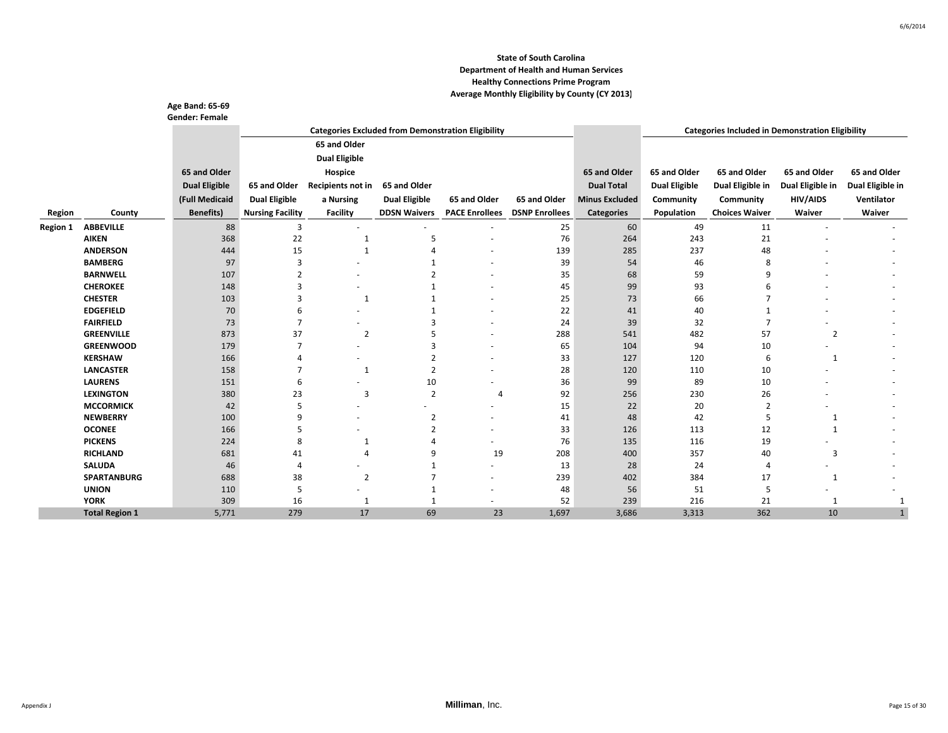|                 |                       | Age Band: 65-69<br><b>Gender: Female</b> |                         |                          |                      |                                                           |                       |                       |                      |                                                         |                  |                  |
|-----------------|-----------------------|------------------------------------------|-------------------------|--------------------------|----------------------|-----------------------------------------------------------|-----------------------|-----------------------|----------------------|---------------------------------------------------------|------------------|------------------|
|                 |                       |                                          |                         |                          |                      | <b>Categories Excluded from Demonstration Eligibility</b> |                       |                       |                      | <b>Categories Included in Demonstration Eligibility</b> |                  |                  |
|                 |                       |                                          |                         | 65 and Older             |                      |                                                           |                       |                       |                      |                                                         |                  |                  |
|                 |                       |                                          |                         | <b>Dual Eligible</b>     |                      |                                                           |                       |                       |                      |                                                         |                  |                  |
|                 |                       | 65 and Older                             |                         | Hospice                  |                      |                                                           |                       | 65 and Older          | 65 and Older         | 65 and Older                                            | 65 and Older     | 65 and Older     |
|                 |                       | <b>Dual Eligible</b>                     | 65 and Older            | Recipients not in        | 65 and Older         |                                                           |                       | <b>Dual Total</b>     | <b>Dual Eligible</b> | Dual Eligible in                                        | Dual Eligible in | Dual Eligible in |
|                 |                       | (Full Medicaid                           | <b>Dual Eligible</b>    | a Nursing                | <b>Dual Eligible</b> | 65 and Older                                              | 65 and Older          | <b>Minus Excluded</b> | Community            | Community                                               | HIV/AIDS         | Ventilator       |
|                 |                       |                                          |                         |                          |                      |                                                           |                       |                       |                      |                                                         |                  |                  |
| Region          | County                | <b>Benefits</b> )                        | <b>Nursing Facility</b> | <b>Facility</b>          | <b>DDSN Waivers</b>  | <b>PACE Enrollees</b>                                     | <b>DSNP Enrollees</b> | <b>Categories</b>     | Population           | <b>Choices Waiver</b>                                   | Waiver           | Waiver           |
| <b>Region 1</b> | <b>ABBEVILLE</b>      | 88                                       | 3                       |                          |                      |                                                           | 25                    | 60                    | 49                   | 11                                                      |                  |                  |
|                 | <b>AIKEN</b>          | 368                                      | 22                      | $\mathbf{1}$             | 5                    |                                                           | 76                    | 264                   | 243                  | 21                                                      |                  |                  |
|                 | <b>ANDERSON</b>       | 444                                      | 15                      | $\mathbf{1}$             |                      |                                                           | 139                   | 285                   | 237                  | 48                                                      |                  |                  |
|                 | <b>BAMBERG</b>        | 97                                       | $\overline{3}$          |                          |                      |                                                           | 39                    | 54                    | 46                   | 8                                                       |                  |                  |
|                 | <b>BARNWELL</b>       | 107                                      | 2                       |                          |                      |                                                           | 35                    | 68                    | 59                   | q                                                       |                  |                  |
|                 | <b>CHEROKEE</b>       | 148                                      | 3                       |                          |                      |                                                           | 45                    | 99                    | 93                   | 6                                                       |                  |                  |
|                 | <b>CHESTER</b>        | 103                                      | з                       | 1                        | $\mathbf 1$          |                                                           | 25                    | 73                    | 66                   |                                                         |                  |                  |
|                 | <b>EDGEFIELD</b>      | 70                                       | 6                       |                          |                      |                                                           | 22                    | 41                    | 40                   |                                                         |                  |                  |
|                 | <b>FAIRFIELD</b>      | 73                                       | $\overline{7}$          |                          | з                    |                                                           | 24                    | 39                    | 32                   |                                                         |                  |                  |
|                 | <b>GREENVILLE</b>     | 873                                      | 37                      | $\overline{2}$           |                      | $\overline{\phantom{a}}$                                  | 288                   | 541                   | 482                  | 57                                                      | $\overline{2}$   |                  |
|                 | <b>GREENWOOD</b>      | 179                                      | $\overline{7}$          |                          | з                    |                                                           | 65                    | 104                   | 94                   | 10                                                      |                  |                  |
|                 | <b>KERSHAW</b>        | 166                                      |                         |                          | 2                    |                                                           | 33                    | 127                   | 120                  | 6                                                       | 1                |                  |
|                 | <b>LANCASTER</b>      | 158                                      | 7                       | $\mathbf{1}$             | $\overline{2}$       |                                                           | 28                    | 120                   | 110                  | 10                                                      |                  |                  |
|                 | <b>LAURENS</b>        | 151                                      | 6                       |                          | 10                   | $\overline{\phantom{a}}$                                  | 36                    | 99                    | 89                   | 10                                                      |                  |                  |
|                 | <b>LEXINGTON</b>      | 380                                      | 23                      | 3                        | $\overline{2}$       | $\overline{4}$                                            | 92                    | 256                   | 230                  | 26                                                      |                  |                  |
|                 | <b>MCCORMICK</b>      | 42                                       | 5                       | $\overline{\phantom{a}}$ | ٠                    | $\overline{\phantom{a}}$                                  | 15                    | 22                    | 20                   | $\overline{2}$                                          |                  |                  |
|                 | <b>NEWBERRY</b>       | 100                                      | 9                       |                          | $\overline{2}$       |                                                           | 41                    | 48                    | 42                   | 5                                                       | $\mathbf{1}$     |                  |
|                 | <b>OCONEE</b>         | 166                                      | 5                       |                          | $\overline{2}$       |                                                           | 33                    | 126                   | 113                  | 12                                                      | 1                |                  |
|                 | <b>PICKENS</b>        | 224                                      | 8                       | 1                        |                      |                                                           | 76                    | 135                   | 116                  | 19                                                      |                  |                  |
|                 | <b>RICHLAND</b>       | 681                                      | 41                      | $\overline{4}$           | q                    | 19                                                        | 208                   | 400                   | 357                  | 40                                                      | 3                |                  |
|                 | <b>SALUDA</b>         | 46                                       | $\overline{4}$          | ٠                        |                      | ٠                                                         | 13                    | 28                    | 24                   | 4                                                       | ٠                |                  |
|                 | <b>SPARTANBURG</b>    | 688                                      | 38                      | 2                        |                      | ٠                                                         | 239                   | 402                   | 384                  | 17                                                      | 1                |                  |
|                 | <b>UNION</b>          | 110                                      | -5                      |                          | $\mathbf{1}$         | ٠                                                         | 48                    | 56                    | 51                   | 5                                                       |                  |                  |
|                 | <b>YORK</b>           | 309                                      | 16                      | $\mathbf{1}$             | $\mathbf{1}$         | $\overline{\phantom{a}}$                                  | 52                    | 239                   | 216                  | 21                                                      | 1                |                  |
|                 | <b>Total Region 1</b> | 5,771                                    | 279                     | 17                       | 69                   | 23                                                        | 1,697                 | 3,686                 | 3,313                | 362                                                     | 10               |                  |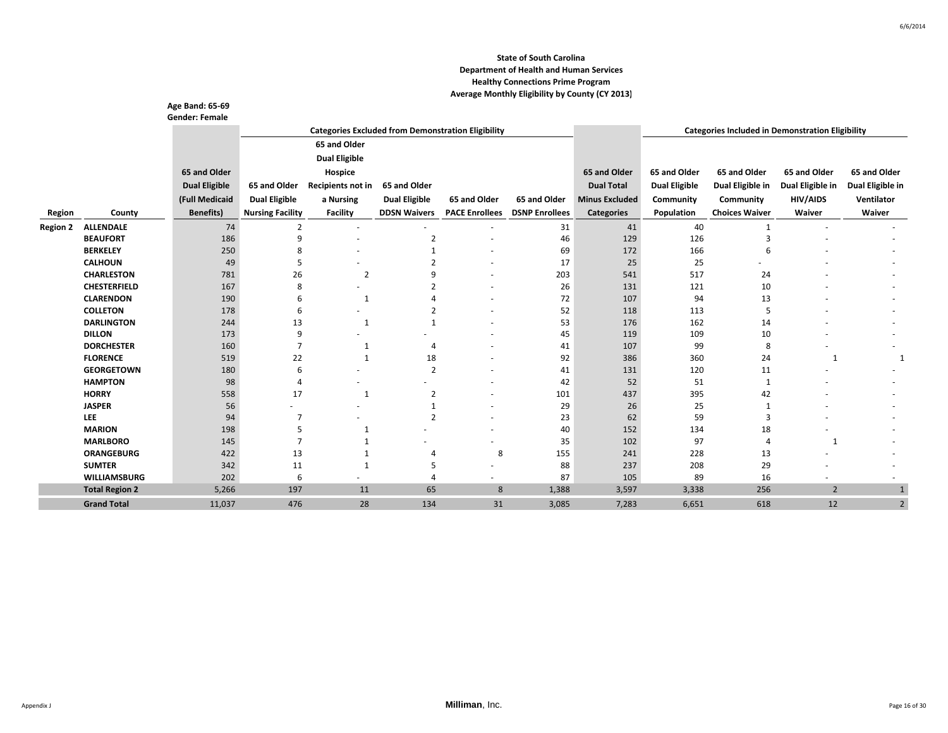|                 |                                      | Age Band: 65-69       |                         |                      |                          |                                                           |                       |                       |                      |                                                         |                  |                  |
|-----------------|--------------------------------------|-----------------------|-------------------------|----------------------|--------------------------|-----------------------------------------------------------|-----------------------|-----------------------|----------------------|---------------------------------------------------------|------------------|------------------|
|                 |                                      | <b>Gender: Female</b> |                         |                      |                          |                                                           |                       |                       |                      |                                                         |                  |                  |
|                 |                                      |                       |                         |                      |                          | <b>Categories Excluded from Demonstration Eligibility</b> |                       |                       |                      | <b>Categories Included in Demonstration Eligibility</b> |                  |                  |
|                 |                                      |                       |                         | 65 and Older         |                          |                                                           |                       |                       |                      |                                                         |                  |                  |
|                 |                                      |                       |                         | <b>Dual Eligible</b> |                          |                                                           |                       |                       |                      |                                                         |                  |                  |
|                 |                                      | 65 and Older          |                         | Hospice              |                          |                                                           |                       | 65 and Older          | 65 and Older         | 65 and Older                                            | 65 and Older     | 65 and Older     |
|                 |                                      | <b>Dual Eligible</b>  | 65 and Older            | Recipients not in    | 65 and Older             |                                                           |                       | <b>Dual Total</b>     | <b>Dual Eligible</b> | Dual Eligible in                                        | Dual Eligible in | Dual Eligible in |
|                 |                                      | (Full Medicaid        | <b>Dual Eligible</b>    | a Nursing            | <b>Dual Eligible</b>     | 65 and Older                                              | 65 and Older          | <b>Minus Excluded</b> | Community            | Community                                               | HIV/AIDS         | Ventilator       |
| Region          | County                               | <b>Benefits)</b>      | <b>Nursing Facility</b> | Facility             | <b>DDSN Waivers</b>      | <b>PACE Enrollees</b>                                     | <b>DSNP Enrollees</b> | <b>Categories</b>     | Population           | <b>Choices Waiver</b>                                   | Waiver           | Waiver           |
|                 |                                      |                       |                         |                      |                          |                                                           |                       |                       |                      |                                                         |                  |                  |
| <b>Region 2</b> | <b>ALLENDALE</b><br><b>BEAUFORT</b>  | 74<br>186             | $\overline{2}$<br>9     | $\overline{a}$       | ٠<br>$\overline{2}$      |                                                           | 31<br>46              | 41<br>129             | 40<br>126            | $\mathbf{1}$<br>3                                       | ٠                |                  |
|                 | <b>BERKELEY</b>                      | 250                   | 8                       |                      | $\mathbf{1}$             |                                                           | 69                    | 172                   | 166                  | 6                                                       |                  |                  |
|                 | <b>CALHOUN</b>                       | 49                    | 5                       |                      | $\overline{\phantom{a}}$ |                                                           | 17                    | 25                    | 25                   |                                                         |                  |                  |
|                 | <b>CHARLESTON</b>                    | 781                   | 26                      | $\overline{2}$       |                          |                                                           | 203                   | 541                   | 517                  | 24                                                      |                  |                  |
|                 | <b>CHESTERFIELD</b>                  | 167                   | 8                       |                      |                          |                                                           | 26                    | 131                   | 121                  | 10                                                      |                  |                  |
|                 | <b>CLARENDON</b>                     | 190                   | 6                       | 1                    |                          |                                                           | 72                    | 107                   | 94                   | 13                                                      |                  |                  |
|                 | <b>COLLETON</b>                      | 178                   | 6                       |                      |                          |                                                           | 52                    | 118                   | 113                  | 5                                                       |                  |                  |
|                 | <b>DARLINGTON</b>                    | 244                   | 13                      | $\mathbf{1}$         | $\mathbf{1}$             |                                                           | 53                    | 176                   | 162                  | 14                                                      |                  |                  |
|                 | <b>DILLON</b>                        | 173                   | 9                       |                      |                          |                                                           | 45                    | 119                   | 109                  | 10                                                      |                  |                  |
|                 | <b>DORCHESTER</b>                    | 160                   | $\overline{7}$          | 1                    | $\overline{4}$           |                                                           | 41                    | 107                   | 99                   | 8                                                       |                  |                  |
|                 | <b>FLORENCE</b>                      | 519                   | 22                      | 1                    | 18                       |                                                           | 92                    | 386                   | 360                  | 24                                                      | 1                |                  |
|                 | <b>GEORGETOWN</b>                    | 180                   | 6                       |                      | $\overline{2}$           |                                                           | 41                    | 131                   | 120                  | 11                                                      |                  |                  |
|                 | <b>HAMPTON</b>                       | 98                    | $\overline{4}$          |                      |                          |                                                           | 42                    | 52                    | 51                   | 1                                                       |                  |                  |
|                 | <b>HORRY</b>                         | 558                   | 17                      | 1                    | $\overline{2}$           |                                                           | 101                   | 437                   | 395                  | 42                                                      |                  |                  |
|                 | <b>JASPER</b>                        | 56                    |                         |                      |                          |                                                           | 29                    | 26                    | 25                   |                                                         |                  |                  |
|                 | <b>LEE</b>                           | 94                    | 7                       |                      | $\overline{2}$           |                                                           | 23                    | 62                    | 59                   | 3                                                       |                  |                  |
|                 | <b>MARION</b>                        | 198                   | 5                       | 1                    |                          |                                                           | 40                    | 152                   | 134                  | 18                                                      |                  |                  |
|                 | <b>MARLBORO</b>                      | 145                   | $\overline{7}$          |                      |                          |                                                           | 35                    | 102                   | 97                   | 4                                                       | 1                |                  |
|                 | <b>ORANGEBURG</b>                    | 422                   | 13                      |                      | 4                        | 8                                                         | 155                   | 241                   | 228                  | 13                                                      |                  |                  |
|                 | <b>SUMTER</b><br><b>WILLIAMSBURG</b> | 342                   | 11                      | 1                    | 5                        |                                                           | 88                    | 237                   | 208                  | 29                                                      |                  |                  |
|                 |                                      | 202                   | 6                       |                      | $\overline{4}$           |                                                           | 87                    | 105                   | 89                   | 16                                                      |                  |                  |
|                 | <b>Total Region 2</b>                | 5,266                 | 197                     | 11                   | 65                       | 8                                                         | 1,388                 | 3,597                 | 3,338                | 256                                                     | $\overline{2}$   | $\mathbf{1}$     |
|                 | <b>Grand Total</b>                   | 11,037                | 476                     | 28                   | 134                      | 31                                                        | 3,085                 | 7,283                 | 6,651                | 618                                                     | 12               | 2                |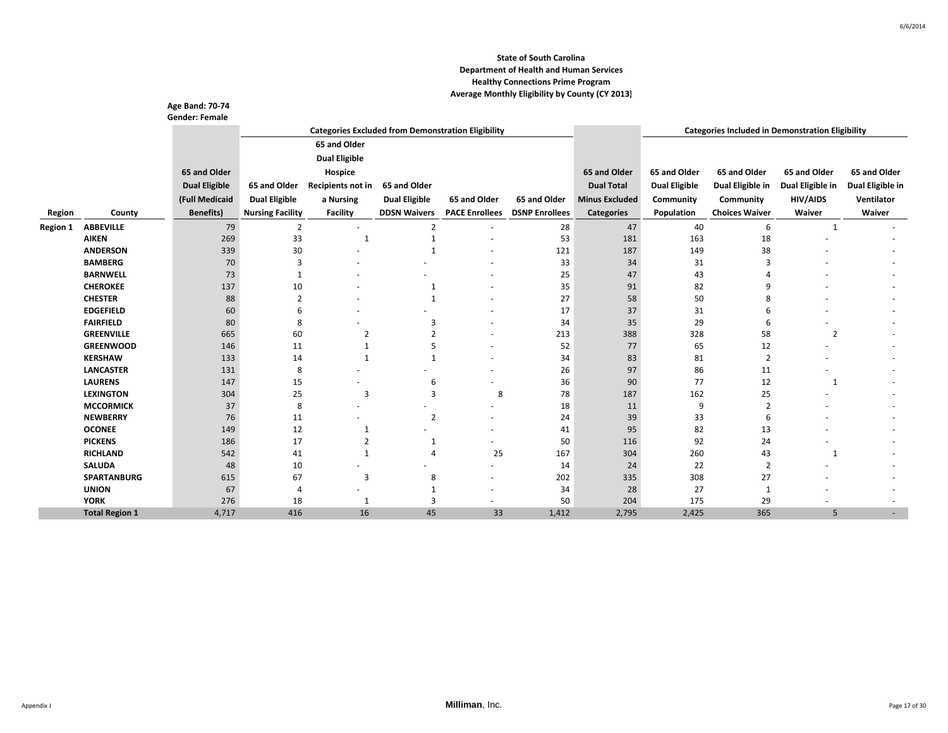|                 |                       | Age Band: 70-74<br><b>Gender: Female</b> |                         |                      |                      |                                                           |                       |                       |                      |                                                         |                  |                  |
|-----------------|-----------------------|------------------------------------------|-------------------------|----------------------|----------------------|-----------------------------------------------------------|-----------------------|-----------------------|----------------------|---------------------------------------------------------|------------------|------------------|
|                 |                       |                                          |                         |                      |                      | <b>Categories Excluded from Demonstration Eligibility</b> |                       |                       |                      | <b>Categories Included in Demonstration Eligibility</b> |                  |                  |
|                 |                       |                                          |                         | 65 and Older         |                      |                                                           |                       |                       |                      |                                                         |                  |                  |
|                 |                       |                                          |                         | <b>Dual Eligible</b> |                      |                                                           |                       |                       |                      |                                                         |                  |                  |
|                 |                       | 65 and Older                             |                         | Hospice              |                      |                                                           |                       | 65 and Older          | 65 and Older         | 65 and Older                                            | 65 and Older     | 65 and Older     |
|                 |                       | <b>Dual Eligible</b>                     | 65 and Older            | Recipients not in    | 65 and Older         |                                                           |                       | <b>Dual Total</b>     | <b>Dual Eligible</b> | Dual Eligible in                                        | Dual Eligible in | Dual Eligible in |
|                 |                       | (Full Medicaid                           | <b>Dual Eligible</b>    |                      | <b>Dual Eligible</b> | 65 and Older                                              | 65 and Older          | <b>Minus Excluded</b> | Community            | Community                                               | <b>HIV/AIDS</b>  | Ventilator       |
|                 |                       |                                          |                         | a Nursing            |                      |                                                           |                       |                       |                      |                                                         |                  |                  |
| Region          | County                | <b>Benefits</b> )                        | <b>Nursing Facility</b> | <b>Facility</b>      | <b>DDSN Waivers</b>  | <b>PACE Enrollees</b>                                     | <b>DSNP Enrollees</b> | <b>Categories</b>     | Population           | <b>Choices Waiver</b>                                   | Waiver           | Waiver           |
| <b>Region 1</b> | <b>ABBEVILLE</b>      | 79                                       | $\overline{2}$          | $\sim$               | $\overline{2}$       |                                                           | 28                    | 47                    | 40                   | 6                                                       | 1                |                  |
|                 | <b>AIKEN</b>          | 269                                      | 33                      | 1                    |                      |                                                           | 53                    | 181                   | 163                  | 18                                                      |                  |                  |
|                 | <b>ANDERSON</b>       | 339                                      | 30                      |                      |                      |                                                           | 121                   | 187                   | 149                  | 38                                                      |                  |                  |
|                 | <b>BAMBERG</b>        | 70                                       | 3                       |                      |                      |                                                           | 33                    | 34                    | 31                   | 3                                                       |                  |                  |
|                 | <b>BARNWELL</b>       | 73                                       | -1                      |                      |                      |                                                           | 25                    | 47                    | 43                   | 4                                                       |                  |                  |
|                 | <b>CHEROKEE</b>       | 137                                      | 10                      |                      | $\mathbf{1}$         |                                                           | 35                    | 91                    | 82                   | 9                                                       |                  |                  |
|                 | <b>CHESTER</b>        | 88                                       | $\overline{2}$          |                      | 1                    |                                                           | 27                    | 58                    | 50                   | 8                                                       |                  |                  |
|                 | <b>EDGEFIELD</b>      | 60                                       | 6                       |                      |                      |                                                           | 17                    | 37                    | 31                   | 6                                                       |                  |                  |
|                 | <b>FAIRFIELD</b>      | 80                                       | 8                       |                      | 3                    |                                                           | 34                    | 35                    | 29                   | 6                                                       |                  |                  |
|                 | <b>GREENVILLE</b>     | 665                                      | 60                      | 2                    | $\overline{2}$       |                                                           | 213                   | 388                   | 328                  | 58                                                      | $\overline{2}$   |                  |
|                 | <b>GREENWOOD</b>      | 146                                      | 11                      | $\mathbf{1}$         | 5                    |                                                           | 52                    | 77                    | 65                   | 12                                                      |                  |                  |
|                 | <b>KERSHAW</b>        | 133                                      | 14                      | 1                    | $\mathbf 1$          |                                                           | 34                    | 83                    | 81                   | $\overline{2}$                                          |                  |                  |
|                 | <b>LANCASTER</b>      | 131                                      | 8                       |                      |                      |                                                           | 26                    | 97                    | 86                   | 11                                                      |                  |                  |
|                 | <b>LAURENS</b>        | 147                                      | 15                      |                      | 6                    |                                                           | 36                    | 90                    | 77                   | 12                                                      | 1                |                  |
|                 | <b>LEXINGTON</b>      | 304                                      | 25                      | 3                    | 3                    | 8                                                         | 78                    | 187                   | 162                  | 25                                                      |                  |                  |
|                 | <b>MCCORMICK</b>      | 37                                       | 8                       |                      |                      |                                                           | 18                    | 11                    | 9                    | $\overline{2}$                                          |                  |                  |
|                 | <b>NEWBERRY</b>       | 76                                       | 11                      |                      | $\overline{2}$       |                                                           | 24                    | 39                    | 33                   | 6                                                       |                  |                  |
|                 | <b>OCONEE</b>         | 149                                      | 12                      | 1                    |                      |                                                           | 41                    | 95                    | 82                   | 13                                                      |                  |                  |
|                 | <b>PICKENS</b>        | 186                                      | 17                      | 2                    | -1                   |                                                           | 50                    | 116                   | 92                   | 24                                                      |                  |                  |
|                 | <b>RICHLAND</b>       | 542                                      | 41                      | $\mathbf{1}$         | 4                    | 25                                                        | 167                   | 304                   | 260                  | 43                                                      | 1                |                  |
|                 | <b>SALUDA</b>         | 48                                       | 10                      |                      |                      |                                                           | 14                    | 24                    | 22                   | 2                                                       |                  |                  |
|                 | <b>SPARTANBURG</b>    | 615                                      | 67                      | 3                    | 8                    |                                                           | 202                   | 335                   | 308                  | 27                                                      |                  |                  |
|                 | <b>UNION</b>          | 67                                       | 4                       |                      | $\mathbf{1}$         |                                                           | 34                    | 28                    | 27                   | 1                                                       |                  |                  |
|                 | <b>YORK</b>           | 276                                      | 18                      | 1                    | 3                    |                                                           | 50                    | 204                   | 175                  | 29                                                      |                  |                  |
|                 | <b>Total Region 1</b> | 4,717                                    | 416                     | 16                   | 45                   | 33                                                        | 1,412                 | 2,795                 | 2,425                | 365                                                     | 5                |                  |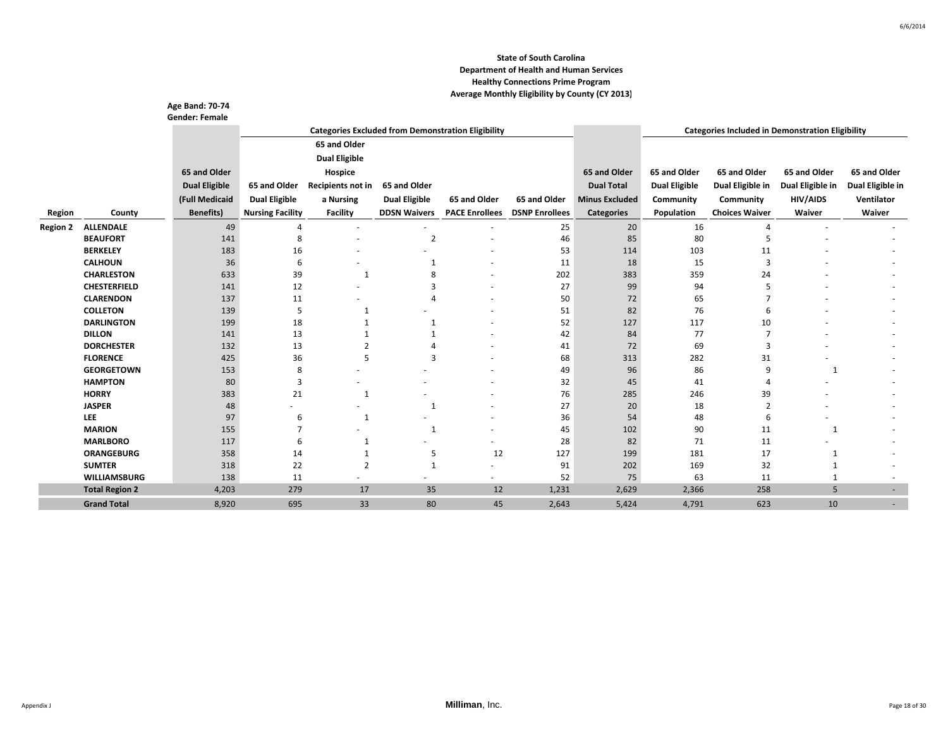|                 |                       | <b>Age Band: 70-74</b><br><b>Gender: Female</b> |                         |                      |                      |                                                           |                       |                       |                      |                                                         |                  |                  |
|-----------------|-----------------------|-------------------------------------------------|-------------------------|----------------------|----------------------|-----------------------------------------------------------|-----------------------|-----------------------|----------------------|---------------------------------------------------------|------------------|------------------|
|                 |                       |                                                 |                         |                      |                      | <b>Categories Excluded from Demonstration Eligibility</b> |                       |                       |                      | <b>Categories Included in Demonstration Eligibility</b> |                  |                  |
|                 |                       |                                                 |                         | 65 and Older         |                      |                                                           |                       |                       |                      |                                                         |                  |                  |
|                 |                       |                                                 |                         | <b>Dual Eligible</b> |                      |                                                           |                       |                       |                      |                                                         |                  |                  |
|                 |                       | 65 and Older                                    |                         | Hospice              |                      |                                                           |                       | 65 and Older          | 65 and Older         | 65 and Older                                            | 65 and Older     | 65 and Older     |
|                 |                       | <b>Dual Eligible</b>                            | 65 and Older            | Recipients not in    | 65 and Older         |                                                           |                       | <b>Dual Total</b>     | <b>Dual Eligible</b> | Dual Eligible in                                        | Dual Eligible in | Dual Eligible in |
|                 |                       |                                                 |                         |                      |                      |                                                           |                       |                       |                      |                                                         |                  |                  |
|                 |                       | (Full Medicaid                                  | <b>Dual Eligible</b>    | a Nursing            | <b>Dual Eligible</b> | 65 and Older                                              | 65 and Older          | <b>Minus Excluded</b> | Community            | Community                                               | <b>HIV/AIDS</b>  | Ventilator       |
| Region          | County                | <b>Benefits)</b>                                | <b>Nursing Facility</b> | <b>Facility</b>      | <b>DDSN Waivers</b>  | <b>PACE Enrollees</b>                                     | <b>DSNP Enrollees</b> | <b>Categories</b>     | Population           | <b>Choices Waiver</b>                                   | Waiver           | Waiver           |
| <b>Region 2</b> | <b>ALLENDALE</b>      | 49                                              | 4                       |                      |                      |                                                           | 25                    | 20                    | 16                   | 4                                                       |                  |                  |
|                 | <b>BEAUFORT</b>       | 141                                             | 8                       |                      | $\overline{2}$       |                                                           | 46                    | 85                    | 80                   | 5                                                       |                  |                  |
|                 | <b>BERKELEY</b>       | 183                                             | 16                      |                      |                      |                                                           | 53                    | 114                   | 103                  | 11                                                      |                  |                  |
|                 | <b>CALHOUN</b>        | 36                                              | 6                       |                      | -1                   |                                                           | 11                    | 18                    | 15                   | 3                                                       |                  |                  |
|                 | <b>CHARLESTON</b>     | 633                                             | 39                      | 1                    |                      |                                                           | 202                   | 383                   | 359                  | 24                                                      |                  |                  |
|                 | <b>CHESTERFIELD</b>   | 141                                             | 12                      |                      |                      |                                                           | 27                    | 99                    | 94                   | 5                                                       |                  |                  |
|                 | <b>CLARENDON</b>      | 137                                             | 11                      |                      | Δ                    |                                                           | 50                    | 72                    | 65                   |                                                         |                  |                  |
|                 | <b>COLLETON</b>       | 139                                             | 5                       | $\mathbf{1}$         |                      |                                                           | 51                    | 82                    | 76                   | 6                                                       |                  |                  |
|                 | <b>DARLINGTON</b>     | 199                                             | 18                      |                      | $\mathbf 1$          |                                                           | 52                    | 127                   | 117                  | 10                                                      |                  |                  |
|                 | <b>DILLON</b>         | 141                                             | 13                      |                      |                      |                                                           | 42                    | 84                    | 77                   |                                                         |                  |                  |
|                 | <b>DORCHESTER</b>     | 132                                             | 13                      |                      |                      |                                                           | 41                    | 72                    | 69                   | 3                                                       |                  |                  |
|                 | <b>FLORENCE</b>       | 425                                             | 36                      | 5                    | 3                    |                                                           | 68                    | 313                   | 282                  | 31                                                      |                  |                  |
|                 | <b>GEORGETOWN</b>     | 153                                             | 8                       |                      |                      |                                                           | 49                    | 96                    | 86                   | 9                                                       |                  |                  |
|                 | <b>HAMPTON</b>        | 80                                              | 3                       |                      |                      |                                                           | 32                    | 45                    | 41                   | $\overline{4}$                                          |                  |                  |
|                 | <b>HORRY</b>          | 383                                             | 21                      | $\mathbf{1}$         |                      |                                                           | 76                    | 285                   | 246                  | 39                                                      |                  |                  |
|                 | <b>JASPER</b>         | 48                                              |                         |                      | 1                    |                                                           | 27                    | 20                    | 18                   | $\overline{2}$                                          |                  |                  |
|                 | LEE                   | 97                                              | 6                       | $\mathbf{1}$         |                      |                                                           | 36                    | 54                    | 48                   | 6                                                       |                  |                  |
|                 | <b>MARION</b>         | 155                                             |                         |                      | $\overline{1}$       |                                                           | 45                    | 102                   | 90                   | 11                                                      |                  |                  |
|                 | <b>MARLBORO</b>       | 117                                             | 6                       | $\mathbf{1}$         |                      |                                                           | 28                    | 82                    | 71                   | 11                                                      |                  |                  |
|                 | <b>ORANGEBURG</b>     | 358                                             | 14                      | 1                    | 5                    | 12                                                        | 127                   | 199                   | 181                  | 17                                                      |                  |                  |
|                 | <b>SUMTER</b>         | 318                                             | 22                      | $\overline{2}$       | $\mathbf{1}$         |                                                           | 91                    | 202                   | 169                  | 32                                                      |                  |                  |
|                 | <b>WILLIAMSBURG</b>   | 138                                             | 11                      |                      |                      |                                                           | 52                    | 75                    | 63                   | 11                                                      |                  |                  |
|                 | <b>Total Region 2</b> | 4,203                                           | 279                     | 17                   | 35                   | 12                                                        | 1,231                 | 2,629                 | 2,366                | 258                                                     | 5                | ٠                |
|                 | <b>Grand Total</b>    | 8,920                                           | 695                     | 33                   | 80                   | 45                                                        | 2,643                 | 5,424                 | 4,791                | 623                                                     | 10               |                  |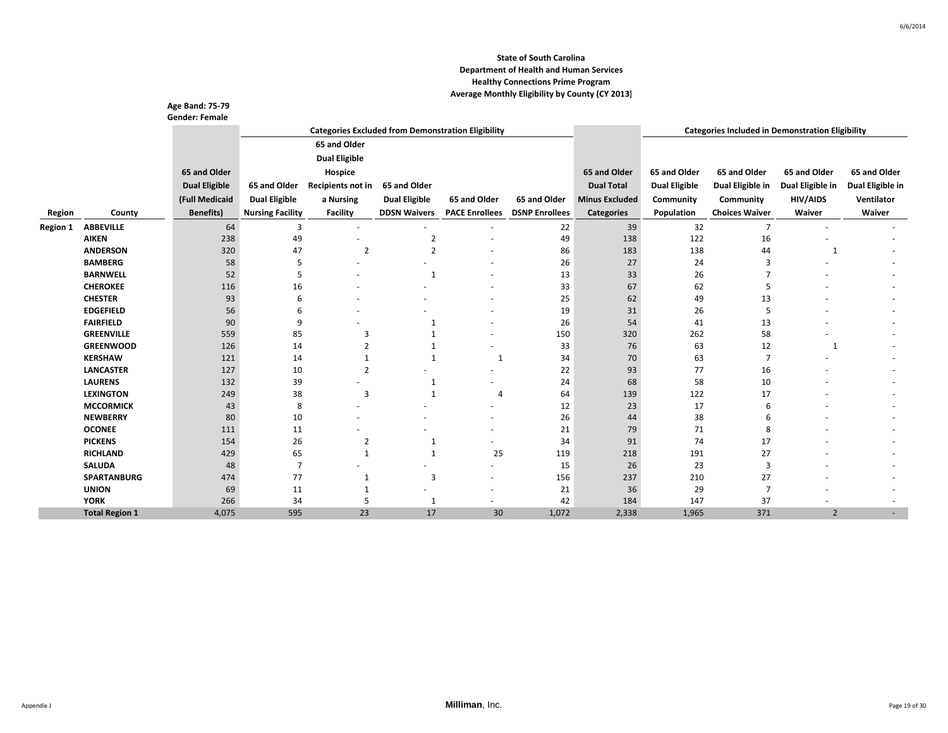|                 |                       | <b>Age Band: 75-79</b><br><b>Gender: Female</b> |                         |                      |                                                           |                       |                       |                       |                      |                                                         |                  |                  |
|-----------------|-----------------------|-------------------------------------------------|-------------------------|----------------------|-----------------------------------------------------------|-----------------------|-----------------------|-----------------------|----------------------|---------------------------------------------------------|------------------|------------------|
|                 |                       |                                                 |                         |                      | <b>Categories Excluded from Demonstration Eligibility</b> |                       |                       |                       |                      | <b>Categories Included in Demonstration Eligibility</b> |                  |                  |
|                 |                       |                                                 |                         | 65 and Older         |                                                           |                       |                       |                       |                      |                                                         |                  |                  |
|                 |                       |                                                 |                         | <b>Dual Eligible</b> |                                                           |                       |                       |                       |                      |                                                         |                  |                  |
|                 |                       | 65 and Older                                    |                         | Hospice              |                                                           |                       |                       | 65 and Older          | 65 and Older         | 65 and Older                                            | 65 and Older     | 65 and Older     |
|                 |                       | <b>Dual Eligible</b>                            | 65 and Older            | Recipients not in    | 65 and Older                                              |                       |                       | <b>Dual Total</b>     | <b>Dual Eligible</b> | Dual Eligible in                                        | Dual Eligible in | Dual Eligible in |
|                 |                       |                                                 |                         |                      |                                                           |                       |                       |                       |                      |                                                         |                  |                  |
|                 |                       | (Full Medicaid                                  | <b>Dual Eligible</b>    | a Nursing            | <b>Dual Eligible</b>                                      | 65 and Older          | 65 and Older          | <b>Minus Excluded</b> | Community            | Community                                               | <b>HIV/AIDS</b>  | Ventilator       |
| Region          | County                | <b>Benefits)</b>                                | <b>Nursing Facility</b> | <b>Facility</b>      | <b>DDSN Waivers</b>                                       | <b>PACE Enrollees</b> | <b>DSNP Enrollees</b> | <b>Categories</b>     | Population           | <b>Choices Waiver</b>                                   | Waiver           | Waiver           |
| <b>Region 1</b> | <b>ABBEVILLE</b>      | 64                                              | 3                       | $\sim$               |                                                           |                       | 22                    | 39                    | 32                   | $\overline{7}$                                          |                  |                  |
|                 | <b>AIKEN</b>          | 238                                             | 49                      |                      | $\overline{2}$                                            |                       | 49                    | 138                   | 122                  | 16                                                      |                  |                  |
|                 | <b>ANDERSON</b>       | 320                                             | 47                      | $\overline{2}$       | $\overline{2}$                                            |                       | 86                    | 183                   | 138                  | 44                                                      | 1                |                  |
|                 | <b>BAMBERG</b>        | 58                                              | 5                       |                      |                                                           |                       | 26                    | 27                    | 24                   | 3                                                       |                  |                  |
|                 | <b>BARNWELL</b>       | 52                                              | 5                       |                      | $\mathbf{1}$                                              |                       | 13                    | 33                    | 26                   |                                                         |                  |                  |
|                 | <b>CHEROKEE</b>       | 116                                             | 16                      |                      |                                                           |                       | 33                    | 67                    | 62                   | 5                                                       |                  |                  |
|                 | <b>CHESTER</b>        | 93                                              | 6                       |                      |                                                           |                       | 25                    | 62                    | 49                   | 13                                                      |                  |                  |
|                 | <b>EDGEFIELD</b>      | 56                                              | 6                       |                      |                                                           |                       | 19                    | 31                    | 26                   | 5                                                       |                  |                  |
|                 | <b>FAIRFIELD</b>      | 90                                              | 9                       |                      | $\mathbf{1}$                                              |                       | 26                    | 54                    | 41                   | 13                                                      |                  |                  |
|                 | <b>GREENVILLE</b>     | 559                                             | 85                      | 3                    |                                                           |                       | 150                   | 320                   | 262                  | 58                                                      |                  |                  |
|                 | <b>GREENWOOD</b>      | 126                                             | 14                      | 2                    |                                                           |                       | 33                    | 76                    | 63                   | 12                                                      | 1                |                  |
|                 | <b>KERSHAW</b>        | 121                                             | 14                      | 1                    | $\mathbf{1}$                                              | $\mathbf{1}$          | 34                    | 70                    | 63                   | $\overline{7}$                                          |                  |                  |
|                 | <b>LANCASTER</b>      | 127                                             | 10                      | $\overline{2}$       |                                                           |                       | 22                    | 93                    | 77                   | 16                                                      |                  |                  |
|                 | <b>LAURENS</b>        | 132                                             | 39                      |                      | $\mathbf{1}$                                              |                       | 24                    | 68                    | 58                   | 10                                                      |                  |                  |
|                 | <b>LEXINGTON</b>      | 249                                             | 38                      | 3                    | $\overline{1}$                                            | 4                     | 64                    | 139                   | 122                  | 17                                                      |                  |                  |
|                 | <b>MCCORMICK</b>      | 43                                              | 8                       |                      |                                                           |                       | 12                    | 23                    | 17                   | 6                                                       |                  |                  |
|                 | <b>NEWBERRY</b>       | 80                                              | 10                      |                      |                                                           |                       | 26                    | 44                    | 38                   | 6                                                       |                  |                  |
|                 | <b>OCONEE</b>         | 111                                             | 11                      |                      |                                                           |                       | 21                    | 79                    | 71                   | 8                                                       |                  |                  |
|                 | <b>PICKENS</b>        | 154                                             | 26                      | 2                    | -1                                                        |                       | 34                    | 91                    | 74                   | 17                                                      |                  |                  |
|                 | <b>RICHLAND</b>       | 429                                             | 65                      | $\mathbf{1}$         | $\mathbf{1}$                                              | 25                    | 119                   | 218                   | 191                  | 27                                                      |                  |                  |
|                 | <b>SALUDA</b>         | 48                                              | $\overline{7}$          |                      |                                                           |                       | 15                    | 26                    | 23                   | 3                                                       |                  |                  |
|                 | <b>SPARTANBURG</b>    | 474                                             | 77                      | $\mathbf{1}$         | 3                                                         |                       | 156                   | 237                   | 210                  | 27                                                      |                  |                  |
|                 | <b>UNION</b>          | 69                                              | 11                      | 1                    |                                                           |                       | 21                    | 36                    | 29                   | $\overline{7}$                                          |                  |                  |
|                 | <b>YORK</b>           | 266                                             | 34                      | 5                    | $\mathbf{1}$                                              |                       | 42                    | 184                   | 147                  | 37                                                      |                  |                  |
|                 | <b>Total Region 1</b> | 4,075                                           | 595                     | 23                   | 17                                                        | 30                    | 1,072                 | 2,338                 | 1,965                | 371                                                     | $\overline{2}$   |                  |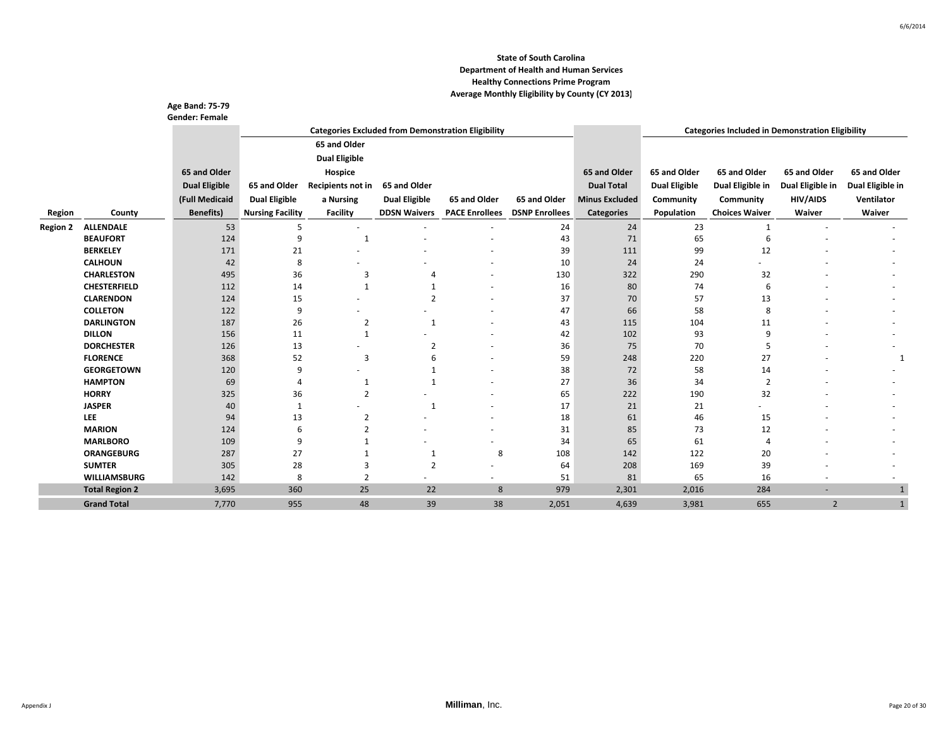|                 |                             | <b>Age Band: 75-79</b> |                         |                      |                      |                                                           |                       |                       |                      |                                                         |                  |                  |
|-----------------|-----------------------------|------------------------|-------------------------|----------------------|----------------------|-----------------------------------------------------------|-----------------------|-----------------------|----------------------|---------------------------------------------------------|------------------|------------------|
|                 |                             | <b>Gender: Female</b>  |                         |                      |                      |                                                           |                       |                       |                      |                                                         |                  |                  |
|                 |                             |                        |                         |                      |                      | <b>Categories Excluded from Demonstration Eligibility</b> |                       |                       |                      | <b>Categories Included in Demonstration Eligibility</b> |                  |                  |
|                 |                             |                        |                         | 65 and Older         |                      |                                                           |                       |                       |                      |                                                         |                  |                  |
|                 |                             |                        |                         | <b>Dual Eligible</b> |                      |                                                           |                       |                       |                      |                                                         |                  |                  |
|                 |                             | 65 and Older           |                         | Hospice              |                      |                                                           |                       | 65 and Older          | 65 and Older         | 65 and Older                                            | 65 and Older     | 65 and Older     |
|                 |                             | <b>Dual Eligible</b>   | 65 and Older            | Recipients not in    | 65 and Older         |                                                           |                       | <b>Dual Total</b>     | <b>Dual Eligible</b> | Dual Eligible in                                        | Dual Eligible in | Dual Eligible in |
|                 |                             | (Full Medicaid         | <b>Dual Eligible</b>    | a Nursing            | <b>Dual Eligible</b> | 65 and Older                                              | 65 and Older          | <b>Minus Excluded</b> | Community            | Community                                               | HIV/AIDS         | Ventilator       |
| Region          | County                      | <b>Benefits)</b>       | <b>Nursing Facility</b> | Facility             | <b>DDSN Waivers</b>  | <b>PACE Enrollees</b>                                     | <b>DSNP Enrollees</b> | <b>Categories</b>     | Population           | <b>Choices Waiver</b>                                   | Waiver           | Waiver           |
| <b>Region 2</b> | <b>ALLENDALE</b>            | 53                     | -5                      |                      | ٠                    |                                                           | 24                    | 24                    | 23                   | $\mathbf{1}$                                            |                  |                  |
|                 | <b>BEAUFORT</b>             | 124                    | 9                       | $\mathbf{1}$         |                      |                                                           | 43                    | 71                    | 65                   | 6                                                       |                  |                  |
|                 | <b>BERKELEY</b>             | 171                    | 21                      |                      |                      |                                                           | 39                    | 111                   | 99                   | 12                                                      |                  |                  |
|                 | <b>CALHOUN</b>              | 42                     | 8                       |                      |                      |                                                           | 10                    | 24                    | 24                   |                                                         |                  |                  |
|                 | <b>CHARLESTON</b>           | 495                    | 36                      | 3                    |                      |                                                           | 130                   | 322                   | 290                  | 32                                                      |                  |                  |
|                 | <b>CHESTERFIELD</b>         | 112                    | 14                      | $\mathbf{1}$         |                      |                                                           | 16                    | 80                    | 74                   | 6                                                       |                  |                  |
|                 | <b>CLARENDON</b>            | 124                    | 15                      |                      | $\overline{2}$       |                                                           | 37                    | 70                    | 57                   | 13                                                      |                  |                  |
|                 | <b>COLLETON</b>             | 122                    | 9                       |                      |                      |                                                           | 47                    | 66                    | 58                   | 8                                                       |                  |                  |
|                 | <b>DARLINGTON</b>           | 187                    | 26                      | $\overline{2}$       | $\mathbf{1}$         |                                                           | 43                    | 115                   | 104                  | 11                                                      |                  |                  |
|                 | <b>DILLON</b>               | 156                    | 11                      | $\mathbf{1}$         |                      |                                                           | 42                    | 102                   | 93                   | 9                                                       |                  |                  |
|                 | <b>DORCHESTER</b>           | 126                    | 13                      |                      | $\overline{2}$       |                                                           | 36                    | 75                    | 70                   | 5                                                       |                  |                  |
|                 | <b>FLORENCE</b>             | 368                    | 52                      | 3                    | 6                    |                                                           | 59                    | 248                   | 220                  | 27                                                      |                  |                  |
|                 | <b>GEORGETOWN</b>           | 120                    | 9                       |                      | $\mathbf{1}$         |                                                           | 38                    | 72                    | 58                   | 14                                                      |                  |                  |
|                 | <b>HAMPTON</b>              | 69                     | $\overline{A}$          | 1                    | $\mathbf{1}$         |                                                           | 27                    | 36                    | 34                   | $\overline{2}$                                          |                  |                  |
|                 | <b>HORRY</b>                | 325                    | 36                      | $\overline{2}$       |                      |                                                           | 65                    | 222                   | 190                  | 32                                                      |                  |                  |
|                 | <b>JASPER</b>               | 40                     | -1                      |                      | -1                   |                                                           | 17                    | 21                    | 21                   |                                                         |                  |                  |
|                 | <b>LEE</b><br><b>MARION</b> | 94<br>124              | 13<br>6                 | 2<br>$\overline{2}$  |                      |                                                           | 18<br>31              | 61<br>85              | 46<br>73             | 15<br>12                                                |                  |                  |
|                 | <b>MARLBORO</b>             | 109                    | 9                       |                      |                      |                                                           | 34                    | 65                    | 61                   | 4                                                       |                  |                  |
|                 | <b>ORANGEBURG</b>           | 287                    | 27                      |                      | $\mathbf{1}$         | 8                                                         | 108                   | 142                   | 122                  | 20                                                      |                  |                  |
|                 | <b>SUMTER</b>               | 305                    | 28                      | 3                    | $\overline{2}$       |                                                           | 64                    | 208                   | 169                  | 39                                                      |                  |                  |
|                 | <b>WILLIAMSBURG</b>         | 142                    | 8                       | $\overline{2}$       |                      |                                                           | 51                    | 81                    | 65                   | 16                                                      |                  |                  |
|                 | <b>Total Region 2</b>       | 3,695                  | 360                     | 25                   | 22                   | 8                                                         | 979                   | 2,301                 | 2,016                | 284                                                     | ٠                | $\mathbf{1}$     |
|                 | <b>Grand Total</b>          | 7,770                  | 955                     | 48                   | 39                   | 38                                                        | 2,051                 | 4,639                 | 3,981                | 655                                                     | $\overline{2}$   | $\mathbf{1}$     |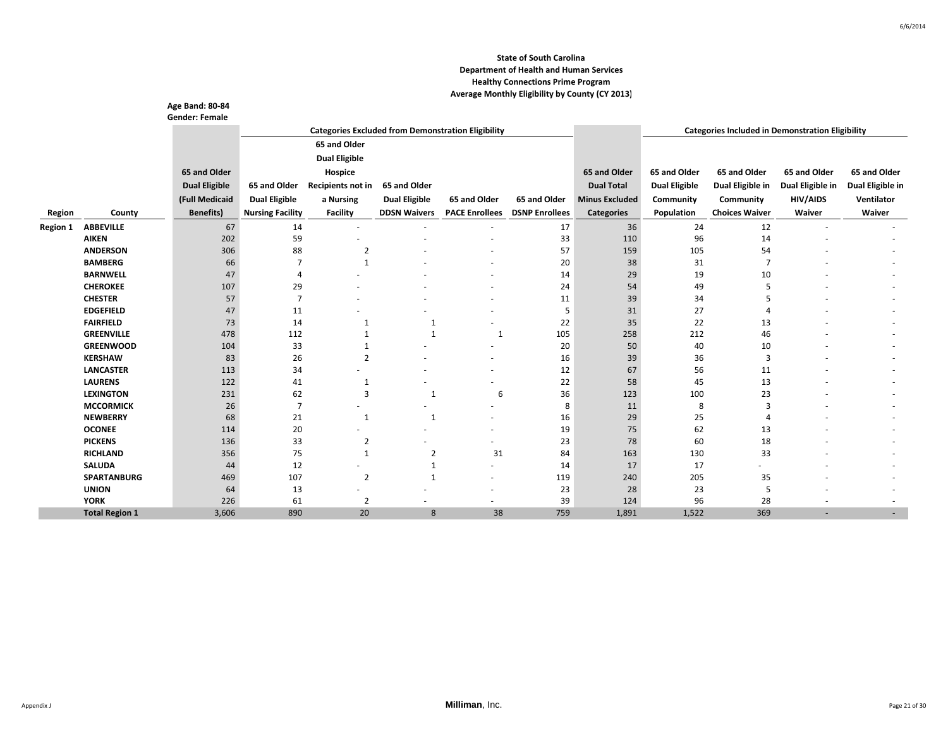|                 |                       | <b>Age Band: 80-84</b><br><b>Gender: Female</b> |                         |                      |                      |                                                           |                       |                       |                      |                                                         |                  |                  |
|-----------------|-----------------------|-------------------------------------------------|-------------------------|----------------------|----------------------|-----------------------------------------------------------|-----------------------|-----------------------|----------------------|---------------------------------------------------------|------------------|------------------|
|                 |                       |                                                 |                         |                      |                      | <b>Categories Excluded from Demonstration Eligibility</b> |                       |                       |                      | <b>Categories Included in Demonstration Eligibility</b> |                  |                  |
|                 |                       |                                                 |                         | 65 and Older         |                      |                                                           |                       |                       |                      |                                                         |                  |                  |
|                 |                       |                                                 |                         | <b>Dual Eligible</b> |                      |                                                           |                       |                       |                      |                                                         |                  |                  |
|                 |                       | 65 and Older                                    |                         | Hospice              |                      |                                                           |                       | 65 and Older          | 65 and Older         | 65 and Older                                            | 65 and Older     | 65 and Older     |
|                 |                       | <b>Dual Eligible</b>                            | 65 and Older            | Recipients not in    | 65 and Older         |                                                           |                       | <b>Dual Total</b>     | <b>Dual Eligible</b> | Dual Eligible in                                        | Dual Eligible in | Dual Eligible in |
|                 |                       | (Full Medicaid                                  |                         |                      |                      | 65 and Older                                              | 65 and Older          | <b>Minus Excluded</b> |                      |                                                         | <b>HIV/AIDS</b>  | Ventilator       |
|                 |                       |                                                 | <b>Dual Eligible</b>    | a Nursing            | <b>Dual Eligible</b> |                                                           |                       |                       | Community            | Community                                               |                  |                  |
| Region          | County                | <b>Benefits</b> )                               | <b>Nursing Facility</b> | <b>Facility</b>      | <b>DDSN Waivers</b>  | <b>PACE Enrollees</b>                                     | <b>DSNP Enrollees</b> | <b>Categories</b>     | Population           | <b>Choices Waiver</b>                                   | Waiver           | Waiver           |
| <b>Region 1</b> | <b>ABBEVILLE</b>      | 67                                              | 14                      | $\sim$               | $\sim$               | $\overline{a}$                                            | 17                    | 36                    | 24                   | 12                                                      |                  |                  |
|                 | <b>AIKEN</b>          | 202                                             | 59                      |                      |                      |                                                           | 33                    | 110                   | 96                   | 14                                                      |                  |                  |
|                 | <b>ANDERSON</b>       | 306                                             | 88                      | $\overline{2}$       |                      |                                                           | 57                    | 159                   | 105                  | 54                                                      |                  |                  |
|                 | <b>BAMBERG</b>        | 66                                              | 7                       | $\mathbf{1}$         |                      |                                                           | 20                    | 38                    | 31                   | 7                                                       |                  |                  |
|                 | <b>BARNWELL</b>       | 47                                              | 4                       |                      |                      |                                                           | 14                    | 29                    | 19                   | 10                                                      |                  |                  |
|                 | <b>CHEROKEE</b>       | 107                                             | 29                      |                      |                      |                                                           | 24                    | 54                    | 49                   | 5                                                       |                  |                  |
|                 | <b>CHESTER</b>        | 57                                              | 7                       |                      |                      |                                                           | 11                    | 39                    | 34                   | 5                                                       |                  |                  |
|                 | <b>EDGEFIELD</b>      | 47                                              | 11                      |                      |                      |                                                           | 5                     | 31                    | 27                   | 4                                                       |                  |                  |
|                 | <b>FAIRFIELD</b>      | 73                                              | 14                      | 1                    | 1                    |                                                           | 22                    | 35                    | 22                   | 13                                                      |                  |                  |
|                 | <b>GREENVILLE</b>     | 478                                             | 112                     | $\mathbf{1}$         | $\mathbf{1}$         | $\mathbf{1}$                                              | 105                   | 258                   | 212                  | 46                                                      |                  |                  |
|                 | <b>GREENWOOD</b>      | 104                                             | 33                      | 1                    |                      |                                                           | 20                    | 50                    | 40                   | 10                                                      |                  |                  |
|                 | <b>KERSHAW</b>        | 83                                              | 26                      | $\overline{2}$       |                      |                                                           | 16                    | 39                    | 36                   | 3                                                       |                  |                  |
|                 | <b>LANCASTER</b>      | 113                                             | 34                      |                      |                      |                                                           | 12                    | 67                    | 56                   | 11                                                      |                  |                  |
|                 | <b>LAURENS</b>        | 122                                             | 41                      | 1                    |                      |                                                           | 22                    | 58                    | 45                   | 13                                                      |                  |                  |
|                 | <b>LEXINGTON</b>      | 231                                             | 62                      | 3                    | -1                   | 6                                                         | 36                    | 123                   | 100                  | 23                                                      |                  |                  |
|                 | <b>MCCORMICK</b>      | 26                                              | $\overline{7}$          |                      |                      |                                                           | 8                     | 11                    | 8                    | 3                                                       |                  |                  |
|                 | <b>NEWBERRY</b>       | 68                                              | 21                      | $\mathbf{1}$         | $\mathbf{1}$         |                                                           | 16                    | 29                    | 25                   | 4                                                       |                  |                  |
|                 | <b>OCONEE</b>         | 114                                             | 20                      |                      |                      |                                                           | 19                    | 75                    | 62                   | 13                                                      |                  |                  |
|                 | <b>PICKENS</b>        | 136                                             | 33                      | 2                    |                      |                                                           | 23                    | 78                    | 60                   | 18                                                      |                  |                  |
|                 | <b>RICHLAND</b>       | 356                                             | 75                      | $\mathbf{1}$         | $\overline{2}$       | 31                                                        | 84                    | 163                   | 130                  | 33                                                      |                  |                  |
|                 | <b>SALUDA</b>         | 44                                              | 12                      |                      |                      | $\sim$                                                    | 14                    | 17                    | 17                   |                                                         |                  |                  |
|                 | <b>SPARTANBURG</b>    | 469                                             | 107                     | 2                    | -1                   | $\overline{\phantom{a}}$                                  | 119                   | 240                   | 205                  | 35                                                      |                  |                  |
|                 | <b>UNION</b>          | 64                                              | 13                      |                      |                      |                                                           | 23                    | 28                    | 23                   | 5                                                       |                  |                  |
|                 | <b>YORK</b>           | 226                                             | 61                      | $\overline{2}$       |                      | $\overline{a}$                                            | 39                    | 124                   | 96                   | 28                                                      |                  | $\overline{a}$   |
|                 | <b>Total Region 1</b> | 3,606                                           | 890                     | 20                   | 8                    | 38                                                        | 759                   | 1,891                 | 1,522                | 369                                                     |                  |                  |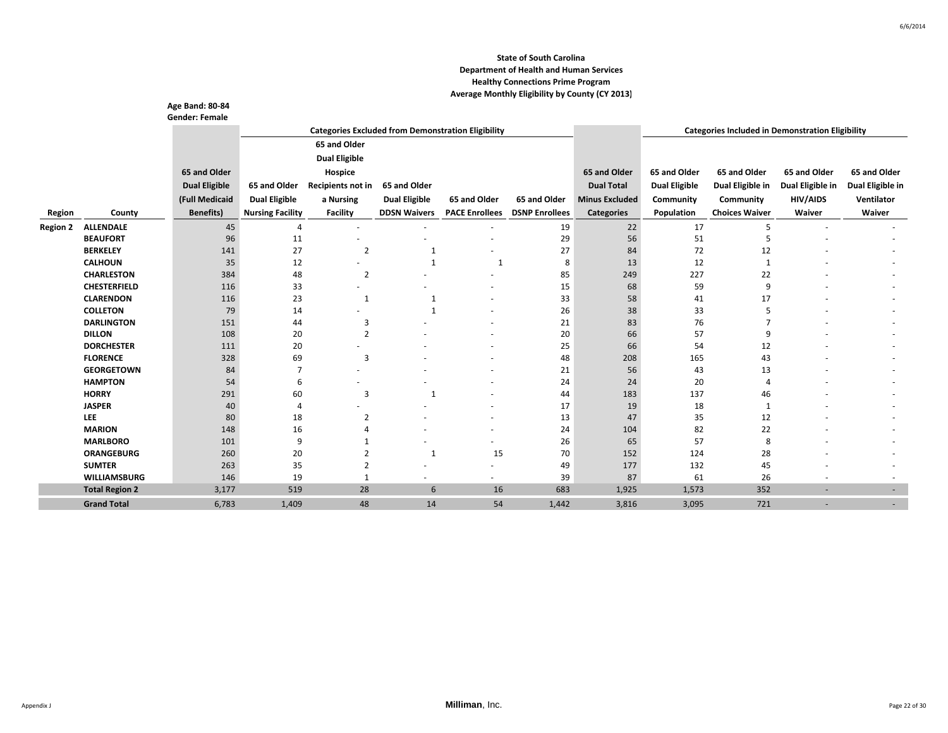|                 |                       | <b>Age Band: 80-84</b><br><b>Gender: Female</b> |                         |                      |                      |                                                           |                       |                       |                      |                                                         |                  |                  |
|-----------------|-----------------------|-------------------------------------------------|-------------------------|----------------------|----------------------|-----------------------------------------------------------|-----------------------|-----------------------|----------------------|---------------------------------------------------------|------------------|------------------|
|                 |                       |                                                 |                         |                      |                      | <b>Categories Excluded from Demonstration Eligibility</b> |                       |                       |                      | <b>Categories Included in Demonstration Eligibility</b> |                  |                  |
|                 |                       |                                                 |                         | 65 and Older         |                      |                                                           |                       |                       |                      |                                                         |                  |                  |
|                 |                       |                                                 |                         | <b>Dual Eligible</b> |                      |                                                           |                       |                       |                      |                                                         |                  |                  |
|                 |                       | 65 and Older                                    |                         | Hospice              |                      |                                                           |                       | 65 and Older          | 65 and Older         | 65 and Older                                            | 65 and Older     | 65 and Older     |
|                 |                       | <b>Dual Eligible</b>                            | 65 and Older            | Recipients not in    | 65 and Older         |                                                           |                       | <b>Dual Total</b>     | <b>Dual Eligible</b> | Dual Eligible in                                        | Dual Eligible in | Dual Eligible in |
|                 |                       |                                                 |                         |                      |                      |                                                           |                       |                       |                      |                                                         |                  |                  |
|                 |                       | (Full Medicaid                                  | <b>Dual Eligible</b>    | a Nursing            | <b>Dual Eligible</b> | 65 and Older                                              | 65 and Older          | <b>Minus Excluded</b> | Community            | Community                                               | <b>HIV/AIDS</b>  | Ventilator       |
| Region          | County                | <b>Benefits)</b>                                | <b>Nursing Facility</b> | Facility             | <b>DDSN Waivers</b>  | <b>PACE Enrollees</b>                                     | <b>DSNP Enrollees</b> | <b>Categories</b>     | Population           | <b>Choices Waiver</b>                                   | Waiver           | Waiver           |
| <b>Region 2</b> | <b>ALLENDALE</b>      | 45                                              | 4                       |                      |                      |                                                           | 19                    | 22                    | 17                   | 5                                                       |                  |                  |
|                 | <b>BEAUFORT</b>       | 96                                              | 11                      |                      |                      |                                                           | 29                    | 56                    | 51                   | 5                                                       |                  |                  |
|                 | <b>BERKELEY</b>       | 141                                             | 27                      | $\overline{2}$       | $\mathbf{1}$         |                                                           | 27                    | 84                    | 72                   | 12                                                      |                  |                  |
|                 | <b>CALHOUN</b>        | 35                                              | 12                      |                      | $\mathbf{1}$         | $\mathbf{1}$                                              | 8                     | 13                    | 12                   |                                                         |                  |                  |
|                 | <b>CHARLESTON</b>     | 384                                             | 48                      | $\overline{2}$       |                      |                                                           | 85                    | 249                   | 227                  | 22                                                      |                  |                  |
|                 | <b>CHESTERFIELD</b>   | 116                                             | 33                      |                      |                      |                                                           | 15                    | 68                    | 59                   | 9                                                       |                  |                  |
|                 | <b>CLARENDON</b>      | 116                                             | 23                      | 1                    | $\mathbf{1}$         |                                                           | 33                    | 58                    | 41                   | 17                                                      |                  |                  |
|                 | <b>COLLETON</b>       | 79                                              | 14                      |                      | $\mathbf{1}$         |                                                           | 26                    | 38                    | 33                   | 5                                                       |                  |                  |
|                 | <b>DARLINGTON</b>     | 151                                             | 44                      | 3                    |                      |                                                           | 21                    | 83                    | 76                   | $\overline{7}$                                          |                  |                  |
|                 | <b>DILLON</b>         | 108                                             | 20                      | $\overline{2}$       |                      |                                                           | 20                    | 66                    | 57                   | 9                                                       |                  |                  |
|                 | <b>DORCHESTER</b>     | 111                                             | 20                      |                      |                      |                                                           | 25                    | 66                    | 54                   | 12                                                      |                  |                  |
|                 | <b>FLORENCE</b>       | 328                                             | 69                      | 3                    |                      |                                                           | 48                    | 208                   | 165                  | 43                                                      |                  |                  |
|                 | <b>GEORGETOWN</b>     | 84                                              | 7                       |                      |                      |                                                           | 21                    | 56                    | 43                   | 13                                                      |                  |                  |
|                 | <b>HAMPTON</b>        | 54                                              | 6                       |                      |                      |                                                           | 24                    | 24                    | 20                   | $\overline{4}$                                          |                  |                  |
|                 | <b>HORRY</b>          | 291                                             | 60                      | 3                    | $\overline{1}$       |                                                           | 44                    | 183                   | 137                  | 46                                                      |                  |                  |
|                 | <b>JASPER</b>         | 40                                              | 4                       |                      |                      |                                                           | 17                    | 19                    | 18                   | 1                                                       |                  |                  |
|                 | LEE                   | 80                                              | 18                      | $\overline{2}$       |                      |                                                           | 13                    | 47                    | 35                   | 12                                                      |                  |                  |
|                 | <b>MARION</b>         | 148                                             | 16                      | 4                    |                      |                                                           | 24                    | 104                   | 82                   | 22                                                      |                  |                  |
|                 | <b>MARLBORO</b>       | 101                                             | 9                       |                      |                      | $\overline{a}$                                            | 26                    | 65                    | 57                   | 8                                                       |                  |                  |
|                 | <b>ORANGEBURG</b>     | 260                                             | 20                      | $\mathfrak{p}$       | $\mathbf{1}$         | 15                                                        | 70                    | 152                   | 124                  | 28                                                      |                  |                  |
|                 | <b>SUMTER</b>         | 263                                             | 35                      | 2                    |                      |                                                           | 49                    | 177                   | 132                  | 45                                                      |                  |                  |
|                 | <b>WILLIAMSBURG</b>   | 146                                             | 19                      | $\mathbf{1}$         |                      |                                                           | 39                    | 87                    | 61                   | 26                                                      |                  |                  |
|                 | <b>Total Region 2</b> | 3,177                                           | 519                     | 28                   | 6                    | 16                                                        | 683                   | 1,925                 | 1,573                | 352                                                     | ۰                | ٠                |
|                 | <b>Grand Total</b>    | 6,783                                           | 1,409                   | 48                   | 14                   | 54                                                        | 1,442                 | 3,816                 | 3,095                | 721                                                     | ۰                |                  |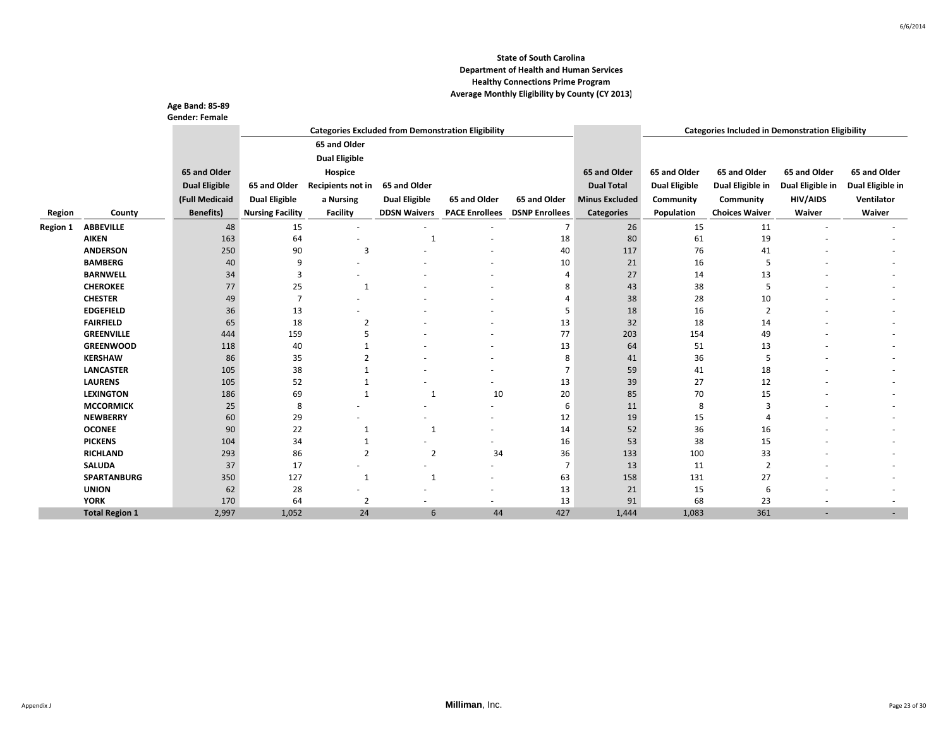|                 |                       | <b>Age Band: 85-89</b> |                         |                      |                      |                                                           |                       |                       |                      |                                                         |                  |                  |
|-----------------|-----------------------|------------------------|-------------------------|----------------------|----------------------|-----------------------------------------------------------|-----------------------|-----------------------|----------------------|---------------------------------------------------------|------------------|------------------|
|                 |                       | <b>Gender: Female</b>  |                         |                      |                      |                                                           |                       |                       |                      |                                                         |                  |                  |
|                 |                       |                        |                         |                      |                      | <b>Categories Excluded from Demonstration Eligibility</b> |                       |                       |                      | <b>Categories Included in Demonstration Eligibility</b> |                  |                  |
|                 |                       |                        |                         | 65 and Older         |                      |                                                           |                       |                       |                      |                                                         |                  |                  |
|                 |                       |                        |                         | <b>Dual Eligible</b> |                      |                                                           |                       |                       |                      |                                                         |                  |                  |
|                 |                       | 65 and Older           |                         | Hospice              |                      |                                                           |                       | 65 and Older          | 65 and Older         | 65 and Older                                            | 65 and Older     | 65 and Older     |
|                 |                       | <b>Dual Eligible</b>   | 65 and Older            | Recipients not in    | 65 and Older         |                                                           |                       | <b>Dual Total</b>     | <b>Dual Eligible</b> | Dual Eligible in                                        | Dual Eligible in | Dual Eligible in |
|                 |                       | (Full Medicaid         | <b>Dual Eligible</b>    | a Nursing            | <b>Dual Eligible</b> | 65 and Older                                              | 65 and Older          | <b>Minus Excluded</b> | Community            | Community                                               | <b>HIV/AIDS</b>  | Ventilator       |
| Region          | County                | <b>Benefits)</b>       | <b>Nursing Facility</b> | <b>Facility</b>      | <b>DDSN Waivers</b>  | <b>PACE Enrollees</b>                                     | <b>DSNP Enrollees</b> | <b>Categories</b>     | Population           | <b>Choices Waiver</b>                                   | Waiver           | Waiver           |
|                 | <b>ABBEVILLE</b>      |                        |                         |                      |                      |                                                           | $\overline{7}$        | 26                    |                      |                                                         |                  |                  |
| <b>Region 1</b> | <b>AIKEN</b>          | 48<br>163              | 15<br>64                | $\sim$               | $\mathbf{1}$         |                                                           |                       | 80                    | 15<br>61             | 11<br>19                                                |                  |                  |
|                 | <b>ANDERSON</b>       | 250                    | 90                      | 3                    |                      |                                                           | 18<br>40              | 117                   | 76                   | 41                                                      |                  |                  |
|                 | <b>BAMBERG</b>        | 40                     | 9                       |                      |                      |                                                           | 10                    | 21                    | 16                   | 5                                                       |                  |                  |
|                 | <b>BARNWELL</b>       | 34                     | 3                       |                      |                      |                                                           | $\overline{4}$        | 27                    | 14                   | 13                                                      |                  |                  |
|                 | <b>CHEROKEE</b>       | 77                     | 25                      | $\mathbf{1}$         |                      |                                                           | 8                     | 43                    | 38                   | 5                                                       |                  |                  |
|                 | <b>CHESTER</b>        | 49                     | $\overline{7}$          |                      |                      |                                                           | 4                     | 38                    | 28                   | 10                                                      |                  |                  |
|                 | <b>EDGEFIELD</b>      | 36                     | 13                      |                      |                      |                                                           | 5                     | 18                    | 16                   | $\overline{2}$                                          |                  |                  |
|                 | <b>FAIRFIELD</b>      | 65                     | 18                      | $\overline{2}$       |                      |                                                           | 13                    | 32                    | 18                   | 14                                                      |                  |                  |
|                 | <b>GREENVILLE</b>     | 444                    | 159                     | 5                    |                      |                                                           | 77                    | 203                   | 154                  | 49                                                      |                  |                  |
|                 | <b>GREENWOOD</b>      | 118                    | 40                      |                      |                      |                                                           | 13                    | 64                    | 51                   | 13                                                      |                  |                  |
|                 | <b>KERSHAW</b>        | 86                     | 35                      | $\overline{2}$       |                      |                                                           | 8                     | 41                    | 36                   | 5                                                       |                  |                  |
|                 | <b>LANCASTER</b>      | 105                    | 38                      |                      |                      |                                                           | 7                     | 59                    | 41                   | 18                                                      |                  |                  |
|                 | <b>LAURENS</b>        | 105                    | 52                      |                      |                      |                                                           | 13                    | 39                    | 27                   | 12                                                      |                  |                  |
|                 | <b>LEXINGTON</b>      | 186                    | 69                      | $\mathbf{1}$         | $\mathbf{1}$         | 10                                                        | 20                    | 85                    | 70                   | 15                                                      |                  |                  |
|                 | <b>MCCORMICK</b>      | 25                     | 8                       |                      |                      |                                                           | 6                     | 11                    | 8                    | 3                                                       |                  |                  |
|                 | <b>NEWBERRY</b>       | 60                     | 29                      |                      |                      |                                                           | 12                    | 19                    | 15                   | Δ                                                       |                  |                  |
|                 | <b>OCONEE</b>         | 90                     | 22                      | 1                    | -1                   |                                                           | 14                    | 52                    | 36                   | 16                                                      |                  |                  |
|                 | <b>PICKENS</b>        | 104                    | 34                      | 1                    |                      |                                                           | 16                    | 53                    | 38                   | 15                                                      |                  |                  |
|                 | <b>RICHLAND</b>       | 293                    | 86                      | $\overline{2}$       | $\overline{2}$       | 34                                                        | 36                    | 133                   | 100                  | 33                                                      |                  |                  |
|                 | <b>SALUDA</b>         | 37                     | 17                      |                      | ٠                    | $\sim$                                                    | 7                     | 13                    | 11                   | $\overline{2}$                                          |                  |                  |
|                 | <b>SPARTANBURG</b>    | 350                    | 127                     | 1                    | $\mathbf{1}$         |                                                           | 63                    | 158                   | 131                  | 27                                                      |                  |                  |
|                 | <b>UNION</b>          | 62                     | 28                      |                      |                      |                                                           | 13                    | 21                    | 15                   | 6                                                       |                  |                  |
|                 | <b>YORK</b>           | 170                    | 64                      | $\overline{2}$       |                      | $\overline{a}$                                            | 13                    | 91                    | 68                   | 23                                                      |                  |                  |
|                 | <b>Total Region 1</b> | 2,997                  | 1,052                   | 24                   | 6                    | 44                                                        | 427                   | 1,444                 | 1,083                | 361                                                     |                  |                  |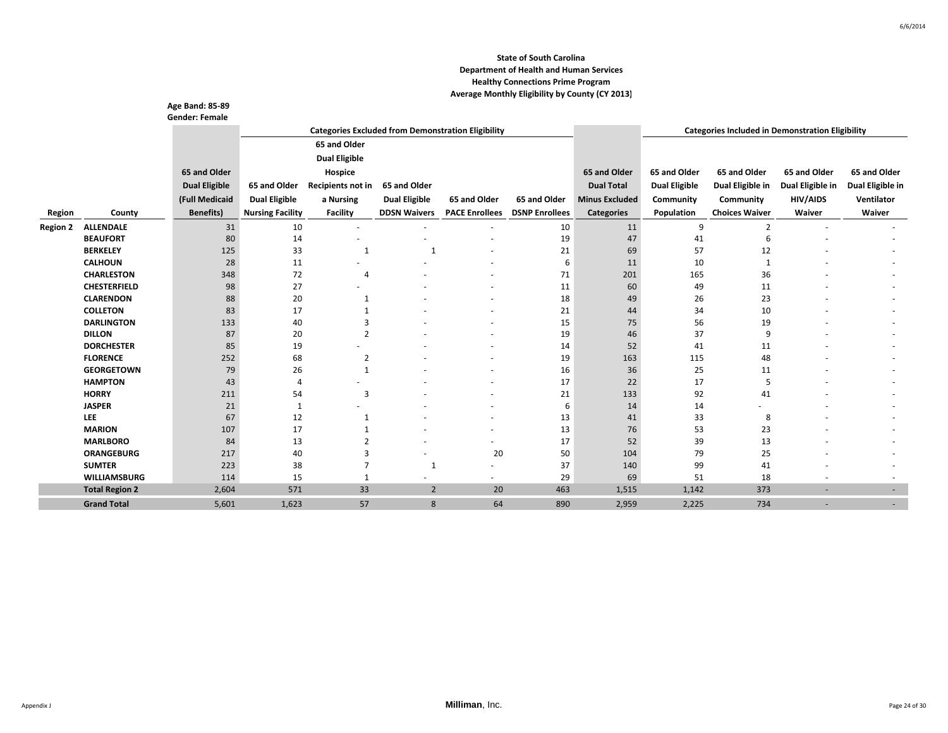|                 |                       | Age Band: 85-89       |                         |                                                           |                      |                       |                       |                       |                      |                                                         |                  |                  |
|-----------------|-----------------------|-----------------------|-------------------------|-----------------------------------------------------------|----------------------|-----------------------|-----------------------|-----------------------|----------------------|---------------------------------------------------------|------------------|------------------|
|                 |                       | <b>Gender: Female</b> |                         | <b>Categories Excluded from Demonstration Eligibility</b> |                      |                       |                       |                       |                      | <b>Categories Included in Demonstration Eligibility</b> |                  |                  |
|                 |                       |                       |                         | 65 and Older                                              |                      |                       |                       |                       |                      |                                                         |                  |                  |
|                 |                       |                       |                         |                                                           |                      |                       |                       |                       |                      |                                                         |                  |                  |
|                 |                       |                       |                         | <b>Dual Eligible</b>                                      |                      |                       |                       |                       |                      |                                                         |                  |                  |
|                 |                       | 65 and Older          |                         | Hospice                                                   |                      |                       |                       | 65 and Older          | 65 and Older         | 65 and Older                                            | 65 and Older     | 65 and Older     |
|                 |                       | <b>Dual Eligible</b>  | 65 and Older            | Recipients not in                                         | 65 and Older         |                       |                       | <b>Dual Total</b>     | <b>Dual Eligible</b> | Dual Eligible in                                        | Dual Eligible in | Dual Eligible in |
|                 |                       | (Full Medicaid        | <b>Dual Eligible</b>    | a Nursing                                                 | <b>Dual Eligible</b> | 65 and Older          | 65 and Older          | <b>Minus Excluded</b> | Community            | Community                                               | <b>HIV/AIDS</b>  | Ventilator       |
| Region          | County                | <b>Benefits)</b>      | <b>Nursing Facility</b> | <b>Facility</b>                                           | <b>DDSN Waivers</b>  | <b>PACE Enrollees</b> | <b>DSNP Enrollees</b> | <b>Categories</b>     | Population           | <b>Choices Waiver</b>                                   | Waiver           | Waiver           |
| <b>Region 2</b> | <b>ALLENDALE</b>      | 31                    | 10                      |                                                           |                      |                       | 10                    | 11                    | 9                    | $\overline{2}$                                          |                  |                  |
|                 | <b>BEAUFORT</b>       | 80                    | 14                      |                                                           |                      |                       | 19                    | 47                    | 41                   | 6                                                       |                  |                  |
|                 | <b>BERKELEY</b>       | 125                   | 33                      | $\mathbf{1}$                                              | $\overline{1}$       |                       | 21                    | 69                    | 57                   | 12                                                      |                  |                  |
|                 | <b>CALHOUN</b>        | 28                    | 11                      |                                                           |                      |                       | 6                     | 11                    | 10                   | $\mathbf{1}$                                            |                  |                  |
|                 | <b>CHARLESTON</b>     | 348                   | 72                      | 4                                                         |                      |                       | 71                    | 201                   | 165                  | 36                                                      |                  |                  |
|                 | <b>CHESTERFIELD</b>   | 98                    | 27                      |                                                           |                      |                       | 11                    | 60                    | 49                   | 11                                                      |                  |                  |
|                 | <b>CLARENDON</b>      | 88                    | 20                      | $\mathbf{1}$                                              |                      |                       | 18                    | 49                    | 26                   | 23                                                      |                  |                  |
|                 | <b>COLLETON</b>       | 83                    | 17                      | $\mathbf 1$                                               |                      |                       | 21                    | 44                    | 34                   | 10                                                      |                  |                  |
|                 | <b>DARLINGTON</b>     | 133                   | 40                      | 3                                                         |                      |                       | 15                    | 75                    | 56                   | 19                                                      |                  |                  |
|                 | <b>DILLON</b>         | 87                    | 20                      | $\overline{2}$                                            |                      |                       | 19                    | 46                    | 37                   | 9                                                       |                  |                  |
|                 | <b>DORCHESTER</b>     | 85                    | 19                      |                                                           |                      |                       | 14                    | 52                    | 41                   | 11                                                      |                  |                  |
|                 | <b>FLORENCE</b>       | 252                   | 68                      | $\overline{2}$                                            |                      |                       | 19                    | 163                   | 115                  | 48                                                      |                  |                  |
|                 | <b>GEORGETOWN</b>     | 79                    | 26                      | $\mathbf{1}$                                              |                      |                       | 16                    | 36                    | 25                   | 11                                                      |                  |                  |
|                 | <b>HAMPTON</b>        | 43                    | 4                       |                                                           |                      |                       | 17                    | 22                    | 17                   | 5                                                       |                  |                  |
|                 | <b>HORRY</b>          | 211                   | 54                      | 3                                                         |                      |                       | 21                    | 133                   | 92                   | 41                                                      |                  |                  |
|                 | <b>JASPER</b>         | 21                    | $\mathbf{1}$            |                                                           |                      |                       | 6                     | 14                    | 14                   |                                                         |                  |                  |
|                 | LEE                   | 67                    | 12                      | $\mathbf{1}$                                              |                      |                       | 13                    | 41                    | 33                   | 8                                                       |                  |                  |
|                 | <b>MARION</b>         | 107                   | 17                      |                                                           |                      |                       | 13                    | 76                    | 53                   | 23                                                      |                  |                  |
|                 | <b>MARLBORO</b>       | 84                    | 13                      | 2                                                         |                      | $\sim$                | 17                    | 52                    | 39                   | 13                                                      |                  |                  |
|                 | <b>ORANGEBURG</b>     | 217                   | 40                      | 3                                                         |                      | 20                    | 50                    | 104                   | 79                   | 25                                                      |                  |                  |
|                 | <b>SUMTER</b>         | 223                   | 38                      | 7                                                         | 1                    |                       | 37                    | 140                   | 99                   | 41                                                      |                  |                  |
|                 | <b>WILLIAMSBURG</b>   | 114                   | 15                      | $\mathbf{1}$                                              |                      |                       | 29                    | 69                    | 51                   | 18                                                      |                  |                  |
|                 | <b>Total Region 2</b> | 2,604                 | 571                     | 33                                                        | $\overline{2}$       | 20                    | 463                   | 1,515                 | 1,142                | 373                                                     |                  | ٠                |
|                 | <b>Grand Total</b>    | 5,601                 | 1,623                   | 57                                                        | 8                    | 64                    | 890                   | 2,959                 | 2,225                | 734                                                     |                  |                  |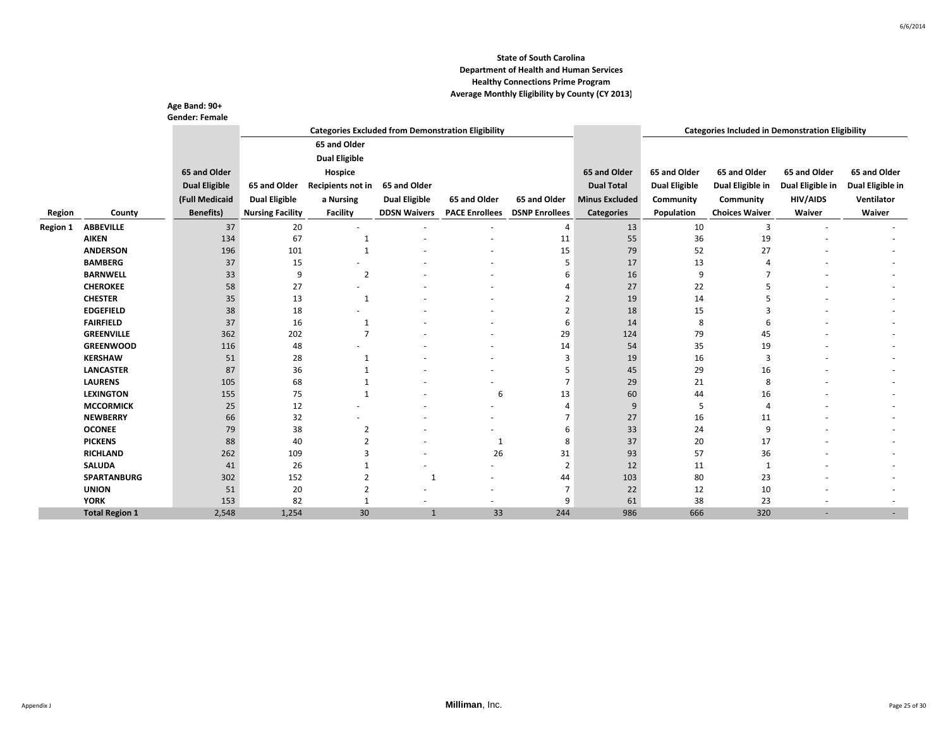|                 |                       | Age Band: 90+<br><b>Gender: Female</b> |                         |                      |                      |                                                           |                       |                       |                      |                                                         |                  |                  |
|-----------------|-----------------------|----------------------------------------|-------------------------|----------------------|----------------------|-----------------------------------------------------------|-----------------------|-----------------------|----------------------|---------------------------------------------------------|------------------|------------------|
|                 |                       |                                        |                         |                      |                      | <b>Categories Excluded from Demonstration Eligibility</b> |                       |                       |                      | <b>Categories Included in Demonstration Eligibility</b> |                  |                  |
|                 |                       |                                        |                         | 65 and Older         |                      |                                                           |                       |                       |                      |                                                         |                  |                  |
|                 |                       |                                        |                         | <b>Dual Eligible</b> |                      |                                                           |                       |                       |                      |                                                         |                  |                  |
|                 |                       | 65 and Older                           |                         | Hospice              |                      |                                                           |                       | 65 and Older          | 65 and Older         | 65 and Older                                            | 65 and Older     | 65 and Older     |
|                 |                       | <b>Dual Eligible</b>                   | 65 and Older            | Recipients not in    | 65 and Older         |                                                           |                       | <b>Dual Total</b>     | <b>Dual Eligible</b> | Dual Eligible in                                        | Dual Eligible in | Dual Eligible in |
|                 |                       | (Full Medicaid                         | <b>Dual Eligible</b>    |                      | <b>Dual Eligible</b> | 65 and Older                                              | 65 and Older          | <b>Minus Excluded</b> | Community            | Community                                               | <b>HIV/AIDS</b>  | Ventilator       |
|                 |                       |                                        |                         | a Nursing            |                      |                                                           |                       |                       |                      |                                                         |                  |                  |
| Region          | County                | <b>Benefits</b> )                      | <b>Nursing Facility</b> | <b>Facility</b>      | <b>DDSN Waivers</b>  | <b>PACE Enrollees</b>                                     | <b>DSNP Enrollees</b> | <b>Categories</b>     | Population           | <b>Choices Waiver</b>                                   | Waiver           | Waiver           |
| <b>Region 1</b> | <b>ABBEVILLE</b>      | 37                                     | 20                      |                      |                      |                                                           | $\overline{4}$        | 13                    | 10                   | 3                                                       |                  |                  |
|                 | <b>AIKEN</b>          | 134                                    | 67                      | 1                    |                      |                                                           | 11                    | 55                    | 36                   | 19                                                      |                  |                  |
|                 | <b>ANDERSON</b>       | 196                                    | 101                     | $\mathbf{1}$         |                      |                                                           | 15                    | 79                    | 52                   | 27                                                      |                  |                  |
|                 | <b>BAMBERG</b>        | 37                                     | 15                      |                      |                      |                                                           | 5                     | 17                    | 13                   | 4                                                       |                  |                  |
|                 | <b>BARNWELL</b>       | 33                                     | 9                       | $\overline{2}$       |                      |                                                           | 6                     | 16                    | 9                    |                                                         |                  |                  |
|                 | <b>CHEROKEE</b>       | 58                                     | 27                      |                      |                      |                                                           | 4                     | 27                    | 22                   | 5                                                       |                  |                  |
|                 | <b>CHESTER</b>        | 35                                     | 13                      | $\mathbf{1}$         |                      |                                                           | $\overline{2}$        | 19                    | 14                   | 5                                                       |                  |                  |
|                 | <b>EDGEFIELD</b>      | 38                                     | 18                      |                      |                      |                                                           | $\overline{2}$        | 18                    | 15                   | 3                                                       |                  |                  |
|                 | <b>FAIRFIELD</b>      | 37                                     | 16                      | $\mathbf{1}$         |                      |                                                           | 6                     | 14                    | 8                    | 6                                                       |                  |                  |
|                 | <b>GREENVILLE</b>     | 362                                    | 202                     | $\overline{7}$       |                      |                                                           | 29                    | 124                   | 79                   | 45                                                      |                  |                  |
|                 | <b>GREENWOOD</b>      | 116                                    | 48                      |                      |                      |                                                           | 14                    | 54                    | 35                   | 19                                                      |                  |                  |
|                 | <b>KERSHAW</b>        | 51                                     | 28                      | $\mathbf{1}$         |                      |                                                           | 3                     | 19                    | 16                   | 3                                                       |                  |                  |
|                 | <b>LANCASTER</b>      | 87                                     | 36                      |                      |                      |                                                           | 5                     | 45                    | 29                   | 16                                                      |                  |                  |
|                 | <b>LAURENS</b>        | 105                                    | 68                      |                      |                      |                                                           | 7                     | 29                    | 21                   | 8                                                       |                  |                  |
|                 | <b>LEXINGTON</b>      | 155                                    | 75                      | $\mathbf 1$          |                      | 6                                                         | 13                    | 60                    | 44                   | 16                                                      |                  |                  |
|                 | <b>MCCORMICK</b>      | 25                                     | 12                      |                      |                      |                                                           | $\overline{4}$        | 9                     | 5                    | 4                                                       |                  |                  |
|                 | <b>NEWBERRY</b>       | 66                                     | 32                      |                      |                      |                                                           | 7                     | 27                    | 16                   | 11                                                      |                  |                  |
|                 | <b>OCONEE</b>         | 79                                     | 38                      | 2                    |                      |                                                           | 6                     | 33                    | 24                   | 9                                                       |                  |                  |
|                 | <b>PICKENS</b>        | 88                                     | 40                      | 2                    |                      | $\mathbf{1}$                                              | 8                     | 37                    | 20                   | 17                                                      |                  |                  |
|                 | <b>RICHLAND</b>       | 262                                    | 109                     | 3                    |                      | 26                                                        | 31                    | 93                    | 57                   | 36                                                      |                  |                  |
|                 | <b>SALUDA</b>         | 41                                     | 26                      | 1                    |                      |                                                           | $\overline{2}$        | 12                    | 11                   | 1                                                       |                  |                  |
|                 | <b>SPARTANBURG</b>    | 302                                    | 152                     | 2                    | $\mathbf{1}$         |                                                           | 44                    | 103                   | 80                   | 23                                                      |                  |                  |
|                 | <b>UNION</b>          | 51                                     | 20                      | 2                    |                      |                                                           | 7                     | 22                    | 12                   | 10                                                      |                  |                  |
|                 | <b>YORK</b>           | 153                                    | 82                      |                      |                      |                                                           | 9                     | 61                    | 38                   | 23                                                      |                  |                  |
|                 | <b>Total Region 1</b> | 2,548                                  | 1,254                   | 30                   | $\mathbf{1}$         | 33                                                        | 244                   | 986                   | 666                  | 320                                                     |                  |                  |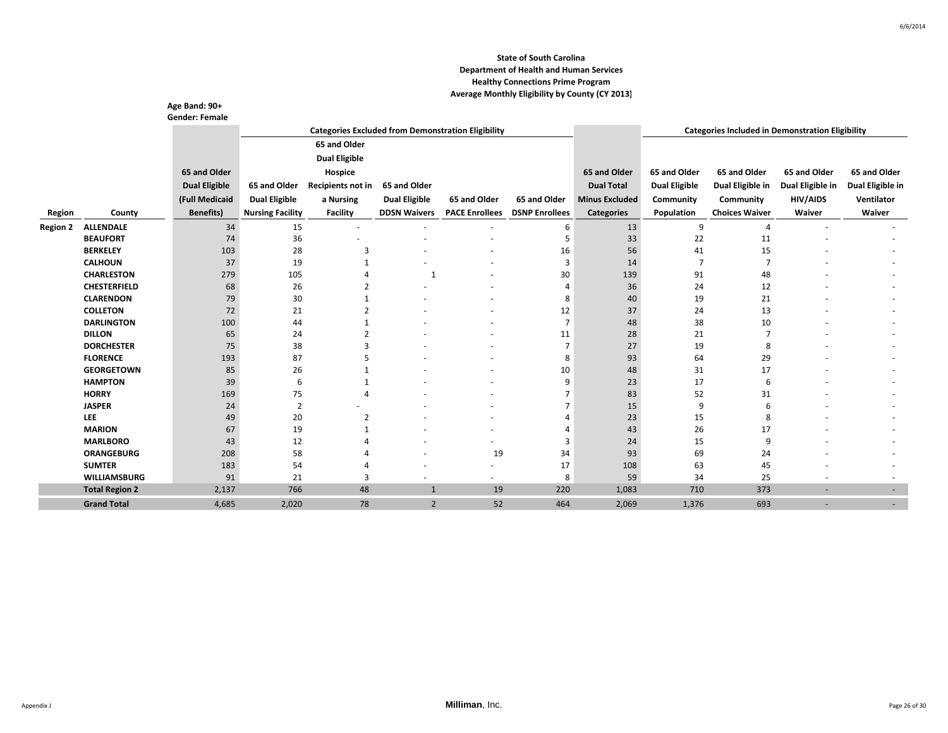|                 |                                      | Age Band: 90+<br><b>Gender: Female</b> |                         |                                                           |                      |                       |                       |                       |                      |                                                         |                  |                  |
|-----------------|--------------------------------------|----------------------------------------|-------------------------|-----------------------------------------------------------|----------------------|-----------------------|-----------------------|-----------------------|----------------------|---------------------------------------------------------|------------------|------------------|
|                 |                                      |                                        |                         | <b>Categories Excluded from Demonstration Eligibility</b> |                      |                       |                       |                       |                      | <b>Categories Included in Demonstration Eligibility</b> |                  |                  |
|                 |                                      |                                        |                         | 65 and Older                                              |                      |                       |                       |                       |                      |                                                         |                  |                  |
|                 |                                      |                                        |                         | <b>Dual Eligible</b>                                      |                      |                       |                       |                       |                      |                                                         |                  |                  |
|                 |                                      | 65 and Older                           |                         | Hospice                                                   |                      |                       |                       | 65 and Older          | 65 and Older         | 65 and Older                                            | 65 and Older     | 65 and Older     |
|                 |                                      | <b>Dual Eligible</b>                   | 65 and Older            | Recipients not in                                         | 65 and Older         |                       |                       | <b>Dual Total</b>     | <b>Dual Eligible</b> | Dual Eligible in                                        | Dual Eligible in | Dual Eligible in |
|                 |                                      | (Full Medicaid                         |                         | a Nursing                                                 | <b>Dual Eligible</b> | 65 and Older          | 65 and Older          | <b>Minus Excluded</b> | Community            | Community                                               | <b>HIV/AIDS</b>  | Ventilator       |
|                 |                                      |                                        | <b>Dual Eligible</b>    |                                                           |                      |                       |                       |                       |                      |                                                         |                  |                  |
| Region          | County                               | <b>Benefits)</b>                       | <b>Nursing Facility</b> | <b>Facility</b>                                           | <b>DDSN Waivers</b>  | <b>PACE Enrollees</b> | <b>DSNP Enrollees</b> | <b>Categories</b>     | Population           | <b>Choices Waiver</b>                                   | Waiver           | Waiver           |
| <b>Region 2</b> | <b>ALLENDALE</b>                     | 34                                     | 15                      |                                                           |                      |                       | 6                     | 13                    | 9                    | $\overline{4}$                                          |                  |                  |
|                 | <b>BEAUFORT</b>                      | 74                                     | 36                      |                                                           |                      |                       | 5                     | 33                    | 22                   | 11                                                      |                  |                  |
|                 | <b>BERKELEY</b>                      | 103                                    | 28                      | 3                                                         |                      |                       | 16                    | 56                    | 41                   | 15                                                      |                  |                  |
|                 | <b>CALHOUN</b>                       | 37                                     | 19                      |                                                           |                      |                       | 3                     | 14                    | $\overline{7}$       | $\overline{7}$                                          |                  |                  |
|                 | <b>CHARLESTON</b>                    | 279                                    | 105                     |                                                           | 1                    |                       | 30                    | 139                   | 91                   | 48                                                      |                  |                  |
|                 | <b>CHESTERFIELD</b>                  | 68                                     | 26                      |                                                           |                      |                       | 4                     | 36                    | 24                   | 12                                                      |                  |                  |
|                 | <b>CLARENDON</b>                     | 79                                     | 30                      |                                                           |                      |                       | 8                     | 40                    | 19                   | 21                                                      |                  |                  |
|                 | <b>COLLETON</b>                      | 72                                     | 21                      |                                                           |                      |                       | 12                    | 37                    | 24                   | 13                                                      |                  |                  |
|                 | <b>DARLINGTON</b>                    | 100                                    | 44                      |                                                           |                      |                       | $\overline{7}$        | 48                    | 38                   | 10                                                      |                  |                  |
|                 | <b>DILLON</b>                        | 65                                     | 24                      |                                                           |                      |                       | 11                    | 28                    | 21                   |                                                         |                  |                  |
|                 | <b>DORCHESTER</b><br><b>FLORENCE</b> | 75                                     | 38                      | 3                                                         |                      |                       |                       | 27                    | 19                   | 8                                                       |                  |                  |
|                 | <b>GEORGETOWN</b>                    | 193                                    | 87                      | 5                                                         |                      |                       | 8                     | 93                    | 64                   | 29<br>17                                                |                  |                  |
|                 | <b>HAMPTON</b>                       | 85<br>39                               | 26<br>6                 | $\mathbf 1$                                               |                      |                       | 10<br>9               | 48<br>23              | 31<br>17             | 6                                                       |                  |                  |
|                 | <b>HORRY</b>                         | 169                                    | 75                      | 4                                                         |                      |                       | $\overline{7}$        | 83                    | 52                   | 31                                                      |                  |                  |
|                 | <b>JASPER</b>                        | 24                                     | $\overline{2}$          |                                                           |                      |                       |                       | 15                    | 9                    |                                                         |                  |                  |
|                 | LEE                                  | 49                                     | 20                      | $\overline{2}$                                            |                      |                       | 4                     | 23                    | 15                   | 8                                                       |                  |                  |
|                 | <b>MARION</b>                        | 67                                     | 19                      |                                                           |                      |                       |                       | 43                    | 26                   | 17                                                      |                  |                  |
|                 | <b>MARLBORO</b>                      | 43                                     | 12                      |                                                           |                      |                       | 3                     | 24                    | 15                   | q                                                       |                  |                  |
|                 | <b>ORANGEBURG</b>                    | 208                                    | 58                      |                                                           |                      | 19                    | 34                    | 93                    | 69                   | 24                                                      |                  |                  |
|                 | <b>SUMTER</b>                        | 183                                    | 54                      |                                                           |                      |                       | 17                    | 108                   | 63                   | 45                                                      |                  |                  |
|                 | <b>WILLIAMSBURG</b>                  | 91                                     | 21                      | 3                                                         |                      |                       | 8                     | 59                    | 34                   | 25                                                      |                  |                  |
|                 | <b>Total Region 2</b>                | 2,137                                  | 766                     | 48                                                        | $\mathbf{1}$         | 19                    | 220                   | 1,083                 | 710                  | 373                                                     |                  | ٠                |
|                 | <b>Grand Total</b>                   | 4,685                                  | 2,020                   | 78                                                        | $\overline{2}$       | 52                    | 464                   | 2,069                 | 1,376                | 693                                                     | ۰                |                  |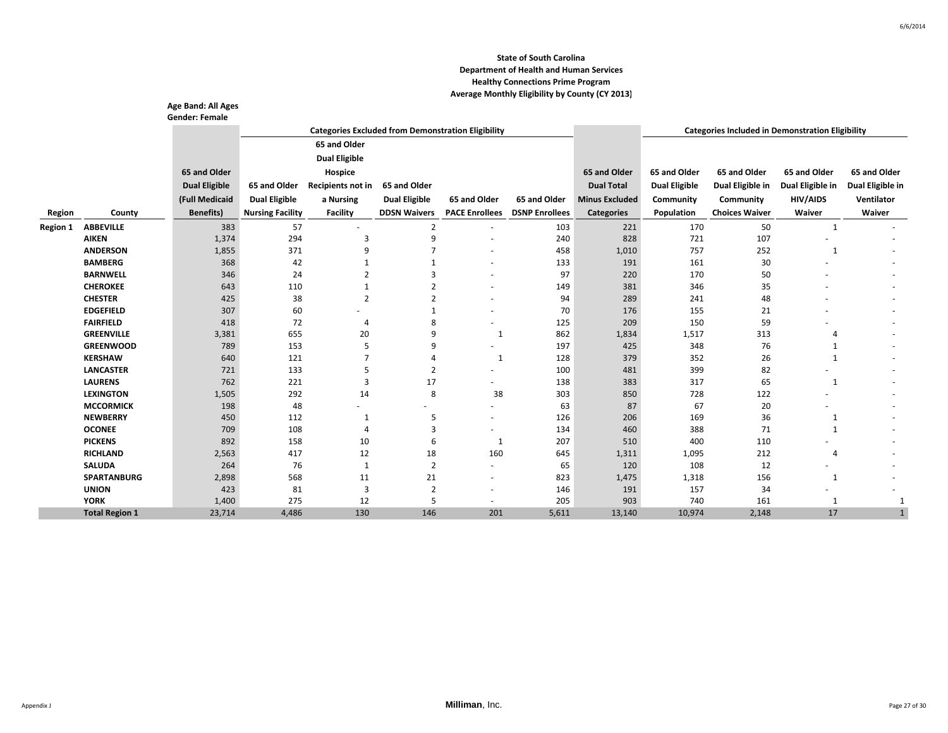|                 |                       | Age Band: All Ages<br><b>Gender: Female</b> |                         |                      |                      |                                                           |                       |                       |                      |                                                         |                  |                  |
|-----------------|-----------------------|---------------------------------------------|-------------------------|----------------------|----------------------|-----------------------------------------------------------|-----------------------|-----------------------|----------------------|---------------------------------------------------------|------------------|------------------|
|                 |                       |                                             |                         |                      |                      | <b>Categories Excluded from Demonstration Eligibility</b> |                       |                       |                      | <b>Categories Included in Demonstration Eligibility</b> |                  |                  |
|                 |                       |                                             |                         | 65 and Older         |                      |                                                           |                       |                       |                      |                                                         |                  |                  |
|                 |                       |                                             |                         | <b>Dual Eligible</b> |                      |                                                           |                       |                       |                      |                                                         |                  |                  |
|                 |                       | 65 and Older                                |                         | Hospice              |                      |                                                           |                       | 65 and Older          | 65 and Older         | 65 and Older                                            | 65 and Older     | 65 and Older     |
|                 |                       | <b>Dual Eligible</b>                        | 65 and Older            | Recipients not in    | 65 and Older         |                                                           |                       | <b>Dual Total</b>     | <b>Dual Eligible</b> | Dual Eligible in                                        | Dual Eligible in | Dual Eligible in |
|                 |                       | (Full Medicaid                              | <b>Dual Eligible</b>    | a Nursing            | <b>Dual Eligible</b> | 65 and Older                                              | 65 and Older          | <b>Minus Excluded</b> | Community            | Community                                               | <b>HIV/AIDS</b>  | Ventilator       |
|                 |                       | <b>Benefits</b> )                           |                         |                      |                      |                                                           | <b>DSNP Enrollees</b> |                       |                      | <b>Choices Waiver</b>                                   | Waiver           | Waiver           |
| Region          | County                |                                             | <b>Nursing Facility</b> | <b>Facility</b>      | <b>DDSN Waivers</b>  | <b>PACE Enrollees</b>                                     |                       | <b>Categories</b>     | Population           |                                                         |                  |                  |
| <b>Region 1</b> | <b>ABBEVILLE</b>      | 383                                         | 57                      |                      | $\overline{2}$       |                                                           | 103                   | 221                   | 170                  | 50                                                      | 1                |                  |
|                 | <b>AIKEN</b>          | 1,374                                       | 294                     | з                    | q                    |                                                           | 240                   | 828                   | 721                  | 107                                                     |                  |                  |
|                 | <b>ANDERSON</b>       | 1,855                                       | 371                     | 9                    |                      |                                                           | 458                   | 1,010                 | 757                  | 252                                                     | 1                |                  |
|                 | <b>BAMBERG</b>        | 368                                         | 42                      |                      |                      |                                                           | 133                   | 191                   | 161                  | 30                                                      |                  |                  |
|                 | <b>BARNWELL</b>       | 346                                         | 24                      | $\overline{2}$       | 3                    |                                                           | 97                    | 220                   | 170                  | 50                                                      |                  |                  |
|                 | <b>CHEROKEE</b>       | 643                                         | 110                     | 1                    | $\overline{2}$       |                                                           | 149                   | 381                   | 346                  | 35                                                      |                  |                  |
|                 | <b>CHESTER</b>        | 425                                         | 38                      | $\overline{2}$       | $\overline{2}$       |                                                           | 94                    | 289                   | 241                  | 48                                                      |                  |                  |
|                 | <b>EDGEFIELD</b>      | 307                                         | 60                      |                      |                      |                                                           | 70                    | 176                   | 155                  | 21                                                      |                  |                  |
|                 | <b>FAIRFIELD</b>      | 418                                         | 72                      | 4                    | 8                    | ٠                                                         | 125                   | 209                   | 150                  | 59                                                      |                  |                  |
|                 | <b>GREENVILLE</b>     | 3,381                                       | 655                     | 20                   | 9                    | 1                                                         | 862                   | 1,834                 | 1,517                | 313                                                     | 4                |                  |
|                 | <b>GREENWOOD</b>      | 789                                         | 153                     | 5                    | 9                    | ٠                                                         | 197                   | 425                   | 348                  | 76                                                      |                  |                  |
|                 | <b>KERSHAW</b>        | 640                                         | 121                     | $\overline{7}$       | 4                    | 1                                                         | 128                   | 379                   | 352                  | 26                                                      | 1                |                  |
|                 | <b>LANCASTER</b>      | 721                                         | 133                     | 5                    | $\overline{2}$       |                                                           | 100                   | 481                   | 399                  | 82                                                      |                  |                  |
|                 | <b>LAURENS</b>        | 762                                         | 221                     | 3                    | 17                   | ٠                                                         | 138                   | 383                   | 317                  | 65                                                      | 1                |                  |
|                 | <b>LEXINGTON</b>      | 1,505                                       | 292                     | 14                   | 8                    | 38                                                        | 303                   | 850                   | 728                  | 122                                                     |                  |                  |
|                 | <b>MCCORMICK</b>      | 198                                         | 48                      | ٠                    | ٠                    | ٠                                                         | 63                    | 87                    | 67                   | 20                                                      |                  |                  |
|                 | <b>NEWBERRY</b>       | 450                                         | 112                     | 1                    | 5                    | ٠                                                         | 126                   | 206                   | 169                  | 36                                                      | 1                |                  |
|                 | <b>OCONEE</b>         | 709                                         | 108                     | 4                    | $\overline{3}$       | ٠                                                         | 134                   | 460                   | 388                  | 71                                                      | $\mathbf{1}$     |                  |
|                 | <b>PICKENS</b>        | 892                                         | 158                     | 10                   | 6                    | 1                                                         | 207                   | 510                   | 400                  | 110                                                     |                  |                  |
|                 | <b>RICHLAND</b>       | 2,563                                       | 417                     | 12                   | 18                   | 160                                                       | 645                   | 1,311                 | 1,095                | 212                                                     | $\overline{4}$   |                  |
|                 | <b>SALUDA</b>         | 264                                         | 76                      | 1                    | $\overline{2}$       | ٠                                                         | 65                    | 120                   | 108                  | 12                                                      |                  |                  |
|                 | <b>SPARTANBURG</b>    | 2,898                                       | 568                     | 11                   | 21                   | ٠                                                         | 823                   | 1,475                 | 1,318                | 156                                                     | 1                |                  |
|                 | <b>UNION</b>          | 423                                         | 81                      | 3                    | $\overline{2}$       | $\overline{\phantom{a}}$                                  | 146                   | 191                   | 157                  | 34                                                      |                  |                  |
|                 | <b>YORK</b>           | 1,400                                       | 275                     | 12                   | 5                    | ٠                                                         | 205                   | 903                   | 740                  | 161                                                     | 1                |                  |
|                 | <b>Total Region 1</b> | 23,714                                      | 4,486                   | 130                  | 146                  | 201                                                       | 5,611                 | 13,140                | 10,974               | 2,148                                                   | 17               |                  |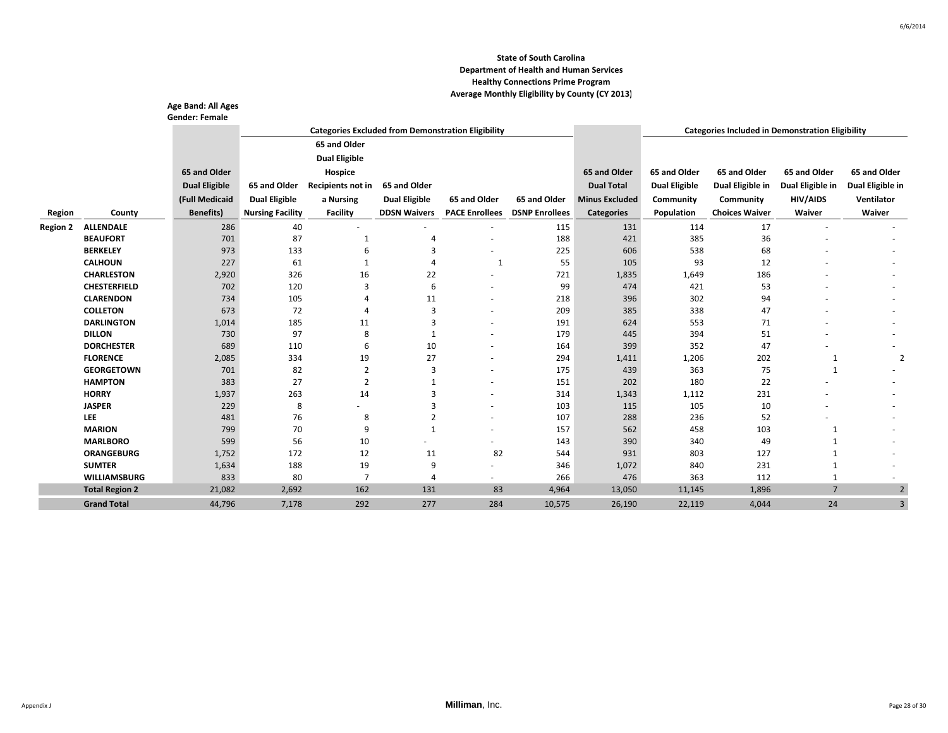|                 |                                         | Age Band: All Ages<br><b>Gender: Female</b> |                         |                      |                      |                                                           |                       |                       |                      |                                                         |                  |                  |
|-----------------|-----------------------------------------|---------------------------------------------|-------------------------|----------------------|----------------------|-----------------------------------------------------------|-----------------------|-----------------------|----------------------|---------------------------------------------------------|------------------|------------------|
|                 |                                         |                                             |                         |                      |                      | <b>Categories Excluded from Demonstration Eligibility</b> |                       |                       |                      | <b>Categories Included in Demonstration Eligibility</b> |                  |                  |
|                 |                                         |                                             |                         | 65 and Older         |                      |                                                           |                       |                       |                      |                                                         |                  |                  |
|                 |                                         |                                             |                         | <b>Dual Eligible</b> |                      |                                                           |                       |                       |                      |                                                         |                  |                  |
|                 |                                         | 65 and Older                                |                         | Hospice              |                      |                                                           |                       | 65 and Older          | 65 and Older         | 65 and Older                                            | 65 and Older     | 65 and Older     |
|                 |                                         | <b>Dual Eligible</b>                        | 65 and Older            | Recipients not in    | 65 and Older         |                                                           |                       | <b>Dual Total</b>     | <b>Dual Eligible</b> | Dual Eligible in                                        | Dual Eligible in | Dual Eligible in |
|                 |                                         | (Full Medicaid                              | <b>Dual Eligible</b>    | a Nursing            | <b>Dual Eligible</b> | 65 and Older                                              | 65 and Older          | <b>Minus Excluded</b> | Community            | Community                                               | <b>HIV/AIDS</b>  | Ventilator       |
|                 |                                         |                                             |                         |                      |                      |                                                           |                       |                       |                      |                                                         |                  |                  |
| Region          | County                                  | <b>Benefits)</b>                            | <b>Nursing Facility</b> | <b>Facility</b>      | <b>DDSN Waivers</b>  | <b>PACE Enrollees</b>                                     | <b>DSNP Enrollees</b> | <b>Categories</b>     | Population           | <b>Choices Waiver</b>                                   | Waiver           | Waiver           |
| <b>Region 2</b> | <b>ALLENDALE</b>                        | 286                                         | 40                      |                      |                      |                                                           | 115                   | 131                   | 114                  | 17                                                      |                  |                  |
|                 | <b>BEAUFORT</b>                         | 701                                         | 87                      | 1                    |                      |                                                           | 188                   | 421                   | 385                  | 36                                                      |                  |                  |
|                 | <b>BERKELEY</b>                         | 973                                         | 133                     | 6                    | 3                    | ۰                                                         | 225                   | 606                   | 538                  | 68                                                      |                  |                  |
|                 | <b>CALHOUN</b>                          | 227                                         | 61                      | 1                    | $\Delta$             | $\mathbf{1}$                                              | 55                    | 105                   | 93                   | 12                                                      |                  |                  |
|                 | <b>CHARLESTON</b>                       | 2,920                                       | 326                     | 16<br>3              | 22<br>6              | ٠                                                         | 721                   | 1,835<br>474          | 1,649                | 186                                                     |                  |                  |
|                 | <b>CHESTERFIELD</b><br><b>CLARENDON</b> | 702                                         | 120                     |                      |                      | ٠                                                         | 99                    |                       | 421<br>302           | 53<br>94                                                |                  |                  |
|                 | <b>COLLETON</b>                         | 734<br>673                                  | 105<br>72               | 4                    | 11<br>$\overline{3}$ |                                                           | 218<br>209            | 396<br>385            | 338                  | 47                                                      |                  |                  |
|                 | <b>DARLINGTON</b>                       | 1,014                                       | 185                     | 11                   | 3                    |                                                           | 191                   | 624                   | 553                  | 71                                                      |                  |                  |
|                 | <b>DILLON</b>                           | 730                                         | 97                      | 8                    | $\mathbf{1}$         |                                                           | 179                   | 445                   | 394                  | 51                                                      |                  |                  |
|                 | <b>DORCHESTER</b>                       | 689                                         | 110                     | 6                    | 10                   |                                                           | 164                   | 399                   | 352                  | 47                                                      |                  |                  |
|                 | <b>FLORENCE</b>                         | 2,085                                       | 334                     | 19                   | 27                   |                                                           | 294                   | 1,411                 | 1,206                | 202                                                     | 1                | $\overline{2}$   |
|                 | <b>GEORGETOWN</b>                       | 701                                         | 82                      | $\overline{2}$       | $\overline{3}$       |                                                           | 175                   | 439                   | 363                  | 75                                                      | 1                |                  |
|                 | <b>HAMPTON</b>                          | 383                                         | 27                      | $\overline{2}$       | $\mathbf{1}$         |                                                           | 151                   | 202                   | 180                  | 22                                                      |                  |                  |
|                 | <b>HORRY</b>                            | 1,937                                       | 263                     | 14                   | $\overline{3}$       |                                                           | 314                   | 1,343                 | 1,112                | 231                                                     |                  |                  |
|                 | <b>JASPER</b>                           | 229                                         | 8                       |                      | 3                    | ٠                                                         | 103                   | 115                   | 105                  | 10                                                      |                  |                  |
|                 | <b>LEE</b>                              | 481                                         | 76                      | 8                    | $\overline{2}$       |                                                           | 107                   | 288                   | 236                  | 52                                                      |                  |                  |
|                 | <b>MARION</b>                           | 799                                         | 70                      | 9                    | $\overline{1}$       |                                                           | 157                   | 562                   | 458                  | 103                                                     | -1               |                  |
|                 | <b>MARLBORO</b>                         | 599                                         | 56                      | 10                   |                      | ٠                                                         | 143                   | 390                   | 340                  | 49                                                      |                  |                  |
|                 | <b>ORANGEBURG</b>                       | 1,752                                       | 172                     | 12                   | 11                   | 82                                                        | 544                   | 931                   | 803                  | 127                                                     |                  |                  |
|                 | <b>SUMTER</b>                           | 1,634                                       | 188                     | 19                   | 9                    |                                                           | 346                   | 1,072                 | 840                  | 231                                                     |                  |                  |
|                 | <b>WILLIAMSBURG</b>                     | 833                                         | 80                      | 7                    |                      |                                                           | 266                   | 476                   | 363                  | 112                                                     |                  |                  |
|                 | <b>Total Region 2</b>                   | 21,082                                      | 2,692                   | 162                  | 131                  | 83                                                        | 4,964                 | 13,050                | 11,145               | 1,896                                                   | $\overline{7}$   | $\overline{2}$   |
|                 | <b>Grand Total</b>                      | 44,796                                      | 7,178                   | 292                  | 277                  | 284                                                       | 10,575                | 26,190                | 22,119               | 4,044                                                   | 24               | $\overline{3}$   |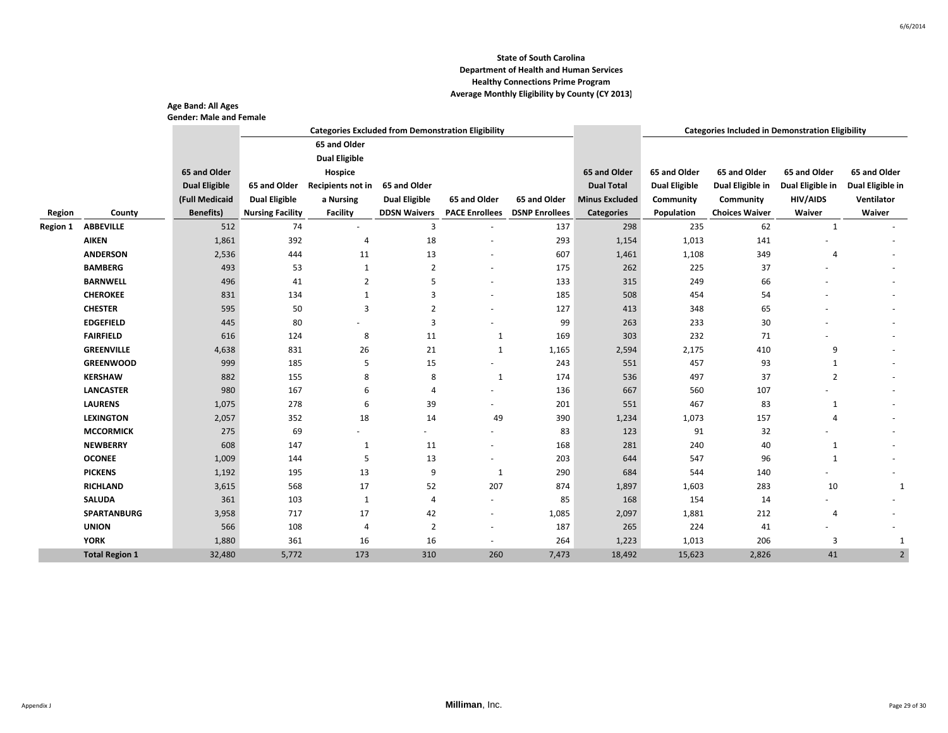|                 |                       | Age Band: All Ages<br><b>Gender: Male and Female</b> |                         |                      |                      |                                                           |                                      |                       |                      |                                                         |                  |                  |
|-----------------|-----------------------|------------------------------------------------------|-------------------------|----------------------|----------------------|-----------------------------------------------------------|--------------------------------------|-----------------------|----------------------|---------------------------------------------------------|------------------|------------------|
|                 |                       |                                                      |                         |                      |                      | <b>Categories Excluded from Demonstration Eligibility</b> |                                      |                       |                      | <b>Categories Included in Demonstration Eligibility</b> |                  |                  |
|                 |                       |                                                      |                         | 65 and Older         |                      |                                                           |                                      |                       |                      |                                                         |                  |                  |
|                 |                       |                                                      |                         | <b>Dual Eligible</b> |                      |                                                           |                                      |                       |                      |                                                         |                  |                  |
|                 |                       | 65 and Older                                         |                         | Hospice              |                      |                                                           |                                      | 65 and Older          | 65 and Older         | 65 and Older                                            | 65 and Older     | 65 and Older     |
|                 |                       | <b>Dual Eligible</b>                                 | 65 and Older            | Recipients not in    | 65 and Older         |                                                           |                                      | <b>Dual Total</b>     | <b>Dual Eligible</b> | Dual Eligible in                                        | Dual Eligible in | Dual Eligible in |
|                 |                       | (Full Medicaid                                       | <b>Dual Eligible</b>    | a Nursing            | <b>Dual Eligible</b> | 65 and Older                                              | 65 and Older                         | <b>Minus Excluded</b> | Community            | Community                                               | <b>HIV/AIDS</b>  | Ventilator       |
| Region          | County                | <b>Benefits</b> )                                    | <b>Nursing Facility</b> | <b>Facility</b>      | <b>DDSN Waivers</b>  |                                                           | <b>PACE Enrollees</b> DSNP Enrollees | <b>Categories</b>     | Population           | <b>Choices Waiver</b>                                   | Waiver           | Waiver           |
| <b>Region 1</b> | <b>ABBEVILLE</b>      | 512                                                  | 74                      | ×.                   | 3                    | $\overline{\phantom{a}}$                                  | 137                                  | 298                   | 235                  | 62                                                      | $\mathbf{1}$     |                  |
|                 | <b>AIKEN</b>          | 1,861                                                | 392                     | 4                    | 18                   | $\overline{a}$                                            | 293                                  | 1,154                 | 1,013                | 141                                                     |                  |                  |
|                 | <b>ANDERSON</b>       | 2,536                                                | 444                     | 11                   | 13                   |                                                           | 607                                  | 1,461                 | 1,108                | 349                                                     | $\overline{4}$   |                  |
|                 | <b>BAMBERG</b>        | 493                                                  | 53                      | 1                    | $\overline{2}$       | ٠                                                         | 175                                  | 262                   | 225                  | 37                                                      |                  |                  |
|                 | <b>BARNWELL</b>       | 496                                                  | 41                      | 2                    | 5                    |                                                           | 133                                  | 315                   | 249                  | 66                                                      |                  |                  |
|                 | <b>CHEROKEE</b>       | 831                                                  | 134                     | 1                    | 3                    | $\overline{\phantom{a}}$                                  | 185                                  | 508                   | 454                  | 54                                                      |                  |                  |
|                 | <b>CHESTER</b>        | 595                                                  | 50                      | 3                    | 2                    |                                                           | 127                                  | 413                   | 348                  | 65                                                      |                  |                  |
|                 | <b>EDGEFIELD</b>      | 445                                                  | 80                      |                      | 3                    |                                                           | 99                                   | 263                   | 233                  | 30                                                      |                  |                  |
|                 | <b>FAIRFIELD</b>      | 616                                                  | 124                     | 8                    | 11                   | 1                                                         | 169                                  | 303                   | 232                  | 71                                                      |                  |                  |
|                 | <b>GREENVILLE</b>     | 4,638                                                | 831                     | 26                   | 21                   | 1                                                         | 1,165                                | 2,594                 | 2,175                | 410                                                     | 9                |                  |
|                 | <b>GREENWOOD</b>      | 999                                                  | 185                     | 5                    | 15                   | ٠                                                         | 243                                  | 551                   | 457                  | 93                                                      | $\mathbf{1}$     |                  |
|                 | <b>KERSHAW</b>        | 882                                                  | 155                     | 8                    | 8                    | 1                                                         | 174                                  | 536                   | 497                  | 37                                                      | $\overline{2}$   |                  |
|                 | <b>LANCASTER</b>      | 980                                                  | 167                     | 6                    | 4                    | ٠                                                         | 136                                  | 667                   | 560                  | 107                                                     |                  |                  |
|                 | <b>LAURENS</b>        | 1,075                                                | 278                     | 6                    | 39                   |                                                           | 201                                  | 551                   | 467                  | 83                                                      | 1                |                  |
|                 | <b>LEXINGTON</b>      | 2,057                                                | 352                     | 18                   | 14                   | 49                                                        | 390                                  | 1,234                 | 1,073                | 157                                                     | $\overline{4}$   |                  |
|                 | <b>MCCORMICK</b>      | 275                                                  | 69                      |                      |                      |                                                           | 83                                   | 123                   | 91                   | 32                                                      |                  |                  |
|                 | <b>NEWBERRY</b>       | 608                                                  | 147                     | 1                    | 11                   |                                                           | 168                                  | 281                   | 240                  | 40                                                      | $\mathbf{1}$     |                  |
|                 | <b>OCONEE</b>         | 1,009                                                | 144                     | 5                    | 13                   |                                                           | 203                                  | 644                   | 547                  | 96                                                      | 1                |                  |
|                 | <b>PICKENS</b>        | 1,192                                                | 195                     | 13                   | 9                    | 1                                                         | 290                                  | 684                   | 544                  | 140                                                     |                  |                  |
|                 | <b>RICHLAND</b>       | 3,615                                                | 568                     | 17                   | 52                   | 207                                                       | 874                                  | 1,897                 | 1,603                | 283                                                     | 10               |                  |
|                 | <b>SALUDA</b>         | 361                                                  | 103                     | 1                    | 4                    | $\overline{\phantom{a}}$                                  | 85                                   | 168                   | 154                  | 14                                                      |                  |                  |
|                 | <b>SPARTANBURG</b>    | 3,958                                                | 717                     | 17                   | 42                   | ٠                                                         | 1,085                                | 2,097                 | 1,881                | 212                                                     | $\overline{4}$   |                  |
|                 | <b>UNION</b>          | 566                                                  | 108                     | 4                    | $\overline{2}$       | $\sim$                                                    | 187                                  | 265                   | 224                  | 41                                                      |                  |                  |
|                 | <b>YORK</b>           | 1,880                                                | 361                     | 16                   | 16                   | $\sim$                                                    | 264                                  | 1,223                 | 1,013                | 206                                                     | 3                |                  |
|                 | <b>Total Region 1</b> | 32,480                                               | 5,772                   | 173                  | 310                  | 260                                                       | 7,473                                | 18,492                | 15,623               | 2,826                                                   | 41               |                  |